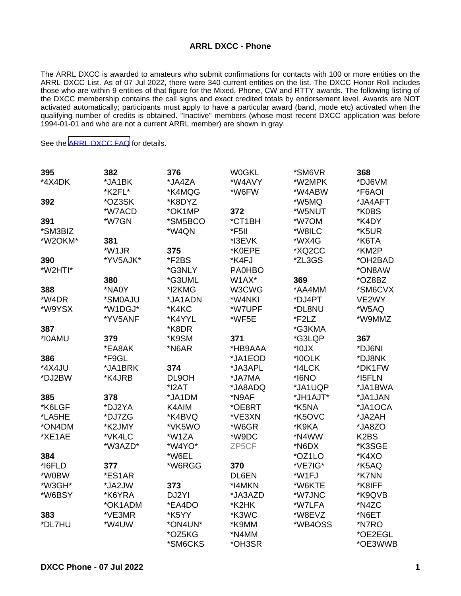## **ARRL DXCC - Phone**

The ARRL DXCC is awarded to amateurs who submit confirmations for contacts with 100 or more entities on the ARRL DXCC List. As of 07 Jul 2022, there were 340 current entities on the list. The DXCC Honor Roll includes those who are within 9 entities of that figure for the Mixed, Phone, CW and RTTY awards. The following listing of the DXCC membership contains the call signs and exact credited totals by endorsement level. Awards are NOT activated automatically; participants must apply to have a particular award (band, mode etc) activated when the qualifying number of credits is obtained. "Inactive" members (whose most recent DXCC application was before 1994-01-01 and who are not a current ARRL member) are shown in gray.

See the [ARRL DXCC FAQ](http://www.arrl.org/dxcc-faq/) for details.

| 395     | 382      | 376        | <b>W0GKL</b>  | *SM6VR      | 368               |
|---------|----------|------------|---------------|-------------|-------------------|
| *4X4DK  | *JA1BK   | *JA4ZA     | *W4AVY        | *W2MPK      | *DJ6VM            |
|         | *K2FL*   | *K4MQG     | *W6FW         | *W4ABW      | *F6AOI            |
| 392     | *OZ3SK   | *K8DYZ     |               | *W5MQ       | *JA4AFT           |
|         | *W7ACD   | *OK1MP     | 372           | *W5NUT      | *K0BS             |
| 391     | *W7GN    | *SM5BCO    | *CT1BH        | *W7OM       | *K4DY             |
| *SM3BIZ |          | *W4QN      | *F5II         | *W8ILC      | *K5UR             |
| *W2OKM* | 381      |            | *I3EVK        | *WX4G       | *K6TA             |
|         | *W1JR    | 375        | *K0EPE        | *XQ2CC      | *KM2P             |
| 390     | *YV5AJK* | *F2BS      | *K4FJ         | *ZL3GS      | *OH2BAD           |
| *W2HTI* |          | *G3NLY     | <b>PA0HBO</b> |             | *ON8AW            |
|         | 380      | *G3UML     | W1AX*         | 369         | *OZ8BZ            |
| 388     | *NA0Y    | *I2KMG     | W3CWG         | *AA4MM      | *SM6CVX           |
| *W4DR   | *SM0AJU  | *JA1ADN    | *W4NKI        | *DJ4PT      | VE2WY             |
| *W9YSX  | *W1DGJ*  | *K4KC      | *W7UPF        | *DL8NU      | *W5AQ             |
|         | *YV5ANF  | *K4YYL     | *WF5E         | *F2LZ       | *W9MMZ            |
| 387     |          | *K8DR      |               | *G3KMA      |                   |
| *I0AMU  | 379      | *K9SM      | 371           | *G3LQP      | 367               |
|         | *EA8AK   | *N6AR      | *HB9AAA       | $*$ IOJ $X$ | *DJ6NI            |
| 386     | *F9GL    |            | *JA1EOD       | *I0OLK      | *DJ8NK            |
| *4X4JU  | *JA1BRK  | 374        | *JA3APL       | *I4LCK      | *DK1FW            |
| *DJ2BW  | *K4JRB   | DL9OH      | *JA7MA        | *I6NO       | *I5FLN            |
|         |          | $*$ $12AT$ | *JA8ADQ       | *JA1UQP     | *JA1BWA           |
| 385     | 378      | *JA1DM     | *N9AF         | *JH1AJT*    | *JA1JAN           |
| *K6LGF  | *DJ2YA   | K4AIM      | *OE8RT        | *K5NA       | *JA1OCA           |
| *LA5HE  | *DJ7ZG   | *K4BVQ     | *VE3XN        | *K5OVC      | *JA2AH            |
| *ON4DM  | *K2JMY   | *VK5WO     | *W6GR         | *K9KA       | *JA8ZO            |
| *XE1AE  | *VK4LC   | *W1ZA      | *W9DC         | *N4WW       | K <sub>2</sub> BS |
|         | *W3AZD*  | *W4YO*     | ZP5CF         | *N6DX       | *K3SGE            |
| 384     |          | *W6EL      |               | *OZ1LO      | *K4XO             |
| *I6FLD  | 377      | *W6RGG     | 370           | *VE7IG*     | *K5AQ             |
| *W0BW   | *ES1AR   |            | DL6EN         | *W1FJ       | *K7NN             |
| *W3GH*  | *JA2JW   | 373        | *I4MKN        | *W6KTE      | *K8IFF            |
| *W6BSY  | *K6YRA   | DJ2YI      | *JA3AZD       | *W7JNC      | *K9QVB            |
|         | *OK1ADM  | *EA4DO     | *K2HK         | *W7LFA      | *N4ZC             |
| 383     | *VE3MR   | *K5YY      | *K3WC         | *W8EVZ      | *N6ET             |
| *DL7HU  | *W4UW    | *ON4UN*    | *K9MM         | *WB4OSS     | *N7RO             |
|         |          | *OZ5KG     | *N4MM         |             | *OE2EGL           |
|         |          | *SM6CKS    | *OH3SR        |             | *OE3WWB           |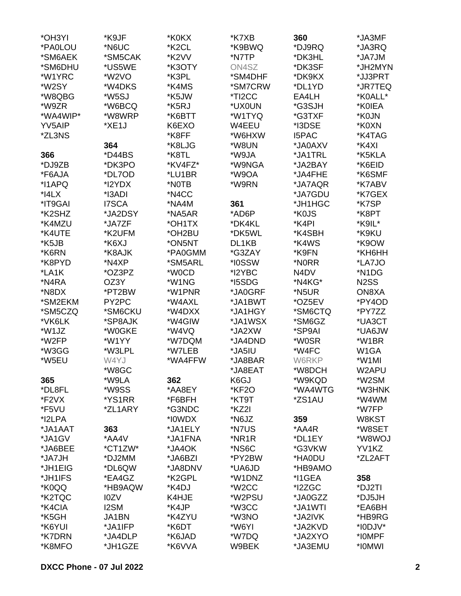| *OH3YI    | *K9JF        | *K0KX              | *K7XB              | 360          | *JA3MF            |
|-----------|--------------|--------------------|--------------------|--------------|-------------------|
| *PA0LOU   | *N6UC        | *K <sub>2</sub> CL | *K9BWQ             | *DJ9RQ       | *JA3RQ            |
| *SM6AEK   | *SM5CAK      | *K2VV              | *N7TP              | *DK3HL       | *JA7JM            |
| *SM6DHU   | *US5WE       | *K3OTY             | ON4SZ              | *DK3SF       | *JH2MYN           |
| *W1YRC    | *W2VO        | *K3PL              | *SM4DHF            | *DK9KX       | *JJ3PRT           |
| *W2SY     | *W4DKS       | *K4MS              | *SM7CRW            | *DL1YD       | *JR7TEQ           |
| *W8QBG    | *W5SJ        | *K5JW              | *TI2CC             | EA4LH        | *K0ALL*           |
| *W9ZR     | *W6BCQ       | *K5RJ              | *UX0UN             | *G3SJH       | *K0IEA            |
| *WA4WIP*  | *W8WRP       | *K6BTT             | *W1TYQ             | *G3TXF       | *K0JN             |
| YV5AIP    | *XE1J        | K6EXO              | W4EEU              | *I3DSE       | *K0XN             |
|           |              |                    |                    | <b>I5PAC</b> |                   |
| *ZL3NS    |              | *K8FF              | *W6HXW             |              | *K4TAG            |
|           | 364          | *K8LJG             | *W8UN              | *JA0AXV      | *K4XI             |
| 366       | *D44BS       | *K8TL              | *W9JA              | *JA1TRL      | *K5KLA            |
| *DJ9ZB    | *DK3PO       | *KV4FZ*            | *W9NGA             | *JA2BAY      | *K6EID            |
| *F6AJA    | *DL7OD       | *LU1BR             | *W9OA              | *JA4FHE      | *K6SMF            |
| *I1APQ    | *I2YDX       | *NOTB              | *W9RN              | *JA7AQR      | *K7ABV            |
| $*$ $4LX$ | *I3ADI       | *N4CC              |                    | *JA7GDU      | *K7GEX            |
| *IT9GAI   | <b>I7SCA</b> | *NA4M              | 361                | *JH1HGC      | *K7SP             |
| *K2SHZ    | *JA2DSY      | *NA5AR             | *AD6P              | *K0JS        | *K8PT             |
| *K4MZU    | *JA7ZF       | *OH1TX             | *DK4KL             | *K4PI        | *K9IL*            |
| *K4UTE    | *K2UFM       | *OH2BU             | *DK5WL             | *K4SBH       | *K9KU             |
| *K5JB     | *K6XJ        | *ON5NT             | DL1KB              | *K4WS        | *K9OW             |
| *K6RN     | *K8AJK       | *PA0GMM            | *G3ZAY             | *K9FN        | *KH6HH            |
| *K8PYD    | *N4XP        | *SM5ARL            | *I0SSW             | *N0RR        | *LA7JO            |
| *LA1K     | *OZ3PZ       | *W0CD              | *I2YBC             | N4DV         | *N1DG             |
| *N4RA     | OZ3Y         | *W1NG              | *I5SDG             | *N4KG*       | N <sub>2</sub> SS |
| *N8DX     | *PT2BW       | *W1PNR             | *JA0GRF            | *N5UR        | ON8XA             |
| *SM2EKM   | PY2PC        | *W4AXL             | *JA1BWT            | *OZ5EV       | *PY4OD            |
| *SM5CZQ   | *SM6CKU      | *W4DXX             | *JA1HGY            | *SM6CTQ      | *PY7ZZ            |
| *VK6LK    | *SP8AJK      | *W4GIW             | *JA1WSX            | *SM6GZ       | *UA3CT            |
| *W1JZ     | *W0GKE       | *W4VQ              | *JA2XW             | *SP9AI       | *UA6JW            |
| *W2FP     | *W1YY        | *W7DQM             | *JA4DND            | *W0SR        | *W1BR             |
| *W3GG     | *W3LPL       | *W7LEB             | *JA5IU             | *W4FC        | W1GA              |
| *W5EU     | W4YJ         | *WA4FFW            | *JA8BAR            | W6RKP        | *W1MI             |
|           | *W8GC        |                    | *JA8EAT            | *W8DCH       | W2APU             |
| 365       | *W9LA        | 362                | K6GJ               | *W9KQD       | *W2SM             |
| *DL8FL    | *W9SS        | *AA8EY             | *KF2O              | *WA4WTG      | *W3HNK            |
| *F2VX     | *YS1RR       | *F6BFH             | *KT9T              | *ZS1AU       | *W4WM             |
| *F5VU     | *ZL1ARY      | *G3NDC             | *KZ2I              |              | *W7FP             |
| *I2LPA    |              | *I0WDX             | *N6JZ              | 359          | W8KST             |
| *JA1AAT   |              |                    |                    |              |                   |
|           | 363          | *JA1ELY            | *N7US              | *AA4R        | *W8SET            |
| *JA1GV    | *AA4V        | *JA1FNA            | *NR1R              | *DL1EY       | *W8WOJ            |
| *JA6BEE   | *CT1ZW*      | *JA4OK             | *NS6C              | *G3VKW       | YV1KZ             |
| *JA7JH    | *DJ2MM       | *JA6BZI            | *PY2BW             | *HA0DU       | *ZL2AFT           |
| *JH1EIG   | *DL6QW       | *JA8DNV            | *UA6JD             | *HB9AMO      |                   |
| *JH1IFS   | *EA4GZ       | *K2GPL             | *W1DNZ             | *I1GEA       | 358               |
| *K0QQ     | *HB9AQW      | *K4DJ              | *W <sub>2</sub> CC | *I2ZGC       | *DJ2TI            |
| *K2TQC    | I0ZV         | K4HJE              | *W2PSU             | *JA0GZZ      | *DJ5JH            |
| *K4CIA    | <b>I2SM</b>  | *K4JP              | *W3CC              | *JA1WTI      | *EA6BH            |
| *K5GH     | JA1BN        | *K4ZYU             | *W3NO              | *JA2IVK      | *HB9RG            |
| *K6YUI    | *JA1IFP      | *K6DT              | *W6YI              | *JA2KVD      | *I0DJV*           |
| *K7DRN    | *JA4DLP      | *K6JAD             | *W7DQ              | *JA2XYO      | *I0MPF            |
| *K8MFO    | *JH1GZE      | *K6VVA             | W9BEK              | *JA3EMU      | *IOMWI            |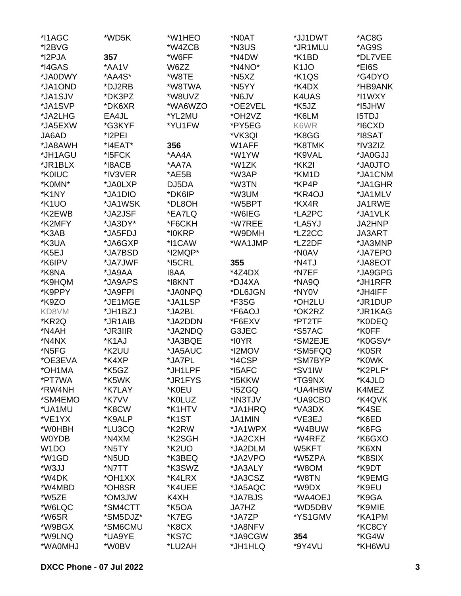| *I1AGC             | *WD5K    | *W1HEO             | *N0AT                           | *JJ1DWT           | *AC8G        |
|--------------------|----------|--------------------|---------------------------------|-------------------|--------------|
| *I2BVG             |          | *W4ZCB             | *N3US                           | *JR1MLU           | *AG9S        |
| *I2PJA             | 357      | *W6FF              | *N4DW                           | *K1BD             | *DL7VEE      |
| *I4GAS             | *AA1V    | W6ZZ               | *N4NO*                          | K <sub>1</sub> JO | *EI6S        |
| *JA0DWY            | *AA4S*   | *W8TE              | *N5XZ                           | *K1QS             | *G4DYO       |
| *JA1OND            | *DJ2RB   | *W8TWA             | *N5YY                           | *K4DX             | *HB9ANK      |
| *JA1SJV            | *DK3PZ   | *W8UVZ             | *N6JV                           | K4UAS             | *I1WXY       |
| *JA1SVP            | *DK6XR   | *WA6WZO            | *OE2VEL                         | *K5JZ             | *I5JHW       |
| *JA2LHG            | EA4JL    | *YL2MU             | *OH <sub>2</sub> V <sub>Z</sub> | *K6LM             | <b>I5TDJ</b> |
|                    |          |                    |                                 | K6WR              |              |
| *JA5EXW            | *G3KYF   | *YU1FW             | *PY5EG                          |                   | *I6CXD       |
| JA6AD              | *I2PEI   |                    | *VK3QI                          | *K8GG             | *I8SAT       |
| *JA8AWH            | *I4EAT*  | 356                | W1AFF                           | *K8TMK            | *IV3ZIZ      |
| *JH1AGU            | *I5FCK   | *AA4A              | *W1YW                           | *K9VAL            | *JA0GJJ      |
| *JR1BLX            | *I8ACB   | *AA7A              | *W1ZK                           | *KK2I             | *JA0JTO      |
| *K0IUC             | *IV3VER  | *AE5B              | *W3AP                           | *KM1D             | *JA1CNM      |
| *K0MN*             | *JA0LXP  | DJ5DA              | *W3TN                           | *KP4P             | *JA1GHR      |
| *K1NY              | *JA1DIO  | *DK6IP             | *W3UM                           | *KR4OJ            | *JA1MLV      |
| *K1UO              | *JA1WSK  | *DL8OH             | *W5BPT                          | *KX4R             | JA1RWE       |
| *K2EWB             | *JA2JSF  | *EA7LQ             | *W6IEG                          | *LA2PC            | *JA1VLK      |
| *K2MFY             | *JA3DY*  | *F6CKH             | *W7REE                          | *LA5YJ            | JA2HNP       |
| *K3AB              | *JA5FDJ  | *I0KRP             | *W9DMH                          | *LZ2CC            | JA3ART       |
| *K3UA              | *JA6GXP  | *I1CAW             | *WA1JMP                         | *LZ2DF            | *JA3MNP      |
| *K5EJ              | *JA7BSD  | *I2MQP*            |                                 | *N0AV             | *JA7EPO      |
| *K6IPV             | *JA7JWF  | *I5CRL             | 355                             | *N4TJ             | *JA8EOT      |
| *K8NA              | *JA9AA   | <b>I8AA</b>        | *4Z4DX                          | *N7EF             | *JA9GPG      |
| *K9HQM             | *JA9APS  | *I8KNT             | *DJ4XA                          | *NA9Q             | *JH1RFR      |
| *K9PPY             | *JA9FPI  | *JA0NPQ            | *DL6JGN                         | *NY0V             | *JH4IFF      |
| *K9ZO              | *JE1MGE  | *JA1LSP            | *F3SG                           | *OH2LU            | *JR1DUP      |
| KD8VM              | *JH1BZJ  | *JA2BL             | *F6AOJ                          | *OK2RZ            | *JR1KAG      |
| *KR2Q              | *JR1AIB  | *JA2DDN            | *F6EXV                          | *PT2TF            | *K0DEQ       |
| *N4AH              | *JR3IIR  | *JA2NDQ            | G3JEC                           | *S57AC            | *K0FF        |
| *N4NX              |          |                    | *I0YR                           |                   | *K0GSV*      |
|                    | *K1AJ    | *JA3BQE            |                                 | *SM2EJE           |              |
| *N5FG              | *K2UU    | *JA5AUC            | *I2MOV                          | *SM5FQQ           | *K0SR        |
| *OE3EVA            | *K4XP    | *JA7PL             | *I4CSP                          | *SM7BYP           | *K0WK        |
| *OH1MA             | *K5GZ    | *JH1LPF            | *I5AFC                          | *SV1IW            | *K2PLF*      |
| *PT7WA             | *K5WK    | *JR1FYS            | *I5KKW                          | *TG9NX            | *K4JLD       |
| *RW4NH             | *K7LAY   | *K0EU              | *15ZGQ                          | *UA4HBW           | K4MEZ        |
| *SM4EMO            | *K7VV    | *K0LUZ             | *IN3TJV                         | *UA9CBO           | *K4QVK       |
| *UA1MU             | *K8CW    | *K1HTV             | *JA1HRQ                         | *VA3DX            | *K4SE        |
| *VE1YX             | *K9ALP   | *K <sub>1</sub> ST | JA1MIN                          | *VE3EJ            | *K6ED        |
| *W0HBH             | *LU3CQ   | *K2RW              | *JA1WPX                         | *W4BUW            | *K6FG        |
| <b>W0YDB</b>       | *N4XM    | *K2SGH             | *JA2CXH                         | *W4RFZ            | *K6GXO       |
| W <sub>1</sub> DO  | *N5TY    | *K <sub>2</sub> UO | *JA2DLM                         | W5KFT             | *K6XN        |
| *W <sub>1</sub> GD | *N5UD    | *K3BEQ             | *JA2VPO                         | *W5ZPA            | *K8SIX       |
| *W3JJ              | *N7TT    | *K3SWZ             | *JA3ALY                         | *W8OM             | *K9DT        |
| *W4DK              | *OH1XX   | *K4LRX             | *JA3CSZ                         | *W8TN             | *K9EMG       |
| *W4MBD             | *OH8SR   | *K4UEE             | *JA5AQC                         | *W9DX             | *K9EU        |
| *W5ZE              | *OM3JW   | K4XH               | *JA7BJS                         | *WA4OEJ           | *K9GA        |
| *W6LQC             | *SM4CTT  | *K5OA              | JA7HZ                           | *WD5DBV           | *K9MIE       |
| *W6SR              | *SM5DJZ* | *K7EG              | *JA7ZP                          | *YS1GMV           | *KA1PM       |
| *W9BGX             | *SM6CMU  | *K8CX              | *JA8NFV                         |                   | *KC8CY       |
| *W9LNQ             | *UA9YE   | *KS7C              | *JA9CGW                         | 354               | *KG4W        |
| *WA0MHJ            | *W0BV    | *LU2AH             | *JH1HLQ                         | *9Y4VU            | *KH6WU       |
|                    |          |                    |                                 |                   |              |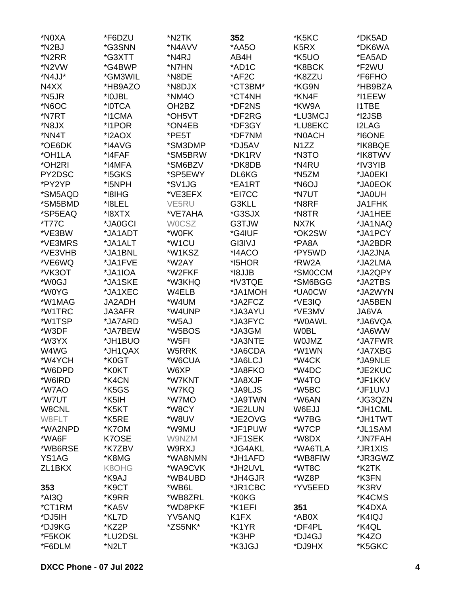| *N0XA              | *F6DZU           | *N2TK              | 352                           | *K5KC                         | *DK5AD       |
|--------------------|------------------|--------------------|-------------------------------|-------------------------------|--------------|
| *N <sub>2</sub> BJ | *G3SNN           | *N4AVV             | *AA5O                         | K <sub>5</sub> R <sub>X</sub> | *DK6WA       |
| *N2RR              | *G3XTT           | *N4RJ              | AB4H                          | *K5UO                         | *EA5AD       |
| *N2VW              | *G4BWP           | *N7HN              | *AD1C                         | *K8BCK                        | *F2WU        |
| *N4JJ*             | *GM3WIL          | *N8DE              | *AF2C                         | *K8ZZU                        | *F6FHO       |
| N4XX               | *HB9AZO          | *N8DJX             | *CT3BM*                       | *KG9N                         | *HB9BZA      |
| *N5JR              | *I0JBL           | *NM4O              | *CT4NH                        | *KN4F                         | *I1EEW       |
|                    |                  |                    |                               |                               |              |
| *N6OC              | *I0TCA<br>*I1CMA | OH <sub>2</sub> BZ | *DF2NS                        | *KW9A                         | <b>I1TBE</b> |
| *N7RT              |                  | *OH5VT             | *DF2RG                        | *LU3MCJ                       | *I2JSB       |
| *N8JX              | *I1POR           | *ON4EB             | *DF3GY                        | *LU8EKC                       | <b>I2LAG</b> |
| *NN4T              | *I2AOX           | *PE5T              | *DF7NM                        | *N0ACH                        | *I6ONE       |
| *OE6DK             | *I4AVG           | *SM3DMP            | *DJ5AV                        | N <sub>1</sub> ZZ             | *IK8BQE      |
| *OH1LA             | *I4FAF           | *SM5BRW            | *DK1RV                        | *N3TO                         | *IK8TWV      |
| *OH2RI             | *I4MFA           | *SM6BZV            | *DK8DB                        | *N4RU                         | *IV3YIB      |
| PY2DSC             | *I5GKS           | *SP5EWY            | DL6KG                         | *N5ZM                         | *JA0EKI      |
| *PY2YP             | *I5NPH           | *SV1JG             | *EA1RT                        | *N6OJ                         | *JA0EOK      |
| *SM5AQD            | *I8IHG           | *VE3EFX            | *EI7CC                        | *N7UT                         | HU0Al*       |
| *SM5BMD            | *I8LEL           | VE5RU              | G3KLL                         | *N8RF                         | JA1FHK       |
| *SP5EAQ            | *I8XTX           | *VE7AHA            | *G3SJX                        | *N8TR                         | *JA1HEE      |
| <i>*</i> T77C      | *JA0GCI          | <b>WOCSZ</b>       | G3TJW                         | NX7K                          | *JA1NAQ      |
| *VE3BW             | *JA1ADT          | *W0FK              | *G4IUF                        | *OK2SW                        | *JA1PCY      |
| *VE3MRS            | *JA1ALT          | *W1CU              | GI3IVJ                        | *PA8A                         | *JA2BDR      |
| *VE3VHB            | *JA1BNL          | *W1KSZ             | *I4ACO                        | *PY5WD                        | *JA2JNA      |
| *VE6WQ             | *JA1FVE          | *W2AY              | *15HOR                        | *RW2A                         | *JA2LMA      |
| *VK3OT             | *JA1IOA          | *W2FKF             | *I8JJB                        | *SM0CCM                       | *JA2QPY      |
| *W0GJ              | *JA1SKE          | *W3KHQ             | *IV3TQE                       | *SM6BGG                       | *JA2TBS      |
| *W0YG              |                  |                    |                               |                               |              |
|                    | *JA1XEC          | W4ELB              | *JA1MOH                       | *UA0CW                        | *JA2WYN      |
| *W1MAG             | JA2ADH           | *W4UM              | *JA2FCZ                       | *VE3IQ                        | *JA5BEN      |
| *W1TRC             | JA3AFR           | *W4UNP             | *JA3AYU                       | *VE3MV                        | JA6VA        |
| *W1TSP             | *JA7ARD          | *W5AJ              | *JA3FYC                       | *W0AWL                        | *JA6VQA      |
| *W3DF              | *JA7BEW          | *W5BOS             | *JA3GM                        | <b>WOBL</b>                   | *JA6WW       |
| *W3YX              | *JH1BUO          | *W5FI              | *JA3NTE                       | <b>WOJMZ</b>                  | *JA7FWR      |
| W4WG               | *JH1QAX          | W5RRK              | *JA6CDA                       | *W1WN                         | *JA7XBG      |
| *W4YCH             | *K0GT            | *W6CUA             | *JA6LCJ                       | *W4CK                         | *JA9NLE      |
| *W6DPD             | *K0KT            | W6XP               | *JA8FKO                       | *W4DC                         | *JE2KUC      |
| *W6IRD             | *K4CN            | *W7KNT             | *JA8XJF                       | *W4TO                         | *JF1KKV      |
| *W7AO              | *K5GS            | *W7KQ              | *JA9LJS                       | *W5BC                         | *JF1UVJ      |
| *W7UT              | *K5IH            | *W7MO              | *JA9TWN                       | *W6AN                         | *JG3QZN      |
| W8CNL              | *K5KT            | *W8CY              | *JE2LUN                       | W6EJJ                         | *JH1CML      |
| W8FLT              | *K5RE            | *W8UV              | *JE2OVG                       | *W7BG                         | *JH1TWT      |
| *WA2NPD            | *K7OM            | *W9MU              | *JF1PUW                       | *W7CP                         | *JL1SAM      |
| *WA6F              | K7OSE            | W9NZM              | *JF1SEK                       | *W8DX                         | *JN7FAH      |
| *WB6RSE            | *K7ZBV           | W9RXJ              | *JG4AKL                       | *WA6TLA                       | *JR1XIS      |
| YS1AG              | *K8MG            | *WA8NMN            | *JH1AFD                       | *WB8FIW                       | *JR3GWZ      |
| ZL1BKX             | K8OHG            | *WA9CVK            | *JH2UVL                       | *WT8C                         | *K2TK        |
|                    | *K9AJ            | *WB4UBD            | *JH4GJR                       | *WZ8P                         | *K3FN        |
|                    |                  |                    |                               |                               |              |
| 353                | *K9CT            | *WB6L              | *JR1CBC                       | *YV5EED                       | *K3RV        |
| *AI3Q              | *K9RR            | *WB8ZRL            | *K0KG                         |                               | *K4CMS       |
| *CT1RM             | *KA5V            | *WD8PKF            | *K1EFI                        | 351                           | *K4DXA       |
| *DJ5IH             | *KL7D            | YV5ANQ             | K <sub>1</sub> F <sub>X</sub> | *AB0X                         | *K4IQJ       |
| *DJ9KG             | *KZ2P            | *ZS5NK*            | *K1YR                         | *DF4PL                        | *K4QL        |
| *F5KOK             | *LU2DSL          |                    | *K3HP                         | *DJ4GJ                        | *K4ZO        |
| *F6DLM             | *N2LT            |                    | *K3JGJ                        | *DJ9HX                        | *K5GKC       |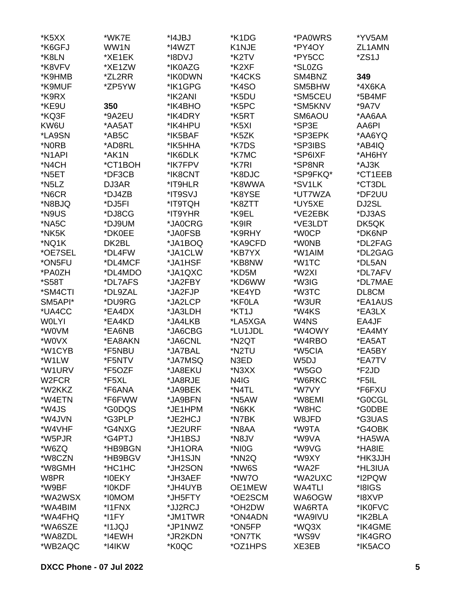| *K5XX               | *WK7E   | *I4JBJ  | *K1DG             | *PA0WRS  | *YV5AM  |
|---------------------|---------|---------|-------------------|----------|---------|
| *K6GFJ              | WW1N    | *I4WZT  | K1NJE             | *PY4OY   | ZL1AMN  |
| *K8LN               | *XE1EK  | *I8DVJ  | *K2TV             | *PY5CC   | *ZS1J   |
| *K8VFV              | *XE1ZW  | *IK0AZG | *K2XF             | *SL0ZG   |         |
| *K9HMB              | *ZL2RR  | *IK0DWN | *K4CKS            | SM4BNZ   | 349     |
| *K9MUF              | *ZP5YW  | *IK1GPG | *K4SO             | SM5BHW   | *4X6KA  |
| *K9RX               |         | *IK2ANI | *K5DU             | *SM5CEU  | *5B4MF  |
| *KE9U               | 350     | *IK4BHO | *K5PC             | *SM5KNV  | *9A7V   |
| *KQ3F               | *9A2EU  | *IK4DRY | *K5RT             | SM6AOU   | *AA6AA  |
| KW6U                | *AA5AT  | *IK4HPU | *K5XI             | *SP3E    | AA6PI   |
| *LA9SN              | *AB5C   | *IK5BAF | *K5ZK             | *SP3EPK  | *AA6YQ  |
| *N0RB               | *AD8RL  | *IK5HHA | *K7DS             | *SP3IBS  | *AB4IQ  |
| *N <sub>1</sub> API | *AK1N   | *IK6DLK | *K7MC             | *SP6IXF  | *AH6HY  |
|                     |         |         |                   |          |         |
| *N4CH               | *CT1BOH | *IK7FPV | *K7RI             | *SP8NR   | *AJ3K   |
| *N5ET               | *DF3CB  | *IK8CNT | *K8DJC            | *SP9FKQ* | *CT1EEB |
| *N5LZ               | DJ3AR   | *IT9HLR | *K8WWA            | *SV1LK   | *CT3DL  |
| *N6CR               | *DJ4ZB  | *IT9SVJ | *K8YSE            | *UT7WZA  | *DF2UU  |
| *N8BJQ              | *DJ5FI  | *IT9TQH | *K8ZTT            | *UY5XE   | DJ2SL   |
| *N9US               | *DJ8CG  | *IT9YHR | *K9EL             | *VE2EBK  | *DJ3AS  |
| *NA5C               | *DJ9UM  | *JA0CRG | *K9IR             | *VE3LDT  | DK5QK   |
| *NK5K               | *DK0EE  | *JA0FSB | *K9RHY            | *W0CP    | *DK6NP  |
| *NQ1K               | DK2BL   | *JA1BOQ | *KA9CFD           | *W0NB    | *DL2FAG |
| *OE7SEL             | *DL4FW  | *JA1CLW | *KB7YX            | *W1AIM   | *DL2GAG |
| *ON5FU              | *DL4MCF | *JA1HSF | *KB8NW            | *W1TC    | *DL5AN  |
| *PA0ZH              | *DL4MDO | *JA1QXC | *KD5M             | *W2XI    | *DL7AFV |
| *S58T               | *DL7AFS | *JA2FBY | *KD6WW            | *W3IG    | *DL7MAE |
| *SM4CTI             | *DL9ZAL | *JA2FJP | *KE4YD            | *W3TC    | DL8CM   |
| SM5API*             | *DU9RG  | *JA2LCP | *KF0LA            | *W3UR    | *EA1AUS |
| *UA4CC              | *EA4DX  | *JA3LDH | *KT1J             | *W4KS    | *EA3LX  |
| <b>WOLYI</b>        | *EA4KD  | *JA4LKB | *LA5XGA           | W4NS     | EA4JF   |
| *W0VM               | *EA6NB  | *JA6CBG | *LU1JDL           | *W4OWY   | *EA4MY  |
| *W0VX               | *EA8AKN | *JA6CNL | *N2QT             | *W4RBO   | *EA5AT  |
| *W1CYB              | *F5NBU  | *JA7BAL | *N2TU             | *W5CIA   | *EA5BY  |
| *W1LW               | *F5NTV  | *JA7MSQ | N <sub>3</sub> ED | W5DJ     | *EA7TV  |
| *W1URV              | *F5OZF  | *JA8EKU | *N3XX             | *W5GO    | *F2JD   |
| W2FCR               | *F5XL   | *JA8RJE | N4IG              | *W6RKC   | *F5IL   |
| *W2KKZ              | *F6ANA  | *JA9BEK | *N4TL             | *W7VY    | *F6FXU  |
| *W4ETN              | *F6FWW  | *JA9BFN | *N5AW             | *W8EMI   | *G0CGL  |
| *W4JS               | *G0DQS  | *JE1HPM | *N6KK             | *W8HC    | *G0DBE  |
| *W4JVN              | *G3PLP  | *JE2HCJ | *N7BK             | W8JFD    | *G3UAS  |
| *W4VHF              | *G4NXG  | *JE2URF | *N8AA             | *W9TA    | *G4OBK  |
| *W5PJR              | *G4PTJ  | *JH1BSJ | *N8JV             | *W9VA    | *HA5WA  |
| *W6ZQ               | *HB9BGN | *JH1ORA | *NI0G             | *W9VG    | *HA8IE  |
| *W8CZN              | *HB9BGV | *JH1SJN | *NN <sub>2Q</sub> | *W9XY    | *HK3JJH |
|                     |         |         |                   |          |         |
| *W8GMH              | *HC1HC  | *JH2SON | *NW6S             | *WA2F    | *HL3IUA |
| W8PR                | *I0EKY  | *JH3AEF | *NW7O             | *WA2UXC  | *I2PQW  |
| *W9BF               | *I0KDF  | *JH4UYB | OE1MEW            | WA4TLI   | *I8IGS  |
| *WA2WSX             | *I0MOM  | *JH5FTY | *OE2SCM           | WA6OGW   | *I8XVP  |
| *WA4BIM             | *I1FNX  | *JJ2RCJ | *OH2DW            | WA6RTA   | *IK0FVC |
| *WA4FHQ             | *I1FY   | *JM1TWR | *ON4ADN           | *WA9IVU  | *IK2BLA |
| *WA6SZE             | *I1JQJ  | *JP1NWZ | *ON5FP            | *WQ3X    | *IK4GME |
| *WA8ZDL             | *I4EWH  | *JR2KDN | *ON7TK            | *WS9V    | *IK4GRO |
| *WB2AQC             | *I4IKW  | *K0QC   | *OZ1HPS           | XE3EB    | *IK5ACO |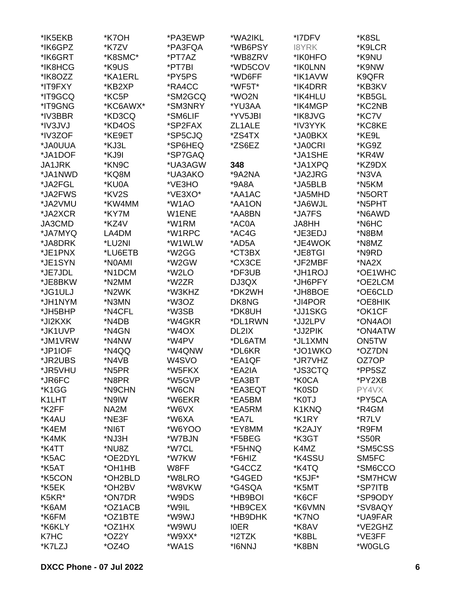| *IK5EKB       | *K7OH    | *PA3EWP            | *WA2IKL     | *I7DFV  | *K8SL               |
|---------------|----------|--------------------|-------------|---------|---------------------|
| *IK6GPZ       | *K7ZV    | *PA3FQA            | *WB6PSY     | 18YRK   | *K9LCR              |
| *IK6GRT       | *K8SMC*  | *PT7AZ             | *WB8ZRV     | *IK0HFO | *K9NU               |
| *IK8HCG       | *K9US    | *PT7BI             | *WD5COV     | *IK0LNN | *K9NW               |
| *IK8OZZ       | *KA1ERL  | *PY5PS             | *WD6FF      | *IK1AVW | K9QFR               |
| *IT9FXY       | *KB2XP   | *RA4CC             | *WF5T*      | *IK4DRR | *KB3KV              |
| *IT9GCQ       | *KC5P    | *SM2GCQ            | *WO2N       | *IK4HLU | *KB5GL              |
| *IT9GNG       | *KC6AWX* | *SM3NRY            | *YU3AA      | *IK4MGP | *KC2NB              |
| *IV3BBR       | *KD3CQ   | *SM6LIF            | *YV5JBI     | *IK8JVG | *KC7V               |
| *IV3JVJ       | *KD4OS   | *SP2FAX            | ZL1ALE      | *IV3YYK | *KC8KE              |
| *IV3ZOF       | *KE9ET   | *SP5CJQ            |             | *JA0BKX | *KE9L               |
|               |          |                    | *ZS4TX      |         |                     |
| *JA0UUA       | *KJ3L    | *SP6HEQ            | *ZS6EZ      | *JA0CRI | *KG9Z               |
| *JA1DOF       | *KJ9I    | *SP7GAQ            |             | *JA1SHE | *KR4W               |
| <b>JA1JRK</b> | *KN9C    | *UA3AGW            | 348         | *JA1XPQ | *KZ9DX              |
| *JA1NWD       | *KQ8M    | *UA3AKO            | *9A2NA      | *JA2JRG | *N3VA               |
| *JA2FGL       | *KU0A    | *VE3HO             | *9A8A       | *JA5BLB | *N5KM               |
| *JA2FWS       | *KV2S    | *VE3XO*            | *AA1AC      | *JA5MHD | *N5ORT              |
| *JA2VMU       | *KW4MM   | *W1AO              | *AA1ON      | *JA6WJL | *N5PHT              |
| *JA2XCR       | *KY7M    | W1ENE              | *AA8BN      | *JA7FS  | *N6AWD              |
| JA3CMD        | *KZ4V    | *W1RM              | *AC0A       | JA8HH   | *N6HC               |
| *JA7MYQ       | LA4DM    | *W1RPC             | *AC4G       | *JE3EDJ | *N8BM               |
| *JA8DRK       | *LU2NI   | *W1WLW             | *AD5A       | *JE4WOK | *N8MZ               |
| *JE1PNX       | *LU6ETB  | *W2GG              | *CT3BX      | *JE8TGI | *N9RD               |
| *JE1SYN       | *N0AMI   | *W2GW              | *CX3CE      | *JF2MBF | *NA2X               |
| *JE7JDL       | *N1DCM   | *W2LO              | *DF3UB      | *JH1ROJ | *OE1WHC             |
| *JE8BKW       | *N2MM    | *W2ZR              | DJ3QX       | *JH6PFY | *OE2LCM             |
| *JG1ULJ       | *N2WK    | *W3KHZ             | *DK2WH      | *JH8BOE | *OE6CLD             |
| *JH1NYM       | *N3MN    | *W3OZ              | DK8NG       | *JI4POR | *OE8HIK             |
| *JH5BHP       | *N4CFL   | *W3SB              | *DK8UH      | *JJ1SKG | *OK1CF              |
| *JI2KXK       | *N4DB    | *W4GKR             | *DL1RWN     | *JJ2LPV | *ON4AOI             |
| *JK1UVP       | *N4GN    | *W4OX              | DL2IX       | *JJ2PIK | *ON4ATW             |
| *JM1VRW       | *N4NW    | *W4PV              | *DL6ATM     | *JL1XMN | ON5TW               |
| *JP1IOF       | *N4QQ    | *W4QNW             | *DL6KR      | *JO1WKO | *OZ7DN              |
| *JR2UBS       | *N4VB    | W <sub>4</sub> SVO | *EA1QF      | *JR7VHZ | OZ7OP               |
| *JR5VHU       | *N5PR    | *W5FKX             | *EA2IA      | *JS3CTQ | *PP5SZ              |
| *JR6FC        | *N8PR    | *W5GVP             | *EA3BT      | *K0CA   | *PY2XB              |
| *K1GG         | *N9CHN   | *W6CN              | *EA3EQT     | *K0SD   | PY4VX               |
| K1LHT         | *N9IW    | *W6EKR             | *EA5BM      | *K0TJ   | *PY5CA              |
| *K2FF         | NA2M     | *W6VX              | *EA5RM      | K1KNQ   | *R4GM               |
| *K4AU         | *NE3F    | *W6XA              | *EA7L       | *K1RY   | *R7LV               |
|               |          | *W6YOO             |             |         | *R9FM               |
| *K4EM         | *NI6T    |                    | *EY8MM      | *K2AJY  |                     |
| *K4MK         | *NJ3H    | *W7BJN             | *F5BEG      | *K3GT   | <i><b>*S50R</b></i> |
| *K4TT         | *NU8Z    | *W7CL              | *F5HNQ      | K4MZ    | *SM5CSS             |
| *K5AC         | *OE2DYL  | *W7KW              | *F6HIZ      | *K4SSU  | SM5FC               |
| *K5AT         | *OH1HB   | W8FF               | *G4CCZ      | *K4TQ   | *SM6CCO             |
| *K5CON        | *OH2BLD  | *W8LRO             | *G4GED      | *K5JF*  | *SM7HCW             |
| *K5EK         | *OH2BV   | *W8VKW             | *G4SQA      | *K5MT   | *SP7ITB             |
| K5KR*         | *ON7DR   | *W9DS              | *HB9BOI     | *K6CF   | *SP9ODY             |
| *K6AM         | *OZ1ACB  | *W9IL              | *HB9CEX     | *K6VMN  | *SV8AQY             |
| *K6FM         | *OZ1BTE  | *W9WJ              | *HB9DHK     | *K7NO   | *UA9FAR             |
| *K6KLY        | *OZ1HX   | *W9WU              | <b>IOER</b> | *K8AV   | *VE2GHZ             |
| K7HC          | *OZ2Y    | *W9XX*             | *12TZK      | *K8BL   | *VE3FF              |
| *K7LZJ        | $*OZ4O$  | *WA1S              | *I6NNJ      | *K8BN   | *W0GLG              |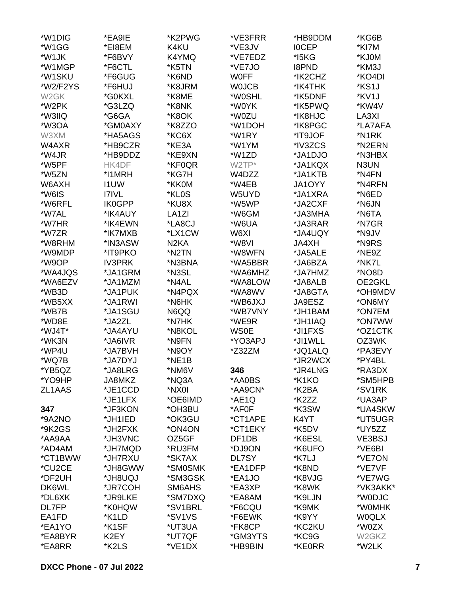| *W1DIG            | *EA9IE             | *K2PWG             | *VE3FRR            | *HB9DDM            | *KG6B             |
|-------------------|--------------------|--------------------|--------------------|--------------------|-------------------|
| *W1GG             | *EI8EM             | K4KU               | *VE3JV             | <b>IOCEP</b>       | *KI7M             |
| *W1JK             | *F6BVY             | K4YMQ              | *VE7EDZ            | *I5KG              | *KJ0M             |
| *W1MGP            | *F6CTL             | *K5TN              | *VE7JO             | <b>I8PND</b>       | *KM3J             |
| *W1SKU            | *F6GUG             | *K6ND              | <b>WOFF</b>        | *IK2CHZ            | *KO4DI            |
| *W2/F2YS          | *F6HUJ             | *K8JRM             | <b>WOJCB</b>       | *IK4THK            | *KS1J             |
| W <sub>2</sub> GK | *G0KXL             | *K8ME              | *W0SHL             | *IK5DNF            | *KV1J             |
| *W2PK             | *G3LZQ             | *K8NK              | *W0YK              | *IK5PWQ            | *KW4V             |
| *W3IIQ            | *G6GA              | *K8OK              | *W0ZU              | *IK8HJC            | LA3XI             |
| *W3OA             | *GM0AXY            | *K8ZZO             | *W1DOH             | *IK8PGC            | *LA7AFA           |
| W3XM              | *HA5AGS            | *KC6X              | *W1RY              | *IT9JOF            | *N1RK             |
| W4AXR             | *HB9CZR            | *KE3A              | *W1YM              | *IV3ZCS            | *N2ERN            |
| *W4JR             | *HB9DDZ            | *KE9XN             | *W1ZD              | *JA1DJO            | *N3HBX            |
| *W5PF             | HK4DF              | *KF0QR             | W2TP*              | *JA1KQX            | N3UN              |
| *W5ZN             | *I1MRH             | *KG7H              | W4DZZ              | *JA1KTB            | *N4FN             |
| W6AXH             | <b>I1UW</b>        | *KK0M              | *W4EB              | JA1OYY             | *N4RFN            |
| *W6IS             | <b>I7IVL</b>       | *KL0S              | W5UYD              | *JA1XRA            | *N6ED             |
| *W6RFL            | <b>IK0GPP</b>      | *KU8X              | *W5WP              | *JA2CXF            | *N6JN             |
| *W7AL             | *IK4AUY            | LA <sub>1</sub> ZI | *W6GM              | *JA3MHA            | *N6TA             |
| *W7HR             | *IK4EWN            | *LA8CJ             | *W6UA              | *JA3RAR            | *N7GR             |
| *W7ZR             | *IK7MXB            | *LX1CW             | W6XI               | *JA4UQY            | *N9JV             |
| *W8RHM            | *IN3ASW            | N <sub>2</sub> KA  | *W8VI              |                    | *N9RS             |
|                   | *IT9PKO            | *N2TN              | *W8WFN             | <b>JA4XH</b>       | *NE9Z             |
| *W9MDP<br>*W9OP   |                    | *N3BNA             |                    | *JA5ALE            | *NK7L             |
|                   | <b>IV3PRK</b>      |                    | *WA5BBR            | *JA6BZA            |                   |
| *WA4JQS           | *JA1GRM            | *N3SL<br>*N4AL     | *WA6MHZ            | *JA7HMZ            | *NO8D             |
| *WA6EZV           | *JA1MZM<br>*JA1PUK | *N4PQX             | *WA8LOW<br>*WA8WV  | *JA8ALB<br>*JA8GTA | OE2GKL<br>*OH9MDV |
| *WB3D<br>*WB5XX   |                    | *N6HK              |                    |                    |                   |
|                   | *JA1RWI            |                    | *WB6JXJ            | JA9ESZ             | *ON6MY            |
| *WB7B             | *JA1SGU            | N6QQ               | *WB7VNY            | *JH1BAM            | *ON7EM            |
| *WD8E             | *JA2ZL             | *N7HK              | *WE9R              | *JH1IAQ            | *ON7WW            |
| *WJ4T*            | *JA4AYU            | *N8KOL             | <b>WS0E</b>        | *JI1FXS            | *OZ1CTK           |
| *WK3N             | *JA6IVR            | *N9FN              | *YO3APJ            | *JI1WLL            | OZ3WK             |
| *WP4U             | *JA7BVH            | *N9OY              | *Z32ZM             | *JQ1ALQ            | *PA3EVY           |
| *WQ7B             | *JA7DYJ            | *NE1B              |                    | *JR2WCX            | *PY4BL            |
| *YB5QZ            | *JA8LRG            | *NM6V              | 346                | *JR4LNG            | *RA3DX            |
| *YO9HP            | JA8MKZ             | *NQ3A              | *AA0BS             | *K1KO              | *SM5HPB           |
| ZL1AAS            | *JE1CCD            | *NX0I              | *AA9CN*            | *K2BA              | *SV1RK            |
|                   | *JE1LFX            | *OE6IMD            | *AE1Q              | *K2ZZ              | *UA3AP            |
| 347               | *JF3KON            | *OH3BU             | *AF0F              | *K3SW              | *UA4SKW           |
| *9A2NO            | *JH1IED            | *OK3GU             | *CT1APE            | K4YT               | *UT5UGR           |
| *9K2GS            | *JH2FXK            | *ON4ON             | *CT1EKY            | *K5DV              | *UY5ZZ            |
| *AA9AA            | *JH3VNC            | OZ5GF              | DF <sub>1</sub> DB | *K6ESL             | VE3BSJ            |
| *AD4AM            | *JH7MQD            | *RU3FM             | *DJ9ON             | *K6UFO             | *VE6BI            |
| *CT1BWW           | *JH7RXU            | *SK7AX             | DL7SY              | *K7LJ              | *VE7ON            |
| *CU2CE            | *JH8GWW            | *SM0SMK            | *EA1DFP            | *K8ND              | *VE7VF            |
| *DF2UH            | UQU8HL*            | *SM3GSK            | *EA1JO             | *K8VJG             | *VE7WG            |
| DK6WL             | *JR7COH            | SM6AHS             | *EA3XP             | *K8WK              | *VK3AKK*          |
| *DL6XK            | *JR9LKE            | *SM7DXQ            | *EA8AM             | *K9LJN             | *W0DJC            |
| DL7FP             | *K0HQW             | *SV1BRL            | *F6CQU             | *K9MK              | *W0MHK            |
| EA1FD             | *K1LD              | *SV1VS             | *F6EWK             | *K9YY              | <b>WOQLX</b>      |
| *EA1YO            | *K1SF              | *UT3UA             | *FK8CP             | *KC2KU             | *W0ZX             |
| *EA8BYR           | K2EY               | *UT7QF             | *GM3YTS            | *KC9G              | W2GKZ             |
| *EA8RR            | *K2LS              | *VE1DX             | *HB9BIN            | *KE0RR             | *W2LK             |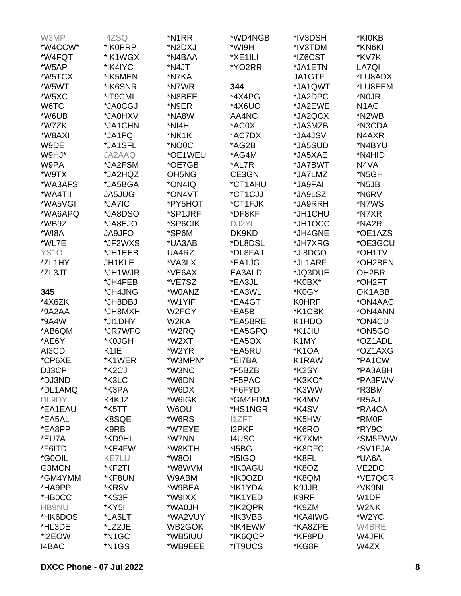| W3MP         | <b>I4ZSQ</b>       | *N1RR                          | *WD4NGB      | *IV3DSH            | *KI0KB             |
|--------------|--------------------|--------------------------------|--------------|--------------------|--------------------|
| *W4CCW*      | *IK0PRP            | *N2DXJ                         | *WI9H        | *IV3TDM            | *KN6KI             |
| *W4FQT       | *IK1WGX            | *N4BAA                         | *XE1ILI      | *IZ6CST            | *KV7K              |
| *W5AP        | *IK4IYC            | *N4JT                          | *YO2RR       | *JA1ETN            | LA7QI              |
| *W5TCX       | *IK5MEN            | *N7KA                          |              | JA1GTF             | *LU8ADX            |
| *W5WT        | *IK6SNR            | *N7WR                          | 344          | *JA1QWT            | *LU8EEM            |
|              |                    |                                |              |                    |                    |
| *W5XC        | *IT9CML            | *N8BEE                         | *4X4PG       | *JA2DPC            | *N <sub>0JR</sub>  |
| W6TC         | *JA0CGJ            | *N9ER                          | *4X6UO       | *JA2EWE            | N <sub>1</sub> AC  |
| *W6UB        | *JA0HXV            | *NA8W                          | AA4NC        | *JA2QCX            | *N2WB              |
| *W7ZK        | *JA1CHN            | *NI4H                          | *AC0X        | *JA3MZB            | *N3CDA             |
| *W8AXI       | *JA1FQI            | *NK1K                          | *AC7DX       | *JA4JSV            | N4AXR              |
| W9DE         | *JA1SFL            | *NO0C                          | *AG2B        | *JA5SUD            | *N4BYU             |
| W9HJ*        | JA2AAQ             | *OE1WEU                        | *AG4M        | *JA5XAE            | *N4HID             |
| W9PA         | *JA2FSM            | *OE7GB                         | *AL7R        | *JA7BWT            | N4VA               |
| *W9TX        | *JA2HQZ            | OH <sub>5</sub> N <sub>G</sub> | CE3GN        | *JA7LMZ            | *N5GH              |
|              |                    |                                |              |                    |                    |
| *WA3AFS      | *JA5BGA            | *ON4IQ                         | *CT1AHU      | *JA9FAI            | *N5JB              |
| *WA4TII      | <b>JA5JUG</b>      | *ON4VT                         | *CT1CJJ      | *JA9LSZ            | *N6RV              |
| *WA5VGI      | *JA7IC             | *PY5HOT                        | *CT1FJK      | *JA9RRH            | *N7WS              |
| *WA6APQ      | *JA8DSO            | *SP1JRF                        | *DF8KF       | *JH1CHU            | *N7XR              |
| *WB9Z        | *JA8EJO            | *SP6CIK                        | DJ2YL        | *JH1OCC            | *NA2R              |
| *WI8A        | <b>JA9JFO</b>      | *SP6M                          | DK9KD        | *JH4GNE            | *OE1AZS            |
| *WL7E        | *JF2WXS            | *UA3AB                         | *DL8DSL      | *JH7XRG            | *OE3GCU            |
| <b>YS10</b>  | *JH1EEB            | UA4RZ                          | *DL8FAJ      | *JI8DGO            | *OH1TV             |
| *ZL1HY       | <b>JH1KLE</b>      | *VA3LX                         | *EA1JG       | *JL1ARF            | *OH2BEN            |
| *ZL3JT       | *JH1WJR            | *VE6AX                         | EA3ALD       | *JQ3DUE            | OH <sub>2</sub> BR |
|              |                    |                                |              |                    |                    |
|              | *JH4FEB            | *VE7SZ                         | *EA3JL       | *K0BX*             | *OH2FT             |
| 345          | *JH4JNG            | *W0ANZ                         | *EA3WL       | *K0GY              | OK1ABB             |
| *4X6ZK       | *JH8DBJ            | *W1YIF                         | *EA4GT       | <b>K0HRF</b>       | *ON4AAC            |
| *9A2AA       | *JH8MXH            | W2FGY                          | *EA5B        | *K1CBK             | *ON4ANN            |
| *9A4W        | *JI1DHY            | W2KA                           | *EA5BRE      | K1HDO              | *ON4CD             |
| *AB6QM       | *JR7WFC            | *W2RQ                          | *EA5GPQ      | *K1JIU             | *ON5GQ             |
| *AE6Y        | *K0JGH             | *W2XT                          | *EA5OX       | K1MY               | *OZ1ADL            |
| AI3CD        | K <sub>1</sub> IE  | *W2YR                          | *EA5RU       | *K <sub>1</sub> OA | *OZ1AXG            |
| *CP6XE       | *K1WER             | *W3MPN*                        | *EI7BA       | K1RAW              | *PA1CW             |
| DJ3CP        | *K2CJ              | *W3NC                          | *F5BZB       | *K2SY              | *PA3ABH            |
|              |                    |                                |              |                    |                    |
| *DJ3ND       | *K3LC              | *W6DN                          | *F5PAC       | *K3KO*             | *PA3FWV            |
| *DL1AMQ      | *K3PA              | *W6DX                          | *F6FYD       | *K3WW              | *R3BM              |
| DL9DY        | K4KJZ              | *W6IGK                         | *GM4FDM      | *K4MV              | *R5AJ              |
| *EA1EAU      | *K5TT              | W6OU                           | *HS1NGR      | *K4SV              | *RA4CA             |
| *EA5AL       | K8SQE              | *W6RS                          | <b>I1ZFT</b> | *K5HW              | *RM0F              |
| *EA8PP       | K9RB               | *W7EYE                         | <b>I2PKF</b> | *K6RO              | *RY9C              |
| *EU7A        | *KD9HL             | *W7NN                          | <b>I4USC</b> | *K7XM*             | *SM5FWW            |
| *F6ITD       | *KE4FW             | *W8KTH                         | $*$ I5BG     | *K8DFC             | *SV1FJA            |
| *G0OIL       | <b>KE7LU</b>       | *W8OI                          | $*$ I5IGQ    | *K8FL              | *UA6A              |
| G3MCN        | *KF2TI             | *W8WVM                         | *IK0AGU      | *K8OZ              | VE <sub>2</sub> DO |
|              |                    |                                |              |                    |                    |
| *GM4YMM      | *KF8UN             | W9ABM                          | *IK0OZD      | *K8QM              | *VE7QCR            |
| *HA9PP       | *KR8V              | *W9BEA                         | *IK1YDA      | K9JJR              | *VK9NL             |
| *HB0CC       | *KS3F              | *W9IXX                         | *IK1YED      | K9RF               | W1DF               |
| <b>HB9NU</b> | *KY5I              | *WA0JH                         | *IK2QPR      | *K9ZM              | W2NK               |
| *HK6DOS      | *LA5LT             | *WA2VUY                        | *IK3VBB      | *KA4IWG            | *W2YC              |
| *HL3DE       | *LZ2JE             | WB2GOK                         | *IK4EWM      | *KA8ZPE            | W4BRE              |
| *I2EOW       | *N <sub>1</sub> GC | *WB5IUU                        | *IK6QOP      | *KF8PD             | W4JFK              |
| <b>I4BAC</b> | *N1GS              | *WB9EEE                        | *IT9UCS      | *KG8P              | W4ZX               |
|              |                    |                                |              |                    |                    |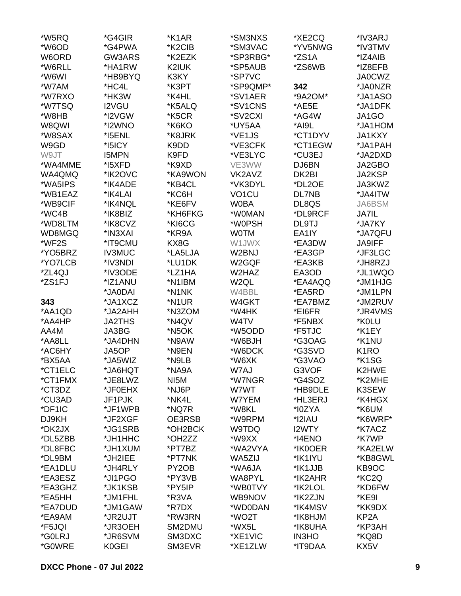| *W5RQ   | *G4GIR               | *K1AR               | *SM3NXS            | *XE2CQ       | *IV3ARJ           |
|---------|----------------------|---------------------|--------------------|--------------|-------------------|
| *W6OD   | *G4PWA               | *K2CIB              | *SM3VAC            | *YV5NWG      | *IV3TMV           |
| W6ORD   | GW3ARS               | *K2EZK              | *SP3RBG*           | *ZS1A        | *IZ4AIB           |
| *W6RLL  | *HA1RW               | K2IUK               | *SP5AUB            | *ZS6WB       | *IZ8EFB           |
| *W6WI   | *HB9BYQ              | K3KY                | *SP7VC             |              | <b>JA0CWZ</b>     |
| *W7AM   | *HC4L                | *K3PT               | *SP9QMP*           | 342          | *JA0NZR           |
|         | *HK3W                | *K4HL               | *SV1AER            | *9A2OM*      | *JA1ASO           |
| *W7RXO  |                      |                     |                    |              |                   |
| *W7TSQ  | <b>I2VGU</b>         | *K5ALQ              | *SV1CNS            | *AE5E        | *JA1DFK           |
| *W8HB   | *I2VGW               | *K5CR               | *SV2CXI            | *AG4W        | JA1GO             |
| W8QWI   | *I2WNO               | *K6KO               | *UY5AA             | *AI9L        | *JA1HOM           |
| *W8SAX  | *I5ENL               | *K8JRK              | *VE1JS             | *CT1DYV      | <b>JA1KXY</b>     |
| W9GD    | *I5ICY               | K9DD                | *VE3CFK            | *CT1EGW      | *JA1PAH           |
| W9JT    | <b>I5MPN</b>         | K9FD                | *VE3LYC            | *CU3EJ       | *JA2DXD           |
| *WA4MME | *I5XFD               | *K9XD               | VE3WW              | DJ6BN        | JA2GBO            |
| WA4QMQ  | *IK2OVC              | *KA9WON             | VK2AVZ             | DK2BI        | <b>JA2KSP</b>     |
| *WA5IPS | *IK4ADE              | *KB4CL              | *VK3DYL            | *DL2OE       | JA3KWZ            |
| *WB1EAZ | *IK4LAI              | *KC6H               | VO <sub>1</sub> CU | <b>DL7NB</b> | *JA4ITW           |
| *WB9CIF | *IK4NQL              | *KE6FV              | <b>W0BA</b>        | DL8QS        | JA6BSM            |
| *WC4B   | *IK8BIZ              | *KH6FKG             | *W0MAN             | *DL9RCF      | <b>JA7IL</b>      |
| *WD8LTM | *IK8CVZ              | *KI6CG              | *W0PSH             | DL9TJ        | *JA7KY            |
| WD8MGQ  | *IN3XAI              | *KR9A               | <b>WOTM</b>        | EA1IY        | *JA7QFU           |
| *WF2S   | *IT9CMU              | KX8G                | W1JWX              | *EA3DW       | JA9IFF            |
| *YO5BRZ | <b>IV3MUC</b>        | *LA5LJA             | W2BNJ              | *EA3GP       | *JF3LGC           |
| *YO7LCB | *IV3NDI              | *LU1DK              | W2GQF              | *EA3KB       | *JH8RZJ           |
| *ZL4QJ  | *IV3ODE              | *LZ1HA              | W2HAZ              | EA3OD        | *JL1WQO           |
|         |                      | *N1IBM              |                    |              |                   |
| *ZS1FJ  | *IZ1ANU              |                     | W <sub>2QL</sub>   | *EA4AQQ      | *JM1HJG           |
|         | *JA0DAI              | *N1NK               | W4BBL              | *EA5RD       | *JM1LPN           |
| 343     | *JA1XCZ              | *N1UR               | W4GKT              | *EA7BMZ      | *JM2RUV           |
| *AA1QD  | *JA2AHH              | *N3ZOM              | *W4HK              | *EI6FR       | *JR4VMS           |
| *AA4HP  | <b>JA2THS</b>        | *N4QV               | W4TV               | *F5NBX       | *K0LU             |
| AA4M    | JA3BG                | *N <sub>5</sub> OK  | *W5ODD             | *F5TJC       | *K1EY             |
| *AA8LL  | *JA4DHN              | *N9AW               | *W6BJH             | *G3OAG       | *K1NU             |
| *AC6HY  | JA5OP                | *N9EN               | *W6DCK             | *G3SVD       | K <sub>1</sub> RO |
| *BX5AA  | *JA5WIZ              | *N9LB               | *W6XK              | *G3VAO       | *K1SG             |
| *CT1ELC | TOH <sub>0A</sub> t* | *NA9A               | W7AJ               | G3VOF        | K2HWE             |
| *CT1FMX | *JE8LWZ              | NI5M                | *W7NGR             | *G4SOZ       | *K2MHE            |
| *CT3DZ  | *JF0EHX              | *NJ6P               | W7WT               | *HB9DLE      | K3SEW             |
| *CU3AD  | JF1PJK               | *NK4L               | W7YEM              | *HL3ERJ      | *K4HGX            |
| *DF1IC  | *JF1WPB              | *NQ7R               | *W8KL              | *I0ZYA       | *K6UM             |
| DJ9KH   | *JF2XGF              | OE3RSB              | *W9RPM             | *I2IAU       | *K6WRF*           |
| *DK2JX  | *JG1SRB              | *OH2BCK             | W9TDQ              | I2WTY        | *K7ACZ            |
| *DL5ZBB | *JH1HHC              | *OH <sub>2</sub> ZZ | *W9XX              | *I4ENO       | *K7WP             |
| *DL8FBC | *JH1XUM              | *PT7BZ              | *WA2VYA            | *IK0OER      | *KA2ELW           |
| *DL9BM  | *JH2IEE              | *PT7NK              | WA5ZIJ             | *IK1IYU      | *KB8GWL           |
| *EA1DLU | *JH4RLY              | PY <sub>2</sub> OB  | *WA6JA             | *IK1JJB      | KB9OC             |
| *EA3ESZ | *JI1PGO              | *PY3VB              | WA8PYL             | *IK2AHR      | *KC2Q             |
| *EA3GHZ | *JK1KSB              | *PY5IP              | *WB0TVY            | *IK2LOL      | *KD6FW            |
|         |                      |                     |                    |              |                   |
| *EA5HH  | *JM1FHL              | *R3VA               | WB9NOV             | *IK2ZJN      | *KE9I             |
| *EA7DUD | *JM1GAW              | *R7DX               | *WD0DAN            | *IK4MSV      | *KK9DX            |
| *EA9AM  | *JR2UJT              | *RW3RN              | *WO2T              | *IK8HJM      | KP <sub>2</sub> A |
| *F5JQI  | *JR3OEH              | SM2DMU              | *WX5L              | *IK8UHA      | *KP3AH            |
| *G0LRJ  | *JR6SVM              | SM3DXC              | *XE1VIC            | <b>IN3HO</b> | *KQ8D             |
| *G0WRE  | K0GEI                | SM3EVR              | *XE1ZLW            | *IT9DAA      | KX5V              |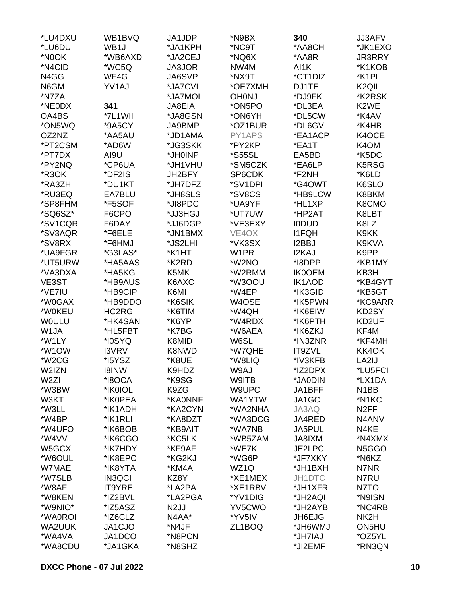| *LU4DXU                | WB1BVQ        | JA1JDP            | *N9BX                | 340           | <b>JJ3AFV</b>                   |
|------------------------|---------------|-------------------|----------------------|---------------|---------------------------------|
| *LU6DU                 | WB1J          | *JA1KPH           | *NC9T                | *AA8CH        | *JK1EXO                         |
| *N0OK                  | *WB6AXD       | *JA2CEJ           | *NQ6X                | *AA8R         | <b>JR3RRY</b>                   |
| *N4CID                 | *WC5Q         | <b>JA3JOR</b>     | NW4M                 | AI1K          | *K1KOB                          |
| N4GG                   | WF4G          | JA6SVP            | *NX9T                | *CT1DIZ       | *K1PL                           |
| N6GM                   | YV1AJ         | *JA7CVL           | *OE7XMH              | DJ1TE         | K <sub>2</sub> QIL              |
| *N7ZA                  |               | *JA7MOL           | <b>OH0NJ</b>         | *DJ9FK        | *K2RSK                          |
| *NE0DX                 | 341           | JA8EIA            | *ON5PO               | *DL3EA        | K <sub>2</sub> WE               |
| OA4BS                  | *7L1WII       | *JA8GSN           | *ON6YH               | *DL5CW        | *K4AV                           |
| *ON5WQ                 | *9A5CY        | JA9BMP            | *OZ1BUR              | *DL6GV        | *K4HB                           |
| OZ2NZ                  | *AA5AU        | *JD1AMA           | PY1APS               | *EA1ACP       | K4OCE                           |
| *PT2CSM                | *AD6W         | *JG3SKK           | *PY2KP               | *EA1T         | K4OM                            |
| *PT7DX                 | AI9U          | *JH0INP           | <i><b>*S55SL</b></i> | EA5BD         | *K5DC                           |
| *PY2NQ                 | *CP6UA        | *JH1VHU           | *SM5CZK              | *EA6LP        | K5RSG                           |
| *R3OK                  | *DF2IS        | JH2BFY            | SP6CDK               | *F2NH         | *K6LD                           |
| *RA3ZH                 | *DU1KT        | *JH7DFZ           | *SV1DPI              | *G4OWT        | K6SLO                           |
| *RU3EQ                 | EA7BLU        | *JH8SLS           | *SV8CS               | *HB9LCW       | K8BKM                           |
| *SP8FHM                | *F5SOF        | *JI8PDC           | *UA9YF               | *HL1XP        | K8CMO                           |
| *SQ6SZ*                | F6CPO         | *JJ3HGJ           | *UT7UW               | *HP2AT        | K8LBT                           |
| *SV1CQR                | F6DAY         | *JJ6DGP           | *VE3EXY              | <b>IODUD</b>  | K8LZ                            |
| *SV3AQR                | *F6ELE        | *JN1BMX           | VE4OX                | <b>I1FQH</b>  | K9KK                            |
| *SV8RX                 | *F6HMJ        | *JS2LHI           | *VK3SX               | I2BBJ         | K9KVA                           |
| *UA9FGR                | *G3LAS*       | *K1HT             | W1PR                 | <b>I2KAJ</b>  | K9PP                            |
| *UT5URW                | *HA5AAS       | *K2RD             | *W2NO                | *I8DPP        | *KB1MY                          |
| *VA3DXA                | *HA5KG        | K5MK              | *W2RMM               | <b>IK0OEM</b> | KB3H                            |
| VE3ST                  | *HB9AUS       | K6AXC             | *W300U               | IK1AOD        | *KB4GYT                         |
| *VE7IU                 | *HB9CIP       | K6MI              | *W4EP                | *IK3GID       | *KB5GT                          |
| *W0GAX                 | *HB9DDO       | *K6SIK            |                      | *IK5PWN       | *KC9ARR                         |
|                        | HC2RG         |                   | W4OSE                | *IK6EIW       |                                 |
| *W0KEU<br><b>WOULU</b> | *HK4SAN       | *K6TIM<br>*K6YP   | *W4QH<br>*W4RDX      | *IK6PTH       | KD2SY<br>KD2UF                  |
| W1JA                   | *HL5FBT       |                   |                      | *IK6ZKJ       | KF4M                            |
|                        |               | *K7BG             | *W6AEA               |               | *KF4MH                          |
| *W1LY<br>*W1OW         | *I0SYQ        | K8MID             | W6SL                 | *IN3ZNR       |                                 |
|                        | <b>I3VRV</b>  | K8NWD             | *W7QHE               | IT9ZVL        | KK4OK                           |
| *W <sub>2</sub> CG     | *I5YSZ        | *K8UE             | *W8LIQ               | *IV3KFB       | LA2IJ                           |
| W2IZN                  | <b>I8INW</b>  | K9HDZ             | W9AJ                 | *IZ2DPX       | *LU5FCI                         |
| W <sub>2ZI</sub>       | *I8OCA        | *K9SG             | W9ITB                | *JA0DIN       | *LX1DA                          |
| *W3BW                  | *IK0IOL       | K9ZG              | W9UPC                | JA1BFF        | N <sub>1</sub> BB               |
| W3KT                   | *IK0PEA       | *KA0NNF           | WA1YTW               | JA1GC         | *N1KC                           |
| *W3LL                  | *IK1ADH       | *KA2CYN           | *WA2NHA              | JA3AQ         | N <sub>2</sub> FF               |
| *W4BP                  | *IK1RLI       | *KA8DZT           | *WA3DCG              | JA4RED        | N4ANV                           |
| *W4UFO                 | *IK6BOB       | *KB9AIT           | *WA7NB               | JA5PUL        | N4KE                            |
| *W4VV                  | *IK6CGO       | *KC5LK            | *WB5ZAM              | JA8IXM        | *N4XMX                          |
| W5GCX                  | *IK7HDY       | *KF9AF            | *WE7K                | JE2LPC        | N <sub>5</sub> G <sub>G</sub> O |
| *W6OUL                 | *IK8EPC       | *KG2KJ            | *WG6P                | *JF7XKY       | *N6KZ                           |
| W7MAE                  | *IK8YTA       | *KM4A             | WZ1Q                 | *JH1BXH       | N7NR                            |
| *W7SLB                 | <b>IN3QCI</b> | KZ8Y              | *XE1MEX              | <b>JH1DTC</b> | N7RU                            |
| *W8AF                  | <b>IT9YRE</b> | *LA2PA            | *XE1RBV              | *JH1XFR       | N7TO                            |
| *W8KEN                 | *IZ2BVL       | *LA2PGA           | *YV1DIG              | *JH2AQI       | *N9ISN                          |
| *W9NIO*                | *IZ5ASZ       | N <sub>2</sub> JJ | YV5CWO               | *JH2AYB       | *NC4RB                          |
| *WA0ROI                | *IZ6CLZ       | N4AA*             | *YV5IV               | JH6EJG        | NK2H                            |
| WA2UUK                 | JA1CJO        | *N4JF             | ZL1BOQ               | UMW6HL*       | ON5HU                           |
| *WA4VA                 | JA1DCO        | *N8PCN            |                      | *JH7IAJ       | *OZ5YL                          |
| *WA8CDU                | *JA1GKA       | *N8SHZ            |                      | *JI2EMF       | *RN3QN                          |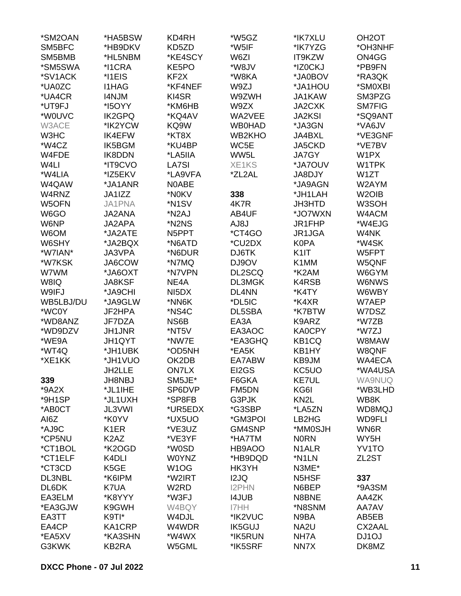| KD5ZD<br>SM5BFC<br>*HB9DKV<br>*W5IF<br>*IK7YZG<br>*OH3NHF<br>SM5BMB<br>*HL5NBM<br>*KE4SCY<br>ON4GG<br>W6ZI<br>IT9KZW<br>*SM5SWA<br>*I1CRA<br>*W8JV<br>*IZ0CKJ<br>*PB9FN<br>KE5PO<br>*SV1ACK<br>*I1EIS<br>KF <sub>2</sub> X<br>*W8KA<br>*JA0BOV<br>*RA3QK<br>*UA0ZC<br><b>I1HAG</b><br>*KF4NEF<br>W9ZJ<br>*JA1HOU<br>*SM0XBI<br>*UA4CR<br>KI4SR<br><b>I4NJM</b><br>W9ZWH<br>JA1KAW<br>SM3PZG<br>*UT9FJ<br>*I5OYY<br>*KM6HB<br>W9ZX<br>JA2CXK<br><b>SM7FIG</b><br>*W0UVC<br><b>IK2GPQ</b><br>*KQ4AV<br>WA2VEE<br><b>JA2KSI</b><br>*SQ9ANT<br>W3ACE<br>*IK2YCW<br>KQ9W<br><b>WB0HAD</b><br>*VA6JV<br>*JA3GN<br>W3HC<br><b>IK4EFW</b><br>*KT8X<br>WB2KHO<br>JA4BXL<br>*VE3GNF<br>*W4CZ<br>WC5E<br>JA5CKD<br>*VE7BV<br>IK5BGM<br>*KU4BP<br>IK8DDN<br>WW5L<br><b>JA7GY</b><br>W1PX<br>W4FDE<br>*LA5IIA<br>W <sub>4</sub> LI<br>*JA7OUV<br>*IT9CVO<br>LA7SI<br>XE1KS<br>W1TPK<br>*W4LIA<br>*LA9VFA<br>W1ZT<br>*IZ5EKV<br>*ZL2AL<br>JA8DJY<br>W4QAW<br>*JA1ANR<br>N0ABE<br>*JA9AGN<br>W2AYM<br>W4RNZ<br>JA1IZZ<br>*N0KV<br>338<br>*JH1LAH<br>W <sub>2</sub> OIB<br>JA1PNA<br>*N <sub>1</sub> SV<br>4K7R<br>W3SOH<br>W5OFN<br><b>JH3HTD</b><br>W6GO<br>*N <sub>2</sub> AJ<br>*JO7WXN<br>W4ACM<br><b>JA2ANA</b><br>AB4UF<br>*W4EJG<br>W6NP<br>JA2APA<br>*N2NS<br>AJ8J<br>JR1FHP<br>*CT4GO<br>W6OM<br>*JA2ATE<br>N5PPT<br>W4NK<br>JR1JGA<br>W6SHY<br>*JA2BQX<br>*N6ATD<br>*CU2DX<br><b>K0PA</b><br>*W4SK<br>DJ6TK<br>*W7IAN*<br>JA3VPA<br>*N6DUR<br>K <sub>1</sub><br>W5FPT<br>JA6COW<br>*N7MQ<br>DJ9OV<br>K1MM<br>W5QNF<br>*W7KSK<br>W7WM<br>*JA6OXT<br>*N7VPN<br>DL2SCQ<br>*K2AM<br>W6GYM<br>W8IQ<br>NE4A<br>DL3MGK<br>K4RSB<br>W6NWS<br><b>JA8KSF</b><br>W9IFJ<br>*JA9CHI<br>NI <sub>5</sub> DX<br>DL4NN<br>*K4TY<br>W6WBY<br>*JA9GLW<br>*DL5IC<br>*K4XR<br>WB5LBJ/DU<br>*NN6K<br>W7AEP<br>*WC0Y<br>JF2HPA<br>*NS4C<br>DL5SBA<br>*K7BTW<br>W7DSZ<br>*WD8ANZ<br>JF7DZA<br>NS6B<br>EA3A<br>K9ARZ<br>*W7ZB<br>*WD9DZV<br>JH1JNR<br>*NT5V<br>EA3AOC<br><b>KA0CPY</b><br>*W7ZJ<br>*WE9A<br>JH1QYT<br>*NW7E<br>*EA3GHQ<br>KB <sub>1</sub> CQ<br>W8MAW<br>*WT4Q<br>*OD5NH<br>W8QNF<br>*JH1UBK<br>*EA5K<br>KB1HY<br>*XE1KK<br>*JH1VUO<br>OK2DB<br>KB9JM<br>EA7ABW<br>WA4ECA<br>EI2GS<br><b>ON7LX</b><br>KC5UO<br>*WA4USA<br>JH2LLE<br>SM5JE*<br><b>KE7UL</b><br>339<br><b>JH8NBJ</b><br>F6GKA<br><b>WA9NUQ</b><br>$*9A2X$<br>*JL1IHE<br>SP6DVP<br>FM5DN<br>KG6I<br>*WB3LHD<br>*9H1SP<br>*JL1UXH<br>*SP8FB<br>G3PJK<br>KN <sub>2</sub> L<br>WB8K<br>*UR5EDX<br>*G3SBP<br>WD8MQJ<br>*AB0CT<br>JL3VWI<br>*LA5ZN<br>AI6Z<br>*K0YV<br>*GM3POI<br><b>WD9FLI</b><br>*UX5UO<br>LB2HG<br>*AJ9C<br>K <sub>1</sub> ER<br>*VE3UZ<br>GM4SNP<br>*MM0SJH<br>WN6R<br>*CP5NU<br>K <sub>2</sub> A <sub>Z</sub><br>*VE3YF<br><b>NORN</b><br>WY5H<br>*HA7TM<br>*CT1BOL<br>*K2OGD<br>*W0SD<br>YV1TO<br>HB9AOO<br>N <sub>1</sub> ALR<br>*CT1ELF<br>K <sub>4</sub> DLI<br><b>W0YNZ</b><br>*HB9DQD<br>*N1LN<br>ZL2ST<br>*CT3CD<br>K5GE<br>W <sub>1</sub> OG<br>HK3YH<br>N3ME*<br>DL3NBL<br>*K6IPM<br>*W2IRT<br>I2JQ<br>337<br>N <sub>5</sub> H <sub>SF</sub><br>DL6DK<br>K7UA<br>W <sub>2</sub> RD<br><b>I2PHN</b><br>*9A3SM<br>N6BEP<br>EA3ELM<br>*K8YYY<br>*W3FJ<br><b>I4JUB</b><br>N8BNE<br>AA4ZK<br>*EA3GJW<br>*N8SNM<br>K9GWH<br>W4BQY<br>I7HH<br>AA7AV<br>EA3TT<br>K9TI*<br>W4DJL<br>*IK2VUC<br>N9BA<br>AB5EB<br>EA4CP<br>W4WDR<br>CX2AAL<br>KA1CRP<br><b>IK5GUJ</b><br>NA <sub>2</sub> U<br>*KA3SHN<br>*W4WX<br>*IK5RUN<br>NH7A<br>DJ1OJ<br>*EA5XV<br>G3KWK<br>KB2RA<br>DK8MZ<br>W5GML<br>*IK5SRF<br>NN7X | *SM2OAN | *HA5BSW | KD4RH | *W5GZ | *IK7XLU | OH <sub>2</sub> OT |
|--------------------------------------------------------------------------------------------------------------------------------------------------------------------------------------------------------------------------------------------------------------------------------------------------------------------------------------------------------------------------------------------------------------------------------------------------------------------------------------------------------------------------------------------------------------------------------------------------------------------------------------------------------------------------------------------------------------------------------------------------------------------------------------------------------------------------------------------------------------------------------------------------------------------------------------------------------------------------------------------------------------------------------------------------------------------------------------------------------------------------------------------------------------------------------------------------------------------------------------------------------------------------------------------------------------------------------------------------------------------------------------------------------------------------------------------------------------------------------------------------------------------------------------------------------------------------------------------------------------------------------------------------------------------------------------------------------------------------------------------------------------------------------------------------------------------------------------------------------------------------------------------------------------------------------------------------------------------------------------------------------------------------------------------------------------------------------------------------------------------------------------------------------------------------------------------------------------------------------------------------------------------------------------------------------------------------------------------------------------------------------------------------------------------------------------------------------------------------------------------------------------------------------------------------------------------------------------------------------------------------------------------------------------------------------------------------------------------------------------------------------------------------------------------------------------------------------------------------------------------------------------------------------------------------------------------------------------------------------------------------------------------------------------------------------------------------------------------------------------------------------------------------------------------------------------------------------------------------------------------------------------------------------------------------------------------------------------------------------------------------------------------------------------------------------------------------------------------------|---------|---------|-------|-------|---------|--------------------|
|                                                                                                                                                                                                                                                                                                                                                                                                                                                                                                                                                                                                                                                                                                                                                                                                                                                                                                                                                                                                                                                                                                                                                                                                                                                                                                                                                                                                                                                                                                                                                                                                                                                                                                                                                                                                                                                                                                                                                                                                                                                                                                                                                                                                                                                                                                                                                                                                                                                                                                                                                                                                                                                                                                                                                                                                                                                                                                                                                                                                                                                                                                                                                                                                                                                                                                                                                                                                                                                                          |         |         |       |       |         |                    |
|                                                                                                                                                                                                                                                                                                                                                                                                                                                                                                                                                                                                                                                                                                                                                                                                                                                                                                                                                                                                                                                                                                                                                                                                                                                                                                                                                                                                                                                                                                                                                                                                                                                                                                                                                                                                                                                                                                                                                                                                                                                                                                                                                                                                                                                                                                                                                                                                                                                                                                                                                                                                                                                                                                                                                                                                                                                                                                                                                                                                                                                                                                                                                                                                                                                                                                                                                                                                                                                                          |         |         |       |       |         |                    |
|                                                                                                                                                                                                                                                                                                                                                                                                                                                                                                                                                                                                                                                                                                                                                                                                                                                                                                                                                                                                                                                                                                                                                                                                                                                                                                                                                                                                                                                                                                                                                                                                                                                                                                                                                                                                                                                                                                                                                                                                                                                                                                                                                                                                                                                                                                                                                                                                                                                                                                                                                                                                                                                                                                                                                                                                                                                                                                                                                                                                                                                                                                                                                                                                                                                                                                                                                                                                                                                                          |         |         |       |       |         |                    |
|                                                                                                                                                                                                                                                                                                                                                                                                                                                                                                                                                                                                                                                                                                                                                                                                                                                                                                                                                                                                                                                                                                                                                                                                                                                                                                                                                                                                                                                                                                                                                                                                                                                                                                                                                                                                                                                                                                                                                                                                                                                                                                                                                                                                                                                                                                                                                                                                                                                                                                                                                                                                                                                                                                                                                                                                                                                                                                                                                                                                                                                                                                                                                                                                                                                                                                                                                                                                                                                                          |         |         |       |       |         |                    |
|                                                                                                                                                                                                                                                                                                                                                                                                                                                                                                                                                                                                                                                                                                                                                                                                                                                                                                                                                                                                                                                                                                                                                                                                                                                                                                                                                                                                                                                                                                                                                                                                                                                                                                                                                                                                                                                                                                                                                                                                                                                                                                                                                                                                                                                                                                                                                                                                                                                                                                                                                                                                                                                                                                                                                                                                                                                                                                                                                                                                                                                                                                                                                                                                                                                                                                                                                                                                                                                                          |         |         |       |       |         |                    |
|                                                                                                                                                                                                                                                                                                                                                                                                                                                                                                                                                                                                                                                                                                                                                                                                                                                                                                                                                                                                                                                                                                                                                                                                                                                                                                                                                                                                                                                                                                                                                                                                                                                                                                                                                                                                                                                                                                                                                                                                                                                                                                                                                                                                                                                                                                                                                                                                                                                                                                                                                                                                                                                                                                                                                                                                                                                                                                                                                                                                                                                                                                                                                                                                                                                                                                                                                                                                                                                                          |         |         |       |       |         |                    |
|                                                                                                                                                                                                                                                                                                                                                                                                                                                                                                                                                                                                                                                                                                                                                                                                                                                                                                                                                                                                                                                                                                                                                                                                                                                                                                                                                                                                                                                                                                                                                                                                                                                                                                                                                                                                                                                                                                                                                                                                                                                                                                                                                                                                                                                                                                                                                                                                                                                                                                                                                                                                                                                                                                                                                                                                                                                                                                                                                                                                                                                                                                                                                                                                                                                                                                                                                                                                                                                                          |         |         |       |       |         |                    |
|                                                                                                                                                                                                                                                                                                                                                                                                                                                                                                                                                                                                                                                                                                                                                                                                                                                                                                                                                                                                                                                                                                                                                                                                                                                                                                                                                                                                                                                                                                                                                                                                                                                                                                                                                                                                                                                                                                                                                                                                                                                                                                                                                                                                                                                                                                                                                                                                                                                                                                                                                                                                                                                                                                                                                                                                                                                                                                                                                                                                                                                                                                                                                                                                                                                                                                                                                                                                                                                                          |         |         |       |       |         |                    |
|                                                                                                                                                                                                                                                                                                                                                                                                                                                                                                                                                                                                                                                                                                                                                                                                                                                                                                                                                                                                                                                                                                                                                                                                                                                                                                                                                                                                                                                                                                                                                                                                                                                                                                                                                                                                                                                                                                                                                                                                                                                                                                                                                                                                                                                                                                                                                                                                                                                                                                                                                                                                                                                                                                                                                                                                                                                                                                                                                                                                                                                                                                                                                                                                                                                                                                                                                                                                                                                                          |         |         |       |       |         |                    |
|                                                                                                                                                                                                                                                                                                                                                                                                                                                                                                                                                                                                                                                                                                                                                                                                                                                                                                                                                                                                                                                                                                                                                                                                                                                                                                                                                                                                                                                                                                                                                                                                                                                                                                                                                                                                                                                                                                                                                                                                                                                                                                                                                                                                                                                                                                                                                                                                                                                                                                                                                                                                                                                                                                                                                                                                                                                                                                                                                                                                                                                                                                                                                                                                                                                                                                                                                                                                                                                                          |         |         |       |       |         |                    |
|                                                                                                                                                                                                                                                                                                                                                                                                                                                                                                                                                                                                                                                                                                                                                                                                                                                                                                                                                                                                                                                                                                                                                                                                                                                                                                                                                                                                                                                                                                                                                                                                                                                                                                                                                                                                                                                                                                                                                                                                                                                                                                                                                                                                                                                                                                                                                                                                                                                                                                                                                                                                                                                                                                                                                                                                                                                                                                                                                                                                                                                                                                                                                                                                                                                                                                                                                                                                                                                                          |         |         |       |       |         |                    |
|                                                                                                                                                                                                                                                                                                                                                                                                                                                                                                                                                                                                                                                                                                                                                                                                                                                                                                                                                                                                                                                                                                                                                                                                                                                                                                                                                                                                                                                                                                                                                                                                                                                                                                                                                                                                                                                                                                                                                                                                                                                                                                                                                                                                                                                                                                                                                                                                                                                                                                                                                                                                                                                                                                                                                                                                                                                                                                                                                                                                                                                                                                                                                                                                                                                                                                                                                                                                                                                                          |         |         |       |       |         |                    |
|                                                                                                                                                                                                                                                                                                                                                                                                                                                                                                                                                                                                                                                                                                                                                                                                                                                                                                                                                                                                                                                                                                                                                                                                                                                                                                                                                                                                                                                                                                                                                                                                                                                                                                                                                                                                                                                                                                                                                                                                                                                                                                                                                                                                                                                                                                                                                                                                                                                                                                                                                                                                                                                                                                                                                                                                                                                                                                                                                                                                                                                                                                                                                                                                                                                                                                                                                                                                                                                                          |         |         |       |       |         |                    |
|                                                                                                                                                                                                                                                                                                                                                                                                                                                                                                                                                                                                                                                                                                                                                                                                                                                                                                                                                                                                                                                                                                                                                                                                                                                                                                                                                                                                                                                                                                                                                                                                                                                                                                                                                                                                                                                                                                                                                                                                                                                                                                                                                                                                                                                                                                                                                                                                                                                                                                                                                                                                                                                                                                                                                                                                                                                                                                                                                                                                                                                                                                                                                                                                                                                                                                                                                                                                                                                                          |         |         |       |       |         |                    |
|                                                                                                                                                                                                                                                                                                                                                                                                                                                                                                                                                                                                                                                                                                                                                                                                                                                                                                                                                                                                                                                                                                                                                                                                                                                                                                                                                                                                                                                                                                                                                                                                                                                                                                                                                                                                                                                                                                                                                                                                                                                                                                                                                                                                                                                                                                                                                                                                                                                                                                                                                                                                                                                                                                                                                                                                                                                                                                                                                                                                                                                                                                                                                                                                                                                                                                                                                                                                                                                                          |         |         |       |       |         |                    |
|                                                                                                                                                                                                                                                                                                                                                                                                                                                                                                                                                                                                                                                                                                                                                                                                                                                                                                                                                                                                                                                                                                                                                                                                                                                                                                                                                                                                                                                                                                                                                                                                                                                                                                                                                                                                                                                                                                                                                                                                                                                                                                                                                                                                                                                                                                                                                                                                                                                                                                                                                                                                                                                                                                                                                                                                                                                                                                                                                                                                                                                                                                                                                                                                                                                                                                                                                                                                                                                                          |         |         |       |       |         |                    |
|                                                                                                                                                                                                                                                                                                                                                                                                                                                                                                                                                                                                                                                                                                                                                                                                                                                                                                                                                                                                                                                                                                                                                                                                                                                                                                                                                                                                                                                                                                                                                                                                                                                                                                                                                                                                                                                                                                                                                                                                                                                                                                                                                                                                                                                                                                                                                                                                                                                                                                                                                                                                                                                                                                                                                                                                                                                                                                                                                                                                                                                                                                                                                                                                                                                                                                                                                                                                                                                                          |         |         |       |       |         |                    |
|                                                                                                                                                                                                                                                                                                                                                                                                                                                                                                                                                                                                                                                                                                                                                                                                                                                                                                                                                                                                                                                                                                                                                                                                                                                                                                                                                                                                                                                                                                                                                                                                                                                                                                                                                                                                                                                                                                                                                                                                                                                                                                                                                                                                                                                                                                                                                                                                                                                                                                                                                                                                                                                                                                                                                                                                                                                                                                                                                                                                                                                                                                                                                                                                                                                                                                                                                                                                                                                                          |         |         |       |       |         |                    |
|                                                                                                                                                                                                                                                                                                                                                                                                                                                                                                                                                                                                                                                                                                                                                                                                                                                                                                                                                                                                                                                                                                                                                                                                                                                                                                                                                                                                                                                                                                                                                                                                                                                                                                                                                                                                                                                                                                                                                                                                                                                                                                                                                                                                                                                                                                                                                                                                                                                                                                                                                                                                                                                                                                                                                                                                                                                                                                                                                                                                                                                                                                                                                                                                                                                                                                                                                                                                                                                                          |         |         |       |       |         |                    |
|                                                                                                                                                                                                                                                                                                                                                                                                                                                                                                                                                                                                                                                                                                                                                                                                                                                                                                                                                                                                                                                                                                                                                                                                                                                                                                                                                                                                                                                                                                                                                                                                                                                                                                                                                                                                                                                                                                                                                                                                                                                                                                                                                                                                                                                                                                                                                                                                                                                                                                                                                                                                                                                                                                                                                                                                                                                                                                                                                                                                                                                                                                                                                                                                                                                                                                                                                                                                                                                                          |         |         |       |       |         |                    |
|                                                                                                                                                                                                                                                                                                                                                                                                                                                                                                                                                                                                                                                                                                                                                                                                                                                                                                                                                                                                                                                                                                                                                                                                                                                                                                                                                                                                                                                                                                                                                                                                                                                                                                                                                                                                                                                                                                                                                                                                                                                                                                                                                                                                                                                                                                                                                                                                                                                                                                                                                                                                                                                                                                                                                                                                                                                                                                                                                                                                                                                                                                                                                                                                                                                                                                                                                                                                                                                                          |         |         |       |       |         |                    |
|                                                                                                                                                                                                                                                                                                                                                                                                                                                                                                                                                                                                                                                                                                                                                                                                                                                                                                                                                                                                                                                                                                                                                                                                                                                                                                                                                                                                                                                                                                                                                                                                                                                                                                                                                                                                                                                                                                                                                                                                                                                                                                                                                                                                                                                                                                                                                                                                                                                                                                                                                                                                                                                                                                                                                                                                                                                                                                                                                                                                                                                                                                                                                                                                                                                                                                                                                                                                                                                                          |         |         |       |       |         |                    |
|                                                                                                                                                                                                                                                                                                                                                                                                                                                                                                                                                                                                                                                                                                                                                                                                                                                                                                                                                                                                                                                                                                                                                                                                                                                                                                                                                                                                                                                                                                                                                                                                                                                                                                                                                                                                                                                                                                                                                                                                                                                                                                                                                                                                                                                                                                                                                                                                                                                                                                                                                                                                                                                                                                                                                                                                                                                                                                                                                                                                                                                                                                                                                                                                                                                                                                                                                                                                                                                                          |         |         |       |       |         |                    |
|                                                                                                                                                                                                                                                                                                                                                                                                                                                                                                                                                                                                                                                                                                                                                                                                                                                                                                                                                                                                                                                                                                                                                                                                                                                                                                                                                                                                                                                                                                                                                                                                                                                                                                                                                                                                                                                                                                                                                                                                                                                                                                                                                                                                                                                                                                                                                                                                                                                                                                                                                                                                                                                                                                                                                                                                                                                                                                                                                                                                                                                                                                                                                                                                                                                                                                                                                                                                                                                                          |         |         |       |       |         |                    |
|                                                                                                                                                                                                                                                                                                                                                                                                                                                                                                                                                                                                                                                                                                                                                                                                                                                                                                                                                                                                                                                                                                                                                                                                                                                                                                                                                                                                                                                                                                                                                                                                                                                                                                                                                                                                                                                                                                                                                                                                                                                                                                                                                                                                                                                                                                                                                                                                                                                                                                                                                                                                                                                                                                                                                                                                                                                                                                                                                                                                                                                                                                                                                                                                                                                                                                                                                                                                                                                                          |         |         |       |       |         |                    |
|                                                                                                                                                                                                                                                                                                                                                                                                                                                                                                                                                                                                                                                                                                                                                                                                                                                                                                                                                                                                                                                                                                                                                                                                                                                                                                                                                                                                                                                                                                                                                                                                                                                                                                                                                                                                                                                                                                                                                                                                                                                                                                                                                                                                                                                                                                                                                                                                                                                                                                                                                                                                                                                                                                                                                                                                                                                                                                                                                                                                                                                                                                                                                                                                                                                                                                                                                                                                                                                                          |         |         |       |       |         |                    |
|                                                                                                                                                                                                                                                                                                                                                                                                                                                                                                                                                                                                                                                                                                                                                                                                                                                                                                                                                                                                                                                                                                                                                                                                                                                                                                                                                                                                                                                                                                                                                                                                                                                                                                                                                                                                                                                                                                                                                                                                                                                                                                                                                                                                                                                                                                                                                                                                                                                                                                                                                                                                                                                                                                                                                                                                                                                                                                                                                                                                                                                                                                                                                                                                                                                                                                                                                                                                                                                                          |         |         |       |       |         |                    |
|                                                                                                                                                                                                                                                                                                                                                                                                                                                                                                                                                                                                                                                                                                                                                                                                                                                                                                                                                                                                                                                                                                                                                                                                                                                                                                                                                                                                                                                                                                                                                                                                                                                                                                                                                                                                                                                                                                                                                                                                                                                                                                                                                                                                                                                                                                                                                                                                                                                                                                                                                                                                                                                                                                                                                                                                                                                                                                                                                                                                                                                                                                                                                                                                                                                                                                                                                                                                                                                                          |         |         |       |       |         |                    |
|                                                                                                                                                                                                                                                                                                                                                                                                                                                                                                                                                                                                                                                                                                                                                                                                                                                                                                                                                                                                                                                                                                                                                                                                                                                                                                                                                                                                                                                                                                                                                                                                                                                                                                                                                                                                                                                                                                                                                                                                                                                                                                                                                                                                                                                                                                                                                                                                                                                                                                                                                                                                                                                                                                                                                                                                                                                                                                                                                                                                                                                                                                                                                                                                                                                                                                                                                                                                                                                                          |         |         |       |       |         |                    |
|                                                                                                                                                                                                                                                                                                                                                                                                                                                                                                                                                                                                                                                                                                                                                                                                                                                                                                                                                                                                                                                                                                                                                                                                                                                                                                                                                                                                                                                                                                                                                                                                                                                                                                                                                                                                                                                                                                                                                                                                                                                                                                                                                                                                                                                                                                                                                                                                                                                                                                                                                                                                                                                                                                                                                                                                                                                                                                                                                                                                                                                                                                                                                                                                                                                                                                                                                                                                                                                                          |         |         |       |       |         |                    |
|                                                                                                                                                                                                                                                                                                                                                                                                                                                                                                                                                                                                                                                                                                                                                                                                                                                                                                                                                                                                                                                                                                                                                                                                                                                                                                                                                                                                                                                                                                                                                                                                                                                                                                                                                                                                                                                                                                                                                                                                                                                                                                                                                                                                                                                                                                                                                                                                                                                                                                                                                                                                                                                                                                                                                                                                                                                                                                                                                                                                                                                                                                                                                                                                                                                                                                                                                                                                                                                                          |         |         |       |       |         |                    |
|                                                                                                                                                                                                                                                                                                                                                                                                                                                                                                                                                                                                                                                                                                                                                                                                                                                                                                                                                                                                                                                                                                                                                                                                                                                                                                                                                                                                                                                                                                                                                                                                                                                                                                                                                                                                                                                                                                                                                                                                                                                                                                                                                                                                                                                                                                                                                                                                                                                                                                                                                                                                                                                                                                                                                                                                                                                                                                                                                                                                                                                                                                                                                                                                                                                                                                                                                                                                                                                                          |         |         |       |       |         |                    |
|                                                                                                                                                                                                                                                                                                                                                                                                                                                                                                                                                                                                                                                                                                                                                                                                                                                                                                                                                                                                                                                                                                                                                                                                                                                                                                                                                                                                                                                                                                                                                                                                                                                                                                                                                                                                                                                                                                                                                                                                                                                                                                                                                                                                                                                                                                                                                                                                                                                                                                                                                                                                                                                                                                                                                                                                                                                                                                                                                                                                                                                                                                                                                                                                                                                                                                                                                                                                                                                                          |         |         |       |       |         |                    |
|                                                                                                                                                                                                                                                                                                                                                                                                                                                                                                                                                                                                                                                                                                                                                                                                                                                                                                                                                                                                                                                                                                                                                                                                                                                                                                                                                                                                                                                                                                                                                                                                                                                                                                                                                                                                                                                                                                                                                                                                                                                                                                                                                                                                                                                                                                                                                                                                                                                                                                                                                                                                                                                                                                                                                                                                                                                                                                                                                                                                                                                                                                                                                                                                                                                                                                                                                                                                                                                                          |         |         |       |       |         |                    |
|                                                                                                                                                                                                                                                                                                                                                                                                                                                                                                                                                                                                                                                                                                                                                                                                                                                                                                                                                                                                                                                                                                                                                                                                                                                                                                                                                                                                                                                                                                                                                                                                                                                                                                                                                                                                                                                                                                                                                                                                                                                                                                                                                                                                                                                                                                                                                                                                                                                                                                                                                                                                                                                                                                                                                                                                                                                                                                                                                                                                                                                                                                                                                                                                                                                                                                                                                                                                                                                                          |         |         |       |       |         |                    |
|                                                                                                                                                                                                                                                                                                                                                                                                                                                                                                                                                                                                                                                                                                                                                                                                                                                                                                                                                                                                                                                                                                                                                                                                                                                                                                                                                                                                                                                                                                                                                                                                                                                                                                                                                                                                                                                                                                                                                                                                                                                                                                                                                                                                                                                                                                                                                                                                                                                                                                                                                                                                                                                                                                                                                                                                                                                                                                                                                                                                                                                                                                                                                                                                                                                                                                                                                                                                                                                                          |         |         |       |       |         |                    |
|                                                                                                                                                                                                                                                                                                                                                                                                                                                                                                                                                                                                                                                                                                                                                                                                                                                                                                                                                                                                                                                                                                                                                                                                                                                                                                                                                                                                                                                                                                                                                                                                                                                                                                                                                                                                                                                                                                                                                                                                                                                                                                                                                                                                                                                                                                                                                                                                                                                                                                                                                                                                                                                                                                                                                                                                                                                                                                                                                                                                                                                                                                                                                                                                                                                                                                                                                                                                                                                                          |         |         |       |       |         |                    |
|                                                                                                                                                                                                                                                                                                                                                                                                                                                                                                                                                                                                                                                                                                                                                                                                                                                                                                                                                                                                                                                                                                                                                                                                                                                                                                                                                                                                                                                                                                                                                                                                                                                                                                                                                                                                                                                                                                                                                                                                                                                                                                                                                                                                                                                                                                                                                                                                                                                                                                                                                                                                                                                                                                                                                                                                                                                                                                                                                                                                                                                                                                                                                                                                                                                                                                                                                                                                                                                                          |         |         |       |       |         |                    |
|                                                                                                                                                                                                                                                                                                                                                                                                                                                                                                                                                                                                                                                                                                                                                                                                                                                                                                                                                                                                                                                                                                                                                                                                                                                                                                                                                                                                                                                                                                                                                                                                                                                                                                                                                                                                                                                                                                                                                                                                                                                                                                                                                                                                                                                                                                                                                                                                                                                                                                                                                                                                                                                                                                                                                                                                                                                                                                                                                                                                                                                                                                                                                                                                                                                                                                                                                                                                                                                                          |         |         |       |       |         |                    |
|                                                                                                                                                                                                                                                                                                                                                                                                                                                                                                                                                                                                                                                                                                                                                                                                                                                                                                                                                                                                                                                                                                                                                                                                                                                                                                                                                                                                                                                                                                                                                                                                                                                                                                                                                                                                                                                                                                                                                                                                                                                                                                                                                                                                                                                                                                                                                                                                                                                                                                                                                                                                                                                                                                                                                                                                                                                                                                                                                                                                                                                                                                                                                                                                                                                                                                                                                                                                                                                                          |         |         |       |       |         |                    |
|                                                                                                                                                                                                                                                                                                                                                                                                                                                                                                                                                                                                                                                                                                                                                                                                                                                                                                                                                                                                                                                                                                                                                                                                                                                                                                                                                                                                                                                                                                                                                                                                                                                                                                                                                                                                                                                                                                                                                                                                                                                                                                                                                                                                                                                                                                                                                                                                                                                                                                                                                                                                                                                                                                                                                                                                                                                                                                                                                                                                                                                                                                                                                                                                                                                                                                                                                                                                                                                                          |         |         |       |       |         |                    |
|                                                                                                                                                                                                                                                                                                                                                                                                                                                                                                                                                                                                                                                                                                                                                                                                                                                                                                                                                                                                                                                                                                                                                                                                                                                                                                                                                                                                                                                                                                                                                                                                                                                                                                                                                                                                                                                                                                                                                                                                                                                                                                                                                                                                                                                                                                                                                                                                                                                                                                                                                                                                                                                                                                                                                                                                                                                                                                                                                                                                                                                                                                                                                                                                                                                                                                                                                                                                                                                                          |         |         |       |       |         |                    |
|                                                                                                                                                                                                                                                                                                                                                                                                                                                                                                                                                                                                                                                                                                                                                                                                                                                                                                                                                                                                                                                                                                                                                                                                                                                                                                                                                                                                                                                                                                                                                                                                                                                                                                                                                                                                                                                                                                                                                                                                                                                                                                                                                                                                                                                                                                                                                                                                                                                                                                                                                                                                                                                                                                                                                                                                                                                                                                                                                                                                                                                                                                                                                                                                                                                                                                                                                                                                                                                                          |         |         |       |       |         |                    |
|                                                                                                                                                                                                                                                                                                                                                                                                                                                                                                                                                                                                                                                                                                                                                                                                                                                                                                                                                                                                                                                                                                                                                                                                                                                                                                                                                                                                                                                                                                                                                                                                                                                                                                                                                                                                                                                                                                                                                                                                                                                                                                                                                                                                                                                                                                                                                                                                                                                                                                                                                                                                                                                                                                                                                                                                                                                                                                                                                                                                                                                                                                                                                                                                                                                                                                                                                                                                                                                                          |         |         |       |       |         |                    |
|                                                                                                                                                                                                                                                                                                                                                                                                                                                                                                                                                                                                                                                                                                                                                                                                                                                                                                                                                                                                                                                                                                                                                                                                                                                                                                                                                                                                                                                                                                                                                                                                                                                                                                                                                                                                                                                                                                                                                                                                                                                                                                                                                                                                                                                                                                                                                                                                                                                                                                                                                                                                                                                                                                                                                                                                                                                                                                                                                                                                                                                                                                                                                                                                                                                                                                                                                                                                                                                                          |         |         |       |       |         |                    |
|                                                                                                                                                                                                                                                                                                                                                                                                                                                                                                                                                                                                                                                                                                                                                                                                                                                                                                                                                                                                                                                                                                                                                                                                                                                                                                                                                                                                                                                                                                                                                                                                                                                                                                                                                                                                                                                                                                                                                                                                                                                                                                                                                                                                                                                                                                                                                                                                                                                                                                                                                                                                                                                                                                                                                                                                                                                                                                                                                                                                                                                                                                                                                                                                                                                                                                                                                                                                                                                                          |         |         |       |       |         |                    |
|                                                                                                                                                                                                                                                                                                                                                                                                                                                                                                                                                                                                                                                                                                                                                                                                                                                                                                                                                                                                                                                                                                                                                                                                                                                                                                                                                                                                                                                                                                                                                                                                                                                                                                                                                                                                                                                                                                                                                                                                                                                                                                                                                                                                                                                                                                                                                                                                                                                                                                                                                                                                                                                                                                                                                                                                                                                                                                                                                                                                                                                                                                                                                                                                                                                                                                                                                                                                                                                                          |         |         |       |       |         |                    |
|                                                                                                                                                                                                                                                                                                                                                                                                                                                                                                                                                                                                                                                                                                                                                                                                                                                                                                                                                                                                                                                                                                                                                                                                                                                                                                                                                                                                                                                                                                                                                                                                                                                                                                                                                                                                                                                                                                                                                                                                                                                                                                                                                                                                                                                                                                                                                                                                                                                                                                                                                                                                                                                                                                                                                                                                                                                                                                                                                                                                                                                                                                                                                                                                                                                                                                                                                                                                                                                                          |         |         |       |       |         |                    |
|                                                                                                                                                                                                                                                                                                                                                                                                                                                                                                                                                                                                                                                                                                                                                                                                                                                                                                                                                                                                                                                                                                                                                                                                                                                                                                                                                                                                                                                                                                                                                                                                                                                                                                                                                                                                                                                                                                                                                                                                                                                                                                                                                                                                                                                                                                                                                                                                                                                                                                                                                                                                                                                                                                                                                                                                                                                                                                                                                                                                                                                                                                                                                                                                                                                                                                                                                                                                                                                                          |         |         |       |       |         |                    |
|                                                                                                                                                                                                                                                                                                                                                                                                                                                                                                                                                                                                                                                                                                                                                                                                                                                                                                                                                                                                                                                                                                                                                                                                                                                                                                                                                                                                                                                                                                                                                                                                                                                                                                                                                                                                                                                                                                                                                                                                                                                                                                                                                                                                                                                                                                                                                                                                                                                                                                                                                                                                                                                                                                                                                                                                                                                                                                                                                                                                                                                                                                                                                                                                                                                                                                                                                                                                                                                                          |         |         |       |       |         |                    |
|                                                                                                                                                                                                                                                                                                                                                                                                                                                                                                                                                                                                                                                                                                                                                                                                                                                                                                                                                                                                                                                                                                                                                                                                                                                                                                                                                                                                                                                                                                                                                                                                                                                                                                                                                                                                                                                                                                                                                                                                                                                                                                                                                                                                                                                                                                                                                                                                                                                                                                                                                                                                                                                                                                                                                                                                                                                                                                                                                                                                                                                                                                                                                                                                                                                                                                                                                                                                                                                                          |         |         |       |       |         |                    |
|                                                                                                                                                                                                                                                                                                                                                                                                                                                                                                                                                                                                                                                                                                                                                                                                                                                                                                                                                                                                                                                                                                                                                                                                                                                                                                                                                                                                                                                                                                                                                                                                                                                                                                                                                                                                                                                                                                                                                                                                                                                                                                                                                                                                                                                                                                                                                                                                                                                                                                                                                                                                                                                                                                                                                                                                                                                                                                                                                                                                                                                                                                                                                                                                                                                                                                                                                                                                                                                                          |         |         |       |       |         |                    |
|                                                                                                                                                                                                                                                                                                                                                                                                                                                                                                                                                                                                                                                                                                                                                                                                                                                                                                                                                                                                                                                                                                                                                                                                                                                                                                                                                                                                                                                                                                                                                                                                                                                                                                                                                                                                                                                                                                                                                                                                                                                                                                                                                                                                                                                                                                                                                                                                                                                                                                                                                                                                                                                                                                                                                                                                                                                                                                                                                                                                                                                                                                                                                                                                                                                                                                                                                                                                                                                                          |         |         |       |       |         |                    |
|                                                                                                                                                                                                                                                                                                                                                                                                                                                                                                                                                                                                                                                                                                                                                                                                                                                                                                                                                                                                                                                                                                                                                                                                                                                                                                                                                                                                                                                                                                                                                                                                                                                                                                                                                                                                                                                                                                                                                                                                                                                                                                                                                                                                                                                                                                                                                                                                                                                                                                                                                                                                                                                                                                                                                                                                                                                                                                                                                                                                                                                                                                                                                                                                                                                                                                                                                                                                                                                                          |         |         |       |       |         |                    |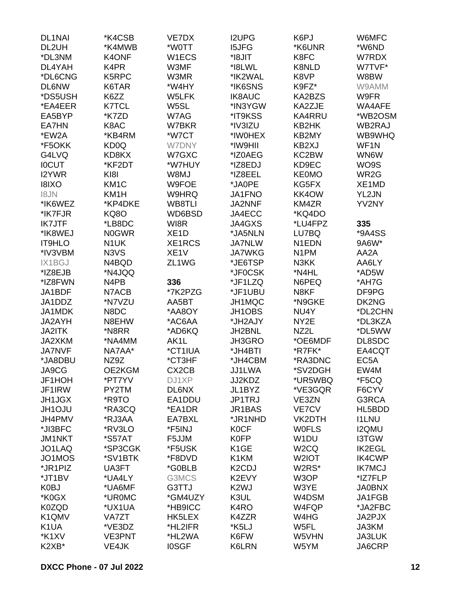| <b>DL1NAI</b>     | *K4CSB            | VE7DX              | <b>I2UPG</b>                    | K6PJ               | W6MFC             |
|-------------------|-------------------|--------------------|---------------------------------|--------------------|-------------------|
| DL2UH             | *K4MWB            | *W0TT              | <b>I5JFG</b>                    | *K6UNR             | *W6ND             |
| *DL3NM            | K4ONF             | W1ECS              | *I8JIT                          | K8FC               | W7RDX             |
| DL4YAH            | K4PR              | W3MF               | *I8LWL                          | K8NLD              | W7TVF*            |
| *DL6CNG           | K5RPC             | W3MR               | *IK2WAL                         | K8VP               | W8BW              |
| <b>DL6NW</b>      | K6TAR             | *W4HY              | *IK6SNS                         | K9FZ*              | W9AMM             |
| *DS5USH           | K6ZZ              | W5LFK              | <b>IK8AUC</b>                   | KA2BZS             | W9FR              |
| *EA4EER           | <b>K7TCL</b>      | W5SL               | *IN3YGW                         | KA2ZJE             | WA4AFE            |
| EA5BYP            | *K7ZD             | W7AG               | *IT9KSS                         | <b>KA4RRU</b>      | *WB2OSM           |
| EA7HN             | K8AC              | W7BKR              | *IV3IZU                         | KB2HK              | WB2RAJ            |
| *EW2A             | *KB4RM            | *W7CT              | *IW0HEX                         | KB2MY              | WB9WHQ            |
| *F5OKK            | KD <sub>0</sub> Q | <b>W7DNY</b>       | *IW9HII                         | KB2XJ              | WF1N              |
| G4LVQ             | KD8KX             | W7GXC              | *IZ0AEG                         | KC2BW              | WN6W              |
| <b>IOCUT</b>      |                   |                    |                                 |                    |                   |
|                   | *KF2DT            | *W7HUY             | *IZ8EDJ                         | KD9EC              | WO9S              |
| I2YWR             | KI8I              | W8MJ               | *IZ8EEL                         | <b>KE0MO</b>       | WR2G              |
| <b>I8IXO</b>      | KM <sub>1</sub> C | W9FOE              | *JA0PE                          | KG5FX              | XE1MD             |
| <b>I8JN</b>       | KM <sub>1</sub> H | W9HRQ              | JA1FNO                          | KK4OW              | YL2JN             |
| *IK6WEZ           | *KP4DKE           | WB8TLI             | JA2NNF                          | KM4ZR              | YV2NY             |
| *IK7FJR           | <b>KQ80</b>       | WD6BSD             | JA4ECC                          | *KQ4DO             |                   |
| <b>IK7JTF</b>     | *LB8DC            | WI8R               | JA4GXS                          | *LU4FPZ            | 335               |
| *IK8WEJ           | <b>NOGWR</b>      | XE <sub>1</sub> D  | *JA5NLN                         | LU7BQ              | *9A4SS            |
| <b>IT9HLO</b>     | N <sub>1</sub> UK | XE1RCS             | <b>JA7NLW</b>                   | N <sub>1</sub> EDN | 9A6W*             |
| *IV3VBM           | N3VS              | XE <sub>1</sub> V  | <b>JA7WKG</b>                   | N <sub>1</sub> PM  | AA2A              |
| IX1BGJ            | N4BQD             | ZL1WG              | *JE6TSP                         | N3KK               | AA6LY             |
| *IZ8EJB           | *N4JQQ            |                    | *JF0CSK                         | *N4HL              | *AD5W             |
| *IZ8FWN           | N4PB              | 336                | *JF1LZQ                         | N6PEQ              | *AH7G             |
| JA1BDF            | N7ACB             | *7K2PZG            | *JF1UBU                         | N8KF               | DF9PG             |
| JA1DDZ            | *N7VZU            | AA5BT              | JH1MQC                          | *N9GKE             | DK2NG             |
| JA1MDK            | N8DC              | *AA8OY             | JH1OBS                          | NU4Y               | *DL2CHN           |
| JA2AYH            | N8EHW             | *AC6AA             | *JH2AJY                         | NY2E               | *DL3KZA           |
| <b>JA2ITK</b>     | *N8RR             | *AD6KQ             | JH2BNL                          | NZ2L               | *DL5WW            |
| JA2XKM            | *NA4MM            | AK1L               | JH3GRO                          | *OE6MDF            | DL8SDC            |
| <b>JA7NVF</b>     | NA7AA*            | *CT1IUA            | *JH4BTI                         | *R7FK*             | EA4CQT            |
| *JA8DBU           | NZ9Z              | *CT3HF             | *JH4CBM                         | *RA3DNC            | EC <sub>5</sub> A |
| JA9CG             | OE2KGM            | CX <sub>2</sub> CB | JJ1LWA                          | *SV2DGH            | EW4M              |
| JF1HOH            | *PT7YV            | DJ1XP              | JJ2KDZ                          | *UR5WBQ            | *F5CQ             |
| JF1IRW            | PY2TM             | DL6NX              | JL1BYZ                          | *VE3GQR            | F6CYV             |
| <b>JH1JGX</b>     | *R9TO             | EA1DDU             | JP1TRJ                          | VE3ZN              | G3RCA             |
| JH1OJU            | *RA3CQ            | *EA1DR             | JR1BAS                          | VE7CV              | HL5BDD            |
| JH4PMV            | *RJ3AA            | EA7BXL             | *JR1NHD                         | VK2DTH             | <b>I1LNU</b>      |
| *JI3BFC           | *RV3LO            | *F5INJ             | <b>KOCF</b>                     | <b>WOFLS</b>       | <b>I2QMU</b>      |
| <b>JM1NKT</b>     | *S57AT            | F5JJM              | <b>K0FP</b>                     | W <sub>1</sub> DU  | <b>I3TGW</b>      |
| JO1LAQ            | *SP3CGK           | *F5USK             | K <sub>1</sub> GE               | W <sub>2</sub> CQ  | <b>IK2EGL</b>     |
| JO1MOS            | *SV1BTK           | *F8DVD             | K1KM                            | W <sub>2</sub> IOT | <b>IK4CWP</b>     |
| *JR1PIZ           | UA3FT             | *G0BLB             | K <sub>2</sub> C <sub>D</sub> J | W2RS*              | <b>IK7MCJ</b>     |
| *JT1BV            | *UA4LY            | G3MCS              | K2EVY                           | W3OP               | *IZ7FLP           |
| K0BJ              | *UA6MF            | G3TTJ              | K <sub>2</sub> WJ               | W3YE               | <b>JA0BNX</b>     |
| *K0GX             | *UR0MC            | *GM4UZY            | K3UL                            | W4DSM              | JA1FGB            |
|                   |                   |                    |                                 |                    |                   |
| <b>K0ZQD</b>      | *UX1UA            | *HB9ICC            | K <sub>4</sub> RO               | W4FQP              | *JA2FBC           |
| K1QMV             | VA7ZT             | HK5LEX             | K4ZZR                           | W4HG               | JA2PJX            |
| K <sub>1</sub> UA | *VE3DZ            | *HL2IFR            | *K5LJ                           | W5FL               | JA3KM             |
| *K1XV             | <b>VE3PNT</b>     | *HL2WA             | K6FW                            | W5VHN              | JA3LUK            |
| K2XB*             | VE4JK             | <b>IOSGF</b>       | K6LRN                           | W5YM               | JA6CRP            |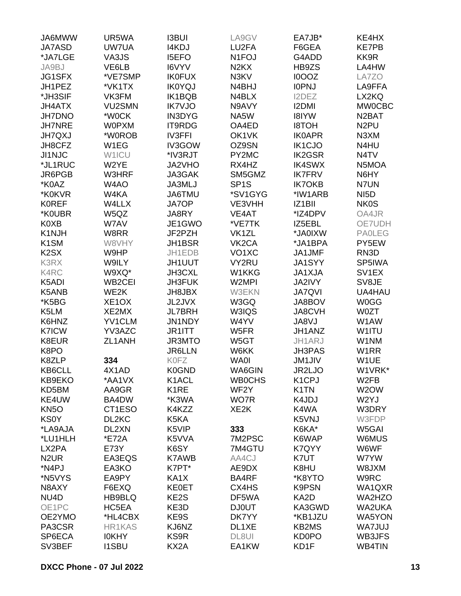| JA6MWW                        | UR5WA                          | <b>I3BUI</b>      | LA9GV                         | EA7JB*              | KE4HX              |
|-------------------------------|--------------------------------|-------------------|-------------------------------|---------------------|--------------------|
| <b>JA7ASD</b>                 | UW7UA                          | I4KDJ             | LU2FA                         | F6GEA               | <b>KE7PB</b>       |
| *JA7LGE                       | VA3JS                          | <b>I5EFO</b>      | N <sub>1</sub> FOJ            | G4ADD               | KK9R               |
| JA9BJ                         | VE6LB                          | I6VYV             | N <sub>2</sub> K <sub>X</sub> | HB9ZS               | LA4HW              |
| JG1SFX                        | *VE7SMP                        | <b>IK0FUX</b>     | N3KV                          | I0OOZ               | LA7ZO              |
| JH1PEZ                        | *VK1TX                         | <b>IK0YQJ</b>     | N4BHJ                         | <b>IOPNJ</b>        | LA9FFA             |
| *JH3SIF                       | VK3FM                          | <b>IK1BQB</b>     | N4BLX                         | I2DEZ               | LX2KQ              |
| <b>JH4ATX</b>                 | <b>VU2SMN</b>                  | <b>IK7VJO</b>     | N9AVY                         |                     | <b>MW0CBC</b>      |
|                               |                                |                   |                               | <b>I2DMI</b>        |                    |
| <b>JH7DNO</b>                 | *W0CK                          | <b>IN3DYG</b>     | NA5W                          | <b>I8IYW</b>        | N <sub>2</sub> BAT |
| <b>JH7NRE</b>                 | <b>W0PXM</b>                   | <b>IT9RDG</b>     | OA4ED                         | <b>HOT8I</b>        | N <sub>2</sub> PU  |
| <b>JH7QXJ</b>                 | *W0ROB                         | <b>IV3FFI</b>     | OK1VK                         | <b>IK0APR</b>       | N3XM               |
| JH8CFZ                        | W1EG                           | IV3GOW            | OZ9SN                         | <b>IK1CJO</b>       | N4HU               |
| JI1NJC                        | W1ICU                          | *IV3RJT           | PY2MC                         | <b>IK2GSR</b>       | N <sub>4</sub> TV  |
| *JL1RUC                       | W2YE                           | JA2VHO            | RX4HZ                         | <b>IK4SWX</b>       | N5MOA              |
| JR6PGB                        | W3HRF                          | JA3GAK            | SM5GMZ                        | <b>IK7FRV</b>       | N6HY               |
| *K0AZ                         | W4AO                           | JA3MLJ            | SP <sub>1</sub> S             | <b>IK7OKB</b>       | N7UN               |
| *K0KVR                        | W4KA                           | JA6TMU            | *SV1GYG                       | *IW1ARB             | NI <sub>5</sub> D  |
| <b>KOREF</b>                  | W4LLX                          | <b>JA7OP</b>      | VE3VHH                        | IZ <sub>1</sub> BII | <b>NK0S</b>        |
| *K0UBR                        | W5QZ                           | JA8RY             | VE4AT                         | *IZ4DPV             | OA4JR              |
| <b>K0XB</b>                   | W7AV                           | JE1GWO            | *VE7TK                        | IZ5EBL              | OE7UDH             |
| K1NJH                         | W8RR                           | JF2PZH            | VK1ZL                         | *JA0IXW             | <b>PAOLEG</b>      |
| K <sub>1</sub> SM             | W8VHY                          | JH1BSR            | VK <sub>2</sub> CA            | *JA1BPA             | PY5EW              |
| K <sub>2</sub> S <sub>X</sub> | W9HP                           | JH1EDB            | VO <sub>1</sub> XC            | JA1JMF              | RN3D               |
| K3RX                          | W9ILY                          | JH1UUT            | VY2RU                         | <b>JA1SYY</b>       | SP5IWA             |
| K4RC                          | W9XQ*                          | JH3CXL            | W1KKG                         | JA1XJA              | SV <sub>1</sub> EX |
| K5ADI                         | WB <sub>2</sub> CEI            | <b>JH3FUK</b>     | W2MPI                         | JA2IVY              | SV8JE              |
| K5ANB                         | WE2K                           | <b>JH8JBX</b>     | <b>W3EKN</b>                  | <b>JA7QVI</b>       | UA4HAU             |
| *K5BG                         | XE <sub>1</sub> O <sub>X</sub> | JL2JVX            | W3GQ                          | JA8BOV              | <b>W0GG</b>        |
| K5LM                          | XE2MX                          | <b>JL7BRH</b>     | W3IQS                         | JA8CVH              | <b>W0ZT</b>        |
| K6HNZ                         | <b>YV1CLM</b>                  | <b>JN1NDY</b>     | W4YV                          | JA8VJ               | W1AW               |
| <b>K7ICW</b>                  | YV3AZC                         | JR1ITT            | W5FR                          | JH1ANZ              | W1ITU              |
|                               |                                |                   |                               |                     |                    |
| K8EUR                         | ZL1ANH                         | JR3MTO            | W5GT                          | JH1ARJ              | W1NM               |
| K8PO                          |                                | <b>JR6LLN</b>     | W6KK                          | <b>JH3PAS</b>       | W <sub>1</sub> RR  |
| K8ZLP                         | 334                            | <b>K0FZ</b>       | <b>WA0I</b>                   | <b>JM1JIV</b>       | W1UE               |
| KB6CLL                        | 4X1AD                          | K0GND             | WA6GIN                        | JR2LJO              | W1VRK*             |
| KB9EKO                        | *AA1VX                         | K1ACL             | <b>WB0CHS</b>                 | K <sub>1</sub> CPJ  | W <sub>2</sub> FB  |
| KD5BM                         | AA9GR                          | K <sub>1</sub> RE | WF <sub>2</sub> Y             | K <sub>1</sub> TN   | W2OW               |
| KE4UW                         | BA4DW                          | *K3WA             | WO7R                          | K4JDJ               | W <sub>2</sub> YJ  |
| KN <sub>50</sub>              | CT1ESO                         | K4KZZ             | XE <sub>2</sub> K             | K4WA                | W3DRY              |
| <b>KS0Y</b>                   | DL2KC                          | K5KA              |                               | K5VNJ               | W3FDP              |
| *LA9AJA                       | DL2XN                          | K5VIP             | 333                           | K6KA*               | W5GAI              |
| *LU1HLH                       | *E72A                          | K5VVA             | 7M2PSC                        | K6WAP               | W6MUS              |
| LX2PA                         | E73Y                           | K6SY              | 7M4GTU                        | K7QYY               | W6WF               |
| N <sub>2</sub> UR             | EA3EQS                         | <b>K7AWB</b>      | AA4CJ                         | K7UT                | W7YW               |
| *N4PJ                         | EA3KO                          | K7PT*             | AE9DX                         | K8HU                | W8JXM              |
| *N5VYS                        | EA9PY                          | KA1X              | BA4RF                         | *K8YTO              | W9RC               |
| N8AXY                         | F6EXQ                          | <b>KE0ET</b>      | CX4HS                         | <b>K9PSN</b>        | WA1QXR             |
| NU <sub>4</sub> D             | HB9BLQ                         | KE2S              | DF5WA                         | KA2D                | WA2HZO             |
| OE1PC                         | HC5EA                          | KE3D              | <b>DJ0UT</b>                  | KA3GWD              | WA2UKA             |
| OE2YMO                        | *HL4CBX                        | KE9S              | DK7YY                         | *KB1JZU             | WA5YON             |
| PA3CSR                        | HR1KAS                         | KJ6NZ             | DL1XE                         | <b>KB2MS</b>        | <b>WA7JUJ</b>      |
| SP6ECA                        | <b>IOKHY</b>                   | KS9R              | DL8UI                         | <b>KD0PO</b>        | WB3JFS             |
| SV3BEF                        | <b>I1SBU</b>                   | KX2A              | EA1KW                         | KD1F                | WB4TIN             |
|                               |                                |                   |                               |                     |                    |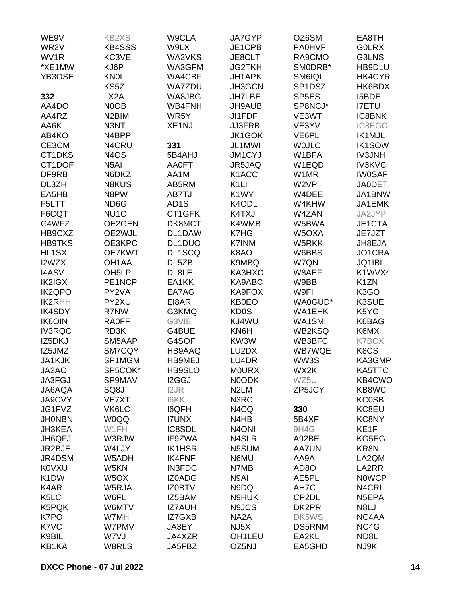| WE9V                           | KB2XS              | W9CLA              | <b>JA7GYP</b>                 | OZ6SM              | EA8TH              |
|--------------------------------|--------------------|--------------------|-------------------------------|--------------------|--------------------|
| WR2V                           | <b>KB4SSS</b>      | W9LX               | JE1CPB                        | <b>PA0HVF</b>      | <b>GOLRX</b>       |
| WV <sub>1</sub> R              | KC3VE              | WA2VKS             | JE8CLT                        | RA9CMO             | G3LNS              |
| *XE1MW                         | KJ6P               | WA3GFM             | <b>JG2TKH</b>                 | SMODRB*            | HB9DLU             |
| YB3OSE                         | <b>KNOL</b>        | WA4CBF             | JH1APK                        | SM6IQI             | HK4CYR             |
|                                | KS5Z               | <b>WA7ZDU</b>      | JH3GCN                        | SP1DSZ             | HK6BDX             |
| 332                            | LX <sub>2</sub> A  | WA8JBG             | <b>JH7LBE</b>                 | SP <sub>5E</sub> S | <b>I5BDE</b>       |
| AA4DO                          | N0OB               | WB4FNH             | JH9AUB                        | SP8NCJ*            | <b>I7ETU</b>       |
| AA4RZ                          | N <sub>2</sub> BIM | WR5Y               | <b>JI1FDF</b>                 | VE3WT              | <b>IC8BNK</b>      |
| AA6K                           | N3NT               | XE <sub>1</sub> NJ | <b>JJ3FRB</b>                 | VE3YV              | IC8EGO             |
| AB4KO                          | N4BPP              |                    | <b>JK1GOK</b>                 | VE6PL              | <b>IK1MJL</b>      |
| CE3CM                          | N4CRU              | 331                | JL1MWI                        | <b>WOJLC</b>       | <b>IK1SOW</b>      |
| CT1DKS                         | N4QS               | 5B4AHJ             | JM1CYJ                        | W1BFA              | <b>IV3JNH</b>      |
| CT1DOF                         | N <sub>5</sub> AI  | <b>AA0FT</b>       | JR5JAQ                        | W1EQD              | <b>IV3KVC</b>      |
| DF9RB                          | N6DKZ              | AA1M               | K <sub>1</sub> ACC            | W1MR               | <b>IW0SAF</b>      |
| DL3ZH                          | <b>N8KUS</b>       | AB5RM              | K <sub>1</sub> LI             | W <sub>2VP</sub>   | <b>JA0DET</b>      |
| EA5HB                          | N8PW               | AB7TJ              | K1WY                          | W4DEE              | JA1BNW             |
| F5LTT                          | ND6G               | AD <sub>1</sub> S  | K4ODL                         | W4KHW              | JA1EMK             |
| F6CQT                          | NU <sub>10</sub>   | CT1GFK             | K4TXJ                         | W4ZAN              | JA2JYP             |
| G4WFZ                          | OE2GEN             | DK8MCT             | K4WMB                         | W5BWA              | JE1CTA             |
| HB9CXZ                         | OE2WJL             | DL1DAW             | K7HG                          | W5OXA              | JE7JZT             |
| <b>HB9TKS</b>                  | OE3KPC             | DL1DUO             | K7INM                         | W5RKK              | JH8EJA             |
|                                |                    |                    |                               |                    |                    |
| HL1SX                          | <b>OE7KWT</b>      | DL1SCQ             | K8AO                          | W6BBS              | JO1CRA             |
| I2WZX                          | OH1AA              | DL5ZB              | K9MBQ                         | W7QN               | JQ1IBI             |
| <b>I4ASV</b>                   | OH <sub>5</sub> LP | DL8LE              | KA3HXO                        | W8AEF              | K1WVX*             |
| IK2IGX                         | PE1NCP             | EA1KK              | KA9ABC                        | W9BB               | K <sub>1</sub> ZN  |
| <b>IK2QPO</b><br><b>IK2RHH</b> | PY2VA<br>PY2XU     | EA7AG              | KA9FOX                        | W9FI               | K3GO               |
|                                |                    | EI8AR              | KB0EO                         | WA0GUD*            | K3SUE              |
| <b>IK4SDY</b>                  | R7NW               | G3KMQ              | <b>KD0S</b><br>KJ4WU          | WA1EHK             | K5YG               |
| <b>IK6OIN</b>                  | <b>RA0FF</b>       | G3VIE              |                               | WA1SMI             | K6BAG              |
| <b>IV3RQC</b>                  | RD3K               | G4BUE              | KN6H                          | WB2KSQ             | K6MX               |
| IZ5DKJ                         | SM5AAP             | G4SOF              | KW3W                          | WB3BFC             | <b>K7BCX</b>       |
| IZ5JMZ                         | SM7CQY             | HB9AAQ             | LU2DX                         | <b>WB7WQE</b>      | K8CS               |
| JA1KJK                         | SP1MGM             | <b>HB9MEJ</b>      | LU4DR                         | WW3S               | KA3GMP             |
| JA2AO                          | SP5COK*            | HB9SLO             | <b>MOURX</b>                  | WX2K               | KA5TTC             |
| JA3FGJ                         | SP9MAV             | I2GGJ              | N0ODK                         | WZ5U               | KB4CWO             |
| JA6AQA                         | SQ8J               | I2JR               | N <sub>2</sub> LM             | ZP5JCY             | KB8WC              |
| JA9CVY                         | <b>VE7XT</b>       | <b>I6KK</b>        | N3RC                          |                    | <b>KC0SB</b>       |
| JG1FVZ                         | VK6LC              | <b>I6QFH</b>       | N4CQ                          | 330                | KC8EU              |
| <b>JHONBN</b>                  | <b>W0QQ</b>        | <b>I7UNX</b>       | N <sub>4</sub> H <sub>B</sub> | 5B4XF              | <b>KC8NY</b>       |
| JH3KEA                         | W1FH               | IC8SDL             | N <sub>4</sub> ONI            | 9H4G               | KE1F               |
| JH6QFJ                         | W3RJW              | IF9ZWA             | N4SLR                         | A92BE              | KG5EG              |
| JR2BJE                         | W4LJY              | <b>IK1HSR</b>      | N5SUM                         | <b>AA7UN</b>       | KR8N               |
| JR4DSM                         | W5ADH              | <b>IK4FNF</b>      | N6MU                          | AA9A               | LA2QM              |
| <b>K0VXU</b>                   | W5KN               | <b>IN3FDC</b>      | N7MB                          | AD <sub>8</sub> O  | LA2RR              |
| K <sub>1</sub> DW              | W <sub>5</sub> OX  | <b>IZ0ADG</b>      | N9AI                          | AE5PL              | <b>NOWCP</b>       |
| K4AR                           | W5RJA              | <b>IZ0BTV</b>      | N9DQ                          | AH7C               | N <sub>4</sub> CRI |
| K <sub>5</sub> LC              | W6FL               | IZ5BAM             | N9HUK                         | CP2DL              | N5EPA              |
| K5PQK                          | W6MTV              | <b>IZ7AUH</b>      | N9JCS                         | DK2PR              | N8LJ               |
| K7PO                           | W7MH               | IZ7GXB             | NA <sub>2</sub> A             | DK5WS              | NC4AA              |
| K7VC                           | W7PMV              | JA3EY              | NJ <sub>5</sub> X             | DS5RNM             | NC4G               |
| K9BIL                          | W7VJ               | JA4XZR             | OH <sub>1</sub> LEU           | EA2KL              | ND8L               |
| KB1KA                          | W8RLS              | JA5FBZ             | OZ5NJ                         | EA5GHD             | NJ9K               |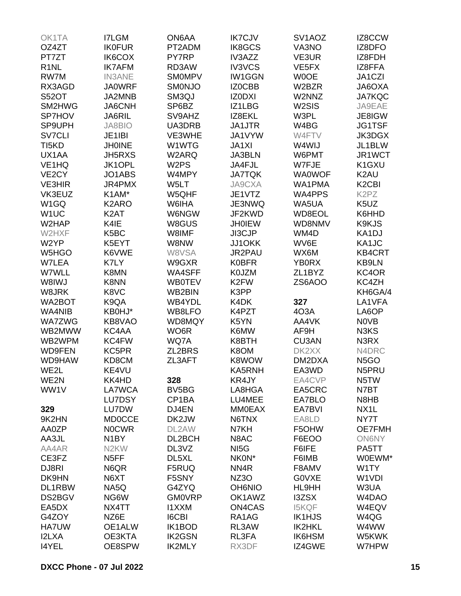| OK1TA              | <b>I7LGM</b>       | ON6AA              | <b>IK7CJV</b>     | SV <sub>1</sub> AOZ | IZ8CCW                         |
|--------------------|--------------------|--------------------|-------------------|---------------------|--------------------------------|
| OZ4ZT              | <b>IK0FUR</b>      | PT2ADM             | IK8GCS            | VA3NO               | IZ8DFO                         |
| PT7ZT              | IK6COX             | PY7RP              | IV3AZZ            | VE3UR               | IZ8FDH                         |
| R <sub>1</sub> NL  | <b>IK7AFM</b>      | RD3AW              | <b>IV3VCS</b>     | VE <sub>5</sub> FX  | IZ8FFA                         |
| RW7M               | <b>IN3ANE</b>      | <b>SMOMPV</b>      | <b>IW1GGN</b>     | <b>WOOE</b>         | JA1CZI                         |
| RX3AGD             | <b>JA0WRF</b>      | SMONJO             | IZ0CBB            | W2BZR               | JA6OXA                         |
| <b>S52OT</b>       | JA2MNB             | SM3QJ              | <b>IZODXI</b>     | W2NNZ               | <b>JA7KQC</b>                  |
| SM2HWG             |                    | SP6BZ              | IZ1LBG            | W <sub>2</sub> SIS  | JA9EAE                         |
|                    | JA6CNH             |                    |                   |                     |                                |
| <b>SP7HOV</b>      | JA6RIL             | SV9AHZ             | IZ8EKL            | W3PL                | JE8IGW                         |
| SP9UPH             | <b>JA8BIO</b>      | UA3DRB             | JA1JTR            | W4BG                | <b>JG1TSF</b>                  |
| <b>SV7CLI</b>      | JE1IBI             | VE3WHE             | JA1VYW            | W4FTV               | <b>JK3DGX</b>                  |
| TI <sub>5</sub> KD | <b>JH0INE</b>      | W1WTG              | <b>JA1XI</b>      | W4WIJ               | JL1BLW                         |
| UX1AA              | <b>JH5RXS</b>      | W2ARQ              | <b>JA3BLN</b>     | W6PMT               | JR1WCT                         |
| VE <sub>1</sub> HQ | JK1OPL             | W <sub>2</sub> PS  | JA4FJL            | W7FJE               | K1GXU                          |
| VE <sub>2</sub> CY | JO1ABS             | W4MPY              | <b>JA7TQK</b>     | <b>WA0WOF</b>       | K <sub>2</sub> AU              |
| <b>VE3HIR</b>      | JR4PMX             | W5LT               | JA9CXA            | WA1PMA              | K <sub>2</sub> C <sub>BI</sub> |
| VK3EUZ             | K1AM*              | W5QHF              | JE1VTZ            | <b>WA4PPS</b>       | K <sub>2</sub> P <sub>Z</sub>  |
| W <sub>1</sub> GQ  | K <sub>2</sub> ARO | W6IHA              | JE3NWQ            | WA5UA               | K5UZ                           |
| W <sub>1</sub> UC  | K <sub>2</sub> AT  | W6NGW              | JF2KWD            | WD8EOL              | K6HHD                          |
| W2HAP              | K4IE               | W8GUS              | <b>JH0IEW</b>     | WD8NMV              | K9KJS                          |
| W2HXF              | K <sub>5</sub> BC  | W8IMF              | JI3CJP            | WM4D                | KA1DJ                          |
| W <sub>2</sub> YP  | K5EYT              | W8NW               | JJ1OKK            | WV6E                | KA1JC                          |
| W5HGO              | K6VWE              | W8VSA              | JR2PAU            | WX6M                | <b>KB4CRT</b>                  |
| W7LEA              | K7LY               | W9GXR              | <b>K0BFR</b>      | <b>YB0RX</b>        | KB9LN                          |
| W7WLL              | K8MN               | WA4SFF             | K0JZM             | ZL1BYZ              | KC4OR                          |
| W8IWJ              | K8NN               | <b>WB0TEV</b>      | K <sub>2</sub> FW | ZS6AOO              | KC4ZH                          |
| W8JRK              | K8VC               | WB2BIN             | K3PP              |                     | KH6GA/4                        |
| WA2BOT             | K9QA               | WB4YDL             | K4DK              | 327                 | LA1VFA                         |
| WA4NIB             | KB0HJ*             | WB8LFO             | K4PZT             | 4O3A                | LA6OP                          |
| <b>WA7ZWG</b>      | KB8VAO             | WD8MQY             | K5YN              | AA4VK               | <b>NOVB</b>                    |
| WB2MWW             | KC4AA              | WO6R               | K6MW              | AF9H                | N3KS                           |
| WB2WPM             | KC4FW              | WQ7A               | K8BTH             | CU3AN               | N3RX                           |
| <b>WD9FEN</b>      | KC5PR              | ZL2BRS             | K8OM              | DK2XX               | N4DRC                          |
| WD9HAW             | KD8CM              | ZL3AFT             | K8WOW             | DM2DXA              | N <sub>5</sub> GO              |
|                    |                    |                    | KA5RNH            |                     |                                |
| WE2L               | KE4VU              |                    |                   | EA3WD               | N5PRU                          |
| WE2N               | KK4HD              | 328                | KR4JY             | EA4CVP              | N5TW                           |
| WW1V               | LA7WCA             | BV <sub>5</sub> BG | LA8HGA            | EA5CRC              | N7BT                           |
|                    | <b>LU7DSY</b>      | CP1BA              | LU4MEE            | EA7BLO              | N8HB                           |
| 329                | LU7DW              | DJ4EN              | <b>MM0EAX</b>     | EA7BVI              | NX <sub>1</sub> L              |
| 9K2HN              | <b>MD0CCE</b>      | DK2JW              | N6TNX             | EA8LD               | NY7T                           |
| AA0ZP              | <b>NOCWR</b>       | DL2AW              | N7KH              | F5OHW               | <b>OE7FMH</b>                  |
| AA3JL              | N <sub>1</sub> BY  | DL2BCH             | N8AC              | F6EOO               | <b>ON6NY</b>                   |
| AA4AR              | N <sub>2</sub> KW  | DL3VZ              | NI <sub>5</sub> G | F6IFE               | PA5TT                          |
| CE3FZ              | N <sub>5</sub> FF  | DL <sub>5</sub> XL | NK0N*             | F6IMB               | W0EWM*                         |
| DJ8RI              | N6QR               | F5RUQ              | NN4R              | F8AMV               | W1TY                           |
| DK9HN              | N6XT               | F5SNY              | NZ3O              | <b>GOVXE</b>        | W1VDI                          |
| DL1RBW             | NA5Q               | G4ZYQ              | <b>OH6NIO</b>     | HL9HH               | W3UA                           |
| DS2BGV             | NG6W               | <b>GM0VRP</b>      | OK1AWZ            | <b>I3ZSX</b>        | W4DAO                          |
| EA5DX              | NX4TT              | <b>I1XXM</b>       | <b>ON4CAS</b>     | <b>I5KQF</b>        | W4EQV                          |
| G4ZOY              | NZ6E               | <b>I6CBI</b>       | RA1AG             | <b>IK1HJS</b>       | W4QG                           |
| <b>HA7UW</b>       | OE1ALW             | IK1BOD             | RL3AW             | IK2HKL              | W4WW                           |
| <b>I2LXA</b>       | OE3KTA             | <b>IK2GSN</b>      | RL3FA             | IK6HSM              | W5KWK                          |
| <b>I4YEL</b>       | OE8SPW             | <b>IK2MLY</b>      | RX3DF             | IZ4GWE              | W7HPW                          |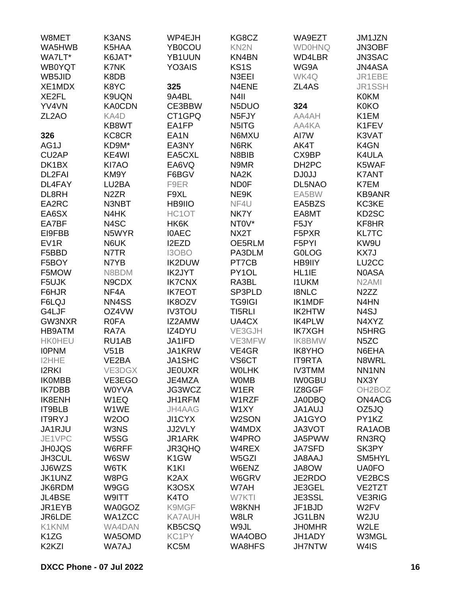| W8MET                           | <b>K3ANS</b>      | WP4EJH            | KG8CZ              | WA9EZT             | JM1JZN              |
|---------------------------------|-------------------|-------------------|--------------------|--------------------|---------------------|
| WA5HWB                          | K5HAA             | YB0COU            | KN <sub>2N</sub>   | <b>WD0HNQ</b>      | JN3OBF              |
| WA7LT*                          | K6JAT*            | YB1UUN            | KN4BN              | WD4LBR             | JN3SAC              |
| <b>WB0YQT</b>                   | K7NK              | YO3AIS            | KS <sub>1</sub> S  | WG9A               | JN4ASA              |
| WB5JID                          | K8DB              |                   | N3EEI              | WK4Q               | JR1EBE              |
| XE1MDX                          | K8YC              | 325               | N4ENE              | ZL4AS              | <b>JR1SSH</b>       |
| XE2FL                           | K9UQN             | 9A4BL             | N <sub>4</sub> II  |                    | <b>K0KM</b>         |
| YV4VN                           |                   | CE3BBW            | N5DUO              |                    |                     |
|                                 | <b>KA0CDN</b>     |                   |                    | 324                | <b>K0KO</b>         |
| ZL <sub>2</sub> AO              | KA4D              | CT1GPQ            | N <sub>5</sub> FJY | AA4AH              | K1EM                |
|                                 | KB8WT             | EA1FP             | N5ITG              | AA4KA              | K1FEV               |
| 326                             | KC8CR             | EA <sub>1</sub> N | N6MXU              | AI7W               | K3VAT               |
| AG1J                            | KD9M*             | EA3NY             | N6RK               | AK4T               | K4GN                |
| CU <sub>2</sub> AP              | KE4WI             | EA5CXL            | N8BIB              | CX9BP              | K4ULA               |
| DK1BX                           | KI7AO             | EA6VQ             | N9MR               | DH <sub>2</sub> PC | K5WAF               |
| DL2FAI                          | KM9Y              | F6BGV             | NA <sub>2</sub> K  | DJ0JJ              | <b>K7ANT</b>        |
| DL4FAY                          | LU2BA             | F9ER              | <b>ND0F</b>        | DL5NAO             | K7EM                |
| DL8RH                           | N <sub>2</sub> ZR | F9XL              | NE9K               | EA5BW              | <b>KB9ANR</b>       |
| EA2RC                           | N3NBT             | HB9IIO            | NF4U               | EA5BZS             | KC3KE               |
| EA6SX                           | N4HK              | HC1OT             | NK7Y               | EA8MT              | KD2SC               |
| EA7BF                           | N4SC              | HK6K              | NT0V*              | F <sub>5</sub> JY  | KF8HR               |
| EI9FBB                          | N5WYR             | <b>IOAEC</b>      | NX2T               | F <sub>5</sub> PXR | <b>KL7TC</b>        |
| EV <sub>1</sub> R               | N6UK              | I2EZD             | OE5RLM             | F5PYI              | KW9U                |
| F5BBD                           | N7TR              | I3OBO             | PA3DLM             | <b>GOLOG</b>       | KX7J                |
| F5BOY                           | N7YB              | <b>IK2DUW</b>     | PT7CB              | HB9IIY             | LU <sub>2</sub> CC  |
| F5MOW                           | N8BDM             | <b>IK2JYT</b>     | PY1OL              | HL1IE              | <b>NOASA</b>        |
| F5UJK                           | N9CDX             | <b>IK7CNX</b>     | RA3BL              | <b>I1UKM</b>       | N <sub>2</sub> AMI  |
| F6HJR                           | NF4A              | <b>IK7EOT</b>     | SP3PLD             | <b>I8NLC</b>       | N <sub>2</sub> ZZ   |
|                                 |                   |                   |                    |                    |                     |
| F6LQJ                           | NN4SS             | <b>IK8OZV</b>     | <b>TG9IGI</b>      | IK1MDF             | N4HN                |
| G4LJF                           | OZ4VW             | <b>IV3TOU</b>     | TI5RLI             | <b>IK2HTW</b>      | N <sub>4</sub> SJ   |
| GW3NXR                          | <b>ROFA</b>       | IZ2AMW            | UA4CX              | <b>IK4PLW</b>      | N4XYZ               |
| <b>HB9ATM</b>                   | RA7A              | IZ4DYU            | VE3GJH             | <b>IK7XGH</b>      | N <sub>5</sub> HRG  |
| <b>HK0HEU</b>                   | RU1AB             | JA1IFD            | VE3MFW             | <b>IK8BMW</b>      | N <sub>5</sub> ZC   |
| <b>IOPNM</b>                    | V51B              | JA1KRW            | VE4GR              | <b>IK8YHO</b>      | N6EHA               |
| I2HHE                           | VE2BA             | <b>JA1SHC</b>     | VS6CT              | <b>IT9RTA</b>      | N8WRL               |
| <b>I2RKI</b>                    | VE3DGX            | <b>JE0UXR</b>     | <b>WOLHK</b>       | <b>IV3TMM</b>      | NN1NN               |
| <b>IKOMBB</b>                   | VE3EGO            | JE4MZA            | <b>WOMB</b>        | <b>IW0GBU</b>      | NX3Y                |
| <b>IK7DBB</b>                   | <b>W0YVA</b>      | JG3WCZ            | W1ER               | IZ8GGF             | OH <sub>2</sub> BOZ |
| <b>IK8ENH</b>                   | W1EQ              | JH1RFM            | W1RZF              | <b>JA0DBQ</b>      | ON4ACG              |
| IT9BLB                          | W1WE              | JH4AAG            | W1XY               | <b>JA1AUJ</b>      | OZ5JQ               |
| <b>IT9RYJ</b>                   | <b>W2OO</b>       | JI1CYX            | W2SON              | JA1GYO             | PY1KZ               |
| JA1RJU                          | W3NS              | JJ2VLY            | W4MDX              | JA3VOT             | RA1AOB              |
| JE1VPC                          | W5SG              | JR1ARK            | W4PRO              | JA5PWW             | RN3RQ               |
| <b>JH0JQS</b>                   | W6RFF             | JR3QHQ            | W4REX              | <b>JA7SFD</b>      | SK3PY               |
| JH3CUL                          | W6SW              | K <sub>1</sub> GW | W5GZI              | <b>JA8AAJ</b>      | SM5HYL              |
| JJ6WZS                          | W6TK              | K <sub>1</sub> KI | W6ENZ              | <b>JA8OW</b>       | <b>UA0FO</b>        |
| JK1UNZ                          | W8PG              | K <sub>2</sub> AX | W6GRV              | JE2RDO             | VE2BCS              |
| JK6RDM                          | W9GG              | K3OSX             | W7AH               | JE3GEL             | VE2TZT              |
| JL4BSE                          | W9ITT             | K <sub>4</sub> TO | W7KTI              | JE3SSL             | <b>VE3RIG</b>       |
|                                 |                   |                   |                    |                    |                     |
| JR1EYB                          | WA0GOZ            | K9MGF             | W8KNH              | JF1BJD             | W2FV                |
| JR6LDE                          | WA1ZCC            | <b>KA7AUH</b>     | W8LR               | JG1LBN             | W <sub>2</sub> JU   |
| K1KNM                           | <b>WA4DAN</b>     | <b>KB5CSQ</b>     | W9JL               | <b>JHOMHR</b>      | W2LE                |
| K <sub>1</sub> ZG               | WA5OMD            | KC1PY             | WA4OBO             | JH1ADY             | W3MGL               |
| K <sub>2</sub> K <sub>Z</sub> I | WA7AJ             | KC5M              | <b>WA8HFS</b>      | <b>JH7NTW</b>      | W <sub>4</sub> IS   |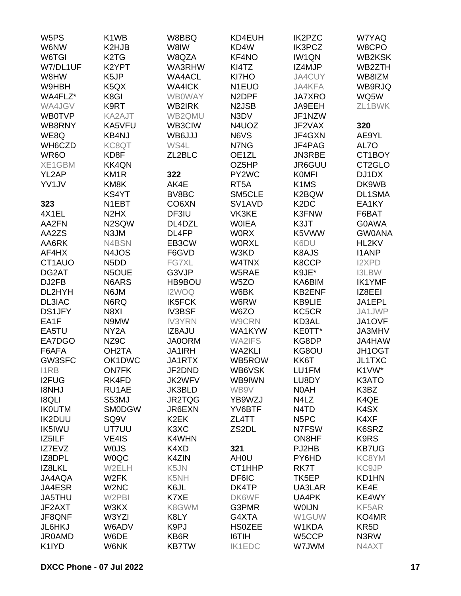| W <sub>5</sub> PS | K <sub>1</sub> W <sub>B</sub> | W8BBQ                         | KD4EUH                          | <b>IK2PZC</b>                 | W7YAQ             |
|-------------------|-------------------------------|-------------------------------|---------------------------------|-------------------------------|-------------------|
| W6NW              | K2HJB                         | W8IW                          | KD4W                            | <b>IK3PCZ</b>                 | W8CPO             |
| W6TGI             | K <sub>2</sub> T <sub>G</sub> | W8QZA                         | KF4NO                           | <b>IW1QN</b>                  | WB2KSK            |
| W7/DL1UF          | K2YPT                         | WA3RHW                        | KI4TZ                           | IZ4MJP                        | WB2ZTH            |
| W8HW              | K <sub>5</sub> JP             | <b>WA4ACL</b>                 | KI7HO                           | JA4CUY                        | WB8IZM            |
| W9HBH             | K <sub>5</sub> QX             | <b>WA4ICK</b>                 | N <sub>1</sub> EUO              | JA4KFA                        | WB9RJQ            |
| WA4FLZ*           | K8GI                          | <b>WB0WAY</b>                 | N <sub>2</sub> DPF              | <b>JA7XRO</b>                 | WQ5W              |
| WA4JGV            | K9RT                          | WB2IRK                        | N <sub>2</sub> JSB              | JA9EEH                        | ZL1BWK            |
| <b>WB0TVP</b>     | KA2AJT                        | WB2QMU                        | N3DV                            | JF1NZW                        |                   |
| WB8RNY            | KA5VFU                        | WB3CIW                        | N4UOZ                           | JF2VAX                        | 320               |
|                   |                               |                               | N6VS                            |                               |                   |
| WE8Q              | <b>KB4NJ</b>                  | WB6JJJ                        |                                 | JF4GXN                        | AE9YL             |
| WH6CZD            | KC8QT                         | WS4L                          | N7NG                            | JF4PAG                        | AL7O              |
| WR <sub>6</sub> O | KD8F                          | ZL2BLC                        | OE1ZL                           | <b>JN3RBE</b>                 | CT1BOY            |
| XE1GBM            | <b>KK4QN</b>                  |                               | OZ5HP                           | JR6GUU                        | CT2GLO            |
| YL2AP             | KM <sub>1</sub> R             | 322                           | PY2WC                           | <b>KOMFI</b>                  | DJ1DX             |
| YV1JV             | KM8K                          | AK4E                          | RT <sub>5</sub> A               | K1MS                          | DK9WB             |
|                   | KS4YT                         | BV8BC                         | SM5CLE                          | K2BQW                         | <b>DL1SMA</b>     |
| 323               | N1EBT                         | CO <sub>6</sub> XN            | SV <sub>1</sub> AV <sub>D</sub> | K <sub>2</sub> D <sub>C</sub> | EA1KY             |
| 4X1EL             | N <sub>2</sub> H <sub>X</sub> | DF3IU                         | VK3KE                           | K3FNW                         | F6BAT             |
| AA2FN             | N2SQW                         | DL4DZL                        | <b>WOIEA</b>                    | K3JT                          | <b>G0AWA</b>      |
| AA2ZS             | N3JM                          | DL4FP                         | <b>WORX</b>                     | K5VWW                         | <b>GW0ANA</b>     |
| AA6RK             | N4BSN                         | EB3CW                         | <b>WORXL</b>                    | K6DU                          | HL2KV             |
| AF4HX             | N4JOS                         | F6GVD                         | W3KD                            | K8AJS                         | <b>I1ANP</b>      |
| CT1AUO            | N <sub>5</sub> D <sub>D</sub> | FG7XL                         | W4TNX                           | K8CCP                         | <b>I2XPD</b>      |
| DG2AT             | N5OUE                         | G3VJP                         | W5RAE                           | K9JE*                         | <b>I3LBW</b>      |
| DJ2FB             | N6ARS                         | HB9BOU                        | W <sub>5</sub> ZO               | KA6BIM                        | <b>IK1YMF</b>     |
| DL2HYH            | N6JM                          | I2WOQ                         | W6BK                            | <b>KB2ENF</b>                 | IZ8EEI            |
| <b>DL3IAC</b>     | N6RQ                          | <b>IK5FCK</b>                 | W6RW                            | KB9LIE                        | JA1EPL            |
| <b>DS1JFY</b>     | N8XI                          | <b>IV3BSF</b>                 | W6ZO                            | KC5CR                         | JA1JWP            |
| EA1F              | N9MW                          | <b>IV3YRN</b>                 | W9CRN                           | KD3AL                         | JA1OVF            |
| EA5TU             | NY <sub>2</sub> A             | IZ8AJU                        | WA1KYW                          | KE0TT*                        | <b>JA3MHV</b>     |
| EA7DGO            | NZ9C                          | <b>JA0ORM</b>                 | <b>WA2IFS</b>                   | KG8DP                         | JA4HAW            |
| F6AFA             | OH <sub>2</sub> TA            | <b>JA1IRH</b>                 | <b>WA2KLI</b>                   | KG8OU                         | JH1OGT            |
| GW3SFC            | OK1DWC                        | JA1RTX                        | WB5ROW                          | KK6T                          | <b>JL1TXC</b>     |
| I1RB              | <b>ON7FK</b>                  | JF2DND                        | WB6VSK                          | LU1FM                         | K1VW*             |
| <b>I2FUG</b>      | RK4FD                         | JK2WFV                        | WB9IWN                          | LU8DY                         | K3ATO             |
| I8NHJ             | RU1AE                         | JK3BLD                        | WB9V                            | N0AH                          | K3BZ              |
| <b>I8QLI</b>      | S53MJ                         | JR2TQG                        | YB9WZJ                          | N4LZ                          | K4QE              |
| <b>IKOUTM</b>     | <b>SMODGW</b>                 | JR6EXN                        | YV6BTF                          | N4TD                          | K4SX              |
|                   |                               | K <sub>2</sub> EK             | ZL4TT                           |                               |                   |
| <b>IK2DUU</b>     | SQ <sub>9V</sub>              |                               |                                 | N <sub>5</sub> PC             | K4XF              |
| IK5IWU            | UT7UU                         | K <sub>3</sub> X <sub>C</sub> | ZS2DL                           | N7FSW<br>ON8HF                | K6SRZ             |
| IZ5ILF            | VE4IS                         | K4WHN                         |                                 |                               | K9RS              |
| IZ7EVZ            | <b>WOJS</b>                   | K4XD                          | 321                             | PJ2HB                         | <b>KB7UG</b>      |
| IZ8DPL            | <b>WOQC</b>                   | K4ZIN                         | AH <sub>0</sub> U               | PY6HD                         | KC8YM             |
| IZ8LKL            | W2ELH                         | K5JN                          | CT1HHP                          | RK7T                          | KC9JP             |
| <b>JA4AQA</b>     | W <sub>2</sub> FK             | K5NH                          | DF6IC                           | TK <sub>5</sub> EP            | KD1HN             |
| JA4ESR            | W <sub>2</sub> N <sub>C</sub> | K6JL                          | DK4TP                           | UA3LAR                        | KE4E              |
| JA5THU            | W2PBI                         | K7XE                          | DK6WF                           | UA4PK                         | KE4WY             |
| JF2AXT            | W3KX                          | K8GWM                         | G3PMR                           | <b>WOIJN</b>                  | KF5AR             |
| JF8QNF            | W3YZI                         | K8LY                          | G4XTA                           | W1GUW                         | KO4MR             |
| JL6HKJ            | W6ADV                         | K9PJ                          | <b>HS0ZEE</b>                   | W1KDA                         | KR <sub>5</sub> D |
| <b>JR0AMD</b>     | W6DE                          | KB6R                          | I6TIH                           | W5CCP                         | N3RW              |
| K1IYD             | W6NK                          | <b>KB7TW</b>                  | <b>IK1EDC</b>                   | W7JWM                         | N4AXT             |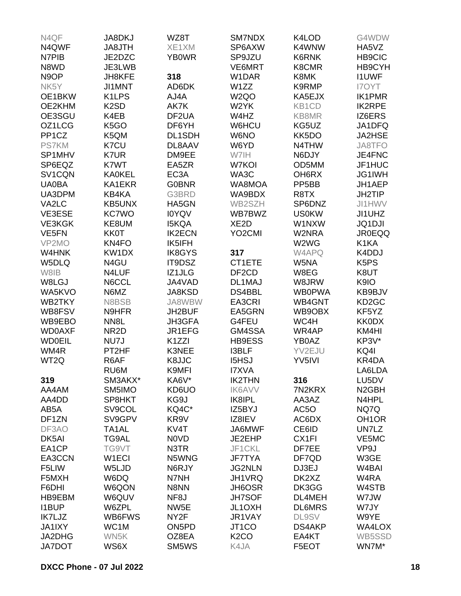| N4QF               | <b>JA8DKJ</b>      | WZ8T               | SM7NDX              | K4LOD                  | G4WDW                         |
|--------------------|--------------------|--------------------|---------------------|------------------------|-------------------------------|
| N4QWF              | JA8JTH             | XE1XM              | SP6AXW              | K4WNW                  | HA5VZ                         |
| N7PIB              | JE2DZC             | <b>YB0WR</b>       | SP9JZU              | K6RNK                  | <b>HB9CIC</b>                 |
| N8WD               | JE3LWB             |                    | VE6MRT              | K8CMR                  | HB9CYH                        |
| N <sub>9</sub> OP  | JH8KFE             | 318                | W1DAR               | K8MK                   | <b>I1UWF</b>                  |
| NK5Y               | JI1MNT             | AD6DK              | W1ZZ                | K9RMP                  | <b>I7OYT</b>                  |
| OE1BKW             | K <sub>1</sub> LPS | AJ4A               | W <sub>2Q</sub> O   | KA5EJX                 | <b>IK1PMR</b>                 |
| OE2KHM             | K <sub>2</sub> SD  | AK7K               | W2YK                | KB1CD                  | <b>IK2RPE</b>                 |
| OE3SGU             | K4EB               | DF2UA              | W4HZ                | KB8MR                  | IZ6ERS                        |
| OZ1LCG             | K <sub>5</sub> GO  | DF6YH              | W6HCU               | KG5UZ                  | JA1DFQ                        |
| PP <sub>1</sub> CZ | K5QM               | DL1SDH             | W6NO                | KK5DO                  | JA2HSE                        |
| <b>PS7KM</b>       | K7CU               | DL8AAV             | W6YD                | N4THW                  | JA8TFO                        |
| SP1MHV             | K7UR               | DM9EE              | W7IH                | N6DJY                  | JE4FNC                        |
| SP6EQZ             | K7WT               | EA5ZR              | W7KOI               | OD5MM                  | JF1HUC                        |
| SV1CQN             | <b>KA0KEL</b>      | EC <sub>3</sub> A  | WA3C                | OH6RX                  | JG1IWH                        |
| <b>UA0BA</b>       | KA1EKR             | <b>G0BNR</b>       | WA8MOA              | PP <sub>5</sub> BB     | JH1AEP                        |
| UA3DPM             | KB4KA              | G3BRD              | WA9BDX              | R8TX                   | <b>JH2TIP</b>                 |
| VA2LC              | <b>KB5UNX</b>      | HA5GN              | WB2SZH              | SP6DNZ                 | JI1HWV                        |
| VE3ESE             | <b>KC7WO</b>       | <b>IOYQV</b>       | WB7BWZ              | <b>US0KW</b>           | JI1UHZ                        |
| VE3KGK             | KE8UM              | <b>I5KQA</b>       | XE <sub>2</sub> D   | W1NXW                  | <b>JQ1DJI</b>                 |
| VE5FN              | <b>KK0T</b>        | <b>IK2ECN</b>      | YO <sub>2</sub> CMI | W2NRA                  | <b>JR0EQQ</b>                 |
| VP2MO              | KN4FO              | IK5IFH             |                     | W2WG                   | K <sub>1</sub> KA             |
| W4HNK              | KW1DX              | <b>IK8GYS</b>      | 317                 | W4APQ                  | K4DDJ                         |
| W5DLQ              | N4GU               | IT9DSZ             | CT1ETE              | W5NA                   | K <sub>5</sub> P <sub>S</sub> |
| W8IB               |                    |                    |                     |                        |                               |
| W8LGJ              | N4LUF              | IZ1JLG             | DF <sub>2</sub> CD  | W8EG                   | K8UT                          |
|                    | N6CCL              | JA4VAD             | DL1MAJ              | W8JRW<br><b>WB0PWA</b> | K9IO                          |
| WA5KVO             | N6MZ               | JA8KSD             | DS4BBL<br>EA3CRI    |                        | KB9BJV                        |
| WB2TKY             | N8BSB              | JA8WBW             | EA5GRN              | WB4GNT                 | KD <sub>2</sub> GC            |
| WB8FSV             | N9HFR              | JH2BUF             |                     | WB9OBX                 | KF5YZ<br><b>KK0DX</b>         |
| WB9EBO             | NN <sub>8</sub> L  | <b>JH3GFA</b>      | G4FEU               | WC4H                   |                               |
| <b>WD0AXF</b>      | NR <sub>2</sub> D  | JR1EFG             | GM4SSA              | WR4AP                  | KM4HI                         |
| <b>WD0EIL</b>      | NU7J               | K <sub>1</sub> ZZI | <b>HB9ESS</b>       | YB0AZ                  | KP3V*                         |
| WM4R               | PT2HF              | K3NEE              | <b>I3BLF</b>        | YV2EJU                 | KQ4I                          |
| WT2Q               | R6AF               | K8JJC              | <b>I5HSJ</b>        | YV5IVI                 | KR4DA                         |
|                    | RU6M               | K9MFI              | <b>I7XVA</b>        |                        | LA6LDA                        |
| 319                | SM3AKX*            | KA6V*              | <b>IK2THN</b>       | 316                    | LU5DV                         |
| AA4AM              | SM5IMO             | KD6UO              | <b>IK6AVV</b>       | 7N2KRX                 | N <sub>2</sub> GBH            |
| AA4DD              | SP8HKT             | KG9J               | IK8IPL              | AA3AZ                  | N4HPL                         |
| AB5A               | SV9COL             | KQ4C*              | IZ5BYJ              | AC5O                   | NQ7Q                          |
| DF1ZN              | SV9GPV             | KR9V               | IZ8IEV              | AC6DX                  | OH <sub>1</sub> OR            |
| DF3AO              | TA <sub>1</sub> AL | KV4T               | JA6MWF              | CE6ID                  | UN7LZ                         |
| DK5AI              | TG9AL              | N0VD               | JE2EHP              | CX1FI                  | VE5MC                         |
| EA1CP              | TG9VT              | N3TR               | JF1CKL              | DF7EE                  | VP9J                          |
| EA3CCN             | W <sub>1</sub> ECI | N5WNG              | <b>JF7TYA</b>       | DF7QD                  | W3GE                          |
| F5LIW              | W5LJD              | N6RJY              | <b>JG2NLN</b>       | DJ3EJ                  | W <sub>4</sub> BAI            |
| F5MXH              | W6DQ               | N7NH               | JH1VRQ              | DK2XZ                  | W4RA                          |
| F6DHI              | W6QON              | N8NN               | JH6OSR              | DK3GG                  | W4STB                         |
| HB9EBM             | W6QUV              | NF <sub>8</sub> J  | <b>JH7SOF</b>       | DL4MEH                 | W7JW                          |
| <b>I1BUP</b>       | W6ZPL              | NW <sub>5</sub> E  | JL1OXH              | <b>DL6MRS</b>          | W7JY                          |
| IK7LJZ             | WB6FWS             | NY <sub>2</sub> F  | JR1VAY              | <b>DL9SV</b>           | W9YE                          |
| <b>JA1IXY</b>      | WC1M               | ON <sub>5</sub> PD | JT <sub>1</sub> CO  | DS4AKP                 | WA4LOX                        |
| JA2DHG             | WN5K               | OZ8EA              | K <sub>2</sub> CO   | EA4KT                  | WB5SSD                        |
| <b>JA7DOT</b>      | WS6X               | SM5WS              | K4JA                | F5EOT                  | WN7M*                         |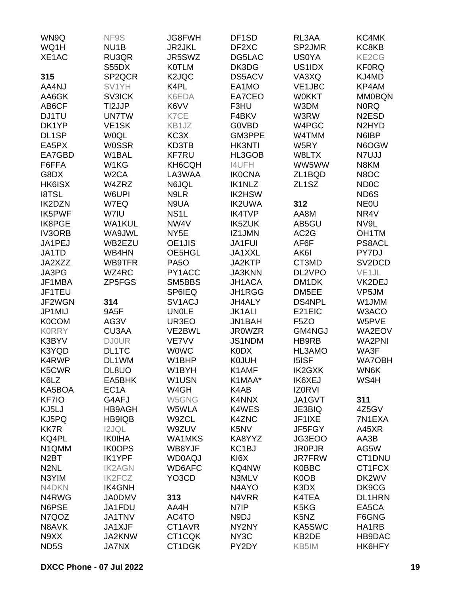| WN9Q              | NF9S               | <b>JG8FWH</b>      | DF <sub>1</sub> SD | RL3AA                         | KC4MK                          |
|-------------------|--------------------|--------------------|--------------------|-------------------------------|--------------------------------|
| WQ1H              | NU <sub>1</sub> B  | <b>JR2JKL</b>      | DF2XC              | SP2JMR                        | KC8KB                          |
| XE1AC             | RU3QR              | JR5SWZ             | DG5LAC             | <b>US0YA</b>                  | KE2CG                          |
|                   | S55DX              | <b>K0TLM</b>       | DK3DG              | US1IDX                        | <b>KF0RQ</b>                   |
| 315               | SP2QCR             | K <sub>2</sub> JQC | DS5ACV             | VA3XQ                         | KJ4MD                          |
| AA4NJ             | SV1YH              | K4PL               | EA1MO              | VE1JBC                        | KP4AM                          |
| AA6GK             | <b>SV3ICK</b>      | K6EDA              | EA7CEO             | <b>W0KKT</b>                  | <b>MM0BQN</b>                  |
| AB6CF             | TI2JJP             | K6VV               | F3HU               | W3DM                          | <b>NORQ</b>                    |
| <b>DJ1TU</b>      | <b>UN7TW</b>       | K7CE               | F4BKV              | W3RW                          | N <sub>2</sub> ESD             |
| DK1YP             | VE <sub>1</sub> SK | KB1JZ              | <b>GOVBD</b>       | W4PGC                         | N <sub>2</sub> HY <sub>D</sub> |
| DL1SP             | <b>WOQL</b>        | KC3X               | GM3PPE             | W4TMM                         | N6IBP                          |
| EA5PX             | <b>W0SSR</b>       | KD3TB              | <b>HK3NTI</b>      | W5RY                          | N6OGW                          |
| EA7GBD            | W1BAL              | <b>KF7RU</b>       | HL3GOB             | W8LTX                         | N7UJJ                          |
| F6FFA             | W1KG               | KH6CQH             | <b>I4UFH</b>       | WW5WW                         | N8KM                           |
| G8DX              | W <sub>2</sub> CA  |                    | <b>IK0CNA</b>      |                               | N8OC                           |
|                   |                    | LA3WAA             |                    | ZL1BQD                        |                                |
| HK6ISX            | W4ZRZ              | N6JQL              | <b>IK1NLZ</b>      | ZL <sub>1</sub> SZ            | <b>ND0C</b>                    |
| <b>I8TSL</b>      | W6UPI              | N9LR               | <b>IK2HSW</b>      |                               | ND6S                           |
| <b>IK2DZN</b>     | W7EQ               | N9UA               | <b>IK2UWA</b>      | 312                           | <b>NEOU</b>                    |
| <b>IK5PWF</b>     | W7IU               | NS <sub>1</sub> L  | <b>IK4TVP</b>      | AA8M                          | NR4V                           |
| <b>IK8PGE</b>     | <b>WA1KUL</b>      | NW4V               | <b>IK5ZUK</b>      | AB5GU                         | NV9L                           |
| <b>IV3ORB</b>     | WA9JWL             | NY <sub>5</sub> E  | IZ1JMN             | AC <sub>2</sub> G             | OH1TM                          |
| JA1PEJ            | WB2EZU             | OE1JIS             | JA1FUI             | AF6F                          | PS8ACL                         |
| JA1TD             | WB4HN              | OE5HGL             | JA1XXL             | AK6I                          | PY7DJ                          |
| JA2XZZ            | WB9TFR             | PA <sub>5</sub> O  | JA2KTP             | CT3MD                         | SV2DCD                         |
| JA3PG             | WZ4RC              | PY1ACC             | <b>JA3KNN</b>      | DL2VPO                        | VE <sub>1JL</sub>              |
| JF1MBA            | ZP5FGS             | SM5BBS             | JH1ACA             | DM <sub>1</sub> DK            | VK2DEJ                         |
| JF1TEU            |                    | SP6IEQ             | JH1RGG             | DM5EE                         | VP5JM                          |
| JF2WGN            | 314                | SV1ACJ             | JH4ALY             | <b>DS4NPL</b>                 | W1JMM                          |
| JP1MIJ            | 9A5F               | <b>UN0LE</b>       | <b>JK1ALI</b>      | E21EIC                        | W3ACO                          |
| <b>K0COM</b>      | AG3V               | UR3EO              | JN1BAH             | F <sub>5</sub> ZO             | W5PVE                          |
| <b>KORRY</b>      | CU3AA              | VE2BWL             | <b>JR0WZR</b>      | GM4NGJ                        | WA2EOV                         |
| K3BYV             | <b>DJ0UR</b>       | VE7VV              | JS1NDM             | HB9RB                         | <b>WA2PNI</b>                  |
| K3YQD             | DL1TC              | <b>WOWC</b>        | <b>K0DX</b>        | HL3AMO                        | WA3F                           |
| K4RWP             | DL1WM              | W1BHP              | <b>K0JUH</b>       | <b>I5ISF</b>                  | <b>WA7OBH</b>                  |
| K5CWR             | DL8UO              | W1BYH              | K1AMF              | <b>IK2GXK</b>                 | WN6K                           |
| K6LZ              | EA5BHK             | W1USN              | K1MAA*             | <b>IK6XEJ</b>                 | WS4H                           |
| KA5BOA            | EC <sub>1</sub> A  | W4GH               | K4AB               | <b>IZORVI</b>                 |                                |
| KF7IO             | G4AFJ              | W5GNG              | K4NNX              | JA1GVT                        | 311                            |
| KJ5LJ             | <b>HB9AGH</b>      | W5WLA              | K4WES              | JE3BIQ                        | 4Z5GV                          |
| KJ5PQ             | <b>HB9IQB</b>      | W9ZCL              | <b>K4ZNC</b>       | JF1IXE                        | 7N1EXA                         |
| <b>KK7R</b>       | <b>I2JQL</b>       | W9ZUV              | K5NV               | JF5FGY                        | A45XR                          |
| KQ4PL             | <b>IK0IHA</b>      | <b>WA1MKS</b>      | KA8YYZ             | JG3EOO                        | AA3B                           |
| N1QMM             | <b>IK0OPS</b>      | WB8YJF             | KC <sub>1</sub> BJ | <b>JR0PJR</b>                 | AG5W                           |
| N <sub>2</sub> BT | <b>IK1YPF</b>      | <b>WD0AQJ</b>      | KI6X               | <b>JR7FRW</b>                 | CT1DNU                         |
| N <sub>2</sub> NL | <b>IK2AGN</b>      | WD6AFC             | KQ4NW              | <b>K0BBC</b>                  | CT1FCX                         |
| N3YIM             | <b>IK2FCZ</b>      | YO3CD              | N3MLV              | K0OB                          | DK2WV                          |
| N4DKN             | <b>IK4GNH</b>      |                    | N4AYO              | K3DX                          | DK9CG                          |
| N4RWG             | <b>JA0DMV</b>      | 313                | N4VRR              | K4TEA                         | <b>DL1HRN</b>                  |
| N6PSE             | JA1FDU             | AA4H               | N7IP               | K <sub>5</sub> K <sub>G</sub> | EA5CA                          |
| N7QOZ             | <b>JA1TNV</b>      | AC4TO              | N9DJ               | K <sub>5</sub> N <sub>Z</sub> | F6GNG                          |
| N8AVK             | JA1XJF             | CT1AVR             | NY2NY              | KA5SWC                        | HA1RB                          |
| N9XX              | JA2KNW             | CT1CQK             | NY <sub>3</sub> C  | KB2DE                         | HB9DAC                         |
|                   |                    |                    | PY2DY              |                               | HK6HFY                         |
| ND5S              | <b>JA7NX</b>       | CT1DGK             |                    | KB5IM                         |                                |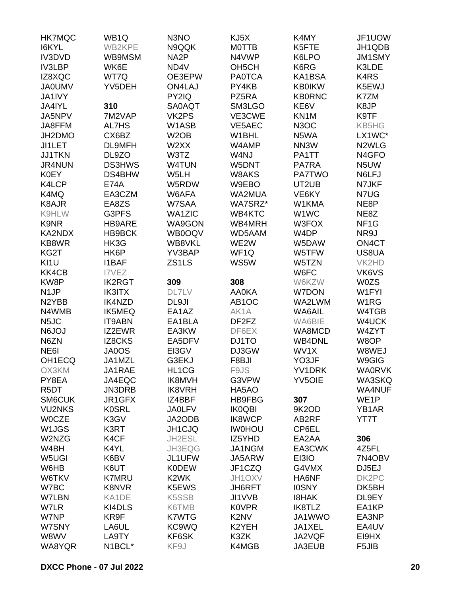| <b>HK7MQC</b>      | WB <sub>1Q</sub> | N <sub>3</sub> NO  | KJ5X                           | K4MY              | JF1UOW             |
|--------------------|------------------|--------------------|--------------------------------|-------------------|--------------------|
| I6KYL              | WB2KPE           | N9QQK              | <b>MOTTB</b>                   | K5FTE             | JH1QDB             |
| <b>IV3DVD</b>      | WB9MSM           | NA <sub>2</sub> P  | N4VWP                          | K6LPO             | <b>JM1SMY</b>      |
| <b>IV3LBP</b>      | WK6E             | ND4V               | OH <sub>5</sub> CH             | K6RG              | K3LDE              |
| IZ8XQC             | WT7Q             | OE3EPW             | <b>PA0TCA</b>                  | KA1BSA            | K4RS               |
| <b>JA0UMV</b>      | YV5DEH           | <b>ON4LAJ</b>      | PY4KB                          | <b>KB0IKW</b>     | K5EWJ              |
| JA1IVY             |                  | PY2IQ              | PZ5RA                          | <b>KB0RNC</b>     | K7ZM               |
| JA4IYL             | 310              | SA0AQT             | SM3LGO                         | KE6V              | K8JP               |
| JA5NPV             | 7M2VAP           | VK2PS              | VE3CWE                         | KN1M              | K9TF               |
|                    |                  |                    |                                |                   |                    |
| JA8FFM             | AL7HS            | W1ASB              | VE5AEC                         | N <sub>3</sub> OC | KB5HG              |
| JH2DMO             | CX6BZ            | W <sub>2</sub> OB  | W1BHL                          | N5WA              | LX1WC*             |
| JI1LET             | DL9MFH           | W2XX               | W4AMP                          | NN3W              | N2WLG              |
| <b>JJ1TKN</b>      | DL9ZO            | W3TZ               | W4NJ                           | PA1TT             | N <sub>4</sub> GFO |
| <b>JR4NUN</b>      | <b>DS3HWS</b>    | <b>W4TUN</b>       | W5DNT                          | <b>PA7RA</b>      | N5UW               |
| <b>K0EY</b>        | DS4BHW           | W5LH               | W8AKS                          | <b>PA7TWO</b>     | N6LFJ              |
| K4LCP              | <b>E74A</b>      | W5RDW              | W9EBO                          | UT2UB             | N7JKF              |
| K4MQ               | EA3CZM           | W6AFA              | WA2MUA                         | VE6KY             | N7UG               |
| K8AJR              | EA8ZS            | W7SAA              | WA7SRZ*                        | W1KMA             | NE8P               |
| K9HLW              | G3PFS            | <b>WA1ZIC</b>      | WB4KTC                         | W1WC              | NE8Z               |
| K9NR               | HB9ARE           | WA9GON             | WB4MRH                         | W3FOX             | NF <sub>1</sub> G  |
| KA2NDX             | HB9BCK           | WB0OQV             | WD5AAM                         | W4DP              | NR9J               |
| KB8WR              | HK3G             | WB8VKL             | WE2W                           | W5DAW             | ON4CT              |
| KG2T               | HK6P             | YV3BAP             | WF <sub>1Q</sub>               | W5TFW             | US8UA              |
| KI1U               | <b>I1BAF</b>     | ZS1LS              | WS5W                           | W5TZN             | VK2HD              |
| KK4CB              | I7VEZ            |                    |                                | W6FC              | VK6VS              |
| KW8P               | <b>IK2RGT</b>    | 309                | 308                            | W6KZW             | <b>W0ZS</b>        |
| N <sub>1</sub> JP  | <b>IK3ITX</b>    | <b>DL7LV</b>       | <b>AA0KA</b>                   | <b>W7DON</b>      | W1FYI              |
| N <sub>2</sub> YBB | <b>IK4NZD</b>    | DL9JI              | AB <sub>1</sub> OC             | WA2LWM            | W <sub>1</sub> RG  |
| N4WMB              | <b>IK5MEQ</b>    | EA1AZ              | AK1A                           | WA6AIL            | W4TGB              |
| N <sub>5</sub> JC  | <b>IT9ABN</b>    | EA1BLA             | DF <sub>2</sub> F <sub>Z</sub> | WA6BIE            | W4UCK              |
| <b>N6JOJ</b>       | IZ2EWR           | EA3KW              | DF6EX                          | WA8MCD            | W4ZYT              |
| N6ZN               | <b>IZ8CKS</b>    | EA5DFV             | DJ1TO                          | <b>WB4DNL</b>     | W8OP               |
| NE <sub>6</sub>    | JA0OS            | EI3GV              | DJ3GW                          | WV1X              | W8WEJ              |
| OH1ECQ             | JA1MZL           | G3EKJ              | F8BJI                          | YO3JF             | W9GIG              |
|                    |                  |                    |                                |                   | <b>WA0RVK</b>      |
| OX3KM              | JA1RAE           | HL1CG              | F9JS                           | YV1DRK            |                    |
| PY8EA              | JA4EQC           | <b>IK8MVH</b>      | G3VPW                          | <b>YV5OIE</b>     | WA3SKQ             |
| R <sub>5</sub> DT  | JN3DRB           | <b>IK8VRH</b>      | HA5AO                          |                   | <b>WA4NUF</b>      |
| <b>SM6CUK</b>      | JR1GFX           | IZ4BBF             | <b>HB9FBG</b>                  | 307               | WE1P               |
| <b>VU2NKS</b>      | <b>K0SRL</b>     | <b>JA0LFV</b>      | <b>IK0QBI</b>                  | 9K2OD             | YB1AR              |
| <b>WOCZE</b>       | K3GV             | JA2ODB             | <b>IK8WCP</b>                  | AB2RF             | YT7T               |
| W <sub>1</sub> JGS | K3RT             | JH1CJQ             | <b>IW0HOU</b>                  | CP6EL             |                    |
| W2NZG              | K4CF             | JH2ESL             | IZ5YHD                         | EA2AA             | 306                |
| W4BH               | K4YL             | JH3EQG             | JA1NGM                         | EA3CWK            | 4Z5FL              |
| W5UGI              | K6BV             | JL1UFW             | JA5ARW                         | EI3IO             | 7N4OBV             |
| W6HB               | K6UT             | <b>K0DEW</b>       | JF1CZQ                         | G4VMX             | DJ5EJ              |
| W6TKV              | <b>K7MRU</b>     | K <sub>2</sub> WK  | JH1OXV                         | HA6NF             | DK2PC              |
| W7BC               | <b>K8NVR</b>     | K5EWS              | JH6RFT                         | <b>IOSNY</b>      | DK5BH              |
| W7LBN              | KA1DE            | K <sub>5</sub> SSB | JI1VVB                         | <b>I8HAK</b>      | DL9EY              |
| W7LR               | KI4DLS           | K6TMB              | <b>K0VPR</b>                   | IK8TLZ            | EA1KP              |
| W7NP               | KR9F             | <b>K7WTG</b>       | K <sub>2</sub> N <sub>V</sub>  | JA1WWO            | EA3NP              |
| W7SNY              | LA6UL            | KC9WQ              | K2YEH                          | JA1XEL            | EA4UV              |
| W8WV               | LA9TY            | KF6SK              | K3ZK                           | JA2VQF            | EI9HX              |
| WA8YQR             | N1BCL*           | KF9J               | K4MGB                          | JA3EUB            | F5JIB              |
|                    |                  |                    |                                |                   |                    |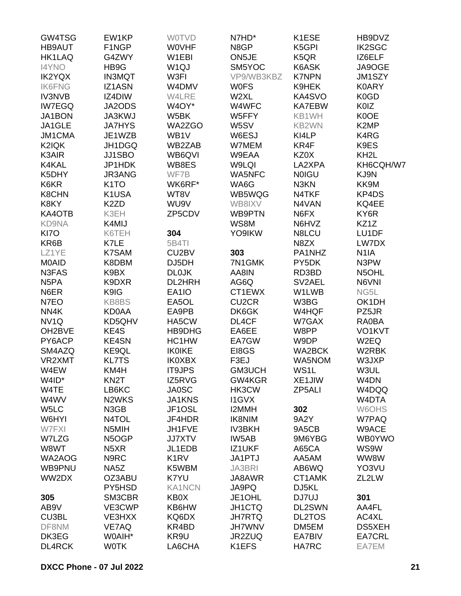| GW4TSG            | EW1KP              | <b>WOTVD</b>                  | N7HD*              | K1ESE         | HB9DVZ            |
|-------------------|--------------------|-------------------------------|--------------------|---------------|-------------------|
| <b>HB9AUT</b>     | F1NGP              | <b>WOVHF</b>                  | N8GP               | K5GPI         | <b>IK2SGC</b>     |
| <b>HK1LAQ</b>     | G4ZWY              | W1EBI                         | ON5JE              | K5QR          | IZ6ELF            |
| <b>I4YNO</b>      | HB9G               | W <sub>1Q</sub> J             | SM5YOC             | K6ASK         | JA9OGE            |
| <b>IK2YQX</b>     | <b>IN3MQT</b>      | W3FI                          | VP9/WB3KBZ         | <b>K7NPN</b>  | JM1SZY            |
| <b>IK6FNG</b>     | IZ1ASN             | W4DMV                         | <b>WOFS</b>        | K9HEK         | <b>K0ARY</b>      |
| <b>IV3NVB</b>     | IZ4DIW             | W4LRE                         | W2XL               | KA4SVO        | K0GD              |
|                   | JA2ODS             | W4OY*                         | W4WFC              | <b>KA7EBW</b> | <b>K0IZ</b>       |
| <b>IW7EGQ</b>     |                    |                               |                    |               |                   |
| JA1BON            | JA3KWJ             | W5BK                          | W5FFY              | KB1WH         | K0OE              |
| JA1GLE            | <b>JA7HYS</b>      | WA2ZGO                        | W5SV               | KB2WN         | K <sub>2</sub> MP |
| JM1CMA            | JE1WZB             | WB1V                          | W6ESJ              | KI4LP         | K4RG              |
| K2IQK             | JH1DGQ             | WB2ZAB                        | W7MEM              | KR4F          | K9ES              |
| K3AIR             | JJ1SBO             | WB6QVI                        | W9EAA              | KZ0X          | KH <sub>2</sub> L |
| K4KAL             | JP1HDK             | WB8ES                         | W9LQI              | LA2XPA        | KH6CQH/W7         |
| K5DHY             | JR3ANG             | WF7B                          | <b>WA5NFC</b>      | <b>NOIGU</b>  | KJ9N              |
| K6KR              | K <sub>1</sub> TO  | WK6RF*                        | WA6G               | N3KN          | KK9M              |
| <b>K8CHN</b>      | K1USA              | WT8V                          | WB5WQG             | N4TKF         | KP4DS             |
| K8KY              | K <sub>2</sub> ZD  | WU9V                          | WB8IXV             | N4VAN         | KQ4EE             |
| KA4OTB            | K3EH               | ZP5CDV                        | WB9PTN             | N6FX          | KY6R              |
| KD9NA             | K4MIJ              |                               | WS8M               | N6HVZ         | KZ1Z              |
| KI7O              | K6TEH              | 304                           | YO9IKW             | N8LCU         | LU1DF             |
| KR6B              | K7LE               | 5B4TI                         |                    | N8ZX          | LW7DX             |
| LZ1YE             | K7SAM              | CU2BV                         | 303                | PA1NHZ        | N <sub>1</sub> IA |
| M0AID             | K8DBM              | DJ5DH                         | 7N1GMK             | PY5DK         | N3PW              |
| N3FAS             | K9BX               | <b>DL0JK</b>                  | AA8IN              | RD3BD         | N5OHL             |
| N <sub>5</sub> PA | K9DXR              | DL2HRH                        | AG6Q               | SV2AEL        | N6VNI             |
| N6ER              | K9IG               | EA1IO                         | CT1EWX             | W1LWB         | NG5L              |
| N7EO              | KB8BS              | EA5OL                         | CU <sub>2</sub> CR | W3BG          | OK1DH             |
|                   |                    |                               |                    |               |                   |
| NN4K              | <b>KD0AA</b>       | EA9PB                         | DK6GK              | W4HQF         | PZ5JR             |
| NV <sub>1Q</sub>  | KD5QHV             | HA5CW                         | DL4CF              | W7GAX         | RA0BA             |
| OH2BVE            | KE4S               | HB9DHG                        | EA6EE              | W8PP          | VO1KVT            |
| PY6ACP            | <b>KE4SN</b>       | HC1HW                         | EA7GW              | W9DP          | W2EQ              |
| SM4AZQ            | KE9QL              | <b>IK0IKE</b>                 | EI8GS              | <b>WA2BCK</b> | W2RBK             |
| VR2XMT            | <b>KL7TS</b>       | <b>IK0XBX</b>                 | F3EJ               | <b>WA5NOM</b> | W3JXP             |
| W4EW              | KM4H               | <b>IT9JPS</b>                 | GM3UCH             | WS1L          | W3UL              |
| W4ID*             | KN <sub>2</sub> T  | IZ5RVG                        | GW4KGR             | XE1JIW        | W4DN              |
| W4TE              | LB6KC              | <b>JA0SC</b>                  | HK3CW              | ZP5ALI        | W4DQQ             |
| W4WV              | N <sub>2</sub> WKS | <b>JA1KNS</b>                 | <b>I1GVX</b>       |               | W4DTA             |
| W <sub>5</sub> LC | N3GB               | JF1OSL                        | I2MMH              | 302           | W6OHS             |
| W6HYI             | N4TOL              | JF4HDR                        | <b>IK8NIM</b>      | 9A2Y          | W7PAQ             |
| W7FXI             | N5MIH              | JH1FVE                        | <b>IV3BKH</b>      | 9A5CB         | W9ACE             |
| W7LZG             | N5OGP              | <b>JJ7XTV</b>                 | IW5AB              | 9M6YBG        | <b>WB0YWO</b>     |
| W8WT              | N <sub>5</sub> XR  | JL1EDB                        | IZ1UKF             | A65CA         | WS9W              |
| WA2AOG            | N9RC               | K <sub>1</sub> R <sub>V</sub> | JA1PTJ             | AA5AM         | WW8W              |
| WB9PNU            | NA5Z               | K5WBM                         | <b>JA3BRI</b>      | AB6WQ         | YO3VU             |
| WW2DX             | OZ3ABU             | K7YU                          | JA8AWR             | CT1AMK        | ZL2LW             |
|                   | PY5HSD             | <b>KA1NCN</b>                 | JA9PQ              | DJ5KL         |                   |
| 305               | SM3CBR             | KB0X                          | JE1OHL             | DJ7UJ         | 301               |
| AB9V              | VE3CWP             | KB6HW                         | <b>JH1CTQ</b>      | DL2SWN        | AA4FL             |
| CU3BL             | VE3HXX             | KQ6DX                         | <b>JH7RTQ</b>      | <b>DL2TOS</b> | AC4XL             |
| DF8NM             | VE7AQ              | KR4BD                         | <b>JH7WNV</b>      | DM5EM         | <b>DS5XEH</b>     |
|                   |                    |                               |                    |               |                   |
| DK3EG             | W0AIH*             | KR9U                          | JR2ZUQ             | EA7BIV        | EA7CRL            |
| <b>DL4RCK</b>     | <b>WOTK</b>        | LA6CHA                        | K1EFS              | HA7RC         | EA7EM             |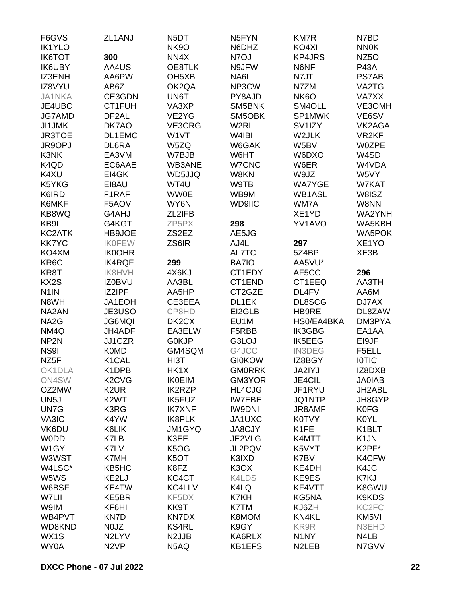| F6GVS             | ZL1ANJ                          | N <sub>5</sub> DT             | N <sub>5</sub> FYN            | <b>KM7R</b>         | N7BD              |
|-------------------|---------------------------------|-------------------------------|-------------------------------|---------------------|-------------------|
| <b>IK1YLO</b>     |                                 | <b>NK9O</b>                   | N6DHZ                         | KO4XI               | <b>NN0K</b>       |
| <b>IK6TOT</b>     | 300                             | NN4X                          | N7OJ                          | <b>KP4JRS</b>       | NZ <sub>50</sub>  |
| <b>IK6UBY</b>     | AA4US                           | OE8TLK                        | N9JFW                         | N6NF                | <b>P43A</b>       |
| IZ3ENH            | AA6PW                           | OH <sub>5</sub> XB            | NA6L                          | N7JT                | PS7AB             |
| IZ8VYU            | AB6Z                            | OK2QA                         | NP3CW                         | N7ZM                | VA2TG             |
| <b>JA1NKA</b>     | CE3GDN                          | UN6T                          | PY8AJD                        | NK <sub>6</sub> O   | VA7XX             |
| JE4UBC            | CT1FUH                          | VA3XP                         | SM5BNK                        | SM4OLL              | VE3OMH            |
| <b>JG7AMD</b>     | DF <sub>2</sub> AL              | VE2YG                         | SM5OBK                        | SP1MWK              | VE6SV             |
| <b>JI1JMK</b>     | DK7AO                           | VE3CRG                        | W <sub>2</sub> RL             | SV <sub>1</sub> IZY | VK2AGA            |
| <b>JR3TOE</b>     | DL1EMC                          | W1VT                          | W4IBI                         | W2JLK               | VR <sub>2KF</sub> |
| JR9OPJ            | DL6RA                           | W5ZQ                          | W6GAK                         | W5BV                | <b>W0ZPE</b>      |
| K3NK              | EA3VM                           | W7BJB                         | W6HT                          | W6DXO               | W4SD              |
|                   |                                 |                               |                               |                     |                   |
| K4QD              | EC6AAE                          | WB3ANE                        | W7CNC                         | W6ER                | W4VDA             |
| K4XU              | EI4GK                           | WD5JJQ                        | W8KN                          | W9JZ                | W5VY              |
| K5YKG             | EI8AU                           | WT4U                          | W9TB                          | <b>WA7YGE</b>       | W7KAT             |
| K6IRD             | F1RAF                           | <b>WW0E</b>                   | WB9M                          | <b>WB1ASL</b>       | W8ISZ             |
| K6MKF             | F5AOV                           | WY6N                          | <b>WD9IIC</b>                 | WM7A                | W8NN              |
| KB8WQ             | G4AHJ                           | ZL2IFB                        |                               | XE1YD               | WA2YNH            |
| KB9I              | G4KGT                           | ZP5PX                         | 298                           | <b>YV1AVO</b>       | WA5KBH            |
| KC2ATK            | HB9JOE                          | ZS2EZ                         | AE5JG                         |                     | <b>WA5POK</b>     |
| <b>KK7YC</b>      | <b>IKOFEW</b>                   | ZS6IR                         | AJ4L                          | 297                 | XE1YO             |
| KO4XM             | <b>IK0OHR</b>                   |                               | AL7TC                         | 5Z4BP               | XE3B              |
| KR6C              | <b>IK4RQF</b>                   | 299                           | BA7IO                         | AA5VU*              |                   |
| KR8T              | <b>IK8HVH</b>                   | 4X6KJ                         | CT1EDY                        | AF5CC               | 296               |
| KX2S              | <b>IZ0BVU</b>                   | AA3BL                         | CT1END                        | CT1EEQ              | AA3TH             |
| N <sub>1</sub> IN | IZ2IPF                          | AA5HP                         | CT2GZE                        | DL4FV               | AA6M              |
| N8WH              | JA1EOH                          | CE3EEA                        | DL1EK                         | DL8SCG              | DJ7AX             |
| NA2AN             | JE3USO                          | CP8HD                         | EI2GLB                        | HB9RE               | DL8ZAW            |
| NA <sub>2</sub> G | <b>JG6MQI</b>                   | DK <sub>2</sub> CX            | EU1M                          | HS0/EA4BKA          | DM3PYA            |
| NM4Q              | JH4ADF                          | EA3ELW                        | F5RBB                         | IK3GBG              | EA1AA             |
| NP <sub>2N</sub>  | JJ1CZR                          | G0KJP                         | G3LOJ                         | <b>IK5EEG</b>       | EI9JF             |
| NS9I              | <b>K0MD</b>                     | GM4SQM                        | G4JCC                         | <b>IN3DEG</b>       | F5ELL             |
| NZ <sub>5</sub> F | K <sub>1</sub> CAL              | HI3T                          | <b>GI0KOW</b>                 | IZ8BGY              | <b>IOTIC</b>      |
| OK1DLA            | K1DPB                           | HK1X                          | <b>GM0RRK</b>                 | JA2IYJ              | IZ8DXB            |
| ON4SW             | K <sub>2</sub> C <sub>V</sub> G | <b>IK0EIM</b>                 | GM3YOR                        | JE4CIL              | <b>JA0IAB</b>     |
| OZ2MW             | K <sub>2</sub> UR               | <b>IK2RZP</b>                 | <b>HL4CJG</b>                 | JF1RYU              | JH2ABL            |
| UN <sub>5</sub> J | K <sub>2</sub> WT               | <b>IK5FUZ</b>                 | <b>IW7EBE</b>                 | JQ1NTP              | JH8GYP            |
| UN7G              | K3RG                            | <b>IK7XNF</b>                 | <b>IW9DNI</b>                 | <b>JR8AMF</b>       | <b>K0FG</b>       |
| VA3IC             | K4YW                            | IK8PLK                        | JA1UXC                        | <b>K0TVY</b>        | K0YL              |
| VK6DU             | K6LIK                           | <b>JM1GYQ</b>                 | <b>JA8CJY</b>                 | K <sub>1</sub> FE   | K1BLT             |
| <b>WODD</b>       | K7LB                            | K3EE                          | JE2VLG                        | K4MTT               | K <sub>1</sub> JN |
| W <sub>1</sub> GY | K7LV                            | K <sub>5</sub> O <sub>G</sub> | JL2PQV                        | K5VYT               | K2PF*             |
| W3WST             | K7MH                            | K5OT                          | K3IXD                         | K7BV                | K4CFW             |
| W4LSC*            | KB5HC                           | K8FZ                          | K <sub>3</sub> O <sub>X</sub> | KE4DH               | K4JC              |
|                   |                                 |                               |                               |                     |                   |
| W5WS              | KE2LJ                           | KC4CT                         | K4LDS                         | KE9ES               | K7KJ              |
| W6BSF             | KE4TW                           | KC4LLV                        | K4LQ                          | KF4VTT              | K8GWU             |
| W7LII             | KE5BR                           | KF5DX                         | K7KH                          | KG5NA               | K9KDS             |
| W9IM              | KF6HI                           | KK9T                          | K7TM                          | KJ6ZH               | KC <sub>2FC</sub> |
| WB4PVT            | KN7D                            | <b>KN7DX</b>                  | K8MOM                         | KN4KL               | KM5VI             |
| WD8KND            | N0JZ                            | <b>KS4RL</b>                  | K9GY                          | KR9R                | N3EHD             |
| WX1S              | N2LYV                           | N <sub>2</sub> JJB            | KA6RLX                        | N <sub>1</sub> NY   | N4LB              |
| WY0A              | N <sub>2</sub> VP               | N5AQ                          | <b>KB1EFS</b>                 | N <sub>2</sub> LEB  | N7GVV             |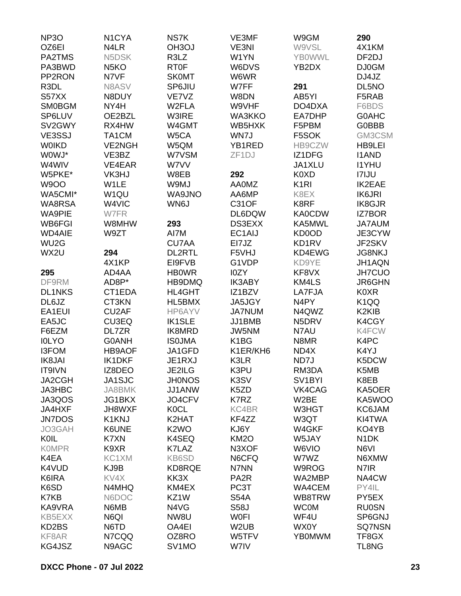| NP <sub>3</sub> O | N <sub>1</sub> CYA | NS7K               | VE3MF                 | W9GM                | 290                            |
|-------------------|--------------------|--------------------|-----------------------|---------------------|--------------------------------|
| OZ6EI             | N4LR               | OH <sub>3</sub> OJ | VE3NI                 | W9VSL               | 4X1KM                          |
| PA2TMS            | N5DSK              | R3LZ               | W1YN                  | <b>YBOWWL</b>       | DF2DJ                          |
| PA3BWD            | N <sub>5</sub> KO  | <b>RT0F</b>        | W6DVS                 | YB2DX               | <b>DJ0GM</b>                   |
| PP2RON            | N7VF               | <b>SK0MT</b>       | W6WR                  |                     | DJ4JZ                          |
| R <sub>3</sub> DL | N8ASV              | SP6JIU             | W7FF                  | 291                 | DL5NO                          |
| S57XX             | N8DUY              | VE7VZ              | W8DN                  | AB5YI               | F5RAB                          |
| <b>SM0BGM</b>     | NY4H               | W <sub>2</sub> FLA | W9VHF                 | DO4DXA              | F6BDS                          |
| SP6LUV            | OE2BZL             | W3IRE              | WA3KKO                | EA7DHP              | <b>G0AHC</b>                   |
| SV2GWY            | RX4HW              | W4GMT              | WB5HXK                | F5PBM               | G0BBB                          |
| VE3SSJ            | TA <sub>1</sub> CM | W5CA               | WN7J                  | F5SOK               | GM3CSM                         |
| <b>WOIKD</b>      | <b>VE2NGH</b>      | W5QM               | YB1RED                | HB9CZW              | HB9LEI                         |
| W0WJ*             | VE3BZ              | W7VSM              | ZF <sub>1</sub> DJ    | IZ1DFG              | <b>I1AND</b>                   |
| W4WIV             | VE4EAR             | W7VV               |                       | JA1XLU              | <b>I1YHU</b>                   |
| W5PKE*            | VK3HJ              | W8EB               | 292                   | K0XD                | <b>I7IJU</b>                   |
| <b>W9OO</b>       | W1LE               | W9MJ               | <b>AA0MZ</b>          | K <sub>1</sub> RI   | <b>IK2EAE</b>                  |
| WA5CMI*           | W <sub>1QU</sub>   | WA9JNO             | AA6MP                 | K8EX                | <b>IK6JRI</b>                  |
| WA8RSA            | W4VIC              | WN6J               | <b>C31OF</b>          | K8RF                | <b>IK8GJR</b>                  |
| <b>WA9PIE</b>     | W7FR               |                    | DL6DQW                | <b>KA0CDW</b>       | <b>IZ7BOR</b>                  |
| WB6FGI            | W8MHW              | 293                | DS3EXX                | KA5MWL              | <b>JA7AUM</b>                  |
| <b>WD4AIE</b>     | W9ZT               | AI7M               | EC1AIJ                | KD0OD               | JE3CYW                         |
| WU <sub>2</sub> G |                    | <b>CU7AA</b>       | EI7JZ                 | KD1RV               | JF2SKV                         |
| WX2U              |                    | <b>DL2RTL</b>      | F5VHJ                 | KD4EWG              | <b>JG8NKJ</b>                  |
|                   | 294<br>4X1KP       | EI9FVB             |                       |                     |                                |
|                   |                    |                    | G1VDP                 | KD9YE               | JH1AQN                         |
| 295<br>DF9RM      | AD4AA              | <b>HBOWR</b>       | I0ZY<br><b>IK3ABY</b> | KF8VX<br>KM4LS      | <b>JH7CUO</b>                  |
|                   | AD8P*              | HB9DMQ             |                       |                     | <b>JR6GHN</b>                  |
| <b>DL1NKS</b>     | CT1EDA             | HL4GHT             | IZ1BZV                | LA7FJA              | K0XR                           |
| DL6JZ             | CT3KN              | HL5BMX             | JA5JGY                | N <sub>4</sub> PY   | K <sub>1</sub> QQ              |
| EA1EUI            | CU <sub>2</sub> AF | HP6AYV             | <b>JA7NUM</b>         | N4QWZ               | K <sub>2</sub> KI <sub>B</sub> |
| EA5JC             | CU3EQ              | <b>IK1SLE</b>      | JJ1BMB                | N5DRV               | K4CGY                          |
| F6EZM             | DL7ZR              | IK8MRD             | JW5NM                 | N7AU                | K4FCW                          |
| <b>IOLYO</b>      | <b>G0ANH</b>       | <b>ISOJMA</b>      | K <sub>1</sub> BG     | N8MR                | K4PC                           |
| <b>I3FOM</b>      | <b>HB9AOF</b>      | JA1GFD             | K1ER/KH6              | ND4X                | K4YJ                           |
| <b>IK8JAI</b>     | <b>IK1DKF</b>      | JE1RXJ             | K3LR                  | ND7J                | K5DCW                          |
| IT9IVN            | IZ8DEO             | JE2ILG             | K3PU                  | RM3DA               | K5MB                           |
| <b>JA2CGH</b>     | JA1SJC             | <b>JH0NOS</b>      | K3SV                  | SV <sub>1</sub> BYI | K8EB                           |
| JA3HBC            | JA8BMK             | JJ1ANW             | K5ZD                  | VK4CAG              | KA5OER                         |
| JA3QOS            | JG1BKX             | JO4CFV             | K7RZ                  | W2BE                | KA5WOO                         |
| JA4HXF            | JH8WXF             | <b>K0CL</b>        | KC4BR                 | W3HGT               | KC6JAM                         |
| <b>JN7DOS</b>     | <b>K1KNJ</b>       | K2HAT              | KF4ZZ                 | W3QT                | KI4TWA                         |
| JO3GAH            | K6UNE              | K <sub>2</sub> WO  | KJ6Y                  | W4GKF               | KO4YB                          |
| <b>K0IL</b>       | K7XN               | K4SEQ              | KM <sub>2</sub> O     | W5JAY               | N <sub>1</sub> DK              |
| <b>KOMPR</b>      | K9XR               | K7LAZ              | N3XOF                 | W6VIO               | N6VI                           |
| K4EA              | KC1XM              | KB6SD              | N6CFQ                 | W7WZ                | N6XMW                          |
| K4VUD             | KJ9B               | KD8RQE             | N7NN                  | W9ROG               | N7IR                           |
| K6IRA             | KV4X               | KK3X               | PA <sub>2</sub> R     | WA2MBP              | NA4CW                          |
| K6SD              | N4MHQ              | KM4EX              | PC3T                  | WA4CEM              | PY4IL                          |
| K7KB              | N6DOC              | KZ1W               | <b>S54A</b>           | WB8TRW              | PY5EX                          |
| KA9VRA            | N6MB               | N4VG               | <b>S58J</b>           | <b>WC0M</b>         | <b>RU0SN</b>                   |
| KB5EXX            | N6QI               | NW8U               | <b>WOFI</b>           | WF4U                | SP6GNJ                         |
| KD2BS             | N6TD               | OA4EI              | W <sub>2</sub> UB     | WX0Y                | <b>SQ7NSN</b>                  |
| KF8AR             | N7CQQ              | OZ8RO              | W5TFV                 | <b>YB0MWM</b>       | TF8GX                          |
| KG4JSZ            | N9AGC              | SV <sub>1</sub> MO | W7IV                  |                     | TL8NG                          |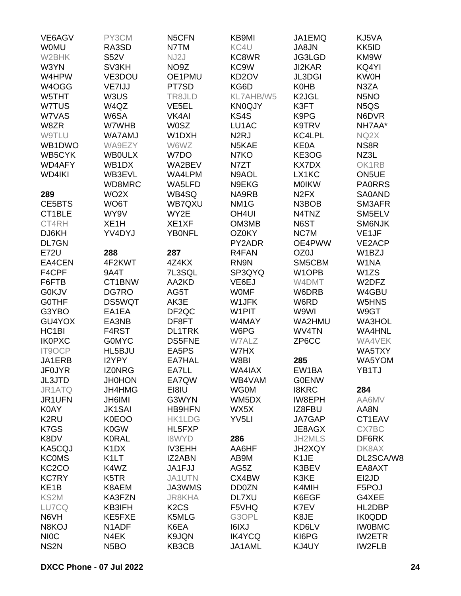| VE6AGV             | PY3CM                         | N5CFN                         | KB9MI              | JA1EMQ                        | KJ5VA                         |
|--------------------|-------------------------------|-------------------------------|--------------------|-------------------------------|-------------------------------|
| <b>WOMU</b>        | RA3SD                         | N7TM                          | KC4U               | JA8JN                         | KK5ID                         |
| W2BHK              | <b>S52V</b>                   | NJ2J                          | KC8WR              | JG3LGD                        | KM9W                          |
| W3YN               | SV3KH                         | NO <sub>9</sub> Z             | KC9W               | JI2KAR                        | KQ4YI                         |
| W4HPW              | VE3DOU                        | OE1PMU                        | KD <sub>2</sub> OV | <b>JL3DGI</b>                 | <b>KW0H</b>                   |
| W4OGG              |                               | PT7SD                         | KG6D               |                               | N3ZA                          |
|                    | VE7IJJ                        |                               |                    | <b>K0HB</b>                   |                               |
| W5THT              | W3US                          | TR8JLD                        | KL7AHB/W5          | K <sub>2</sub> JGL            | N <sub>5</sub> NO             |
| W7TUS              | W4QZ                          | VE5EL                         | <b>KN0QJY</b>      | K3FT                          | N <sub>5</sub> Q <sub>S</sub> |
| W7VAS              | W6SA                          | VK4AI                         | KS4S               | K9PG                          | N6DVR                         |
| W8ZR               | W7WHB                         | <b>W0SZ</b>                   | LU1AC              | K9TRV                         | NH7AA*                        |
| <b>W9TLU</b>       | <b>WA7AMJ</b>                 | W1DXH                         | N <sub>2</sub> RJ  | KC4LPL                        | NQ2X                          |
| WB1DWO             | WA9EZY                        | W6WZ                          | N5KAE              | <b>KE0A</b>                   | NS <sub>8</sub> R             |
| WB5CYK             | <b>WB0ULX</b>                 | W7DO                          | N7KO               | KE3OG                         | NZ3L                          |
| WD4AFY             | WB1DX                         | WA2BEV                        | N7ZT               | KX7DX                         | OK1RB                         |
| WD4IKI             | WB3EVL                        | WA4LPM                        | N9AOL              | LX1KC                         | ON5UE                         |
|                    | WD8MRC                        | WA5LFD                        | N9EKG              | <b>MOIKW</b>                  | <b>PA0RRS</b>                 |
| 289                | WO <sub>2</sub> X             | WB4SQ                         | NA9RB              | N <sub>2</sub> F <sub>X</sub> | <b>SA0AND</b>                 |
| CE5BTS             | WO6T                          | WB7QXU                        | NM <sub>1</sub> G  | N3BOB                         | SM3AFR                        |
| CT1BLE             | WY9V                          | WY2E                          | OH4UI              | N4TNZ                         | SM5ELV                        |
| CT4RH              | XE <sub>1</sub> H             | XE1XF                         | OM3MB              | N6ST                          | <b>SM6NJK</b>                 |
| DJ6KH              | YV4DYJ                        | <b>YBONFL</b>                 | <b>OZ0KY</b>       | NC7M                          | VE <sub>1</sub> JF            |
| <b>DL7GN</b>       |                               |                               | PY2ADR             | OE4PWW                        | VE2ACP                        |
| <b>E72U</b>        | 288                           | 287                           | R4FAN              | OZ0J                          | W1BZJ                         |
| EA4CEN             | 4F2KWT                        | 4Z4KX                         | RN9N               | SM5CBM                        | W1NA                          |
| F4CPF              | 9A4T                          | 7L3SQL                        | SP3QYQ             | W1OPB                         | W1ZS                          |
|                    |                               |                               |                    |                               |                               |
| F6FTB              | CT1BNW                        | AA2KD                         | VE6EJ              | W4DMT                         | W2DFZ                         |
| <b>G0KJV</b>       | DG7RO                         | AG5T                          | <b>WOMF</b>        | W6DRB                         | W4GBU                         |
| <b>GOTHF</b>       | <b>DS5WQT</b>                 | AK3E                          | W1JFK              | W6RD                          | W5HNS                         |
| G3YBO              | EA1EA                         | DF <sub>2QC</sub>             | W1PIT              | W9WI                          | W9GT                          |
| GU4YOX             | EA3NB                         | DF8FT                         | W4MAY              | WA2HMU                        | <b>WA3HOL</b>                 |
| HC <sub>1</sub> BI | F4RST                         | <b>DL1TRK</b>                 | W6PG               | WV4TN                         | <b>WA4HNL</b>                 |
| <b>IK0PXC</b>      | <b>GOMYC</b>                  | <b>DS5FNE</b>                 | W7ALZ              | ZP6CC                         | WA4VEK                        |
| <b>IT9OCP</b>      | HL5BJU                        | EA5PS                         | W7HX               |                               | WA5TXY                        |
| JA1ERB             | <b>I2YPY</b>                  | EA7HAL                        | W8BI               | 285                           | WA5YOM                        |
| <b>JF0JYR</b>      | <b>IZONRG</b>                 | EA7LL                         | WA4IAX             | EW1BA                         | YB1TJ                         |
| JL3JTD             | <b>JH0HON</b>                 | EA7QW                         | WB4VAM             | <b>G0ENW</b>                  |                               |
| JR1ATQ             | JH4HMG                        | EI8IU                         | <b>WG0M</b>        | <b>I8KRC</b>                  | 284                           |
| JR1UFN             | <b>JH6IMI</b>                 | G3WYN                         | WM5DX              | IW8EPH                        | AA6MV                         |
| <b>K0AY</b>        | <b>JK1SAI</b>                 | <b>HB9HFN</b>                 | WX5X               | IZ8FBU                        | AA8N                          |
| K <sub>2</sub> RU  | <b>K0EOO</b>                  | <b>HK1LDG</b>                 | YV <sub>5LI</sub>  | JA7GAP                        | CT1EAV                        |
| K7GS               | <b>K0GW</b>                   | HL5FXP                        |                    | JE8AGX                        | CX7BC                         |
| K8DV               | <b>K0RAL</b>                  | <b>I8WYD</b>                  | 286                | JH2MLS                        | DF6RK                         |
| KA5CQJ             | K <sub>1</sub> D <sub>X</sub> | <b>IV3EHH</b>                 | AA6HF              | JH2XQY                        | DK8AX                         |
| <b>KCOMS</b>       | K <sub>1</sub> LT             | <b>IZ2ABN</b>                 | AB9M               | K <sub>1</sub> JE             | DL2SCA/W8                     |
| KC <sub>2</sub> CO | K4WZ                          | JA1FJJ                        | AG5Z               | K3BEV                         | EA8AXT                        |
| <b>KC7RY</b>       | K <sub>5</sub> TR             | JA1UTN                        | CX4BW              | K3KE                          | EI2JD                         |
| KE <sub>1</sub> B  | K8AEM                         | JA3WMS                        | <b>DD0ZN</b>       | K4MIH                         | F5POJ                         |
| KS2M               | KA3FZN                        | <b>JR8KHA</b>                 | DL7XU              | K6EGF                         | G4XEE                         |
|                    |                               |                               |                    |                               |                               |
| LU7CQ              | KB3IFH                        | K <sub>2</sub> C <sub>S</sub> | F5VHQ              | K7EV                          | HL2DBP                        |
| N6VH               | KE5FXE                        | K5MLG                         | G3OPL              | K8JE                          | IK0QDD                        |
| N8KOJ              | N <sub>1</sub> ADF            | K6EA                          | I6IXJ              | KD6LV                         | <b>IW0BMC</b>                 |
| <b>NIOC</b>        | N4EK                          | K9JQN                         | <b>IK4YCQ</b>      | KI6PG                         | <b>IW2ETR</b>                 |
| NS <sub>2N</sub>   | N <sub>5</sub> BO             | KB3CB                         | JA1AML             | KJ4UY                         | <b>IW2FLB</b>                 |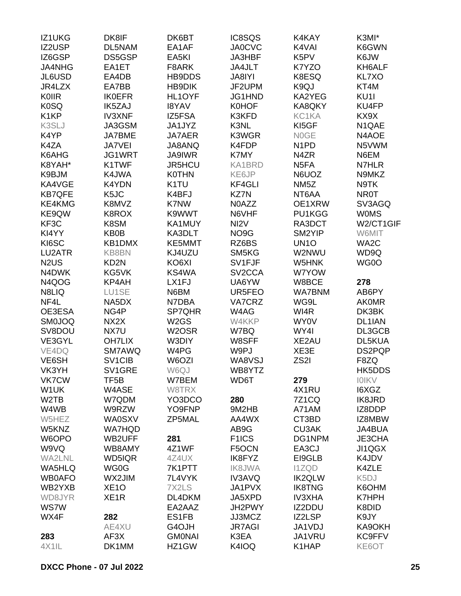| IZ1UKG                        | DK8IF               | DK6BT              | IC8SQS              | K4KAY                         | K3MI*             |
|-------------------------------|---------------------|--------------------|---------------------|-------------------------------|-------------------|
| IZ2USP                        | DL5NAM              | EA1AF              | <b>JA0CVC</b>       | K4VAI                         | K6GWN             |
| IZ6GSP                        | DS5GSP              | EA5KI              | JA3HBF              | K5PV                          | K6JW              |
| <b>JA4NHG</b>                 | EA1ET               | F8ARK              | JA4JLT              | K7YZO                         | KH6ALF            |
| JL6USD                        | EA4DB               | HB9DDS             | JA8IYI              | K8ESQ                         | KL7XO             |
| JR4LZX                        | EA7BB               | <b>HB9DIK</b>      | JF2UPM              | K9QJ                          | KT4M              |
| <b>K0IIR</b>                  | <b>IK0EFR</b>       | HL1OYF             | JG1HND              | KA2YEG                        | KU <sub>11</sub>  |
| <b>K0SQ</b>                   | <b>IK5ZAJ</b>       | <b>I8YAV</b>       | <b>K0HOF</b>        | KA8QKY                        | KU4FP             |
| K <sub>1</sub> KP             | <b>IV3XNF</b>       | IZ5FSA             | K3KFD               | KC1KA                         | KX9X              |
| K3SLJ                         | JA3GSM              | JA1JYZ             | K3NL                | KI5GF                         | N1QAE             |
|                               |                     |                    | K3WGR               |                               |                   |
| K4YP                          | JA7BME              | <b>JA7AER</b>      |                     | <b>NOGE</b>                   | N4AOE             |
| K4ZA                          | <b>JA7VEI</b>       | JA8ANQ             | K4FDP               | N <sub>1</sub> P <sub>D</sub> | N5VWM             |
| K6AHG                         | JG1WRT              | <b>JA9IWR</b>      | K7MY                | N4ZR                          | N6EM              |
| K8YAH*                        | K1TWF               | JR5HCU             | KA1BRD              | N <sub>5F</sub> A             | N7HLR             |
| K9BJM                         | K4JWA               | <b>K0THN</b>       | KE6JP               | N6UOZ                         | N9MKZ             |
| KA4VGE                        | <b>K4YDN</b>        | K <sub>1</sub> TU  | <b>KF4GLI</b>       | NM <sub>5</sub> Z             | N9TK              |
| <b>KB7QFE</b>                 | K <sub>5</sub> JC   | K4BFJ              | KZ7N                | NT6AA                         | <b>NR0T</b>       |
| KE4KMG                        | K8MVZ               | K7NW               | N0AZZ               | OE1XRW                        | SV3AGQ            |
| KE9QW                         | K8ROX               | K9WWT              | N6VHF               | PU1KGG                        | <b>WOMS</b>       |
| KF3C                          | K8SM                | KA1MUY             | NI <sub>2</sub> V   | RA3DCT                        | W2/CT1GIF         |
| KI4YY                         | KB0B                | KA3DLT             | NO <sub>9</sub> G   | SM2YIP                        | W6MIT             |
| KI6SC                         | KB1DMX              | KE5MMT             | RZ6BS               | <b>UN10</b>                   | WA <sub>2</sub> C |
| LU2ATR                        | KB8BN               | KJ4UZU             | SM5KG               | W2NWU                         | WD9Q              |
| N <sub>2</sub> U <sub>S</sub> | KD <sub>2N</sub>    | KO6XI              | SV1FJF              | W5HNK                         | WG0O              |
| N4DWK                         | KG5VK               | KS4WA              | SV <sub>2</sub> CCA | W7YOW                         |                   |
| N4QOG                         | KP4AH               | LX1FJ              | UA6YW               | W8BCE                         | 278               |
| N8LIQ                         | LU1SE               | N6BM               | UR5FEO              | <b>WA7BNM</b>                 | AB6PY             |
| NF4L                          | NA5DX               | N7DBA              | VA7CRZ              | WG9L                          | <b>AKOMR</b>      |
| OE3ESA                        | NG4P                | SP7QHR             | W4AG                | WI4R                          | DK3BK             |
| <b>SM0JOQ</b>                 | NX2X                | W <sub>2</sub> GS  | W4KKP               | <b>WY0V</b>                   | DL1IAN            |
| SV8DOU                        | NX7U                | W <sub>2</sub> OSR | W7BQ                | WY4I                          | DL3GCB            |
| VE3GYL                        | <b>OH7LIX</b>       | W3DIY              | W8SFF               | XE2AU                         | DL5KUA            |
| VE4DQ                         | SM7AWQ              | W4PG               | W9PJ                | XE3E                          | DS2PQP            |
| VE6SH                         | SV <sub>1</sub> CIB | W6OZI              | WA8VSJ              | ZS2I                          | F8ZQ              |
| VK3YH                         | SV1GRE              | W6QJ               | WB8YTZ              |                               | <b>HK5DDS</b>     |
| <b>VK7CW</b>                  | TF5B                | W7BEM              | WD6T                | 279                           | <b>IOIKV</b>      |
| W1UK                          | W4ASE               | W8TRX              |                     | 4X1RU                         | I6XGZ             |
| W <sub>2</sub> TB             | W7QDM               | YO3DCO             | 280                 | 7Z1CQ                         | <b>IK8JRD</b>     |
| W4WB                          | W9RZW               | YO9FNP             | 9M2HB               | A71AM                         | IZ8DDP            |
|                               |                     | ZP5MAL             |                     |                               |                   |
| W5HEZ                         | <b>WA0SXV</b>       |                    | AA4WX               | CT3BD                         | IZ8MBW            |
| W5KNZ                         | <b>WA7HQD</b>       |                    | AB9G                | CU3AK                         | JA4BUA            |
| W6OPO                         | WB2UFF              | 281                | F <sub>1</sub> ICS  | DG1NPM                        | JE3CHA            |
| W9VQ                          | WB8AMY              | 4Z1WF              | F5OCN               | EA3CJ                         | JI1QGX            |
| <b>WA2LNL</b>                 | WD5IQR              | 4Z4UX              | IK8FYZ              | EI9GLB                        | K4JDV             |
| WA5HLQ                        | WG0G                | 7K1PTT             | <b>IK8JWA</b>       | <b>I1ZQD</b>                  | K4ZLE             |
| <b>WB0AFO</b>                 | WX2JIM              | 7L4VYK             | <b>IV3AVQ</b>       | <b>IK2QLW</b>                 | K5DJ              |
| WB2YXB                        | XE <sub>1</sub> O   | 7X2LS              | JA1PVX              | <b>IK8TNG</b>                 | K6OHM             |
| WD8JYR                        | XE <sub>1</sub> R   | DL4DKM             | JA5XPD              | <b>IV3XHA</b>                 | <b>K7HPH</b>      |
| <b>WS7W</b>                   |                     | EA2AAZ             | JH2PWY              | IZ2DDU                        | K8DID             |
| WX4F                          | 282                 | ES1FB              | JJ3MCZ              | IZ2LSP                        | K9JY              |
|                               | AE4XU               | G4OJH              | <b>JR7AGI</b>       | JA1VDJ                        | KA9OKH            |
| 283                           | AF3X                | <b>GMONAI</b>      | K3EA                | JA1VRU                        | KC9FFV            |
| 4X1IL                         | DK1MM               | HZ1GW              | K4IOQ               | K1HAP                         | KE6OT             |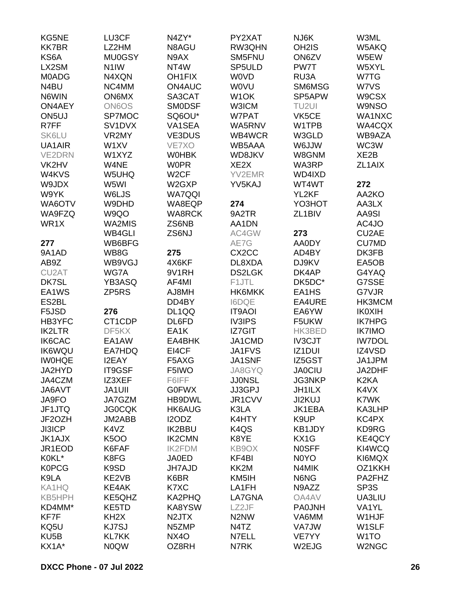| KG5NE              | LU3CF             | N4ZY*               | PY2XAT                        | NJ6K                | W3ML               |
|--------------------|-------------------|---------------------|-------------------------------|---------------------|--------------------|
| <b>KK7BR</b>       | LZ2HM             | N8AGU               | RW3QHN                        | OH <sub>2</sub> IS  | W5AKQ              |
| KS6A               | <b>MU0GSY</b>     | N9AX                | SM5FNU                        | ON6ZV               | W5EW               |
| LX2SM              | N <sub>1</sub> IW | NT4W                | SP <sub>5</sub> ULD           | PW7T                | W5XYL              |
| <b>M0ADG</b>       | N4XQN             | OH <sub>1</sub> FIX | <b>WOVD</b>                   | RU3A                | W7TG               |
| N4BU               | NC4MM             | ON4AUC              | <b>WOVU</b>                   | <b>SM6MSG</b>       | W7VS               |
| N6WIN              | <b>ON6MX</b>      | SA3CAT              | W <sub>1</sub> OK             | SP5APW              | W9CSX              |
| <b>ON4AEY</b>      | <b>ON6OS</b>      | <b>SMODSF</b>       | W3ICM                         | TU2UI               | <b>W9NSO</b>       |
| ON <sub>5U</sub>   | SP7MOC            | SQ6OU*              | W7PAT                         | VK5CE               | WA1NXC             |
| R7FF               | SV1DVX            | VA1SEA              | WA5RNV                        | W1TPB               | WA4CQX             |
| SK6LU              | VR2MY             | VE3DUS              | WB4WCR                        | W3GLD               | WB9AZA             |
| UA1AIR             | W1XV              | VE7XO               | WB5AAA                        | W6JJW               | WC3W               |
|                    |                   |                     |                               |                     |                    |
| <b>VE2DRN</b>      | W1XYZ             | <b>WOHBK</b>        | WD8JKV                        | W8GNM               | XE <sub>2</sub> B  |
| VK2HV              | W4NE              | <b>W0PR</b>         | XE <sub>2</sub> X             | WA3RP               | ZL1AIX             |
| W4KVS              | W5UHQ             | W <sub>2</sub> CF   | YV2EMR                        | WD4IXD              |                    |
| W9JDX              | W5WI              | W2GXP               | YV5KAJ                        | WT4WT               | 272                |
| W9YK               | W6LJS             | <b>WA7QQI</b>       |                               | YL2KF               | AA2KO              |
| WA6OTV             | W9DHD             | WA8EQP              | 274                           | YO3HOT              | AA3LX              |
| WA9FZQ             | W9QO              | <b>WA8RCK</b>       | 9A2TR                         | ZL <sub>1</sub> BIV | AA9SI              |
| WR1X               | WA2MIS            | ZS6NB               | AA1DN                         |                     | AC4JO              |
|                    | <b>WB4GLI</b>     | ZS6NJ               | AC4GW                         | 273                 | CU <sub>2</sub> AE |
| 277                | WB6BFG            |                     | AE7G                          | AA0DY               | <b>CU7MD</b>       |
| 9A1AD              | WB8G              | 275                 | CX <sub>2</sub> CC            | AD4BY               | DK3FB              |
| AB9Z               | WB9VGJ            | 4X6KF               | DL8XDA                        | DJ9KV               | EA5OB              |
| CU <sub>2</sub> AT | WG7A              | 9V1RH               | <b>DS2LGK</b>                 | DK4AP               | G4YAQ              |
| DK7SL              | YB3ASQ            | AF4MI               | F1JTL                         | DK5DC*              | G7SSE              |
| EA1WS              | ZP5RS             | AJ8MH               | <b>HK6MKK</b>                 | EA1HS               | G7VJR              |
| ES2BL              |                   | DD4BY               | <b>I6DQE</b>                  | EA4URE              | <b>HK3MCM</b>      |
| F5JSD              | 276               | DL1QQ               | <b>IT9AOI</b>                 | EA6YW               | <b>IK0XIH</b>      |
| HB3YFC             | CT1CDP            | DL6FD               | <b>IV3IPS</b>                 | F5UKW               | <b>IK7HPG</b>      |
| <b>IK2LTR</b>      | DF5KX             | EA1K                | IZ7GIT                        | HK3BED              | <b>IK7IMO</b>      |
| <b>IK6CAC</b>      | EA1AW             | EA4BHK              | JA1CMD                        | <b>IV3CJT</b>       | <b>IW7DOL</b>      |
| <b>IK6WQU</b>      | EA7HDQ            | EI4CF               | JA1FVS                        | <b>IZ1DUI</b>       | IZ4VSD             |
| <b>IWOHQE</b>      | <b>I2EAY</b>      | F5AXG               | JA1SNF                        | IZ5GST              | JA1JPM             |
| JA2HYD             | IT9GSF            | F5IWO               | JA8GYQ                        | <b>JA0CIU</b>       | JA2DHF             |
| JA4CZM             | IZ3XEF            | F6IFF               | <b>JJ0NSL</b>                 | JG3NKP              | K <sub>2</sub> KA  |
| JA6AVT             | JA1UII            | <b>G0FWX</b>        | JJ3GPJ                        |                     | K4VX               |
|                    |                   |                     |                               | <b>JH1ILX</b>       |                    |
| JA9FO              | JA7GZM            | HB9DWL              | JR1CVV                        | JI2KUJ              | K7WK               |
| JF1JTQ             | <b>JG0CQK</b>     | HK6AUG              | K3LA                          | JK1EBA              | KA3LHP             |
| JF2OZH             | JM2ABB            | I2ODZ               | K4HTY                         | K9UP                | KC4PX              |
| <b>JI3ICP</b>      | K4VZ              | <b>IK2BBU</b>       | K <sub>4</sub> Q <sub>S</sub> | <b>KB1JDY</b>       | KD9RG              |
| JK1AJX             | <b>K5OO</b>       | <b>IK2CMN</b>       | K8YE                          | KX1G                | KE4QCY             |
| JR1EOD             | K6FAF             | <b>IK2FDM</b>       | KB9OX                         | <b>NOSFF</b>        | KI4WCQ             |
| K0KL*              | K8FG              | <b>JA0ED</b>        | KF4BI                         | N0YO                | KI6MQX             |
| <b>K0PCG</b>       | K9SD              | <b>JH7AJD</b>       | KK2M                          | N4MIK               | OZ1KKH             |
| K9LA               | KE2VB             | K6BR                | KM5IH                         | N6NG                | PA2FHZ             |
| KA1HQ              | KE4AK             | K7XC                | LA1FH                         | N9AZZ               | SP <sub>3</sub> S  |
| <b>KB5HPH</b>      | KE5QHZ            | KA2PHQ              | LA7GNA                        | OA4AV               | UA3LIU             |
| KD4MM*             | KE5TD             | KA8YSW              | LZ2JF                         | <b>PA0JNH</b>       | VA1YL              |
| KF7F               | KH <sub>2</sub> X | N <sub>2</sub> JTX  | N <sub>2</sub> N <sub>W</sub> | VA6MM               | W1HJF              |
| KQ5U               | <b>KJ7SJ</b>      | N5ZMP               | N4TZ                          | <b>VA7JW</b>        | W1SLF              |
| KU <sub>5</sub> B  | <b>KL7KK</b>      | <b>NX4O</b>         | N7ELL                         | VE7YY               | W <sub>1</sub> TO  |
| KX1A*              | N0QW              | OZ8RH               | N7RK                          | W2EJG               | W2NGC              |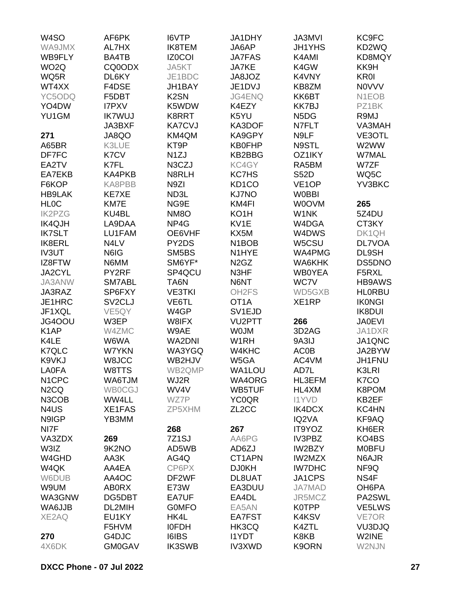| W <sub>4</sub> SO             | AF6PK               | <b>I6VTP</b>      | JA1DHY                         | <b>JA3MVI</b>                 | KC9FC         |
|-------------------------------|---------------------|-------------------|--------------------------------|-------------------------------|---------------|
| WA9JMX                        | AL7HX               | IK8TEM            | JA6AP                          | <b>JH1YHS</b>                 | KD2WQ         |
| WB9FLY                        | BA4TB               | <b>IZ0COI</b>     | <b>JA7FAS</b>                  | K4AMI                         | KD8MQY        |
| WO <sub>2</sub> Q             | CQ0ODX              | JA5KT             | JA7KE                          | K4GW                          | KK9H          |
| WQ5R                          | DL6KY               | JE1BDC            | JA8JOZ                         | K4VNY                         | <b>KR0I</b>   |
| WT4XX                         | F4DSE               | JH1BAY            | JE1DVJ                         | KB8ZM                         | <b>NOVVV</b>  |
|                               |                     | K <sub>2</sub> SN |                                |                               |               |
| YC5ODQ                        | F5DBT               |                   | JG4ENQ                         | KK6BT                         | N1EOB         |
| YO4DW                         | <b>I7PXV</b>        | K5WDW             | K4EZY                          | <b>KK7BJ</b>                  | PZ1BK         |
| YU1GM                         | <b>IK7WUJ</b>       | K8RRT             | K5YU                           | N <sub>5</sub> D <sub>G</sub> | R9MJ          |
|                               | JA3BXF              | <b>KA7CVJ</b>     | KA3DOF                         | N7FLT                         | VA3MAH        |
| 271                           | JA8QO               | KM4QM             | KA9GPY                         | N9LF                          | VE3OTL        |
| A65BR                         | K3LUE               | KT9P              | <b>KB0FHP</b>                  | N9STL                         | W2WW          |
| DF7FC                         | K7CV                | N <sub>1</sub> ZJ | KB2BBG                         | OZ1IKY                        | <b>W7MAL</b>  |
| EA2TV                         | K7FL                | N3CZJ             | KC4GY                          | RA5BM                         | W7ZF          |
| EA7EKB                        | KA4PKB              | N8RLH             | <b>KC7HS</b>                   | <b>S52D</b>                   | WQ5C          |
| F6KOP                         | KA8PBB              | N9ZI              | KD <sub>1</sub> CO             | VE <sub>1</sub> OP            | YV3BKC        |
| <b>HB9LAK</b>                 | KE7XE               | ND3L              | <b>KJ7NO</b>                   | <b>W0BBI</b>                  |               |
| <b>HLOC</b>                   | KM7E                | NG9E              | KM4FI                          | <b>WOOVM</b>                  | 265           |
| <b>IK2PZG</b>                 | KU4BL               | NM8O              | KO <sub>1</sub> H              | W1NK                          | 5Z4DU         |
| <b>IK4QJH</b>                 | LA9DAA              | NP4G              | KV1E                           | W4DGA                         | CT3KY         |
| <b>IK7SLT</b>                 | LU1FAM              | OE6VHF            | KX5M                           | W4DWS                         | DK1QH         |
| IK8ERL                        | N4LV                | PY2DS             | N <sub>1</sub> BO <sub>B</sub> | W5CSU                         | DL7VOA        |
| <b>IV3UT</b>                  | N6IG                | SM5BS             | N1HYE                          | WA4PMG                        | DL9SH         |
| IZ8FTW                        | N6MM                | SM6YF*            | N <sub>2</sub> G <sub>Z</sub>  | WA6KHK                        | DS5DNO        |
| JA2CYL                        | PY2RF               | SP4QCU            | N3HF                           | <b>WB0YEA</b>                 | F5RXL         |
|                               | SM7ABL              |                   | N6NT                           | WC7V                          | <b>HB9AWS</b> |
| JA3ANW                        |                     | TA6N              |                                |                               |               |
| JA3RAZ                        | SP6FXY              | <b>VE3TKI</b>     | OH <sub>2</sub> FS             | WD5GXB                        | <b>HLORBU</b> |
| JE1HRC                        | SV <sub>2</sub> CLJ | VE6TL             | OT <sub>1</sub> A              | XE1RP                         | <b>IKONGI</b> |
| JF1XQL                        | VE5QY               | W4GP              | SV <sub>1EJD</sub>             |                               | <b>IK8DUI</b> |
| JG4OOU                        | W3EP                | W8IFX             | VU2PTT                         | 266                           | <b>JA0EVI</b> |
| K <sub>1</sub> AP             | W4ZMC               | W9AE              | <b>WOJM</b>                    | 3D <sub>2</sub> AG            | JA1DXR        |
| K4LE                          | W6WA                | <b>WA2DNI</b>     | W <sub>1</sub> RH              | 9A3IJ                         | JA1QNC        |
| K7QLC                         | <b>W7YKN</b>        | WA3YGQ            | W4KHC                          | <b>AC0B</b>                   | JA2BYW        |
| K9VKJ                         | W8JCC               | WB2HJV            | W5GA                           | AC4VM                         | JH1FNU        |
| <b>LA0FA</b>                  | W8TTS               | WB2QMP            | WA1LOU                         | AD7L                          | K3LRI         |
| N <sub>1</sub> CPC            | <b>WA6TJM</b>       | WJ2R              | WA4ORG                         | HL3EFM                        | K7CO          |
| N <sub>2</sub> CQ             | <b>WB0CGJ</b>       | WV4V              | WB5TUF                         | HL4XM                         | K8POM         |
| N3COB                         | WW4LL               | WZ7P              | <b>YC0QR</b>                   | <b>I1YVD</b>                  | KB2EF         |
| N <sub>4</sub> U <sub>S</sub> | <b>XE1FAS</b>       | ZP5XHM            | ZL <sub>2</sub> CC             | IK4DCX                        | KC4HN         |
| N9IGP                         | YB3MM               |                   |                                | IQ2VA                         | KF9AQ         |
| NI7F                          |                     | 268               | 267                            | IT9YOZ                        | KH6ER         |
| VA3ZDX                        | 269                 | 7Z1SJ             | AA6PG                          | IV3PBZ                        | KO4BS         |
| W3IZ                          | 9K2NO               | AD5WB             | AD6ZJ                          | IW2BZY                        | <b>MOBFU</b>  |
| W4GHD                         | AA3K                | AG4Q              | CT1APN                         | <b>IW2MZX</b>                 | N6AJR         |
| W4QK                          | AA4EA               | CP6PX             | <b>DJ0KH</b>                   | <b>IW7DHC</b>                 | NF9Q          |
| W6DUB                         | AA4OC               | DF2WF             | DL8UAT                         | JA1CPS                        | NS4F          |
| W9UM                          | <b>AB0RX</b>        | E73W              | EA3DUU                         | <b>JA7MAD</b>                 | OH6PA         |
| WA3GNW                        | DG5DBT              | EA7UF             | EA4DL                          | JR5MCZ                        | PA2SWL        |
| WA6JJB                        | DL2MIH              | <b>GOMFO</b>      | EA5AN                          | K0TPP                         | VE5LWS        |
|                               |                     |                   |                                |                               |               |
| XE2AQ                         | EU1KY               | HK4L              | EA7FST                         | <b>K4KSV</b>                  | VE7OR         |
|                               | F5HVM               | <b>IOFDH</b>      | HK3CQ                          | K4ZTL                         | VU3DJQ        |
| 270                           | G4DJC               | <b>I6IBS</b>      | <b>I1YDT</b>                   | K8KB                          | W2INE         |
| 4X6DK                         | <b>GM0GAV</b>       | <b>IK3SWB</b>     | <b>IV3XWD</b>                  | K9ORN                         | W2NJN         |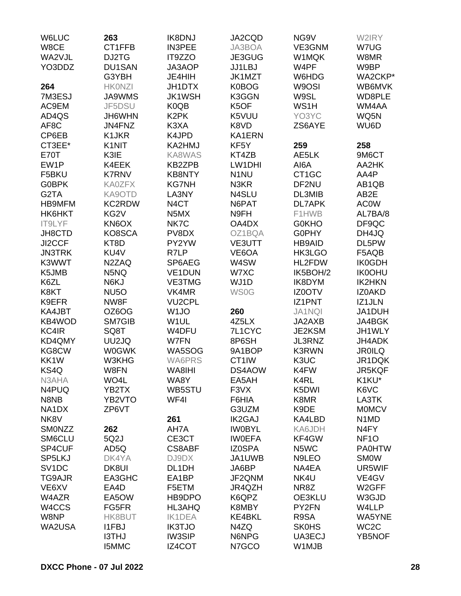| <b>W6LUC</b>       | 263                             | <b>IK8DNJ</b>                 | JA2CQD            | NG <sub>9V</sub>   | W2IRY                         |
|--------------------|---------------------------------|-------------------------------|-------------------|--------------------|-------------------------------|
| W8CE               | CT1FFB                          | <b>IN3PEE</b>                 | JA3BOA            | VE3GNM             | W7UG                          |
| WA2VJL             | DJ2TG                           | IT9ZZO                        | JE3GUG            | W1MQK              | W8MR                          |
| YO3DDZ             | <b>DU1SAN</b>                   | JA3AOP                        | JJ1LBJ            | W4PF               | W9BP                          |
|                    | G3YBH                           | JE4HIH                        | <b>JK1MZT</b>     | W6HDG              | WA2CKP*                       |
| 264                | <b>HKONZI</b>                   | JH1DTX                        | K0BOG             | W9OSI              | WB6MVK                        |
| 7M3ESJ             | <b>JA9WMS</b>                   | <b>JK1WSH</b>                 | K3GGN             | W9SL               | WD8PLE                        |
| AC9EM              | JF5DSU                          | K0QB                          | K5OF              | WS1H               | WM4AA                         |
| AD4QS              | JH6WHN                          | K <sub>2</sub> PK             | K5VUU             | YO3YC              | WQ5N                          |
| AF8C               | JN4FNZ                          | K3XA                          | K8VD              | ZS6AYE             | WU6D                          |
| CP6EB              | K1JKR                           | K4JPD                         | KA1ERN            |                    |                               |
| CT3EE*             | K <sub>1</sub> N <sub>I</sub> T | KA2HMJ                        | KF5Y              | 259                | 258                           |
| <b>E70T</b>        | K3IE                            | KA8WAS                        | KT4ZB             | AE5LK              | 9M6CT                         |
|                    |                                 |                               |                   |                    |                               |
| EW1P               | K4EEK                           | <b>KB2ZPB</b>                 | LW1DHI            | AI6A               | AA2HK                         |
| F5BKU              | <b>K7RNV</b>                    | <b>KB8NTY</b>                 | N <sub>1</sub> NU | CT <sub>1</sub> GC | AA4P                          |
| <b>G0BPK</b>       | <b>KA0ZFX</b>                   | <b>KG7NH</b>                  | N3KR              | DF2NU              | AB1QB                         |
| G <sub>2</sub> TA  | KA9OTD                          | LA3NY                         | N4SLU             | DL3MIB             | AB <sub>2</sub> E             |
| <b>HB9MFM</b>      | <b>KC2RDW</b>                   | N <sub>4</sub> CT             | N6PAT             | <b>DL7APK</b>      | <b>AC0W</b>                   |
| HK6HKT             | KG <sub>2V</sub>                | N <sub>5</sub> M <sub>X</sub> | N9FH              | F1HWB              | AL7BA/8                       |
| IT9LYF             | KN6OX                           | NK7C                          | OA4DX             | <b>G0KHO</b>       | DF9QC                         |
| JH8CTD             | KO8SCA                          | PV8DX                         | OZ1BQA            | <b>G0PHY</b>       | DH4JQ                         |
| JI2CCF             | KT8D                            | PY2YW                         | VE3UTT            | <b>HB9AID</b>      | DL5PW                         |
| <b>JN3TRK</b>      | KU4V                            | R7LP                          | VE6OA             | HK3LGO             | F5AQB                         |
| K3WWT              | N <sub>2</sub> ZAQ              | SP6AEG                        | W4SW              | HL2FDW             | <b>IK0GDH</b>                 |
| K5JMB              | N5NQ                            | VE1DUN                        | W7XC              | IK5BOH/2           | <b>IK0OHU</b>                 |
| K6ZL               | N6KJ                            | <b>VE3TMG</b>                 | WJ1D              | IK8DYM             | <b>IK2HKN</b>                 |
| K8KT               | <b>NU5O</b>                     | VK4MR                         | <b>WS0G</b>       | <b>IZ0OTV</b>      | IZ0AKD                        |
| K9EFR              | NW8F                            | <b>VU2CPL</b>                 |                   | IZ1PNT             | IZ1JLN                        |
| KA4JBT             | OZ6OG                           | W <sub>1</sub> JO             | 260               | <b>JA1NQI</b>      | JA1DUH                        |
| KB4WOD             | SM7GIB                          | W1UL                          | 4Z5LX             | JA2AXB             | JA4BGK                        |
| KC4IR              | SQ8T                            | W4DFU                         | 7L1CYC            | JE2KSM             | JH1WLY                        |
| KD4QMY             | UU2JQ                           | W7FN                          | 8P6SH             | JL3RNZ             | JH4ADK                        |
| KG8CW              | <b>W0GWK</b>                    | WA5SOG                        | 9A1BOP            | <b>K3RWN</b>       | <b>JR0ILQ</b>                 |
| KK1W               | W3KHG                           | <b>WA6PRS</b>                 | CT1IW             | K3UC               | JR1DQK                        |
| KS4Q               | W8FN                            | WA8IHI                        | DS4AOW            | K4FW               | JR5KQF                        |
| N3AHA              | WO4L                            | WA8Y                          | EA5AH             | K4RL               | K1KU*                         |
| N4PUQ              | YB2TX                           | WB5STU                        | F3VX              | K5DWI              | K6VC                          |
| N8NB               | YB2VTO                          | WF4I                          | F6HIA             | K8MR               | LA3TK                         |
| NA1DX              | ZP6VT                           |                               | G3UZM             | K9DE               | <b>MOMCV</b>                  |
| NK8V               |                                 | 261                           | <b>IK2GAJ</b>     | KA4LBD             | N <sub>1</sub> M <sub>D</sub> |
| SMONZZ             | 262                             | AH7A                          | <b>IWOBYL</b>     | KA6JDH             | N4FY                          |
| SM6CLU             | 5Q2J                            | CE3CT                         | <b>IWOEFA</b>     | KF4GW              | NF <sub>10</sub>              |
| SP4CUF             | AD5Q                            | <b>CS8ABF</b>                 | <b>IZ0SPA</b>     | N5WC               | <b>PA0HTW</b>                 |
| SP5LKJ             | DK4YA                           | DJ9DX                         | JA1UWB            | N9LEO              | <b>SMOW</b>                   |
| SV <sub>1</sub> DC | DK8UI                           | DL1DH                         | JA6BP             | NA4EA              | UR5WIF                        |
| <b>TG9AJR</b>      | EA3GHC                          | EA1BP                         | JF2QNM            | NK4U               | VE4GV                         |
|                    |                                 |                               |                   | NR8Z               |                               |
| VE6XV              | EA4D                            | F5ETM                         | JR4QZH            |                    | W2GFF                         |
| W4AZR              | EA5OW                           | HB9DPO                        | K6QPZ             | OE3KLU             | W3GJD                         |
| W4CCS              | FG5FR                           | HL3AHQ                        | K8MBY             | PY2FN              | W4LLP                         |
| W8NP               | HK8BUT                          | <b>IK1DEA</b>                 | <b>KE4BKL</b>     | R9SA               | WA5YNE                        |
| WA2USA             | <b>I1FBJ</b>                    | <b>IK3TJO</b>                 | N4ZQ              | <b>SK0HS</b>       | WC <sub>2</sub> C             |
|                    | <b>I3THJ</b>                    | <b>IW3SIP</b>                 | N6NPG             | UA3ECJ             | YB5NOF                        |
|                    | <b>I5MMC</b>                    | IZ4COT                        | N7GCO             | W1MJB              |                               |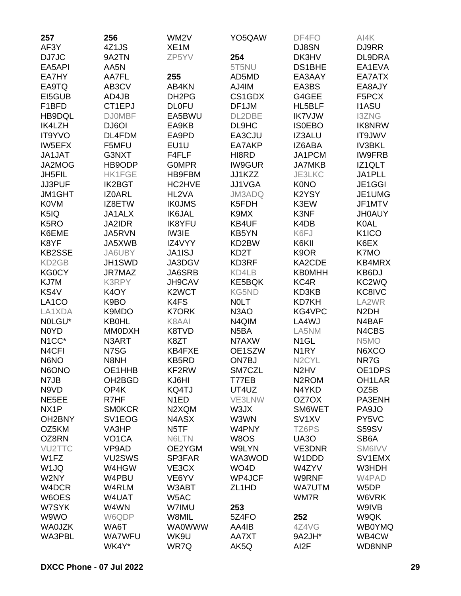| 257                 | 256                 | WM <sub>2</sub> V  | YO5QAW             | DF4FO                         | AI4K                |
|---------------------|---------------------|--------------------|--------------------|-------------------------------|---------------------|
| AF3Y                | 4Z1JS               | XE <sub>1</sub> M  |                    | DJ8SN                         | DJ9RR               |
| DJ7JC               | 9A2TN               | ZP5YV              | 254                | DK3HV                         | DL9DRA              |
| EA5API              | AA5N                |                    | 5T5NU              | <b>DS1BHE</b>                 | EA1EVA              |
| EA7HY               | AA7FL               | 255                | AD5MD              | EA3AAY                        | EA7ATX              |
| EA9TQ               | AB3CV               | AB4KN              | AJ4IM              | EA3BS                         | EA8AJY              |
| EI5GUB              | AD4JB               | DH <sub>2</sub> PG | CS1GDX             | G4GEE                         | F5PCX               |
| F1BFD               | CT1EPJ              | <b>DL0FU</b>       | DF1JM              | HL5BLF                        | <b>I1ASU</b>        |
| HB9DQL              | <b>DJ0MBF</b>       | EA5BWU             | DL2DBE             | <b>IK7VJW</b>                 | <b>I3ZNG</b>        |
| IK4LZH              | DJ6OI               | EA9KB              | DL9HC              | <b>ISOEBO</b>                 | <b>IK8NRW</b>       |
| <b>IT9YVO</b>       | DL4FDM              | EA9PD              | EA3CJU             | IZ3ALU                        | <b>IT9JWV</b>       |
| <b>IW5EFX</b>       | F5MFU               | EU1U               | EA7AKP             | IZ6ABA                        | <b>IV3BKL</b>       |
| JA1JAT              | G3NXT               | F4FLF              | HI8RD              | JA1PCM                        | <b>IW9FRB</b>       |
| JA2MOG              | HB9ODP              | <b>GOMPR</b>       | <b>IW9GUR</b>      | <b>JA7MKB</b>                 | IZ1QLT              |
| JH5FIL              | <b>HK1FGE</b>       | HB9FBM             | JJ1KZZ             | JE3LKC                        | JA1PLL              |
| JJ3PUF              | <b>IK2BGT</b>       | HC2HVE             | <b>JJ1VGA</b>      | <b>K0NO</b>                   | JE1GGI              |
| <b>JM1GHT</b>       | <b>IZ0ARL</b>       | HL2VA              | JM3ADQ             | K2YSY                         | JE1UMG              |
| <b>K0VM</b>         | IZ8ETW              | <b>IK0JMS</b>      | K5FDH              | K3EW                          | JF1MTV              |
| K5IQ                | JA1ALX              | <b>IK6JAL</b>      | K9MX               | K3NF                          | <b>JH0AUY</b>       |
| K <sub>5</sub> RO   | JA2IDR              | <b>IK8YFU</b>      | KB4UF              | K4DB                          | <b>K0AL</b>         |
| K6EME               | JA5RVN              | IW3IE              | KB5YN              | K6FJ                          | K <sub>1</sub> ICO  |
| K8YF                | JA5XWB              | IZ4VYY             | KD2BW              | K6KII                         | K6EX                |
| <b>KB2SSE</b>       | JA6UBY              | JA1ISJ             | KD <sub>2</sub> T  | K9OR                          | K7MO                |
| KD <sub>2</sub> GB  | JH1SWD              | JA3DGV             | KD3RF              | KA2CDE                        | KB4MRX              |
| KG0CY               | JR7MAZ              | JA6SRB             | KD4LB              | <b>KB0MHH</b>                 | KB6DJ               |
| KJ7M                | <b>K3RPY</b>        | <b>JH9CAV</b>      | <b>KE5BQK</b>      | KC4R                          | KC2WQ               |
| KS4V                | K <sub>4</sub> OY   | K <sub>2</sub> WCT | <b>KG5ND</b>       | KD3KB                         | KC8IVC              |
| LA <sub>1</sub> CO  | K9BO                | K4FS               | <b>NOLT</b>        | <b>KD7KH</b>                  | LA2WR               |
| LA1XDA              | K9MDO               | <b>K7ORK</b>       | N <sub>3</sub> AO  | KG4VPC                        | N <sub>2</sub> DH   |
| NOLGU*              | <b>KB0HL</b>        | K8AAI              | N4QIM              | LA4WJ                         | N4BAF               |
| N0YD                | <b>MM0DXH</b>       | K8TVD              | N <sub>5</sub> BA  | LA5NM                         | N4CBS               |
| N <sub>1</sub> CC*  | N3ART               | K8ZT               | N7AXW              | N <sub>1</sub> GL             | N5MO                |
| N <sub>4</sub> CFI  | N7SG                | KB4FXE             | OE1SZW             | N <sub>1</sub> RY             | N6XCO               |
| N6NO                | N8NH                | <b>KB5RD</b>       | ON7BJ              | N <sub>2</sub> CYL            | NR7G                |
| N6ONO               | OE1HHB              | KF2RW              | SM7CZL             | N <sub>2</sub> H <sub>V</sub> | OE1DPS              |
| N7JB                | OH <sub>2</sub> BGD | KJ6HI              | T77EB              | N <sub>2</sub> ROM            | OH <sub>1</sub> LAR |
| N9VD                | OP4K                | KQ4TJ              | UT4UZ              | N4YKD                         | OZ5B                |
| NE5EE               | R7HF                | N <sub>1</sub> ED  | VE3LNW             | OZ7OX                         | PA3ENH              |
| NX <sub>1</sub> P   | <b>SMOKCR</b>       | N2XQM              | W3JX               | SM6WET                        | PA9JO               |
| OH <sub>2</sub> BNY | SV <sub>1</sub> EOG | N4ASX              | W3WN               | SV <sub>1</sub> XV            | PY5VC               |
| OZ5KM               | VA3HP               | N <sub>5</sub> TF  | W4PNY              | TZ6PS                         | <b>S59SV</b>        |
| OZ8RN               | VO <sub>1</sub> CA  | N6LTN              | W8OS               | UA3O                          | SB <sub>6</sub> A   |
| VU2TTC              | VP9AD               | OE2YGM             | W9LYN              | VE3DNR                        | SM6IVV              |
| W1FZ                | VU2SWS              | SP3FAR             | WA3WOD             | W1DDD                         | SV1EMX              |
| W1JQ                | W4HGW               | VE3CX              | WO <sub>4</sub> D  | W4ZYV                         | W3HDH               |
| W2NY                | W4PBU               | VE6YV              | WP4JCF             | W9RNF                         | W4PAD               |
| W4DCR               | W4RLM               | W3ABT              | ZL <sub>1</sub> HD | <b>WA7UTM</b>                 | W5DP                |
| W6OES               | W4UAT               | W5AC               |                    | WM7R                          | W6VRK               |
| W7SYK               | W4WN                | W7IMU              | 253                |                               | W9IVB               |
| W9WO                | W6QDP               | W8MIL              | 5Z4FO              | 252                           | W9QK                |
| <b>WA0JZK</b>       | WA6T                | <b>WA0WWW</b>      | AA4IB              | 4Z4VG                         | <b>WB0YMQ</b>       |
| WA3PBL              | <b>WA7WFU</b>       | WK9U               | AA7XT              | 9A2JH*                        | WB4CW               |
|                     | WK4Y*               | WR7Q               | AK5Q               | AI <sub>2</sub> F             | WD8NNP              |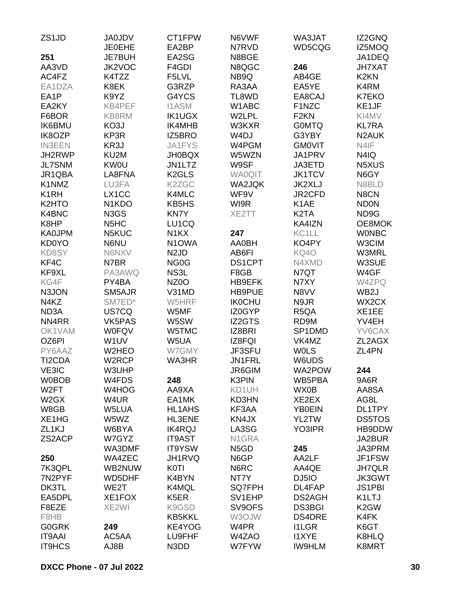| ZS <sub>1</sub> JD | <b>JA0JDV</b>                   | CT1FPW                        | N6VWF             | WA3JAT                        | IZ2GNQ                  |
|--------------------|---------------------------------|-------------------------------|-------------------|-------------------------------|-------------------------|
|                    | <b>JE0EHE</b>                   | EA2BP                         | N7RVD             | WD5CQG                        | IZ5MOQ                  |
| 251                | <b>JE7BUH</b>                   | EA2SG                         | N8BGE             |                               | JA1DEQ                  |
| AA3VD              | JK2VOC                          | F4GDI                         | N8QGC             | 246                           | <b>JH7XAT</b>           |
| AC4FZ              | K4TZZ                           | F5LVL                         | NB9Q              | AB4GE                         | K <sub>2</sub> KN       |
| EA1DZA             | K8EK                            | G3RZP                         | RA3AA             | EA5YE                         | K4RM                    |
| EA1P               | K9YZ                            | G4YCS                         | TL8WD             | EA8CAJ                        | <b>K7EKO</b>            |
| EA2KY              | KB4PEF                          | <b>I1ASM</b>                  | W1ABC             | F1NZC                         | KE1JF                   |
| F6BOR              | KB8RM                           | <b>IK1UGX</b>                 | W2LPL             | F <sub>2</sub> KN             | KI4MV                   |
| <b>IK6BMU</b>      | KO3J                            | IK4MHB                        | W3KXR             | <b>GOMTQ</b>                  | <b>KL7RA</b>            |
| IK8OZP             | KP3R                            | IZ5BRO                        | W <sub>4</sub> DJ | G3YBY                         | N <sub>2</sub> AUK      |
| <b>IN3EEN</b>      | KR3J                            | JA1FYS                        | W4PGM             | <b>GMOVIT</b>                 | N4IF                    |
| JH2RWP             | KU2M                            | <b>JH0BQX</b>                 | W5WZN             | JA1PRV                        | N4IQ                    |
| <b>JL7SNM</b>      | <b>KW0U</b>                     | JN1LTZ                        | W9SF              | JA3ETD                        | N <sub>5</sub> XUS      |
| JR1QBA             | LA8FNA                          | K <sub>2</sub> GLS            | <b>WA0QIT</b>     | <b>JK1TCV</b>                 | N6GY                    |
| K1NMZ              | LU3FA                           | K2ZGC                         | WA2JQK            | <b>JK2XLJ</b>                 | N8BLD                   |
| K <sub>1</sub> RH  | LX1CC                           | K4MLC                         | WF9V              | JR2CFD                        | N8CN                    |
| K <sub>2</sub> HTO | N <sub>1</sub> K <sub>D</sub> O | KB5HS                         | WI9R              | K <sub>1</sub> AE             | <b>ND0N</b>             |
| K4BNC              | N3GS                            | <b>KN7Y</b>                   | XE2TT             | K <sub>2</sub> T <sub>A</sub> | ND9G                    |
| K8HP               | N <sub>5</sub> H <sub>C</sub>   | LU1CQ                         |                   | KA4IZN                        | OE8MOK                  |
| <b>KA0JPM</b>      | N5KUC                           | N <sub>1</sub> KX             | 247               | KC1LL                         | <b>WONBC</b>            |
| <b>KD0YO</b>       | N6NU                            | N <sub>1</sub> OWA            | <b>AA0BH</b>      | KO4PY                         | W3CIM                   |
| KD8SY              | N6NXV                           | N <sub>2</sub> J <sub>D</sub> | AB6FI             | KQ4O                          | <b>W3MRL</b>            |
| KF4C               | N7BR                            | NG <sub>0</sub> G             | <b>DS1CPT</b>     | N4XMD                         | W3SUE                   |
| KF9XL              | PA3AWQ                          | NS3L                          | F8GB              | N7QT                          | W4GF                    |
| KG4F               | PY4BA                           | NZ0O                          | HB9EFK            | N7XY                          | W4ZPQ                   |
| N3JON              | SM5AJR                          | V31MD                         | <b>HB9PUE</b>     | N8VV                          | WB <sub>2</sub> J       |
| N4KZ               | SM7ED*                          | W5HRF                         | <b>IK0CHU</b>     | N9JR                          | WX2CX                   |
| ND <sub>3</sub> A  | US7CQ                           | W5MF                          | IZ0GYP            | R <sub>5</sub> QA             | XE1EE                   |
| NN4RR              | <b>VK5PAS</b>                   | W5SW                          | <b>IZ2GTS</b>     | RD9M                          | YV4EH                   |
| OK1VAM             | <b>W0FQV</b>                    | W5TMC                         | IZ8BRI            | SP1DMD                        | YV6CAX                  |
| OZ6PI              | W1UV                            | W5UA                          | IZ8FQI            | VK4MZ                         | ZL2AGX                  |
| PY6AAZ             | W2HEO                           | W7GMY                         | JF3SFU            | <b>WOLS</b>                   | ZL4PN                   |
| TI2CDA             | W2RCP                           | WA3HR                         | <b>JN1FRL</b>     | W6UDS                         |                         |
| VE3IC              | W3UHP                           |                               | JR6GIM            | WA2POW                        | 244                     |
| <b>W0BOB</b>       | W4FDS                           | 248                           | K3PIN             | WB5PBA                        | 9A6R                    |
| W <sub>2</sub> FT  | W4HOG                           | AA9XA                         | KD1UH             | WX0B                          | AA8SA                   |
| W <sub>2</sub> GX  | W4UR                            | EA1MK                         | KD3HN             | XE2EX                         | AG8L                    |
| W8GB               | W5LUA                           | <b>HL1AHS</b>                 | KF3AA             | <b>YB0EIN</b>                 | DL1TPY                  |
| XE1HG              | W5WZ                            | HL3ENE                        | KN4JX             | YL2TW                         | <b>DS5TOS</b>           |
| ZL <sub>1</sub> KJ | W6BYA                           | <b>IK4RQJ</b>                 | LA3SG             | YO3IPR                        | HB9DDW                  |
| ZS2ACP             | W7GYZ                           | <b>IT9AST</b>                 | N1GRA             |                               | JA2BUR                  |
|                    | WA3DMF                          | IT9YSW                        | N <sub>5</sub> GD | 245                           | JA3PRM                  |
|                    | WA4ZEC                          |                               | N6GP              | AA2LF                         | JF1FSW                  |
| 250                |                                 | JH1RVQ                        |                   |                               |                         |
| 7K3QPL             | WB2NUW                          | <b>K0TI</b>                   | N6RC              | AA4QE                         | <b>JH7QLR</b><br>JK3GWT |
| 7N2PYF             | <b>WD5DHF</b>                   | K4BYN                         | NT7Y              | DJ5IO                         |                         |
| DK3TL              | WE2T                            | K4MQL                         | SQ7FPH            | DL4FAP                        | <b>JS1PBI</b>           |
| EA5DPL             | XE1FOX                          | K <sub>5</sub> ER             | SV1EHP            | DS2AGH                        | K1LTJ                   |
| F8EZE              | XE2WI                           | K9GSD                         | SV9OFS            | <b>DS3BGI</b>                 | K <sub>2</sub> GW       |
| F8HB               |                                 | <b>KB5KKL</b>                 | W3OJW             | <b>DS4DRE</b>                 | K4FK                    |
| <b>G0GRK</b>       | 249                             | KE4YOG                        | W4PR              | <b>I1LGR</b>                  | K6GT                    |
| <b>IT9AAI</b>      | AC5AA                           | LU9FHF                        | W4ZAO             | <b>I1XYE</b>                  | K8HLQ                   |
| <b>IT9HCS</b>      | AJ8B                            | N3DD                          | W7FYW             | <b>IW9HLM</b>                 | K8MRT                   |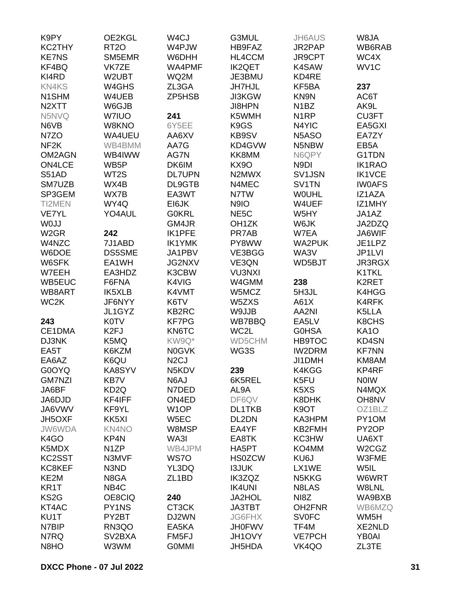| K9PY                  | OE2KGL                     | W <sub>4</sub> CJ  | G3MUL              | <b>JH6AUS</b>                          | W8JA                           |
|-----------------------|----------------------------|--------------------|--------------------|----------------------------------------|--------------------------------|
| KC2THY                | <b>RT20</b>                | W4PJW              | HB9FAZ             | JR2PAP                                 | WB6RAB                         |
| <b>KE7NS</b>          | SM5EMR                     | W6DHH              | HL4CCM             | JR9CPT                                 | WC4X                           |
| KF4BQ                 | VK7ZE                      | WA4PMF             | <b>IK2QET</b>      | K4SAW                                  | WV <sub>1</sub> C              |
| KI4RD                 | W2UBT                      | WQ2M               | JE3BMU             | KD4RE                                  |                                |
| <b>KN4KS</b>          | W4GHS                      | ZL3GA              | <b>JH7HJL</b>      | KF5BA                                  | 237                            |
| N1SHM                 | W4UEB                      | ZP5HSB             | <b>JI3KGW</b>      | KN9N                                   | AC6T                           |
| N <sub>2</sub> XTT    | W6GJB                      |                    | <b>JI8HPN</b>      | N <sub>1</sub> BZ                      | AK9L                           |
| N5NVQ                 | W7IUO                      | 241                | K5WMH              | N <sub>1</sub> RP                      | CU3FT                          |
| N6VB                  | W8KNO                      | 6Y5EE              | K9GS               | N4YIC                                  | EA5GXI                         |
| N7ZO                  | WA4UEU                     | AA6XV              | KB9SV              | N <sub>5</sub> A <sub>SO</sub>         | EA7ZY                          |
| NF <sub>2</sub> K     | WB4BMM                     | AA7G               | KD4GVW             | N5NBW                                  | EB <sub>5</sub> A              |
| OM2AGN                | WB4IWW                     | AG7N               | KK8MM              | N6QPY                                  | G1TDN                          |
| ON4LCE                | WB <sub>5</sub> P          | DK6IM              | <b>KX90</b>        | N9DI                                   | <b>IK1RAO</b>                  |
| <b>S51AD</b>          | WT2S                       | <b>DL7UPN</b>      | N2MWX              | SV1JSN                                 | <b>IK1VCE</b>                  |
| SM7UZB                | WX4B                       | DL9GTB             | N4MEC              | SV1TN                                  | <b>IWOAFS</b>                  |
| SP3GEM                | WX7B                       | EA3WT              | N7TW               | <b>WOUHL</b>                           | IZ1AZA                         |
| TI2MEN                | WY4Q                       | EI6JK              | N9IO               | W4UEF                                  | IZ1MHY                         |
| <b>VE7YL</b>          | YO4AUL                     | <b>G0KRL</b>       | NE <sub>5</sub> C  | W5HY                                   | JA1AZ                          |
| W0JJ                  |                            | GM4JR              | OH <sub>1</sub> ZK | W6JK                                   | JA2DZQ                         |
| W <sub>2</sub> GR     | 242                        | <b>IK1PFE</b>      | PR7AB              | W7EA                                   | JA6WIF                         |
| W4NZC                 | 7J1ABD                     | <b>IK1YMK</b>      | PY8WW              | <b>WA2PUK</b>                          | JE1LPZ                         |
| W6DOE                 | <b>DS5SME</b>              | JA1PBV             | VE3BGG             | WA3V                                   | JP1LVI                         |
| W6SFK                 | EA1WH                      | <b>JG2NXV</b>      | VE3QN              | WD5BJT                                 | JR3RGX                         |
| W7EEH                 | EA3HDZ                     | K3CBW              | <b>VU3NXI</b>      |                                        | K1TKL                          |
| WB5EUC                | F6FNA                      | K4VIG              | W4GMM              | 238                                    | K2RET                          |
| WB8ART                | IK5XLB                     | K4VMT              | W5MCZ              | 5H3JL                                  | K4HGG                          |
| WC2K                  | JF6NYY                     | K6TV               | W5ZXS              | A61X                                   | K4RFK                          |
|                       | JL1GYZ                     | KB2RC              | W9JJB              | AA2NI                                  | K5LLA                          |
| 243                   | <b>K0TV</b>                | <b>KF7PG</b>       | WB7BBQ             | EA5LV                                  | K8CHS                          |
| CE1DMA                | K <sub>2FJ</sub>           | KN6TC              | WC2L               | <b>G0HSA</b>                           | <b>KA10</b>                    |
| DJ3NK                 | K5MQ                       | KW9Q*              | WD5CHM             | <b>HB9TOC</b>                          | KD4SN                          |
| EA5T                  | K6KZM                      | <b>N0GVK</b>       | WG3S               | <b>IW2DRM</b>                          | <b>KF7NN</b>                   |
| EA6AZ                 | K6QU                       | N <sub>2</sub> CJ  |                    | JI1DMH                                 | KM8AM                          |
| G0OYQ                 | KA8SYV                     | N5KDV              |                    | K4KGG                                  | KP4RF                          |
| <b>GM7NZI</b>         | KB7V                       | N6AJ               | 239<br>6K5REL      |                                        | <b>NOIW</b>                    |
|                       |                            | N7DED              | AL9A               | K5FU                                   |                                |
| JA6BF<br>JA6DJD       | KD <sub>2Q</sub><br>KF4IFF | ON4ED              | DF6QV              | K <sub>5</sub> X <sub>S</sub><br>K8DHK | N4MQX                          |
| JA6VWV                | KF9YL                      | W <sub>1</sub> OP  | <b>DL1TKB</b>      | K <sub>9</sub> OT                      | <b>OH8NV</b><br>OZ1BLZ         |
| JH5OXF                | KK5XI                      | W5EC               | DL2DN              | KA3HPM                                 | PY1OM                          |
|                       | <b>KN4NO</b>               |                    |                    | KB2FMH                                 | PY2OP                          |
| <b>JW6WDA</b><br>K4GO |                            | W8MSP<br>WA3I      | EA4YF              | KC3HW                                  | UA6XT                          |
| K5MDX                 | KP4N<br>N <sub>1</sub> ZP  | WB4JPM             | EA8TK<br>HA5PT     | KO4MM                                  | W <sub>2</sub> CG <sub>Z</sub> |
| KC2SST                | N3MVF                      | WS7O               | <b>HS0ZCW</b>      | KU6J                                   | W3FME                          |
| KC8KEF                | N3ND                       | YL3DQ              | <b>I3JUK</b>       | LX1WE                                  | W5IL                           |
|                       |                            |                    |                    |                                        |                                |
| KE2M                  | N8GA                       | ZL <sub>1</sub> BD | IK3ZQZ             | N <sub>5</sub> K <sub>K</sub> G        | W6WRT                          |
| KR1T                  | NB4C                       |                    | <b>IK4UNI</b>      | N8LAS                                  | W8LNL                          |
| KS <sub>2</sub> G     | OE8CIQ                     | 240                | <b>JA2HOL</b>      | NI8Z                                   | WA9BXB                         |
| KT4AC                 | PY1NS                      | CT3CK              | <b>JA3TBT</b>      | OH <sub>2</sub> FNR                    | WB6MZQ                         |
| KU1T                  | PY2BT                      | DJ2WN              | <b>JG6FHX</b>      | <b>SV0FC</b>                           | WM <sub>5</sub> H              |
| N7BIP                 | RN3QO                      | EA5KA              | <b>JH0FWV</b>      | TF4M                                   | XE2NLD                         |
| N7RQ                  | SV <sub>2</sub> BXA        | FM5FJ              | JH1OVY             | <b>VE7PCH</b>                          | <b>YB0AI</b>                   |
| N8HO                  | W3WM                       | <b>GOMMI</b>       | JH5HDA             | VK4QO                                  | ZL3TE                          |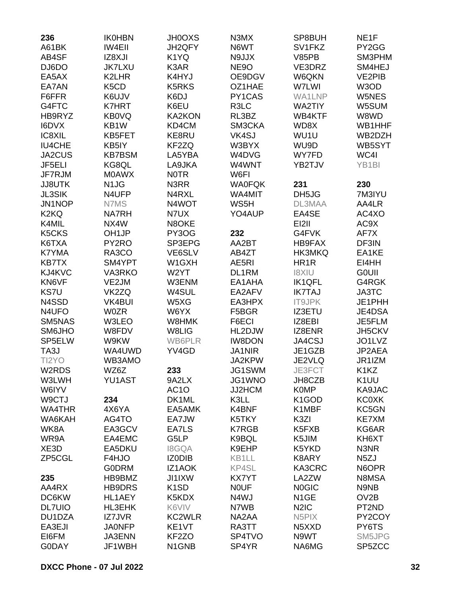| 236                            | <b>IK0HBN</b>                 | <b>JH0OXS</b>     | N3MX              | SP8BUH                          | NE <sub>1F</sub>   |
|--------------------------------|-------------------------------|-------------------|-------------------|---------------------------------|--------------------|
| A61BK                          | <b>IW4EII</b>                 | JH2QFY            | N6WT              | SV1FKZ                          | PY2GG              |
| AB4SF                          | IZ8XJI                        | K1YQ              | N9JJX             | <b>V85PB</b>                    | SM3PHM             |
| DJ6DO                          | <b>JK7LXU</b>                 | K3AR              | NE <sub>9</sub> O | VE3DRZ                          | SM4HEJ             |
| EA5AX                          | K2LHR                         | K4HYJ             | OE9DGV            | W6QKN                           | <b>VE2PIB</b>      |
| EA7AN                          | K <sub>5</sub> C <sub>D</sub> | <b>K5RKS</b>      | OZ1HAE            | W7LWI                           | W3OD               |
| F6FFR                          | K6UJV                         | K6DJ              | PY1CAS            | <b>WA1LNP</b>                   | W5NES              |
| G4FTC                          | <b>K7HRT</b>                  | K6EU              | R3LC              | WA2TIY                          | W5SUM              |
| HB9RYZ                         | KB0VQ                         | <b>KA2KON</b>     | RL3BZ             | WB4KTF                          | W8WD               |
| I6DVX                          | KB1W                          | KD4CM             | SM3CKA            | WD8X                            | WB1HHF             |
| IC8XIL                         | KB5FET                        | KE8RU             | VK4SJ             | WU1U                            | WB2DZH             |
| <b>IU4CHE</b>                  | KB5IY                         | KF2ZQ             | W3BYX             | WU9D                            | WB5SYT             |
|                                |                               |                   |                   |                                 |                    |
| JA2CUS                         | <b>KB7BSM</b>                 | LA5YBA            | W4DVG             | WY7FD                           | WC4I               |
| JF5ELI                         | KG8QL                         | LA9JKA            | W4WNT             | YB2TJV                          | YB <sub>1</sub> BI |
| JF7RJM                         | <b>MOAWX</b>                  | <b>NOTR</b>       | W6FI              |                                 |                    |
| <b>JJ8UTK</b>                  | N <sub>1</sub> J <sub>G</sub> | N3RR              | <b>WA0FQK</b>     | 231                             | 230                |
| <b>JL3SIK</b>                  | N4UFP                         | N4RXL             | WA4MIT            | DH5JG                           | 7M3IYU             |
| JN1NOP                         | N7MS                          | N4WOT             | WS5H              | DL3MAA                          | AA4LR              |
| K <sub>2</sub> K <sub>Q</sub>  | <b>NA7RH</b>                  | N7UX              | YO4AUP            | EA4SE                           | AC4XO              |
| K4MIL                          | NX4W                          | N8OKE             |                   | EI2II                           | AC9X               |
| K <sub>5</sub> CK <sub>S</sub> | OH <sub>1JP</sub>             | PY3OG             | 232               | G4FVK                           | AF7X               |
| K6TXA                          | PY2RO                         | SP3EPG            | AA2BT             | HB9FAX                          | DF3IN              |
| <b>K7YMA</b>                   | RA3CO                         | VE6SLV            | AB4ZT             | <b>HK3MKQ</b>                   | EA1KE              |
| <b>KB7TX</b>                   | SM4YPT                        | W1GXH             | AE5RI             | HR <sub>1</sub> R               | EI4HH              |
| KJ4KVC                         | <b>VA3RKO</b>                 | W2YT              | DL1RM             | <b>I8XIU</b>                    | <b>GOUII</b>       |
| KN6VF                          | VE2JM                         | W3ENM             | EA1AHA            | <b>IK1QFL</b>                   | G4RGK              |
| <b>KS7U</b>                    | VK2ZQ                         | W4SUL             | EA2AFV            | <b>IK7TAJ</b>                   | JA3TC              |
| N4SSD                          | <b>VK4BUI</b>                 | W5XG              | EA3HPX            | <b>IT9JPK</b>                   | JE1PHH             |
| N4UFO                          | <b>W0ZR</b>                   | W6YX              | F5BGR             | <b>IZ3ETU</b>                   | JE4DSA             |
| SM5NAS                         | W3LEO                         | W8HMK             | F6ECI             | IZ8EBI                          | JE5FLM             |
| SM6JHO                         | W8FDV                         | W8LIG             | HL2DJW            | IZ8ENR                          | JH5CKV             |
| SP5ELW                         | W9KW                          | <b>WB6PLR</b>     | <b>IW8DON</b>     | JA4CSJ                          | JO1LVZ             |
| TA3J                           | WA4UWD                        | YV4GD             | <b>JA1NIR</b>     | JE1GZB                          | JP2AEA             |
| TI2YO                          | WB3AMO                        |                   | JA2KPW            | JE2VLQ                          | JR1IZM             |
| W2RDS                          | WZ6Z                          | 233               | JG1SWM            | JE3FCT                          | K1KZ               |
| W3LWH                          | <b>YU1AST</b>                 | 9A2LX             | JG1WNO            | JH8CZB                          | K <sub>1</sub> UU  |
| W6IYV                          |                               | AC <sub>1</sub> O | JJ2HCM            | <b>K0MP</b>                     | KA9JAC             |
| W9CTJ                          | 234                           | DK1ML             | K3LL              | K <sub>1</sub> GOD              | <b>KC0XK</b>       |
| WA4THR                         | 4X6YA                         | EA5AMK            | K4BNF             | K1MBF                           | KC5GN              |
| WA6KAH                         | AG4TO                         | EA7JW             | K5TKY             | K3ZI                            | <b>KE7XM</b>       |
| WK8A                           |                               |                   |                   |                                 | KG6AR              |
|                                | EA3GCV                        | EA7LS             | <b>K7RGB</b>      | K5FXB                           |                    |
| WR9A                           | EA4EMC                        | G5LP              | K9BQL             | K5JIM                           | KH6XT              |
| XE3D                           | EA5DKU                        | <b>I8GQA</b>      | K9EHP             | K5YKD                           | N3NR               |
| ZP5CGL                         | F4HJO                         | IZ0DIB            | KB1LL             | K8ARY                           | N <sub>5</sub> ZJ  |
|                                | <b>GODRM</b>                  | <b>IZ1AOK</b>     | KP4SL             | KA3CRC                          | N6OPR              |
| 235                            | HB9BMZ                        | <b>JI1IXW</b>     | <b>KX7YT</b>      | LA2ZW                           | N8MSA              |
| AA4RX                          | HB9DRS                        | K <sub>1</sub> SD | <b>NOUF</b>       | <b>NOGIC</b>                    | N9NB               |
| DC6KW                          | HL1AEY                        | K5KDX             | N4WJ              | N <sub>1</sub> GE               | OV <sub>2</sub> B  |
| <b>DL7UIO</b>                  | HL3EHK                        | K6VIV             | N7WB              | N <sub>2</sub> I <sub>C</sub>   | PT2ND              |
| DU1DZA                         | IZ7JVR                        | <b>KC2WLR</b>     | NA2AA             | N <sub>5</sub> PIX              | PY2COY             |
| EA3EJI                         | <b>JA0NFP</b>                 | KE1VT             | RA3TT             | N <sub>5</sub> X <sub>X</sub> D | PY6TS              |
| EI6FM                          | JA3ENN                        | KF2ZO             | SP4TVO            | N9WT                            | SM5JPG             |
| G0DAY                          | JF1WBH                        | N1GNB             | SP4YR             | NA6MG                           | SP5ZCC             |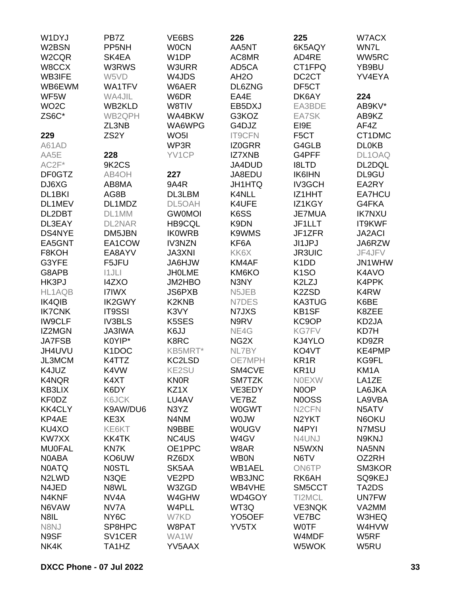| W1DYJ               | PB7Z                | VE6BS                          | 226                 | 225                           | W7ACX         |
|---------------------|---------------------|--------------------------------|---------------------|-------------------------------|---------------|
| W2BSN               | PP <sub>5NH</sub>   | <b>WOCN</b>                    | AA5NT               | 6K5AQY                        | WN7L          |
| W2CQR               | SK4EA               | W <sub>1</sub> DP              | AC8MR               | AD4RE                         | WW5RC         |
| W8CCX               | W3RWS               | W3URR                          | AD5CA               | CT1FPQ                        | YB9BU         |
| WB3IFE              | W5VD                | W4JDS                          | AH <sub>2</sub> O   | DC <sub>2</sub> CT            | YV4EYA        |
| WB6EWM              | <b>WA1TFV</b>       | W6AER                          | DL6ZNG              | DF5CT                         |               |
| WF5W                | WA4JIL              | W6DR                           | EA4E                | DK6AY                         | 224           |
|                     |                     |                                |                     |                               |               |
| WO <sub>2</sub> C   | WB2KLD              | W8TIV                          | EB5DXJ              | EA3BDE                        | AB9KV*        |
| ZS6C*               | WB2QPH              | WA4BKW                         | G3KOZ               | EA7SK                         | AB9KZ         |
|                     | ZL3NB               | WA6WPG                         | G4DJZ               | EI9E                          | AF4Z          |
| 229                 | ZS <sub>2</sub> Y   | WO <sub>5</sub> I              | <b>IT9CFN</b>       | F <sub>5</sub> CT             | CT1DMC        |
| A61AD               |                     | WP3R                           | <b>IZ0GRR</b>       | G4GLB                         | <b>DL0KB</b>  |
| AA5E                | 228                 | YV1CP                          | <b>IZ7XNB</b>       | G4PFF                         | DL1OAQ        |
| $AC2F*$             | 9K2CS               |                                | JA4DUD              | <b>I8LTD</b>                  | DL2DQL        |
| DF0GTZ              | AB4OH               | 227                            | JA8EDU              | <b>IK6IHN</b>                 | DL9GU         |
| DJ6XG               | AB8MA               | <b>9A4R</b>                    | <b>JH1HTQ</b>       | <b>IV3GCH</b>                 | EA2RY         |
| DL <sub>1</sub> BKI | AG8B                | DL3LBM                         | K4NLL               | IZ1HHT                        | EA7HCU        |
| DL1MEV              | DL1MDZ              | DL5OAH                         | K4UFE               | IZ1KGY                        | G4FKA         |
| DL2DBT              | DL1MM               | <b>GW0MOI</b>                  | K6SS                | <b>JE7MUA</b>                 | <b>IK7NXU</b> |
| DL3EAY              | <b>DL2NAR</b>       | <b>HB9CQL</b>                  | K9DN                | JF1LLT                        | IT9KWF        |
| DS4NYE              | DM5JBN              | <b>IKOWRB</b>                  | K9WMS               | JF1ZFR                        | <b>JA2ACI</b> |
| EA5GNT              | EA1COW              | <b>IV3NZN</b>                  | KF6A                | JI1JPJ                        | JA6RZW        |
| F8KOH               | EA8AYV              | <b>JA3XNI</b>                  | KK6X                | <b>JR3UIC</b>                 | JF4JFV        |
| G3YFE               | F5JFU               | <b>JA6HJW</b>                  | KM4AF               | K <sub>1</sub> D <sub>D</sub> | JN1WHW        |
| G8APB               | 11JLI               | <b>JHOLME</b>                  | KM6KO               | K <sub>1</sub> SO             | K4AVO         |
| HK3PJ               | <b>I4ZXO</b>        | JM2HBO                         | N3NY                | K2LZJ                         | K4PPK         |
| HL1AQB              | <b>I7IWX</b>        | JS6PXB                         | N5JEB               | K <sub>2</sub> ZSD            | K4RW          |
| <b>IK4QIB</b>       | <b>IK2GWY</b>       | K <sub>2</sub> K <sub>NB</sub> | N7DES               | <b>KA3TUG</b>                 | K6BE          |
| <b>IK7CNK</b>       | <b>IT9SSI</b>       | K3VY                           | N7JXS               | KB1SF                         | K8ZEE         |
|                     |                     | K5SES                          |                     |                               |               |
| <b>IW9CLF</b>       | <b>IV3BLS</b>       |                                | N9RV                | KC9OP                         | KD2JA         |
| IZ2MGN              | <b>JA3IWA</b>       | K6JJ                           | NE4G                | <b>KG7FV</b>                  | KD7H          |
| <b>JA7FSB</b>       | K0YIP*              | K8RC                           | NG <sub>2</sub> X   | KJ4YLO                        | KD9ZR         |
| JH4UVU              | K <sub>1</sub> DOC  | KB5MRT*                        | NL7BY               | KO4VT                         | KE4PMP        |
| JL3MCM              | K4TTZ               | KC2LSD                         | <b>OE7MPH</b>       | KR <sub>1</sub> R             | KG9FL         |
| K4JUZ               | K4VW                | KE2SU                          | SM4CVE              | KR <sub>1U</sub>              | KM1A          |
| K4NQR               | K4XT                | <b>KN0R</b>                    | SM7TZK              | <b>NOEXW</b>                  | LA1ZE         |
| KB3LIX              | K6DY                | KZ1X                           | VE3EDY              | N0OP                          | LA6JKA        |
| <b>KF0DZ</b>        | K6JCK               | LU4AV                          | VE7BZ               | <b>NOOSS</b>                  | LA9VBA        |
| <b>KK4CLY</b>       | K9AW/DU6            | N3YZ                           | <b>W0GWT</b>        | N <sub>2</sub> CFN            | N5ATV         |
| KP4AE               | KE3X                | N4NM                           | <b>WOJW</b>         | N <sub>2</sub> YKT            | N6OKU         |
| KU4XO               | KE6KT               | N9BBE                          | <b>WOUGV</b>        | N <sub>4</sub> PYI            | N7MSU         |
| KW7XX               | KK4TK               | NC4US                          | W4GV                | N4UNJ                         | N9KNJ         |
| <b>MU0FAL</b>       | KN7K                | OE1PPC                         | W8AR                | N5WXN                         | NA5NN         |
| <b>NOABA</b>        | KO6UW               | RZ6DX                          | <b>WB0N</b>         | N6TV                          | OZ2RH         |
| <b>N0ATQ</b>        | <b>NOSTL</b>        | SK5AA                          | <b>WB1AEL</b>       | <b>ON6TP</b>                  | SM3KOR        |
| N <sub>2</sub> LWD  | N3QE                | VE2PD                          | WB3JNC              | RK6AH                         | SQ9KEJ        |
| N4JED               | N8WL                | W3ZGD                          | WB4VHE              | SM5CCT                        | TA2DS         |
| N4KNF               | NV4A                | W4GHW                          | WD4GOY              | TI2MCL                        | <b>UN7FW</b>  |
| N6VAW               | NV7A                | W4PLL                          | WT3Q                | <b>VE3NQK</b>                 | VA2MM         |
| N8IL                | NY <sub>6</sub> C   | W7KD                           | YO <sub>5</sub> OEF | <b>VE7BC</b>                  | W3HEQ         |
| N8NJ                | SP8HPC              | W8PAT                          | YV5TX               | <b>WOTF</b>                   | W4HVW         |
| N9SF                | SV <sub>1</sub> CER | WA1W                           |                     | W4MDF                         | W5RF          |
| NK4K                | TA1HZ               | YV5AAX                         |                     | W5WOK                         | W5RU          |
|                     |                     |                                |                     |                               |               |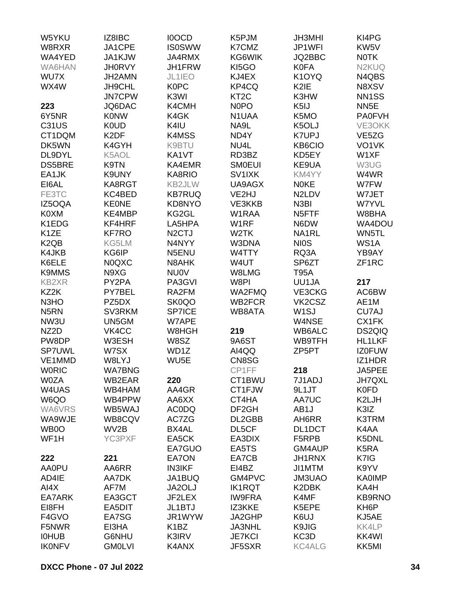| W5YKU                         | IZ8IBC            | <b>IOOCD</b>       | K5PJM              | <b>JH3MHI</b>      | KI4PG              |
|-------------------------------|-------------------|--------------------|--------------------|--------------------|--------------------|
| W8RXR                         | JA1CPE            | <b>IS0SWW</b>      | K7CMZ              | JP1WFI             | KW <sub>5</sub> V  |
| WA4YED                        | JA1KJW            | JA4RMX             | KG6WIK             | JQ2BBC             | <b>NOTK</b>        |
| WA6HAN                        | <b>JH0RVY</b>     | JH1FRW             | KI <sub>5</sub> GO | <b>K0FA</b>        | N <sub>2</sub> KUQ |
| WU7X                          | JH2AMN            | JL1IEO             | KJ4EX              | K1OYQ              | N4QBS              |
| WX4W                          | JH9CHL            | <b>K0PC</b>        | KP4CQ              | K <sub>2</sub> IE  | N8XSV              |
|                               |                   |                    |                    |                    |                    |
|                               | <b>JN7CPW</b>     | K3WI               | KT <sub>2</sub> C  | K3HW               | NN <sub>1</sub> SS |
| 223                           | JQ6DAC            | K4CMH              | N <sub>0</sub> PO  | K <sub>5</sub> IJ  | NN <sub>5</sub> E  |
| 6Y5NR                         | <b>KONW</b>       | K4GK               | N1UAA              | K5MO               | <b>PA0FVH</b>      |
| <b>C31US</b>                  | <b>K0UD</b>       | K4IU               | NA9L               | K5OLJ              | VE3OKK             |
| CT1DQM                        | K <sub>2</sub> DF | K4MSS              | ND4Y               | <b>K7UPJ</b>       | VE <sub>5</sub> ZG |
| DK5WN                         | K4GYH             | K9BTU              | NU4L               | KB6CIO             | VO <sub>1</sub> VK |
| DL9DYL                        | K5AOL             | KA1VT              | RD3BZ              | KD5EY              | W1XF               |
| <b>DS5BRE</b>                 | K9TN              | KA4EMR             | <b>SMOEUI</b>      | KE9UA              | W3UG               |
| EA1JK                         | K9UNY             | KA8RIO             | SV1IXK             | KM4YY              | W4WR               |
| EI6AL                         | KA8RGT            | KB2JLW             | UA9AGX             | <b>NOKE</b>        | W7FW               |
| FE3TC                         | KC4BED            | <b>KB7RUQ</b>      | VE2HJ              | N2LDV              | W7JET              |
| IZ5OQA                        | <b>KEONE</b>      | KD8NYO             | VE3KKB             | N <sub>3</sub> BI  | W7YVL              |
| K0XM                          | KE4MBP            | KG2GL              | W1RAA              | N <sub>5</sub> FTF | W8BHA              |
| K1EDG                         | KF4HRF            | LA5HPA             | W1RF               | N6DW               | WA4DOU             |
| K <sub>1</sub> ZE             | <b>KF7RO</b>      | N <sub>2</sub> CTJ | W <sub>2</sub> TK  | NA1RL              | WN5TL              |
| K <sub>2</sub> Q <sub>B</sub> | KG5LM             | N4NYY              | W3DNA              | <b>NIOS</b>        | WS1A               |
| K4JKB                         | KG6IP             | N5ENU              | W4TTY              | RQ3A               | YB9AY              |
| K6ELE                         | <b>N0QXC</b>      | N8AHK              | W4UT               | SP6ZT              | ZF <sub>1</sub> RC |
| <b>K9MMS</b>                  | N9XG              | <b>NU0V</b>        | W8LMG              | <b>T95A</b>        |                    |
| <b>KB2XR</b>                  | PY2PA             | PA3GVI             | W8PI               | UU1JA              | 217                |
| KZ2K                          | PY7BEL            |                    |                    |                    | AC6BW              |
|                               |                   | RA2FM              | WA2FMQ             | VE3CKG             |                    |
| N <sub>3</sub> H <sub>O</sub> | PZ5DX             | SK0QO              | WB2FCR             | VK2CSZ             | AE1M               |
| N <sub>5</sub> RN             | <b>SV3RKM</b>     | SP7ICE             | WB8ATA             | W <sub>1</sub> SJ  | CU7AJ              |
| NW3U                          | UN5GM             | W7APE              |                    | W4NSE              | CX1FK              |
| NZ2D                          | VK4CC             | W8HGH              | 219                | WB6ALC             | <b>DS2QIQ</b>      |
| PW8DP                         | W3ESH             | W8SZ               | 9A6ST              | <b>WB9TFH</b>      | <b>HL1LKF</b>      |
| <b>SP7UWL</b>                 | W7SX              | WD1Z               | AI4QQ              | ZP5PT              | <b>IZ0FUW</b>      |
| VE1MMD                        | W8LYJ             | WU <sub>5</sub> E  | CN8SG              |                    | IZ1HDR             |
| <b>WORIC</b>                  | <b>WA7BNG</b>     |                    | CP1FF              | 218                | JA5PEE             |
| <b>W0ZA</b>                   | WB2EAR            | 220                | CT1BWU             | 7J1ADJ             | <b>JH7QXL</b>      |
| W4UAS                         | WB4HAM            | AA4GR              | CT1FJW             | 9L1JT              | <b>K0FD</b>        |
| W6QO                          | WB4PPW            | AA6XX              | CT4HA              | AA7UC              | K2LJH              |
| WA6VRS                        | WB5WAJ            | <b>AC0DQ</b>       | DF <sub>2GH</sub>  | AB1J               | K3IZ               |
| WA9WJE                        | WB8CQV            | AC7ZG              | DL2GBB             | AH6RR              | <b>K3TRM</b>       |
| WB0O                          | WV2B              | BX4AL              | DL5CF              | DL1DCT             | K4AA               |
| WF1H                          | YC3PXF            | EA5CK              | EA3DIX             | F5RPB              | K5DNL              |
|                               |                   | EA7GUO             | EA5TS              | GM4AUP             | K <sub>5</sub> RA  |
| 222                           | 221               | EA7ON              | EA7CB              | JH1RNX             | K7IG               |
| AA0PU                         | AA6RR             | <b>IN3IKF</b>      | EI4BZ              | JI1MTM             | K9YV               |
| AD4IE                         | AA7DK             | JA1BUQ             | GM4PVC             | <b>JM3UAO</b>      | <b>KA0IMP</b>      |
| AI4X                          | AF7M              | JA2OLJ             | <b>IK1RQT</b>      | K2DBK              | KA4H               |
| EA7ARK                        | EA3GCT            | JF2LEX             | <b>IW9FRA</b>      | K4MF               | <b>KB9RNO</b>      |
| EI8FH                         | EA5DIT            | JL1BTJ             | IZ3KKE             | K5EPE              | KH <sub>6</sub> P  |
|                               |                   | JR1WYW             | JA2GHP             |                    | KJ5AE              |
| F4GVO                         | EA7SG             |                    |                    | K6UJ               |                    |
| F5NWR                         | EI3HA             | K <sub>1</sub> BZ  | JA3NHL             | K9JIG              | KK4LP              |
| <b>IOHUB</b>                  | G6NHU             | K3IRV              | <b>JE7KCI</b>      | KC3D               | KK4WI              |
| <b>IKONFV</b>                 | <b>GM0LVI</b>     | K4ANX              | JF5SXR             | <b>KC4ALG</b>      | KK5MI              |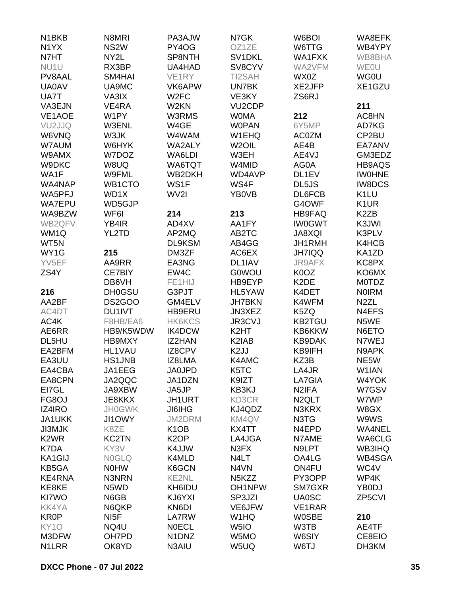| N <sub>1</sub> BK <sub>B</sub> | N8MRI             | PA3AJW                         | N7GK                                    | W6BOI              | WA8EFK            |
|--------------------------------|-------------------|--------------------------------|-----------------------------------------|--------------------|-------------------|
| N <sub>1</sub> YX              | NS <sub>2</sub> W | PY4OG                          | OZ1ZE                                   | W6TTG              | WB4YPY            |
| N7HT                           | NY2L              | SP8NTH                         | SV <sub>1</sub> D <sub>KL</sub>         | WA1FXK             | WB8BHA            |
| NU <sub>1</sub> U              | RX3BP             | UA4HAD                         | SV8CYV                                  | WA2VFM             | <b>WEOU</b>       |
| PV8AAL                         | SM4HAI            | VE1RY                          | TI2SAH                                  | WX0Z               | <b>WG0U</b>       |
| <b>UA0AV</b>                   | UA9MC             | VK6APW                         | <b>UN7BK</b>                            | XE2JFP             | XE1GZU            |
| UA7T                           | VA3IX             | W <sub>2</sub> FC              | VE3KY                                   | ZS6RJ              |                   |
| VA3EJN                         | VE4RA             | W <sub>2</sub> KN              | VU <sub>2</sub> CDP                     |                    | 211               |
| VE1AOE                         | W1PY              | W3RMS                          | <b>WOMA</b>                             | 212                | AC8HN             |
| VU2JJQ                         | W3ENL             | W4GE                           | <b>WOPAN</b>                            | 6Y5MP              | AD7KG             |
| W6VNQ                          | W3JK              | W4WAM                          | W1EHQ                                   | <b>AC0ZM</b>       | CP2BU             |
| W7AUM                          | W6HYK             | WA2ALY                         | W <sub>2</sub> OIL                      | AE4B               | EA7ANV            |
| W9AMX                          | W7DOZ             | WA6LDI                         | W3EH                                    | AE4VJ              | GM3EDZ            |
| W9DKC                          | W8UQ              | WA6TQT                         | W4MID                                   | AG0A               | <b>HB9AQS</b>     |
| WA1F                           | W9FML             | WB2DKH                         | WD4AVP                                  | DL1EV              | <b>IWOHNE</b>     |
| WA4NAP                         | WB1CTO            | WS1F                           | WS4F                                    | DL5JS              | <b>IW8DCS</b>     |
| WA5PFJ                         | WD1X              | WV2I                           | YB0VB                                   | DL6FCB             | K <sub>1</sub> LU |
| <b>WA7EPU</b>                  | WD5GJP            |                                |                                         | G4OWF              | K <sub>1</sub> UR |
| WA9BZW                         | WF6I              | 214                            | 213                                     | <b>HB9FAQ</b>      | K <sub>2</sub> ZB |
| WB2QFV                         | YB4IR             | AD4XV                          | AA1FY                                   | <b>IW0GWT</b>      | K3JWI             |
| WM1Q                           | YL2TD             | AP2MQ                          | AB2TC                                   | <b>JA8XQI</b>      | K3PLV             |
| WT5N                           |                   | DL9KSM                         | AB4GG                                   | JH1RMH             | K4HCB             |
| WY1G                           | 215               | DM3ZF                          | AC6EX                                   | <b>JH7IQQ</b>      | KA1ZD             |
| YV5EF                          | AA9RR             | EA3NG                          | DL1IAV                                  | <b>JR9AFX</b>      | KC8PX             |
| ZS4Y                           | CE7BIY            | EW4C                           | <b>G0WOU</b>                            | K0OZ               | KO6MX             |
|                                | DB6VH             | FE1HIJ                         | HB9EYP                                  | K <sub>2</sub> DE  | <b>MOTDZ</b>      |
| 216                            | <b>DH0GSU</b>     | G3PJT                          | HL5YAW                                  | K4DET              | <b>NOIRM</b>      |
| AA2BF                          | DS2GOO            | GM4ELV                         | <b>JH7BKN</b>                           | K4WFM              | N <sub>2</sub> ZL |
| AC4DT                          | DU1IVT            | HB9ERU                         | JN3XEZ                                  | K5ZQ               | N4EFS             |
| AC4K                           | F8HB/EA6          | <b>HK6KCS</b>                  | JR3CVJ                                  | <b>KB2TGU</b>      | N5WE              |
|                                | HB9/K5WDW         |                                | K <sub>2</sub> HT                       | KB6KKW             |                   |
| AE6RR                          |                   | <b>IK4DCW</b>                  |                                         |                    | N6ETO             |
| DL5HU<br>EA2BFM                | HB9MXY            | IZ2HAN                         | K <sub>2</sub> IAB<br>K <sub>2</sub> JJ | <b>KB9DAK</b>      | N7WEJ             |
|                                | HL1VAU            | <b>IZ8CPV</b>                  |                                         | KB9IFH             | N9APK             |
| EA3UU                          | <b>HS1JNB</b>     | IZ8LMA                         | K4AMC                                   | KZ3B               | NE5W              |
| EA4CBA                         | JA1EEG            | <b>JA0JPD</b>                  | K5TC                                    | LA4JR              | W1IAN             |
| EA8CPN                         | JA2QQC            | JA1DZN                         | K9IZT                                   | LA7GIA             | W4YOK             |
| EI7GL                          | JA9XBW            | JA5JP                          | KB3KJ                                   | N <sub>2</sub> IFA | W7GSV             |
| FG8OJ                          | JE8KKX            | JH1URT                         | KD3CR                                   | N <sub>2</sub> QLT | W7WP              |
| IZ4IRO                         | <b>JH0GWK</b>     | <b>JI6IHG</b>                  | KJ4QDZ                                  | N3KRX              | W8GX              |
| JA1UKK                         | <b>JI1OWY</b>     | JM2DRM                         | KM4QV                                   | N3TG               | W9WS              |
| <b>JI3MJK</b>                  | K8ZE              | K <sub>1</sub> O <sub>B</sub>  | KX4TT                                   | N4EPD              | WA4NEL            |
| K <sub>2</sub> W <sub>R</sub>  | <b>KC2TN</b>      | K <sub>2</sub> OP              | LA4JGA                                  | N7AME              | WA6CLG            |
| K7DA                           | KY3V              | K4JJW                          | N3FX                                    | N9LPT              | <b>WB3IHQ</b>     |
| KA1GIJ                         | <b>NOGLQ</b>      | K4MLD                          | N <sub>4</sub> LT                       | OA4LG              | WB4SGA            |
| KB5GA                          | <b>NOHW</b>       | K6GCN                          | N4VN                                    | ON4FU              | WC4V              |
| KE4RNA                         | N3NRN             | KE2NL                          | N <sub>5</sub> K <sub>ZZ</sub>          | PY3OPP             | WP4K              |
| KE8KE                          | N5WD              | KH6IDU                         | OH1NPW                                  | SM7GXR             | YB0DJ             |
| KI7WO                          | N6GB              | KJ6YXI                         | SP3JZI                                  | <b>UA0SC</b>       | ZP5CVI            |
| <b>KK4YA</b>                   | N6QKP             | KN6DI                          | VE6JFW                                  | VE1RAR             |                   |
| <b>KR0P</b>                    | NI <sub>5</sub> F | LA7RW                          | W1HQ                                    | <b>W0SBE</b>       | 210               |
| KY <sub>10</sub>               | NQ4U              | <b>NOECL</b>                   | W <sub>5I</sub> O                       | W3TB               | AE4TF             |
| M3DFW                          | OH7PD             | N <sub>1</sub> DN <sub>Z</sub> | W5MO                                    | W6SIY              | CE8EIO            |
| N1LRR                          | OK8YD             | N3AIU                          | W5UQ                                    | W6TJ               | DH3KM             |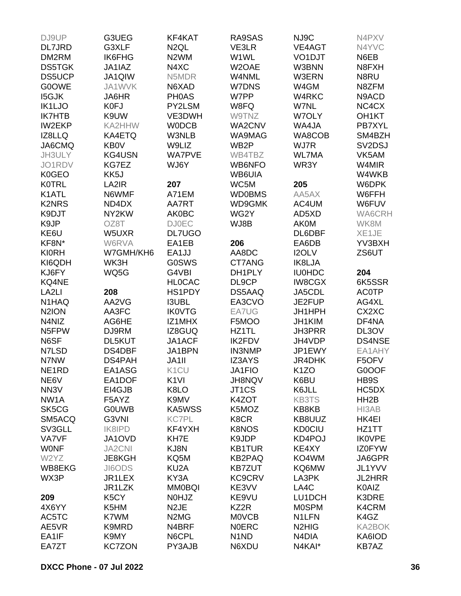| DJ9UP              | G3UEG             | KF4KAT                        | RA9SAS                        | NJ9C                           | N4PXV              |
|--------------------|-------------------|-------------------------------|-------------------------------|--------------------------------|--------------------|
| DL7JRD             | G3XLF             | N <sub>2</sub> QL             | VE3LR                         | VE4AGT                         | N4YVC              |
| DM2RM              | <b>IK6FHG</b>     | N <sub>2</sub> WM             | W1WL                          | VO <sub>1</sub> DJT            | N6EB               |
| <b>DS5TGK</b>      | JA1IAZ            | N4XC                          | W2OAE                         | W3BNN                          | N8FXH              |
| <b>DS5UCP</b>      | JA1QIW            | N5MDR                         | W4NML                         | W3ERN                          | N8RU               |
| <b>G0OWE</b>       | JA1WVK            | N6XAD                         | W7DNS                         | W4GM                           | N8ZFM              |
|                    |                   |                               |                               |                                |                    |
| <b>I5GJK</b>       | JA6HR             | <b>PHOAS</b>                  | W7PP                          | W4RKC                          | N9ACD              |
| IK1LJO             | <b>K0FJ</b>       | PY2LSM                        | W8FQ                          | W7NL                           | NC4CX              |
| <b>IK7HTB</b>      | K9UW              | VE3DWH                        | W9TNZ                         | W7OLY                          | OH <sub>1</sub> KT |
| <b>IW2EKP</b>      | KA2HHW            | <b>WODCB</b>                  | WA2CNV                        | WA4JA                          | PB7XYL             |
| IZ8LLQ             | KA4ETQ            | W3NLB                         | WA9MAG                        | WA8COB                         | SM4BZH             |
| JA6CMQ             | <b>KB0V</b>       | W9LIZ                         | WB2P                          | WJ7R                           | SV2DSJ             |
| JH3ULY             | <b>KG4USN</b>     | <b>WA7PVE</b>                 | WB4TBZ                        | <b>WL7MA</b>                   | VK5AM              |
| JO1RDV             | KG7EZ             | WJ6Y                          | WB6NFO                        | WR3Y                           | W4MIR              |
| <b>K0GEO</b>       | KK5J              |                               | WB6UIA                        |                                | W4WKB              |
| <b>K0TRL</b>       | LA2IR             | 207                           | WC5M                          | 205                            | W6DPK              |
| K1ATL              | N6WMF             | A71EM                         | <b>WD0BMS</b>                 | AA5AX                          | W6FFH              |
| <b>K2NRS</b>       | ND4DX             | AA7RT                         | WD9GMK                        | AC4UM                          | W6FUV              |
| K9DJT              | NY2KW             | <b>AK0BC</b>                  | WG2Y                          | AD5XD                          | WA6CRH             |
| K9JP               | OZ8T              | <b>DJ0EC</b>                  | WJ8B                          | <b>AK0M</b>                    | WK8M               |
| KE6U               | W5UXR             | <b>DL7UGO</b>                 |                               | DL6DBF                         | XE1JE              |
| KF8N*              | W6RVA             | EA1EB                         | 206                           | EA6DB                          | YV3BXH             |
| <b>KI0RH</b>       | W7GMH/KH6         | EA1JJ                         | AA8DC                         | I2OLV                          | ZS6UT              |
| KI6QDH             | WK3H              | <b>G0SWS</b>                  | CT7ANG                        | IK8LJA                         |                    |
| KJ6FY              | WQ5G              | G4VBI                         | DH1PLY                        | <b>IU0HDC</b>                  | 204                |
| KQ4NE              |                   | <b>HLOCAC</b>                 | DL9CP                         | <b>IW8CGX</b>                  | 6K5SSR             |
|                    |                   |                               |                               |                                |                    |
| LA <sub>2LI</sub>  | 208               | HS1PDY                        | DS5AAQ                        | JA5CDL                         | <b>AC0TP</b>       |
| N1HAQ              | AA2VG             | <b>I3UBL</b>                  | EA3CVO                        | JE2FUP                         | AG4XL              |
| N <sub>2</sub> ION | AA3FC             | <b>IK0VTG</b>                 | EA7UG                         | JH1HPH                         | CX2XC              |
| N4NIZ              | AG6HE             | IZ1MHX                        | F5MOO                         | JH1KIM                         | DF4NA              |
| N5FPW              | DJ9RM             | IZ8GUQ                        | HZ1TL                         | JH3PRR                         | DL3OV              |
| N6SF               | DL5KUT            | JA1ACF                        | <b>IK2FDV</b>                 | JH4VDP                         | <b>DS4NSE</b>      |
| N7LSD              | DS4DBF            | JA1BPN                        | <b>IN3NMP</b>                 | JP1EWY                         | EA1AHY             |
| N7NW               | <b>DS4PAH</b>     | JA1II                         | <b>IZ3AYS</b>                 | <b>JR4DHK</b>                  | F5OFV              |
| NE1RD              | EA1ASG            | K <sub>1</sub> CU             | JA1FIO                        | K <sub>1</sub> ZO              | G0OOF              |
| NE6V               | EA1DOF            | K <sub>1</sub> VI             | <b>JH8NQV</b>                 | K6BU                           | HB9S               |
| NN <sub>3</sub> V  | EI4GJB            | K8LO                          | JT <sub>1</sub> CS            | K6JLL                          | HC5DX              |
| NW <sub>1</sub> A  | F5AYZ             | K9MV                          | K4ZOT                         | <b>KB3TS</b>                   | HH <sub>2</sub> B  |
| SK5CG              | <b>GOUWB</b>      | KA5WSS                        | K5MOZ                         | KB8KB                          | HI3AB              |
| SM5ACQ             | G3VNI             | <b>KC7PL</b>                  | K8CR                          | KB8UUZ                         | HK4EI              |
| SV3GLL             | IK8IPD            | KF4YXH                        | <b>K8NOS</b>                  | <b>KD0CIU</b>                  | HZ1TT              |
| VA7VF              | JA1OVD            | KH7E                          | K9JDP                         | KD4POJ                         | <b>IK0VPE</b>      |
| <b>WONF</b>        | <b>JA2CNI</b>     | KJ8N                          | <b>KB1TUR</b>                 | KE4XY                          | <b>IZ0FYW</b>      |
| W2YZ               | JE8KGH            | KQ5M                          | <b>KB2PAQ</b>                 | KO4WM                          | JA6GPR             |
| WB8EKG             | JI6ODS            | KU <sub>2</sub> A             | <b>KB7ZUT</b>                 | KQ6MW                          | JL1YVV             |
| WX3P               | JR1LEX            | KY3A                          | <b>KC9CRV</b>                 | LA3PK                          | <b>JL2HRR</b>      |
|                    | JR1LZK            | <b>MM0BQI</b>                 | KE3VV                         | LA4C                           | <b>K0AIZ</b>       |
| 209                | K <sub>5</sub> CY | <b>NOHJZ</b>                  | KE9VU                         | LU1DCH                         | K3DRE              |
| 4X6YY              | K5HM              | N <sub>2</sub> JE             | KZ2R                          | <b>MOSPM</b>                   | K4CRM              |
|                    |                   |                               |                               |                                |                    |
| AC5TC              | K7WM              | N <sub>2</sub> M <sub>G</sub> | <b>MOVCB</b>                  | N1LFN                          | K4GZ               |
| AE5VR              | K9MRD             | N4BRF                         | <b>NOERC</b>                  | N <sub>2</sub> H <sub>IG</sub> | <b>KA2BOK</b>      |
| EA1IF              | K9MY              | N6CPL                         | N <sub>1</sub> N <sub>D</sub> | N <sub>4</sub> DIA             | KA6IOD             |
| EA7ZT              | <b>KC7ZON</b>     | PY3AJB                        | N6XDU                         | N4KAI*                         | <b>KB7AZ</b>       |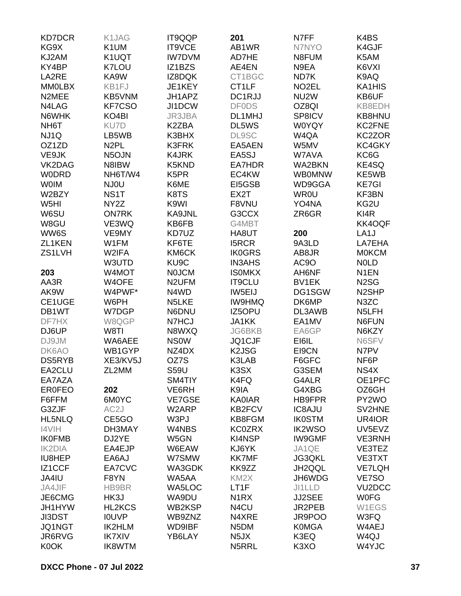| <b>KD7DCR</b>     | K1JAG              | <b>IT9QQP</b>              | 201                | N7FF               | K4BS                |
|-------------------|--------------------|----------------------------|--------------------|--------------------|---------------------|
| KG9X              | K <sub>1</sub> UM  | IT9VCE                     | AB1WR              | N7NYO              | K4GJF               |
| KJ2AM             | K1UQT              | <b>IW7DVM</b>              | AD7HE              | N8FUM              | K5AM                |
| KY4BP             | K7LOU              | IZ1BZS                     | AE4EN              | N9EA               | K6VXI               |
| LA2RE             | KA9W               | IZ8DQK                     | CT1BGC             | ND7K               | K9AQ                |
| <b>MMOLBX</b>     | KB1FJ              | JE1KEY                     | CT <sub>1</sub> LF | NO <sub>2</sub> EL | KA1HIS              |
| N2MEE             | KB5VNM             | JH1APZ                     | DC1RJJ             | NU <sub>2</sub> W  | KB6UF               |
| N4LAG             | KF7CSO             | JI1DCW                     | <b>DF0DS</b>       | OZ8QI              | KB8EDH              |
| N6WHK             | KO <sub>4</sub> BI | JR3JBA                     | DL1MHJ             | SP8ICV             | KB8HNU              |
| NH <sub>6</sub> T | KU7D               | K2ZBA                      | DL5WS              | <b>W0YQY</b>       | KC2FNE              |
| NJ1Q              | LB5WB              | K3BHX                      | <b>DL9SC</b>       | W4QA               | KC2ZOR              |
| OZ1ZD             | N <sub>2</sub> PL  | K3FRK                      | EA5AEN             | W5MV               | KC4GKY              |
| VE9JK             | N <sub>5</sub> OJN | <b>K4JRK</b>               | EA5SJ              | W7AVA              | KC6G                |
| VK2DAG            | N8IBW              | K5KND                      | EA7HDR             | WA2BKN             | KE4SQ               |
| <b>WODRD</b>      | NH6T/W4            | K <sub>5</sub> PR          | EC4KW              | <b>WB0MNW</b>      | KE5WB               |
| <b>WOIM</b>       | NJ0U               | K6ME                       | EI5GSB             | WD9GGA             | <b>KE7GI</b>        |
| W2BZY             | NS <sub>1</sub> T  | K8TS                       | EX2T               | <b>WR0U</b>        | KF3BN               |
| W <sub>5</sub> HI | NY <sub>2</sub> Z  | K9WI                       | F8VNU              | YO4NA              | KG2U                |
| W6SU              | <b>ON7RK</b>       | <b>KA9JNL</b>              | G3CCX              | ZR6GR              | KI4R                |
| W8GU              | VE3WQ              | KB6FB                      | G4MBT              |                    | KK4OQF              |
| WW6S              | VE9MY              | KD7UZ                      | HA8UT              | 200                | LA <sub>1</sub> J   |
| ZL1KEN            | W1FM               | KF6TE                      | <b>I5RCR</b>       | 9A3LD              | LA7EHA              |
| ZS1LVH            | W2IFA              |                            |                    | AB8JR              | <b>MOKCM</b>        |
|                   |                    | KM6CK<br>KU <sub>9</sub> C | <b>IK0GRS</b>      | AC9O               | <b>NOLD</b>         |
|                   | W3UTD              |                            | <b>IN3AHS</b>      |                    |                     |
| 203               | W4MOT              | <b>NOJCM</b>               | <b>ISOMKX</b>      | AH6NF              | N <sub>1</sub> EN   |
| AA3R              | W4OFE              | N <sub>2</sub> UFM         | IT9CLU             | BV1EK              | N <sub>2</sub> SG   |
| AK9W              | W4PWF*             | N4WD                       | IW5EIJ             | DG1SGW             | N <sub>2</sub> SHP  |
| CE1UGE            | W6PH               | N5LKE                      | <b>IW9HMQ</b>      | DK6MP              | N3ZC                |
| DB1WT             | W7DGP              | N6DNU                      | IZ5OPU             | DL3AWB             | N <sub>5</sub> LFH  |
| DF7HX             | W8QGP              | N7HCJ                      | <b>JA1KK</b>       | EA1MV              | N6FUN               |
| DJ6UP             | W8TI               | N8WXQ                      | <b>JG6BKB</b>      | EA6GP              | N6KZY               |
| DJ9JM             | WA6AEE             | <b>NSOW</b>                | JQ1CJF             | EI6IL              | N6SFV               |
| DK6AO             | WB1GYP             | NZ4DX                      | K <sub>2</sub> JSG | EI9CN              | N7PV                |
| DS5RYB            | XE3/KV5J           | OZ7S                       | K3LAB              | F6GFC              | NF6P                |
| EA2CLU            | ZL2MM              | <b>S59U</b>                | K3SX               | G3SEM              | NS4X                |
| EA7AZA            |                    | SM4TIY                     | K4FQ               | G4ALR              | OE1PFC              |
| <b>ER0FEO</b>     | 202                | VE6RH                      | K9IA               | G4XBG              | OZ6GH               |
| F6FFM             | 6M0YC              | <b>VE7GSE</b>              | <b>KA0IAR</b>      | HB9FPR             | PY2WO               |
| G3ZJF             | AC <sub>2</sub> J  | W2ARP                      | <b>KB2FCV</b>      | <b>IC8AJU</b>      | SV2HNE              |
| <b>HL5NLQ</b>     | CE5GO              | W3PJ                       | KB8FGM             | <b>IK0STM</b>      | UR4IOR              |
| I4VIH             | DH3MAY             | W4NBS                      | <b>KC0ZRX</b>      | <b>IK2WSO</b>      | UV5EVZ              |
| <b>IK0FMB</b>     | DJ2YE              | W5GN                       | KI4NSP             | <b>IW9GMF</b>      | <b>VE3RNH</b>       |
| <b>IK2DIA</b>     | EA4EJP             | W6EAW                      | KJ6YK              | JA1QE              | VE3TEZ              |
| IU8HEP            | EA6AJ              | W7SMW                      | <b>KK7MF</b>       | <b>JG3QKL</b>      | VE3TXT              |
| IZ1CCF            | EA7CVC             | WA3GDK                     | KK9ZZ              | JH2QQL             | <b>VE7LQH</b>       |
| JA4IU             | F8YN               | WA5AA                      | KM <sub>2</sub> X  | JH6WDG             | VE7SO               |
| JA4JIF            | HB9BR              | WA5LOC                     | LT1F               | JI1LLD             | VU <sub>2</sub> DCC |
| JE6CMG            | HK3J               | WA9DU                      | N <sub>1</sub> RX  | <b>JJ2SEE</b>      | <b>WOFG</b>         |
| JH1HYW            | <b>HL2KCS</b>      | WB2KSP                     | N4CU               | JR2PEB             | W1EGS               |
| <b>JI3DST</b>     | <b>IOUVP</b>       | WB9ZNZ                     | N4XRE              | JR9POO             | W3FQ                |
| JQ1NGT            | IK2HLM             | <b>WD9IBF</b>              | N <sub>5</sub> DM  | <b>K0MGA</b>       | W4AEJ               |
| JR6RVG            | <b>IK7XIV</b>      | YB6LAY                     | N <sub>5</sub> JX  | K3EQ               | W <sub>4Q</sub> J   |
| K0OK              | IK8WTM             |                            | N5RRL              | K3XO               | W4YJC               |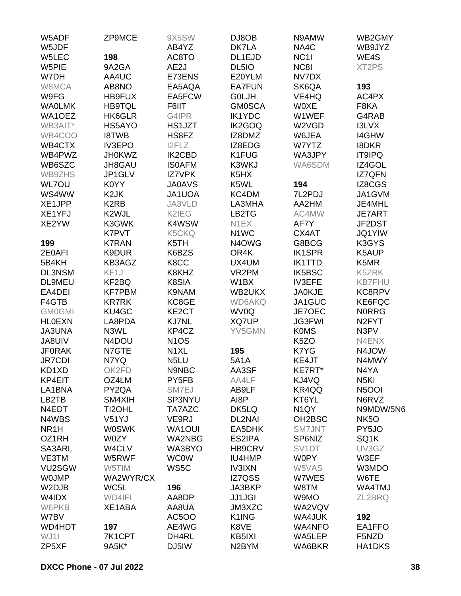| W5ADF                  | ZP9MCE            | 9X5SW             | DJ8OB             | N9AMW               | WB2GMY             |
|------------------------|-------------------|-------------------|-------------------|---------------------|--------------------|
| W5JDF                  |                   | AB4YZ             | DK7LA             | NA4C                | WB9JYZ             |
| W5LEC                  | 198               | AC8TO             | DL1EJD            | NC <sub>11</sub>    | WE4S               |
| W5PIE                  | 9A2GA             | AE2J              | DL5IO             | NC8I                | XT2PS              |
| W7DH                   | AA4UC             | E73ENS            | E20YLM            | NV7DX               |                    |
| W8MCA                  | AB8NO             | EA5AQA            | <b>EA7FUN</b>     | SK6QA               | 193                |
| W9FG                   | HB9FUX            | EA5FCW            | G0LJH             | VE4HQ               | AC4PX              |
| <b>WAOLMK</b>          | <b>HB9TQL</b>     | F6IIT             | <b>GM0SCA</b>     | <b>WOXE</b>         | F8KA               |
| WA1OEZ                 | HK6GLR            | G4IPR             | <b>IK1YDC</b>     | W1WEF               | G4RAB              |
| WB3AIT*                | HS5AYO            | HS1JZT            | IK2GOQ            | W2VGD               | I3LVX              |
| WB4COO                 | <b>I8TWB</b>      | HS8FZ             | IZ8DMZ            | W6JEA               | <b>I4GHW</b>       |
| WB4CTX                 | <b>IV3EPO</b>     | I2FLZ             | IZ8EDG            | W7YTZ               | <b>I8DKR</b>       |
| WB4PWZ                 | <b>JH0KWZ</b>     | <b>IK2CBD</b>     | K1FUG             | WA3JPY              | <b>IT9IPQ</b>      |
| WB6SZC                 | JH8GAU            | <b>ISOAFM</b>     | K3WKJ             | WA6SDM              | IZ4GOL             |
| WB9ZHS                 | JP1GLV            | <b>IZ7VPK</b>     | K5HX              |                     | IZ7QFN             |
| WL7OU                  | K0YY              | <b>JA0AVS</b>     | K5WL              | 194                 | IZ8CGS             |
| WS4WW                  | K <sub>2</sub> JK | JA1UOA            | KC4DM             | 7L2PDJ              | JA1GVM             |
| XE1JPP                 | K <sub>2</sub> RB | JA3VLD            | LA3MHA            | AA2HM               | JE4MHL             |
| XE1YFJ                 | K2WJL             | K2IEG             | LB2TG             | AC4MW               | <b>JE7ART</b>      |
| XE2YW                  | K3GWK             | K4WSW             | N1EX              | AF7Y                | JF2DST             |
|                        | <b>K7PVT</b>      | K5CKQ             | N <sub>1</sub> WC | CX4AT               | <b>JQ1YIW</b>      |
| 199                    | <b>K7RAN</b>      | K5TH              | N4OWG             | G8BCG               | K3GYS              |
| 2E0AFI                 | K9DUR             | K6BZS             | OR4K              | <b>IK1SPR</b>       | K5AUP              |
| 5B4KH                  | KB3AGZ            | K8CC              | UX4UM             | <b>IK1TTD</b>       | K5MR               |
| <b>DL3NSM</b>          | KF1J              | K8KHZ             | VR2PM             | <b>IK5BSC</b>       | K5ZRK              |
| <b>DL9MEU</b>          | KF2BQ             | K8SIA             | W1BX              | <b>IV3EFE</b>       | <b>KB7FHU</b>      |
| EA4DEI                 | <b>KF7PBM</b>     | K9NAM             | WB2UKX            | <b>JA0KJE</b>       | KC8RPV             |
| F4GTB                  | <b>KR7RK</b>      | KC8GE             | <b>WD6AKQ</b>     | JA1GUC              | KE6FQC             |
| <b>GM0GMI</b>          | KU4GC             | KE2CT             | WV0Q              | JE7OEC              | <b>NORRG</b>       |
| <b>HLOEXN</b>          | LA8PDA            | <b>KJ7NL</b>      | XQ7UP             | <b>JG3FWI</b>       | N <sub>2</sub> FYT |
| <b>JA3UNA</b>          | N3WL              | KP4CZ             | YV5GMN            | <b>K0MS</b>         | N3PV               |
| JA8UIV                 | N4DOU             | <b>N1OS</b>       |                   | K <sub>5</sub> ZO   | N4ENX              |
| <b>JF0RAK</b>          | N7GTE             | N <sub>1</sub> XL | 195               | K7YG                | N4JOW              |
|                        | N7YQ              | N <sub>5</sub> LU | <b>5A1A</b>       | KE4JT               | N4MWY              |
| <b>JR7CDI</b><br>KD1XD | OK2FD             | N9NBC             | AA3SF             | KE7RT*              | N4YA               |
| KP4EIT                 |                   | PY5FB             |                   |                     |                    |
|                        | OZ4LM             |                   | AA4LF             | KJ4VQ               | N <sub>5</sub> KI  |
| LA1BNA                 | PY2QA             | SM7EJ             | AB9LF             | KR4QQ               | N5OOI              |
| LB2TB                  | SM4XIH            | SP3NYU            | AI8P              | KT6YL               | N6RVZ<br>N9MDW/5N6 |
| N4EDT                  | TI2OHL            | TA7AZC            | DK5LQ             | N <sub>1</sub> QY   |                    |
| N4WBS                  | V51YJ             | VE9RJ             | <b>DL2NAI</b>     | OH <sub>2</sub> BSC | NK <sub>50</sub>   |
| NR <sub>1</sub> H      | <b>W0SWK</b>      | WA1OUI            | EA5DHK            | <b>SM7JNT</b>       | PY5JO              |
| OZ1RH                  | W0ZY              | <b>WA2NBG</b>     | ES2IPA            | SP6NIZ              | SQ1K               |
| SA3ARL                 | W4CLV             | WA3BYO            | HB9CRV            | SV <sub>1</sub> DT  | UV3GZ              |
| VE3TM                  | W5RWF             | <b>WC0W</b>       | IU4HMP            | <b>W0PY</b>         | W3EF               |
| VU2SGW                 | W5TIM             | WS5C              | <b>IV3IXN</b>     | W5VAS               | W3MDO              |
| <b>WOJMP</b>           | WA2WYR/CX         |                   | IZ7QSS            | W7WES               | W6TE               |
| W2DJB                  | WC5L              | 196               | JA3BKP            | W8TM                | WA4TMJ             |
| W4IDX                  | WD4IFI            | AA8DP             | <b>JJ1JGI</b>     | W9MO                | ZL2BRQ             |
| W6PKB                  | XE1ABA            | AA8UA             | JM3XZC            | WA2VQV              |                    |
| W7BV                   |                   | <b>AC5OO</b>      | K1ING             | WA4JUK              | 192                |
| WD4HDT                 | 197               | AE4WG             | K8VE              | <b>WA4NFO</b>       | EA1FFO             |
| WJ11                   | 7K1CPT            | DH4RL             | KB5IXI            | WA5LEP              | F5NZD              |
| ZP5XF                  | 9A5K*             | DJ5IW             | N2BYM             | WA6BKR              | HA1DKS             |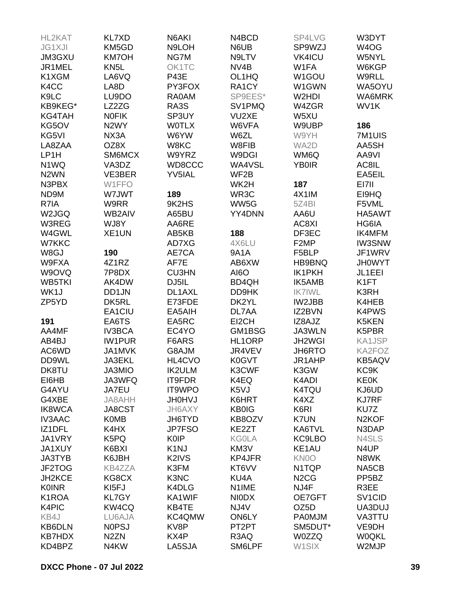| HL2KAT            | <b>KL7XD</b>      | N6AKI             | N4BCD              | SP4LVG                        | W3DYT               |
|-------------------|-------------------|-------------------|--------------------|-------------------------------|---------------------|
| <b>JG1XJI</b>     | KM5GD             | N9LOH             | N6UB               | SP9WZJ                        | W <sub>4</sub> OG   |
| JM3GXU            | <b>KM7OH</b>      | NG7M              | N9LTV              | <b>VK4ICU</b>                 | W5NYL               |
| JR1MEL            | KN <sub>5</sub> L | OK1TC             | NV <sub>4</sub> B  | W1FA                          | W6KGP               |
| K1XGM             | LA6VQ             | <b>P43E</b>       | OL1HQ              | W1GOU                         | W9RLL               |
| K4CC              | LA8D              | PY3FOX            | RA1CY              | W1GWN                         | WA5OYU              |
| K9LC              | LU9DO             | <b>RA0AM</b>      | SP9EES*            | W2HDI                         | WA6MRK              |
| KB9KEG*           | LZ2ZG             | RA3S              | SV1PMQ             | W4ZGR                         | WV1K                |
|                   |                   | SP3UY             | VU2XE              |                               |                     |
| KG4TAH            | <b>NOFIK</b>      |                   |                    | W5XU                          |                     |
| KG5OV             | N <sub>2</sub> WY | <b>WOTLX</b>      | W6VFA              | W9UBP                         | 186                 |
| KG5VI             | NX3A              | W6YW              | W6ZL               | W9YH                          | 7M1UIS              |
| LA8ZAA            | OZ8X              | W8KC              | W8FIB              | WA2D                          | AA5SH               |
| LP1H              | SM6MCX            | W9YRZ             | W9DGI              | WM6Q                          | AA9VI               |
| N1WQ              | VA3DZ             | WD8CCC            | WA4VSL             | <b>YB0IR</b>                  | AC8IL               |
| N <sub>2</sub> WN | VE3BER            | YV5IAL            | WF2B               |                               | EA5EIL              |
| N3PBX             | W1FFO             |                   | WK2H               | 187                           | EI7II               |
| ND9M              | W7JWT             | 189               | WR3C               | 4X1IM                         | EI9HQ               |
| R7IA              | W9RR              | 9K2HS             | WW5G               | 5Z4BI                         | F5VML               |
| W2JGQ             | WB2AIV            | A65BU             | YY4DNN             | AA6U                          | HA5AWT              |
| W3REG             | WJ8Y              | AA6RE             |                    | AC8XI                         | HG6IA               |
| W4GWL             | XE1UN             | AB5KB             | 188                | DF3EC                         | IK4MFM              |
| W7KKC             |                   | AD7XG             | 4X6LU              | F <sub>2</sub> MP             | <b>IW3SNW</b>       |
| W8GJ              | 190               | AE7CA             | <b>9A1A</b>        | F5BLP                         | JF1WRV              |
| W9FXA             | 4Z1RZ             | AF7E              | AB6XW              | HB9BNQ                        | <b>JH0WYT</b>       |
| W9OVQ             | 7P8DX             | <b>CU3HN</b>      | <b>AI6O</b>        | IK1PKH                        | JL1EEI              |
| WB5TKI            | AK4DW             | DJ5IL             | BD4QH              | <b>IK5AMB</b>                 | K1FT                |
| WK1J              | DD1JN             | DL1AXL            | DD9HK              | <b>IK7IWL</b>                 | K3RH                |
| ZP5YD             | DK5RL             | E73FDE            | DK2YL              | IW2JBB                        | K4HEB               |
|                   |                   |                   |                    |                               |                     |
|                   | EA1CIU            | EA5AIH            | DL7AA              | IZ2BVN                        | K4PWS               |
| 191               | EA6TS             | EA5RC             | EI2CH              | IZ8AJZ                        | K5KEN               |
| AA4MF             | <b>IV3BCA</b>     | EC4YO             | GM1BSG             | JA3WLN                        | K5PBR               |
| AB4BJ             | <b>IW1PUR</b>     | F6ARS             | <b>HL1ORP</b>      | JH2WGI                        | KA1JSP              |
| AC6WD             | <b>JA1MVK</b>     | G8AJM             | JR4VEV             | <b>JH6RTO</b>                 | KA2FOZ              |
| DD9WL             | <b>JA3EKL</b>     | HL4CVO            | <b>K0GVT</b>       | JR1AHP                        | <b>KB5AQV</b>       |
| DK8TU             | JA3MIO            | <b>IK2ULM</b>     | K3CWF              | K3GW                          | KC9K                |
| EI6HB             | <b>JA3WFQ</b>     | <b>IT9FDR</b>     | K4EQ               | K4ADI                         | <b>KE0K</b>         |
| G4AYU             | JA7EU             | IT9WPO            | K <sub>5</sub> VJ  | K4TQU                         | KJ6UD               |
| G4XBE             | JA8AHH            | <b>UNOHU</b>      | K6HRT              | K4XZ                          | <b>KJ7RF</b>        |
| <b>IK8WCA</b>     | <b>JA8CST</b>     | JH6AXY            | <b>KB0IG</b>       | K6RI                          | KU7Z                |
| <b>IV3AAC</b>     | <b>K0MB</b>       | JH6TYD            | KB8OZV             | K7UN                          | N <sub>2</sub> KOF  |
| IZ1DFL            | K4HX              | JP7FSO            | KE2ZT              | KA6TVL                        | N3DAP               |
| JA1VRY            | K5PQ              | <b>K0IP</b>       | <b>KG0LA</b>       | <b>KC9LBO</b>                 | N4SLS               |
| <b>JA1XUY</b>     | K6BXI             | K <sub>1</sub> NJ | KM3V               | KE <sub>1</sub> AU            | N4UP                |
| <b>JA3TYB</b>     | K6JBH             | K2IVS             | KP4JFR             | KN0O                          | N8WK                |
| JF2TOG            | <b>KB4ZZA</b>     | K3FM              | KT6VV              | N1TQP                         | NA5CB               |
| JH2KCE            | KG8CX             | K3NC              | KU4A               | N <sub>2</sub> C <sub>G</sub> | PP <sub>5</sub> BZ  |
| <b>K0INR</b>      | KI5FJ             | K4DLG             | N <sub>1</sub> IME | NJ4F                          | R3EE                |
| K1ROA             | KL7GY             | KA1WIF            | <b>NIODX</b>       | OE7GFT                        | SV <sub>1</sub> CID |
|                   |                   |                   |                    |                               |                     |
| K4PIC             | KW4CQ             | KB4TE             | NJ4V               | OZ <sub>5</sub> D             | UA3DUJ              |
| KB4J              | LU6AJA            | KC4QMW            | ON6LY              | <b>PA0MJM</b>                 | VA3TTU              |
| <b>KB6DLN</b>     | <b>NOPSJ</b>      | KV8P              | PT <sub>2</sub> PT | SM5DUT*                       | VE9DH               |
| <b>KB7HDX</b>     | N <sub>2</sub> ZN | KX4P              | R3AQ               | <b>W0ZZQ</b>                  | <b>W0QKL</b>        |
| KD4BPZ            | N4KW              | LA5SJA            | SM6LPF             | W1SIX                         | W2MJP               |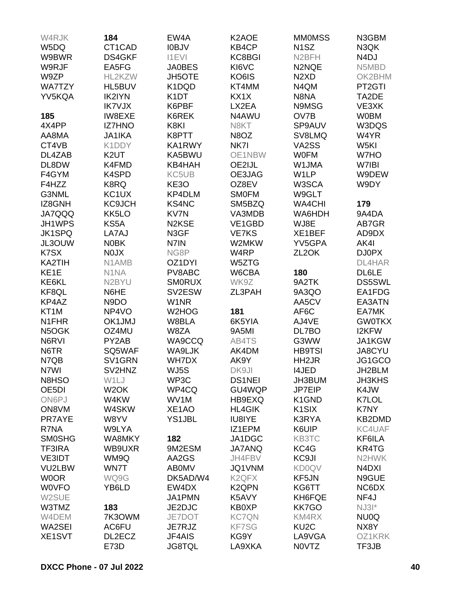| W4RJK              | 184                | EW4A               | K <sub>2</sub> AOE | <b>MMOMSS</b>                 | N3GBM             |
|--------------------|--------------------|--------------------|--------------------|-------------------------------|-------------------|
| W5DQ               | CT1CAD             | <b>IOBJV</b>       | KB4CP              | N <sub>1</sub> SZ             | N3QK              |
| W9BWR              | DS4GKF             | <b>I1EVI</b>       | KC8BGI             | N <sub>2</sub> BFH            | N <sub>4</sub> DJ |
| W9RJF              | EA5FG              | <b>JA0BES</b>      | KI6VC              | N2NQE                         | N5MBD             |
|                    | HL2KZW             |                    | KO6IS              | N <sub>2</sub> X <sub>D</sub> | OK2BHM            |
| W9ZP               |                    | <b>JH5OTE</b>      |                    |                               |                   |
| <b>WA7TZY</b>      | HL5BUV             | K1DQD              | KT4MM              | N4QM                          | PT2GTI            |
| YV5KQA             | <b>IK2IYN</b>      | K <sub>1</sub> DT  | KX1X               | N8NA                          | TA2DE             |
|                    | <b>IK7VJX</b>      | K6PBF              | LX2EA              | N9MSG                         | VE3XK             |
| 185                | <b>IW8EXE</b>      | K6REK              | N4AWU              | OV7B                          | <b>W0BM</b>       |
| 4X4PP              | <b>IZ7HNO</b>      | K8KI               | N8KT               | SP9AUV                        | W3DQS             |
| AA8MA              | JA1IKA             | K8PTT              | N8OZ               | SV8LMQ                        | W4YR              |
| CT4VB              | K1DDY              | KA1RWY             | NK7I               | VA2SS                         | W5KI              |
| DL4ZAB             | K <sub>2</sub> UT  | KA5BWU             | OE1NBW             | <b>WOFM</b>                   | W7HO              |
| DL8DW              | K4FMD              | KB4HAH             | OE2IJL             | W1JMA                         | W7IBI             |
| F4GYM              | K4SPD              | KC5UB              | OE3JAG             | W <sub>1</sub> LP             | W9DEW             |
| F4HZZ              | K8RQ               | KE3O               | OZ8EV              | W3SCA                         | W9DY              |
| G3NML              | KC1UX              | KP4DLM             | <b>SMOFM</b>       | W9GLT                         |                   |
| IZ8GNH             | <b>KC9JCH</b>      | <b>KS4NC</b>       | SM5BZQ             | <b>WA4CHI</b>                 | 179               |
| <b>JA7QQQ</b>      | KK5LO              | KV7N               | VA3MDB             | WA6HDH                        | 9A4DA             |
| JH1WPS             | KS5A               | N <sub>2</sub> KSE | VE1GBD             | WJ8E                          | AB7GR             |
| <b>JK1SPQ</b>      | LA7AJ              | N3GF               | <b>VE7KS</b>       | XE1BEF                        | AD9DX             |
| JL3OUW             | <b>N0BK</b>        | N7IN               | W2MKW              | YV5GPA                        | AK4I              |
| K7SX               | N0JX               | NG8P               | W <sub>4</sub> RP  | ZL <sub>2</sub> OK            | <b>DJ0PX</b>      |
| KA2TIH             | N1AMB              | OZ1DYI             | W5ZTG              |                               | DL4HAR            |
| KE <sub>1</sub> E  | N1NA               | PV8ABC             | W6CBA              | 180                           | DL6LE             |
| KE6KL              | N <sub>2</sub> BYU | <b>SMORUX</b>      | WK9Z               | 9A2TK                         | <b>DS5SWL</b>     |
| KF8QL              | N6HE               | SV2ESW             | ZL3PAH             |                               | EA1FDG            |
|                    |                    |                    |                    | 9A3QO                         |                   |
| KP4AZ              | N9DO               | W1NR               |                    | AA5CV                         | EA3ATN            |
| KT <sub>1</sub> M  | NP4VO              | W2HOG              | 181                | AF6C                          | EA7MK             |
| N1FHR              | OK1JMJ             | W8BLA              | 6K5YIA             | AJ4VE                         | <b>GW0TKX</b>     |
| N5OGK              | OZ4MU              | W8ZA               | 9A5MI              | DL7BO                         | I2KFW             |
| N6RVI              | PY2AB              | WA9CCQ             | AB4TS              | G3WW                          | JA1KGW            |
| N6TR               | SQ5WAF             | WA9LJK             | AK4DM              | <b>HB9TSI</b>                 | JA8CYU            |
| N7QB               | SV1GRN             | WH7DX              | AK9Y               | HH <sub>2</sub> JR            | JG1GCO            |
| N7WI               | SV2HNZ             | WJ5S               | DK9JI              | I4JED                         | JH2BLM            |
| N8HSO              | W1LJ               | WP3C               | <b>DS1NEI</b>      | JH3BUM                        | <b>JH3KHS</b>     |
| OE <sub>5</sub> DI | W <sub>2</sub> OK  | WP4CQ              | GU4WQP             | JP7EIP                        | K4JW              |
| ON6PJ              | W4KW               | WV1M               | HB9EXQ             | K1GND                         | K7LOL             |
| ON8VM              | W4SKW              | XE1AO              | <b>HL4GIK</b>      | K <sub>1</sub> SIX            | K7NY              |
| PR7AYE             | W8YV               | <b>YS1JBL</b>      | IU8IYE             | K3RYA                         | KB2DMD            |
| R7NA               | W9LYA              |                    | IZ1EPM             | K6UIP                         | KC4UAF            |
| <b>SMOSHG</b>      | WA8MKY             | 182                | JA1DGC             | KB3TC                         | KF6ILA            |
| <b>TF3IRA</b>      | WB9UXR             | 9M2ESM             | <b>JA7ANQ</b>      | KC4G                          | KR4TG             |
| <b>VE3IDT</b>      | WM9Q               | AA2GS              | JH4FBV             | KC9JI                         | N2HWK             |
| VU2LBW             | WN7T               | <b>ABOMV</b>       | JQ1VNM             | <b>KD0QV</b>                  | N4DXI             |
| <b>WOOR</b>        | WQ9G               | DK5AD/W4           | K <sub>2</sub> QFX | KF5JN                         | N9GUE             |
| <b>WOVFO</b>       | YB6LD              | EW4DX              | K <sub>2</sub> QPN | KG6TT                         | NC6DX             |
| W2SUE              |                    | JA1PMN             | K5AVY              | KH6FQE                        | NF4J              |
| W3TMZ              | 183                | JE2DJC             | <b>KB0XP</b>       | <b>KK7GO</b>                  | $NJ31*$           |
| W4DEM              | 7K3OWM             | JE7DOT             | <b>KC7QN</b>       | KM4RX                         | NU0Q              |
| WA2SEI             | AC6FU              | JE7RJZ             | <b>KF7SG</b>       | KU <sub>2</sub> C             | NX8Y              |
| XE1SVT             | DL2ECZ             | JF4AIS             | KG9Y               | LA9VGA                        | OZ1KRK            |
|                    |                    |                    | LA9XKA             |                               |                   |
|                    | E73D               | <b>JG8TQL</b>      |                    | N0VTZ                         | TF3JB             |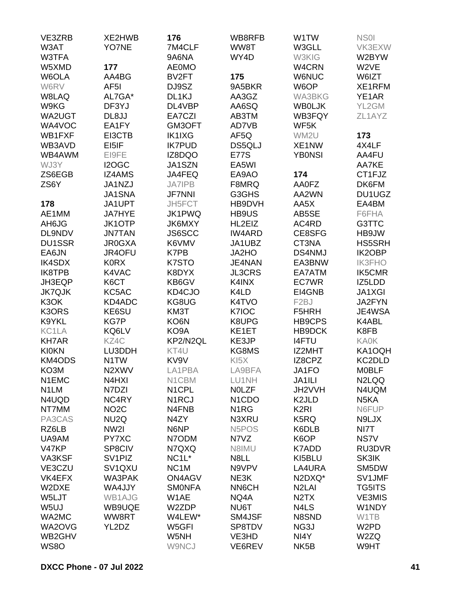| VE3ZRB            | XE2HWB                          | 176                | WB8RFB                          | W1TW                          | NS <sub>01</sub>   |
|-------------------|---------------------------------|--------------------|---------------------------------|-------------------------------|--------------------|
| W3AT              | YO7NE                           | 7M4CLF             | WW8T                            | W3GLL                         | VK3EXW             |
| W3TFA             |                                 | 9A6NA              | WY4D                            | W3KIG                         | W2BYW              |
| W5XMD             | 177                             | <b>AE0MO</b>       |                                 | W4CRN                         | W2VE               |
| W6OLA             | AA4BG                           | BV2FT              | 175                             | <b>W6NUC</b>                  | W6IZT              |
| W6RV              | AF <sub>5</sub> I               | DJ9SZ              | 9A5BKR                          | W6OP                          | XE1RFM             |
| W8LAQ             | AL7GA*                          | DL1KJ              | AA3GZ                           | <b>WA3BKG</b>                 | YE1AR              |
| W9KG              | DF3YJ                           | DL4VBP             | AA6SQ                           | <b>WBOLJK</b>                 | YL2GM              |
| WA2UGT            | DL8JJ                           | EA7CZI             | AB3TM                           | WB3FQY                        | ZL1AYZ             |
| WA4VOC            | EA1FY                           | GM3OFT             | AD7VB                           | WF5K                          |                    |
| WB1FXF            | EI3CTB                          | <b>IK1IXG</b>      | AF5Q                            | WM2U                          | 173                |
| WB3AVD            | EI5IF                           | <b>IK7PUD</b>      | DS5QLJ                          | XE1NW                         | 4X4LF              |
| WB4AWM            | EI9FE                           | IZ8DQO             | <b>E77S</b>                     | <b>YB0NSI</b>                 | AA4FU              |
| WJ3Y              | I2OGC                           | JA1SZN             | EA5WI                           |                               | AA7KE              |
| ZS6EGB            | <b>IZ4AMS</b>                   | JA4FEQ             | EA9AO                           | 174                           | CT1FJZ             |
| ZS6Y              | JA1NZJ                          | <b>JA7IPB</b>      | F8MRQ                           | AA0FZ                         | DK6FM              |
|                   | JA1SNA                          | <b>JF7NNI</b>      | G3GHS                           | AA2WN                         | DU1UGZ             |
| 178               | JA1UPT                          | JH5FCT             | HB9DVH                          | AA5X                          | EA4BM              |
| AE1MM             | <b>JA7HYE</b>                   | JK1PWQ             | HB9US                           | AB5SE                         | F6FHA              |
| AH6JG             | <b>JK1OTP</b>                   | JK6MXY             | HL2EIZ                          | AC4RD                         |                    |
|                   |                                 |                    | <b>IW4ARD</b>                   |                               | G3TTC              |
| DL9NDV            | <b>JN7TAN</b>                   | JS6SCC             |                                 | CE8SFG                        | HB9JW              |
| <b>DU1SSR</b>     | <b>JR0GXA</b>                   | K6VMV              | JA1UBZ                          | CT3NA                         | HS5SRH             |
| EA6JN             | JR4OFU                          | K7PB               | JA2HO                           | <b>DS4NMJ</b>                 | <b>IK2OBP</b>      |
| <b>IK4SDX</b>     | <b>K0RX</b>                     | K7STO              | JE4NAN                          | EA3BNW                        | <b>IK3FHO</b>      |
| IK8TPB            | K4VAC                           | K8DYX              | <b>JL3CRS</b>                   | EA7ATM                        | <b>IK5CMR</b>      |
| JH3EQP            | K6CT                            | KB6GV              | K4INX                           | EC7WR                         | IZ5LDD             |
| <b>JK7QJK</b>     | KC5AC                           | KD4CJO             | K4LD                            | EI4GNB                        | <b>JA1XGI</b>      |
| K <sub>3</sub> OK | KD4ADC                          | KG8UG              | K4TVO                           | F <sub>2</sub> BJ             | JA2FYN             |
| K3ORS             | KE6SU                           | KM3T               | K7IOC                           | F5HRH                         | JE4WSA             |
| K9YKL             | <b>KG7P</b>                     | KO6N               | K8UPG                           | HB9CPS                        | K4ABL              |
| KC1LA             | KQ6LV                           | KO9A               | KE1ET                           | HB9DCK                        | K8FB               |
| <b>KH7AR</b>      | KZ4C                            | KP2/N2QL           | KE3JP                           | <b>I4FTU</b>                  | <b>KA0K</b>        |
| <b>KI0KN</b>      | LU3DDH                          | KT4U               | KG8MS                           | IZ2MHT                        | KA1OQH             |
| <b>KM4ODS</b>     | N <sub>1</sub> TW               | KV9V               | KI <sub>5</sub> X               | IZ8CPZ                        | KC2DLD             |
| KO3M              | N2XWV                           | LA1PBA             | LA9BFA                          | JA1FO                         | <b>MOBLF</b>       |
| N1EMC             | N4HXI                           | N1CBM              | LU1NH                           | <b>JA1ILI</b>                 | N <sub>2</sub> LQQ |
| N <sub>1</sub> LM | N7DZI                           | N <sub>1</sub> CPL | <b>NOLZF</b>                    | JH2VVH                        | N4UQM              |
| N4UQD             | NC4RY                           | N <sub>1</sub> RCJ | N <sub>1</sub> C <sub>D</sub> O | K <sub>2</sub> JLD            | N <sub>5</sub> KA  |
| NT7MM             | NO <sub>2</sub> C               | N4FNB              | N <sub>1</sub> RG               | K <sub>2</sub> RI             | N6FUP              |
| PA3CAS            | NU <sub>2</sub> Q               | N4ZY               | N3XRU                           | K5RQ                          | N9LJX              |
| RZ6LB             | NW2I                            | N6NP               | N <sub>5</sub> PO <sub>S</sub>  | K6DLB                         | NI7T               |
| UA9AM             | PY7XC                           | N7ODM              | N7VZ                            | K6OP                          | NS7V               |
| V47KP             | SP8CIV                          | N7QXQ              | N8IMU                           | K7ADD                         | RU3DVR             |
| VA3KSF            | SV <sub>1</sub> PIZ             | NC <sub>1</sub> L* | N8LL                            | KI5BLU                        | SK3IK              |
| VE3CZU            | SV <sub>1</sub> Q <sub>XU</sub> | NC <sub>1</sub> M  | N9VPV                           | LA4URA                        | SM5DW              |
| VK4EFX            | WA3PAK                          | <b>ON4AGV</b>      | NE3K                            | N2DXQ*                        | SV1JMF             |
| W2DXE             | WA4JJY                          | <b>SMONFA</b>      | NN6CH                           | N <sub>2</sub> LAI            | <b>TG5ITS</b>      |
| W5LJT             | <b>WB1AJG</b>                   | W1AE               | NQ4A                            | N <sub>2</sub> T <sub>X</sub> | <b>VE3MIS</b>      |
| W <sub>5U</sub>   | WB9UQE                          | W2ZDP              | NU6T                            | N4LS                          | W1NDY              |
| WA2MC             | WW8RT                           | W4LEW*             | SM4JSF                          | N8SND                         | W1TB               |
| WA2OVG            | YL2DZ                           | W5GFI              | SP8TDV                          | NG3J                          | W2PD               |
| WB2GHV            |                                 | W5NH               | VE3HD                           | NI4Y                          | W2ZQ               |
| <b>WS8O</b>       |                                 | W9NCJ              | VE6REV                          | NK <sub>5</sub> B             | W9HT               |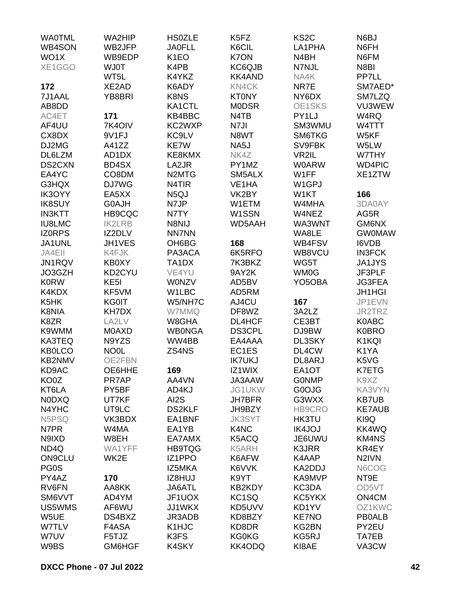| <b>WAOTML</b><br><b>HS0ZLE</b><br>N6BJ<br>WB4SON<br><b>JA0FLL</b><br>K6CIL<br>N6FH<br>WB2JFP<br>LA1PHA<br>WO1X<br>K7ON<br>WB9EDP<br>K <sub>1</sub> EO<br>N4BH<br>N6FM<br>XE1GGO<br>KC6QJB<br><b>WJ0T</b><br>K4PB<br>N7NJL<br>N8BI<br><b>KK4AND</b><br>PP7LL<br>WT5L<br>K4YKZ<br>NA4K<br>172<br>XE2AD<br>K6ADY<br>KN4CK<br>NR7E<br>SM7AED*<br>K8NS<br>7J1AAL<br>YB8BRI<br><b>KT0NY</b><br>NY6DX<br>SM7LZQ<br>AB8DD<br>KA1CTL<br><b>MODSR</b><br>OE1SKS<br>VU3WEW<br>AC4ET<br>171<br>KB4BBC<br>N <sub>4</sub> T <sub>B</sub><br>PY1LJ<br>W4RQ<br>7K4OIV<br>KC2WXP<br>SM3WMU<br>AF4UU<br>N7JI<br>W4TTT<br>CX8DX<br>9V1FJ<br>KC9LV<br>N8WT<br>SM6TKG<br>W5KF<br>DJ2MG<br>KE7W<br>NA5J<br>SV9FBK<br>A41ZZ<br>W5LW<br>DL6LZM<br>VR2IL<br>AD1DX<br>KE8KMX<br>NK4Z<br>W7THY<br>DS2CXN<br>BD4SX<br>LA2JR<br>PY1MZ<br><b>W0ARW</b><br><b>WD4PIC</b><br>CO8DM<br>W1FF<br>EA4YC<br>N <sub>2</sub> MT <sub>G</sub><br>SM5ALX<br>XE1ZTW<br>G3HQX<br>DJ7WG<br>N4TIR<br>VE <sub>1</sub> HA<br>W <sub>1</sub> GPJ<br>N <sub>5</sub> QJ<br>VK2BY<br>166<br><b>IK3OYY</b><br>EA5XX<br>W1KT<br><b>IK8SUY</b><br>G0AJH<br>N7JP<br>W1ETM<br>W4MHA<br>3DA0AY<br>W1SSN<br><b>IN3KTT</b><br><b>HB9CQC</b><br>N7TY<br>W4NEZ<br>AG5R<br><b>IU8LMC</b><br>N8NIJ<br>GM6NX<br><b>IK2LRB</b><br><b>WD5AAH</b><br>WA3WNT<br><b>NN7NN</b><br><b>IZORPS</b><br>IZ2DLV<br>WA8LE<br><b>GW0MAW</b><br>JH1VES<br>OH6BG<br>168<br><b>I6VDB</b><br>JA1UNL<br>WB4FSV<br>JA4EII<br>K4FJK<br>PA3ACA<br>6K5RFO<br>WB8VCU<br><b>IN3FCK</b><br>WG5T<br>JN1RQV<br><b>KB0XY</b><br>TA1DX<br>7K3BKZ<br><b>JA1JYS</b><br>VE4YU<br>9AY2K<br>WM0G<br>JF3PLF<br>JO3GZH<br>KD2CYU<br><b>K0RW</b><br>KE <sub>5</sub> I<br><b>WONZV</b><br>AD5BV<br>YO <sub>5</sub> OBA<br><b>JG3FEA</b><br>K4KDX<br>KF5VM<br>W1LBC<br>AD5RM<br><b>JH1HGI</b><br>AJ4CU<br>167<br>K5HK<br><b>KG0IT</b><br>W5/NH7C<br>JP1EVN<br>KH7DX<br>DF8WZ<br>K8NIA<br>W7MMQ<br>3A2LZ<br>JR2TRZ<br>W8GHA<br>K8ZR<br>LA2LV<br>DL4HCF<br>CE3BT<br>K0ABC<br>K9WMM<br><b>MOAXD</b><br><b>WB0NGA</b><br>DS3CPL<br>DJ9BW<br><b>K0BRO</b><br>N9YZS<br>WW4BB<br>K1KQI<br><b>KA3TEQ</b><br>EA4AAA<br>DL3SKY |  |
|--------------------------------------------------------------------------------------------------------------------------------------------------------------------------------------------------------------------------------------------------------------------------------------------------------------------------------------------------------------------------------------------------------------------------------------------------------------------------------------------------------------------------------------------------------------------------------------------------------------------------------------------------------------------------------------------------------------------------------------------------------------------------------------------------------------------------------------------------------------------------------------------------------------------------------------------------------------------------------------------------------------------------------------------------------------------------------------------------------------------------------------------------------------------------------------------------------------------------------------------------------------------------------------------------------------------------------------------------------------------------------------------------------------------------------------------------------------------------------------------------------------------------------------------------------------------------------------------------------------------------------------------------------------------------------------------------------------------------------------------------------------------------------------------------------------------------------------------------------------------------------------------------------------------------------------------------------------------------------------------------------------------------------------------------------------------------------------------------------------|--|
|                                                                                                                                                                                                                                                                                                                                                                                                                                                                                                                                                                                                                                                                                                                                                                                                                                                                                                                                                                                                                                                                                                                                                                                                                                                                                                                                                                                                                                                                                                                                                                                                                                                                                                                                                                                                                                                                                                                                                                                                                                                                                                              |  |
|                                                                                                                                                                                                                                                                                                                                                                                                                                                                                                                                                                                                                                                                                                                                                                                                                                                                                                                                                                                                                                                                                                                                                                                                                                                                                                                                                                                                                                                                                                                                                                                                                                                                                                                                                                                                                                                                                                                                                                                                                                                                                                              |  |
|                                                                                                                                                                                                                                                                                                                                                                                                                                                                                                                                                                                                                                                                                                                                                                                                                                                                                                                                                                                                                                                                                                                                                                                                                                                                                                                                                                                                                                                                                                                                                                                                                                                                                                                                                                                                                                                                                                                                                                                                                                                                                                              |  |
|                                                                                                                                                                                                                                                                                                                                                                                                                                                                                                                                                                                                                                                                                                                                                                                                                                                                                                                                                                                                                                                                                                                                                                                                                                                                                                                                                                                                                                                                                                                                                                                                                                                                                                                                                                                                                                                                                                                                                                                                                                                                                                              |  |
|                                                                                                                                                                                                                                                                                                                                                                                                                                                                                                                                                                                                                                                                                                                                                                                                                                                                                                                                                                                                                                                                                                                                                                                                                                                                                                                                                                                                                                                                                                                                                                                                                                                                                                                                                                                                                                                                                                                                                                                                                                                                                                              |  |
|                                                                                                                                                                                                                                                                                                                                                                                                                                                                                                                                                                                                                                                                                                                                                                                                                                                                                                                                                                                                                                                                                                                                                                                                                                                                                                                                                                                                                                                                                                                                                                                                                                                                                                                                                                                                                                                                                                                                                                                                                                                                                                              |  |
|                                                                                                                                                                                                                                                                                                                                                                                                                                                                                                                                                                                                                                                                                                                                                                                                                                                                                                                                                                                                                                                                                                                                                                                                                                                                                                                                                                                                                                                                                                                                                                                                                                                                                                                                                                                                                                                                                                                                                                                                                                                                                                              |  |
|                                                                                                                                                                                                                                                                                                                                                                                                                                                                                                                                                                                                                                                                                                                                                                                                                                                                                                                                                                                                                                                                                                                                                                                                                                                                                                                                                                                                                                                                                                                                                                                                                                                                                                                                                                                                                                                                                                                                                                                                                                                                                                              |  |
|                                                                                                                                                                                                                                                                                                                                                                                                                                                                                                                                                                                                                                                                                                                                                                                                                                                                                                                                                                                                                                                                                                                                                                                                                                                                                                                                                                                                                                                                                                                                                                                                                                                                                                                                                                                                                                                                                                                                                                                                                                                                                                              |  |
|                                                                                                                                                                                                                                                                                                                                                                                                                                                                                                                                                                                                                                                                                                                                                                                                                                                                                                                                                                                                                                                                                                                                                                                                                                                                                                                                                                                                                                                                                                                                                                                                                                                                                                                                                                                                                                                                                                                                                                                                                                                                                                              |  |
|                                                                                                                                                                                                                                                                                                                                                                                                                                                                                                                                                                                                                                                                                                                                                                                                                                                                                                                                                                                                                                                                                                                                                                                                                                                                                                                                                                                                                                                                                                                                                                                                                                                                                                                                                                                                                                                                                                                                                                                                                                                                                                              |  |
|                                                                                                                                                                                                                                                                                                                                                                                                                                                                                                                                                                                                                                                                                                                                                                                                                                                                                                                                                                                                                                                                                                                                                                                                                                                                                                                                                                                                                                                                                                                                                                                                                                                                                                                                                                                                                                                                                                                                                                                                                                                                                                              |  |
|                                                                                                                                                                                                                                                                                                                                                                                                                                                                                                                                                                                                                                                                                                                                                                                                                                                                                                                                                                                                                                                                                                                                                                                                                                                                                                                                                                                                                                                                                                                                                                                                                                                                                                                                                                                                                                                                                                                                                                                                                                                                                                              |  |
|                                                                                                                                                                                                                                                                                                                                                                                                                                                                                                                                                                                                                                                                                                                                                                                                                                                                                                                                                                                                                                                                                                                                                                                                                                                                                                                                                                                                                                                                                                                                                                                                                                                                                                                                                                                                                                                                                                                                                                                                                                                                                                              |  |
|                                                                                                                                                                                                                                                                                                                                                                                                                                                                                                                                                                                                                                                                                                                                                                                                                                                                                                                                                                                                                                                                                                                                                                                                                                                                                                                                                                                                                                                                                                                                                                                                                                                                                                                                                                                                                                                                                                                                                                                                                                                                                                              |  |
|                                                                                                                                                                                                                                                                                                                                                                                                                                                                                                                                                                                                                                                                                                                                                                                                                                                                                                                                                                                                                                                                                                                                                                                                                                                                                                                                                                                                                                                                                                                                                                                                                                                                                                                                                                                                                                                                                                                                                                                                                                                                                                              |  |
|                                                                                                                                                                                                                                                                                                                                                                                                                                                                                                                                                                                                                                                                                                                                                                                                                                                                                                                                                                                                                                                                                                                                                                                                                                                                                                                                                                                                                                                                                                                                                                                                                                                                                                                                                                                                                                                                                                                                                                                                                                                                                                              |  |
|                                                                                                                                                                                                                                                                                                                                                                                                                                                                                                                                                                                                                                                                                                                                                                                                                                                                                                                                                                                                                                                                                                                                                                                                                                                                                                                                                                                                                                                                                                                                                                                                                                                                                                                                                                                                                                                                                                                                                                                                                                                                                                              |  |
|                                                                                                                                                                                                                                                                                                                                                                                                                                                                                                                                                                                                                                                                                                                                                                                                                                                                                                                                                                                                                                                                                                                                                                                                                                                                                                                                                                                                                                                                                                                                                                                                                                                                                                                                                                                                                                                                                                                                                                                                                                                                                                              |  |
|                                                                                                                                                                                                                                                                                                                                                                                                                                                                                                                                                                                                                                                                                                                                                                                                                                                                                                                                                                                                                                                                                                                                                                                                                                                                                                                                                                                                                                                                                                                                                                                                                                                                                                                                                                                                                                                                                                                                                                                                                                                                                                              |  |
|                                                                                                                                                                                                                                                                                                                                                                                                                                                                                                                                                                                                                                                                                                                                                                                                                                                                                                                                                                                                                                                                                                                                                                                                                                                                                                                                                                                                                                                                                                                                                                                                                                                                                                                                                                                                                                                                                                                                                                                                                                                                                                              |  |
|                                                                                                                                                                                                                                                                                                                                                                                                                                                                                                                                                                                                                                                                                                                                                                                                                                                                                                                                                                                                                                                                                                                                                                                                                                                                                                                                                                                                                                                                                                                                                                                                                                                                                                                                                                                                                                                                                                                                                                                                                                                                                                              |  |
|                                                                                                                                                                                                                                                                                                                                                                                                                                                                                                                                                                                                                                                                                                                                                                                                                                                                                                                                                                                                                                                                                                                                                                                                                                                                                                                                                                                                                                                                                                                                                                                                                                                                                                                                                                                                                                                                                                                                                                                                                                                                                                              |  |
|                                                                                                                                                                                                                                                                                                                                                                                                                                                                                                                                                                                                                                                                                                                                                                                                                                                                                                                                                                                                                                                                                                                                                                                                                                                                                                                                                                                                                                                                                                                                                                                                                                                                                                                                                                                                                                                                                                                                                                                                                                                                                                              |  |
|                                                                                                                                                                                                                                                                                                                                                                                                                                                                                                                                                                                                                                                                                                                                                                                                                                                                                                                                                                                                                                                                                                                                                                                                                                                                                                                                                                                                                                                                                                                                                                                                                                                                                                                                                                                                                                                                                                                                                                                                                                                                                                              |  |
|                                                                                                                                                                                                                                                                                                                                                                                                                                                                                                                                                                                                                                                                                                                                                                                                                                                                                                                                                                                                                                                                                                                                                                                                                                                                                                                                                                                                                                                                                                                                                                                                                                                                                                                                                                                                                                                                                                                                                                                                                                                                                                              |  |
|                                                                                                                                                                                                                                                                                                                                                                                                                                                                                                                                                                                                                                                                                                                                                                                                                                                                                                                                                                                                                                                                                                                                                                                                                                                                                                                                                                                                                                                                                                                                                                                                                                                                                                                                                                                                                                                                                                                                                                                                                                                                                                              |  |
|                                                                                                                                                                                                                                                                                                                                                                                                                                                                                                                                                                                                                                                                                                                                                                                                                                                                                                                                                                                                                                                                                                                                                                                                                                                                                                                                                                                                                                                                                                                                                                                                                                                                                                                                                                                                                                                                                                                                                                                                                                                                                                              |  |
|                                                                                                                                                                                                                                                                                                                                                                                                                                                                                                                                                                                                                                                                                                                                                                                                                                                                                                                                                                                                                                                                                                                                                                                                                                                                                                                                                                                                                                                                                                                                                                                                                                                                                                                                                                                                                                                                                                                                                                                                                                                                                                              |  |
|                                                                                                                                                                                                                                                                                                                                                                                                                                                                                                                                                                                                                                                                                                                                                                                                                                                                                                                                                                                                                                                                                                                                                                                                                                                                                                                                                                                                                                                                                                                                                                                                                                                                                                                                                                                                                                                                                                                                                                                                                                                                                                              |  |
|                                                                                                                                                                                                                                                                                                                                                                                                                                                                                                                                                                                                                                                                                                                                                                                                                                                                                                                                                                                                                                                                                                                                                                                                                                                                                                                                                                                                                                                                                                                                                                                                                                                                                                                                                                                                                                                                                                                                                                                                                                                                                                              |  |
| <b>KB0LCO</b><br><b>NO0L</b><br>ZS4NS<br>EC1ES<br>DL4CW<br>K1YA                                                                                                                                                                                                                                                                                                                                                                                                                                                                                                                                                                                                                                                                                                                                                                                                                                                                                                                                                                                                                                                                                                                                                                                                                                                                                                                                                                                                                                                                                                                                                                                                                                                                                                                                                                                                                                                                                                                                                                                                                                              |  |
| <b>IK7UKJ</b><br><b>KB2NMV</b><br>OE2FBN<br>DL8ARJ<br>K5VG                                                                                                                                                                                                                                                                                                                                                                                                                                                                                                                                                                                                                                                                                                                                                                                                                                                                                                                                                                                                                                                                                                                                                                                                                                                                                                                                                                                                                                                                                                                                                                                                                                                                                                                                                                                                                                                                                                                                                                                                                                                   |  |
| K7ETG<br>KD9AC<br>OE6HHE<br>169<br>IZ1WIX<br>EA1OT                                                                                                                                                                                                                                                                                                                                                                                                                                                                                                                                                                                                                                                                                                                                                                                                                                                                                                                                                                                                                                                                                                                                                                                                                                                                                                                                                                                                                                                                                                                                                                                                                                                                                                                                                                                                                                                                                                                                                                                                                                                           |  |
| PR7AP<br>JA3AAW<br>K9XZ<br>KO0Z<br>AA4VN<br><b>GONMP</b>                                                                                                                                                                                                                                                                                                                                                                                                                                                                                                                                                                                                                                                                                                                                                                                                                                                                                                                                                                                                                                                                                                                                                                                                                                                                                                                                                                                                                                                                                                                                                                                                                                                                                                                                                                                                                                                                                                                                                                                                                                                     |  |
| KT6LA<br>PY5BF<br>JG1UKW<br>G0OJG<br>KA3VYN<br>AD4KJ                                                                                                                                                                                                                                                                                                                                                                                                                                                                                                                                                                                                                                                                                                                                                                                                                                                                                                                                                                                                                                                                                                                                                                                                                                                                                                                                                                                                                                                                                                                                                                                                                                                                                                                                                                                                                                                                                                                                                                                                                                                         |  |
| AI2S<br><b>NODXQ</b><br>UT7KF<br>G3WXX<br><b>KB7UB</b><br><b>JH7BFR</b>                                                                                                                                                                                                                                                                                                                                                                                                                                                                                                                                                                                                                                                                                                                                                                                                                                                                                                                                                                                                                                                                                                                                                                                                                                                                                                                                                                                                                                                                                                                                                                                                                                                                                                                                                                                                                                                                                                                                                                                                                                      |  |
| N4YHC<br><b>DS2KLF</b><br>HB9CRO<br><b>KE7AUB</b><br>UT9LC<br>JH9BZY                                                                                                                                                                                                                                                                                                                                                                                                                                                                                                                                                                                                                                                                                                                                                                                                                                                                                                                                                                                                                                                                                                                                                                                                                                                                                                                                                                                                                                                                                                                                                                                                                                                                                                                                                                                                                                                                                                                                                                                                                                         |  |
| KI9Q<br>N5PSQ<br>VK3BDX<br>EA1BNF<br><b>JK3SYT</b><br><b>HK3TU</b>                                                                                                                                                                                                                                                                                                                                                                                                                                                                                                                                                                                                                                                                                                                                                                                                                                                                                                                                                                                                                                                                                                                                                                                                                                                                                                                                                                                                                                                                                                                                                                                                                                                                                                                                                                                                                                                                                                                                                                                                                                           |  |
| K4NC<br>N7PR<br>W4MA<br>EA1YB<br><b>IK4JOJ</b><br><b>KK4WQ</b>                                                                                                                                                                                                                                                                                                                                                                                                                                                                                                                                                                                                                                                                                                                                                                                                                                                                                                                                                                                                                                                                                                                                                                                                                                                                                                                                                                                                                                                                                                                                                                                                                                                                                                                                                                                                                                                                                                                                                                                                                                               |  |
| N9IXD<br>W8EH<br>EA7AMX<br>K5ACQ<br>JE6UWU<br><b>KM4NS</b>                                                                                                                                                                                                                                                                                                                                                                                                                                                                                                                                                                                                                                                                                                                                                                                                                                                                                                                                                                                                                                                                                                                                                                                                                                                                                                                                                                                                                                                                                                                                                                                                                                                                                                                                                                                                                                                                                                                                                                                                                                                   |  |
| ND4Q<br>WA1YFF<br><b>HB9TQG</b><br>K5ARH<br>K3JRR<br>KR4EY                                                                                                                                                                                                                                                                                                                                                                                                                                                                                                                                                                                                                                                                                                                                                                                                                                                                                                                                                                                                                                                                                                                                                                                                                                                                                                                                                                                                                                                                                                                                                                                                                                                                                                                                                                                                                                                                                                                                                                                                                                                   |  |
| <b>ON9CLU</b><br>N <sub>2</sub> IVN<br>WK2E<br>IZ1PPO<br>K6AFW<br>K4AAP                                                                                                                                                                                                                                                                                                                                                                                                                                                                                                                                                                                                                                                                                                                                                                                                                                                                                                                                                                                                                                                                                                                                                                                                                                                                                                                                                                                                                                                                                                                                                                                                                                                                                                                                                                                                                                                                                                                                                                                                                                      |  |
| PG0S<br>IZ5MKA<br>K6VVK<br>KA2DDJ<br>N6COG                                                                                                                                                                                                                                                                                                                                                                                                                                                                                                                                                                                                                                                                                                                                                                                                                                                                                                                                                                                                                                                                                                                                                                                                                                                                                                                                                                                                                                                                                                                                                                                                                                                                                                                                                                                                                                                                                                                                                                                                                                                                   |  |
| PY4AZ<br>170<br>IZ8HUJ<br>K9YT<br>KA9MVP<br>NT9E                                                                                                                                                                                                                                                                                                                                                                                                                                                                                                                                                                                                                                                                                                                                                                                                                                                                                                                                                                                                                                                                                                                                                                                                                                                                                                                                                                                                                                                                                                                                                                                                                                                                                                                                                                                                                                                                                                                                                                                                                                                             |  |
| RV6FN<br>JA6ATL<br>KB2KDY<br>KC3DA<br>OD5VT<br>AA8KK                                                                                                                                                                                                                                                                                                                                                                                                                                                                                                                                                                                                                                                                                                                                                                                                                                                                                                                                                                                                                                                                                                                                                                                                                                                                                                                                                                                                                                                                                                                                                                                                                                                                                                                                                                                                                                                                                                                                                                                                                                                         |  |
| SM6VVT<br>JF1UOX<br>KC <sub>1</sub> SQ<br>KC5YKX<br>ON4CM<br>AD4YM                                                                                                                                                                                                                                                                                                                                                                                                                                                                                                                                                                                                                                                                                                                                                                                                                                                                                                                                                                                                                                                                                                                                                                                                                                                                                                                                                                                                                                                                                                                                                                                                                                                                                                                                                                                                                                                                                                                                                                                                                                           |  |
| <b>JJ1WKX</b><br>KD5UVV<br>KD1YV<br>OZ1KWC<br>US5WMS<br>AF6WU                                                                                                                                                                                                                                                                                                                                                                                                                                                                                                                                                                                                                                                                                                                                                                                                                                                                                                                                                                                                                                                                                                                                                                                                                                                                                                                                                                                                                                                                                                                                                                                                                                                                                                                                                                                                                                                                                                                                                                                                                                                |  |
| W5UE<br>KD8BZY<br><b>KE7NO</b><br><b>PB0ALB</b><br>DS4BXZ<br>JR3ADB                                                                                                                                                                                                                                                                                                                                                                                                                                                                                                                                                                                                                                                                                                                                                                                                                                                                                                                                                                                                                                                                                                                                                                                                                                                                                                                                                                                                                                                                                                                                                                                                                                                                                                                                                                                                                                                                                                                                                                                                                                          |  |
| W7TLV<br>K1HJC<br>KD8DR<br>PY2EU<br>F4ASA<br>KG2BN                                                                                                                                                                                                                                                                                                                                                                                                                                                                                                                                                                                                                                                                                                                                                                                                                                                                                                                                                                                                                                                                                                                                                                                                                                                                                                                                                                                                                                                                                                                                                                                                                                                                                                                                                                                                                                                                                                                                                                                                                                                           |  |
| K3FS<br><b>KG0KG</b><br>KG5RJ<br>TA7EB<br>W7UV<br>F5TJZ                                                                                                                                                                                                                                                                                                                                                                                                                                                                                                                                                                                                                                                                                                                                                                                                                                                                                                                                                                                                                                                                                                                                                                                                                                                                                                                                                                                                                                                                                                                                                                                                                                                                                                                                                                                                                                                                                                                                                                                                                                                      |  |
| KI8AE<br>W9BS<br>GM6HGF<br>K4SKY<br>KK4ODQ<br>VA3CW                                                                                                                                                                                                                                                                                                                                                                                                                                                                                                                                                                                                                                                                                                                                                                                                                                                                                                                                                                                                                                                                                                                                                                                                                                                                                                                                                                                                                                                                                                                                                                                                                                                                                                                                                                                                                                                                                                                                                                                                                                                          |  |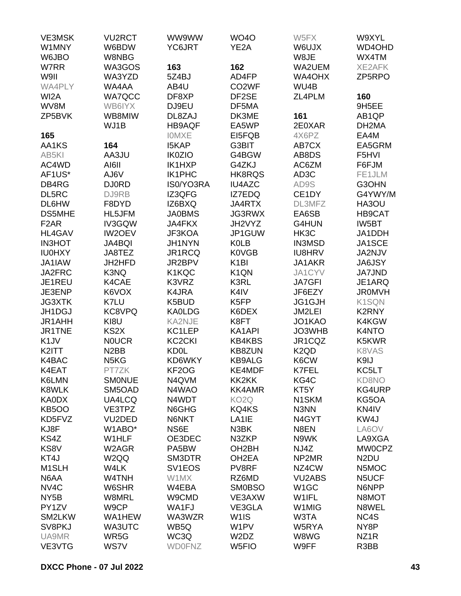| <b>VE3MSK</b>      | <b>VU2RCT</b>                 | WW9WW               | <b>WO4O</b>                   | W5FX                          | W9XYL              |
|--------------------|-------------------------------|---------------------|-------------------------------|-------------------------------|--------------------|
| W1MNY              | W6BDW                         | YC6JRT              | YE2A                          | W6UJX                         | WD4OHD             |
| W6JBO              | W8NBG                         |                     |                               | W8JE                          | WX4TM              |
| W7RR               | WA3GOS                        | 163                 | 162                           | WA2UEM                        | <b>XE2AFK</b>      |
| W9II               | WA3YZD                        | 5Z4BJ               | AD4FP                         | WA4OHX                        | ZP5RPO             |
| WA4PLY             | WA4AA                         | AB4U                | CO <sub>2</sub> WF            | WU4B                          |                    |
| WI2A               | <b>WA7QCC</b>                 | DF8XP               | DF2SE                         | ZL4PLM                        | 160                |
| WV8M               | WB6IYX                        | DJ9EU               | DF5MA                         |                               | 9H5EE              |
| ZP5BVK             | WB8MIW                        | DL8ZAJ              | DK3ME                         | 161                           | AB <sub>1</sub> QP |
|                    | WJ1B                          | <b>HB9AQF</b>       | EA5WP                         | 2E0XAR                        | DH <sub>2</sub> MA |
| 165                |                               | <b>IOMXE</b>        | EI5FQB                        | 4X6PZ                         | EA4M               |
| AA1KS              | 164                           | <b>I5KAP</b>        | G3BIT                         | AB7CX                         | EA5GRM             |
| AB5KI              | AA3JU                         | <b>IK0ZIO</b>       | G4BGW                         | AB8DS                         | F5HVI              |
| AC4WD              | AI6II                         | IK1HXP              | G4ZKJ                         | AC6ZM                         | F6FJM              |
| AF1US*             | AJ6V                          | IK1PHC              | HK8RQS                        | AD3C                          | FE1JLM             |
|                    |                               | IS0/YO3RA           | <b>IU4AZC</b>                 |                               |                    |
| DB4RG              | <b>DJ0RD</b>                  |                     |                               | AD9S                          | G3OHN              |
| DL5RC              | DJ9RB                         | IZ3QFG              | IZ7EDQ                        | CE1DY                         | G4YWY/M            |
| DL6HW              | F8DYD                         | IZ6BXQ              | JA4RTX                        | DL3MFZ                        | HA3OU              |
| <b>DS5MHE</b>      | HL5JFM                        | <b>JA0BMS</b>       | <b>JG3RWX</b>                 | EA6SB                         | <b>HB9CAT</b>      |
| F <sub>2</sub> AR  | IV3GQW                        | <b>JA4FKX</b>       | JH2VYZ                        | G4HUN                         | IW5BT              |
| <b>HL4GAV</b>      | IW2OEV                        | JF3KOA              | JP1GUW                        | HK3C                          | JA1DDH             |
| <b>IN3HOT</b>      | JA4BQI                        | JH1NYN              | <b>K0LB</b>                   | <b>IN3MSD</b>                 | JA1SCE             |
| <b>IU0HXY</b>      | JA8TEZ                        | JR1RCQ              | <b>K0VGB</b>                  | <b>IU8HRV</b>                 | JA2NJV             |
| JA1IAW             | JH2HFD                        | JR2BPV              | K <sub>1</sub> BI             | JA1AKR                        | <b>JA6JSY</b>      |
| JA2FRC             | K3NQ                          | K1KQC               | K <sub>1</sub> QN             | JA1CYV                        | <b>JA7JND</b>      |
| JE1REU             | K4CAE                         | K3VRZ               | K3RL                          | <b>JA7GFI</b>                 | JE1ARQ             |
| JE3ENP             | K6VOX                         | K4JRA               | K4IV                          | JF6EZY                        | <b>JROMVH</b>      |
| <b>JG3XTK</b>      | K7LU                          | K5BUD               | K <sub>5FP</sub>              | JG1GJH                        | K1SQN              |
| JH1DGJ             | KC8VPQ                        | <b>KA0LDG</b>       | K6DEX                         | JM2LEI                        | K2RNY              |
| JR1AHH             | KI8U                          | <b>KA2NJE</b>       | K8FT                          | JO1KAO                        | K4KGW              |
| JR1TNE             | KS <sub>2</sub> X             | KC1LEP              | KA1API                        | JO3WHB                        | K4NTO              |
| K <sub>1</sub> JV  | <b>NOUCR</b>                  | KC <sub>2</sub> CKI | <b>KB4KBS</b>                 | JR1CQZ                        | K5KWR              |
| K2ITT              | N <sub>2</sub> BB             | <b>KD0L</b>         | <b>KB8ZUN</b>                 | K <sub>2</sub> Q <sub>D</sub> | K8VAS              |
| K4BAC              | N <sub>5</sub> K <sub>G</sub> | KD6WKY              | <b>KB9ALG</b>                 | K6CW                          | K9IJ               |
| K4EAT              | PT7ZK                         | KF2OG               | KE4MDF                        | <b>K7FEL</b>                  | KC5LT              |
| K6LMN              | <b>SMONUE</b>                 | N4QVM               | KK2KK                         | KG4C                          | <b>KD8NO</b>       |
| <b>K8WLK</b>       | SM5OAD                        | N4WAO               | <b>KK4AMR</b>                 | KT5Y                          | KG4URP             |
| <b>KA0DX</b>       | UA4LCQ                        | N4WDT               | KO <sub>2</sub> Q             | N <sub>1</sub> SKM            | KG5OA              |
| <b>KB5OO</b>       | VE3TPZ                        | N6GHG               | KQ4KS                         | N3NN                          | KN4IV              |
| KD5FVZ             | VU2DED                        | N6NKT               | LA <sub>1</sub> IE            | N4GYT                         | KW4J               |
| KJ8F               | W1ABO*                        | NS6E                | N3BK                          | N8EN                          | LA6OV              |
| KS4Z               | W1HLF                         | OE3DEC              | N3ZKP                         | N9WK                          | LA9XGA             |
| KS8V               | W2AGR                         | PA5BW               | OH2BH                         | NJ4Z                          | <b>MW0CPZ</b>      |
| KT4J               | W <sub>2</sub> QQ             | SM3DTR              | OH <sub>2</sub> EA            | NP2MR                         | N <sub>2</sub> DU  |
| M <sub>1</sub> SLH | W4LK                          | SV <sub>1</sub> EOS | PV8RF                         | NZ4CW                         | N5MOC              |
| N6AA               | W4TNH                         | W1MX                | RZ6MD                         | <b>VU2ABS</b>                 | N5UCF              |
| NV <sub>4</sub> C  | W6SHR                         | W4EBA               | <b>SM0BSO</b>                 | W <sub>1</sub> GC             | N6NPP              |
| NY <sub>5</sub> B  | W8MRL                         | W9CMD               | VE3AXW                        | W1IFL                         | N8MOT              |
| PY1ZV              | W9CP                          | WA1FJ               | VE3GLA                        | W1MIG                         | N8WEL              |
| SM2LKW             | WA1HEW                        | WA3WZR              | W <sub>1</sub> IS             | W3TA                          | NC4S               |
| SV8PKJ             | WA3UTC                        | WB5Q                | W1PV                          | W5RYA                         | NY8P               |
| UA9MR              | WR5G                          | WC3Q                | W <sub>2</sub> D <sub>Z</sub> | W8WG                          | NZ <sub>1</sub> R  |
| VE3VTG             | WS7V                          | <b>WD0FNZ</b>       | W <sub>5FIO</sub>             | W9FF                          | R3BB               |
|                    |                               |                     |                               |                               |                    |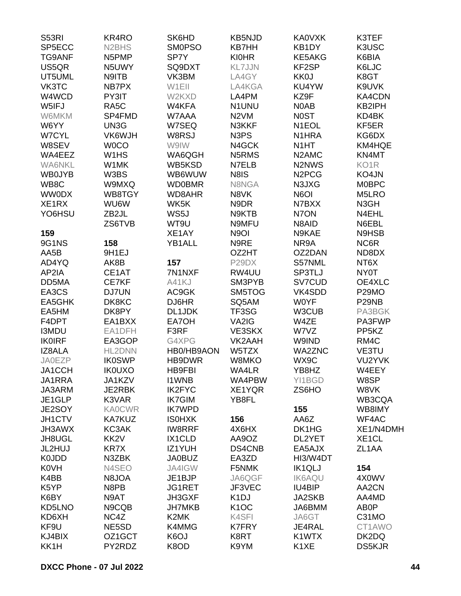| <b>S53RI</b>  | KR4RO                          | SK6HD             | <b>KB5NJD</b>     | <b>KA0VXK</b>                   | K3TEF              |
|---------------|--------------------------------|-------------------|-------------------|---------------------------------|--------------------|
| SP5ECC        | N <sub>2</sub> BH <sub>S</sub> | <b>SMOPSO</b>     | <b>KB7HH</b>      | KB1DY                           | K3USC              |
| <b>TG9ANF</b> | N5PMP                          | SP7Y              | <b>KI0HR</b>      | KE5AKG                          | K6BIA              |
| US5QR         | N5UWY                          | SQ9DXT            | <b>KL7JJN</b>     | KF2SP                           | K6LJC              |
| UT5UML        | N9ITB                          | VK3BM             | LA4GY             | <b>KK0J</b>                     | K8GT               |
| VK3TC         | NB7PX                          | W1EII             | LA4KGA            | KU4YW                           | K9UVK              |
|               |                                |                   |                   |                                 |                    |
| W4WCD         | PY3IT                          | W2KXD             | LA4PM             | KZ9F                            | KA4CDN             |
| W5IFJ         | RA <sub>5</sub> C              | W4KFA             | <b>N1UNU</b>      | N0AB                            | KB2IPH             |
| W6MKM         | SP4FMD                         | W7AAA             | N <sub>2</sub> VM | <b>NOST</b>                     | KD4BK              |
| W6YY          | UN3G                           | W7SEQ             | N3KKF             | N <sub>1</sub> EOL              | KF5ER              |
| W7CYL         | VK6WJH                         | W8RSJ             | N3PS              | N <sub>1</sub> HRA              | KG6DX              |
| W8SEV         | <b>WOCO</b>                    | W9IW              | N4GCK             | N <sub>1</sub> HT               | KM4HQE             |
| WA4EEZ        | W1HS                           | WA6QGH            | N5RMS             | N <sub>2</sub> AM <sub>C</sub>  | KN4MT              |
| <b>WA6NKL</b> | W1MK                           | WB5KSD            | N7ELB             | N <sub>2</sub> N <sub>W</sub> S | KO <sub>1</sub> R  |
| <b>WB0JYB</b> | W3BS                           | WB6WUW            | N8IS              | N <sub>2</sub> PC <sub>G</sub>  | KO4JN              |
| WB8C          | W9MXQ                          | <b>WD0BMR</b>     | N8NGA             | N3JXG                           | <b>MOBPC</b>       |
| <b>WW0DX</b>  | WB8TGY                         | WD8AHR            | N8VK              | N6OI                            | M5LRO              |
| XE1RX         | WU6W                           | WK5K              | N9DR              | N7BXX                           | N3GH               |
| YO6HSU        | ZB2JL                          | WS5J              | N9KTB             | N7ON                            | N4EHL              |
|               | ZS6TVB                         | WT9U              | N9MFU             | N8AID                           | N6EBL              |
| 159           |                                | XE1AY             | N <sub>9</sub> OI | N9KAE                           | N9HSB              |
| 9G1NS         | 158                            | YB1ALL            | N9RE              | NR9A                            | NC6R               |
| AA5B          | 9H1EJ                          |                   | OZ2HT             | OZ2DAN                          | ND8DX              |
| AD4YQ         | AK8B                           | 157               | P29DX             | S57NML                          | NT6X               |
| AP2IA         | CE1AT                          | 7N1NXF            | RW4UU             | SP3TLJ                          | NY0T               |
|               |                                |                   |                   |                                 |                    |
| DD5MA         | CE7KF                          | A41KJ             | SM3PYB            | SV7CUD                          | OE4XLC             |
| EA3CS         | DJ7UN                          | AC9GK             | SM5TOG            | VK4SDD                          | P <sub>29</sub> MO |
| EA5GHK        | DK8KC                          | DJ6HR             | SQ5AM             | <b>WOYF</b>                     | P29NB              |
| EA5HM         | DK8PY                          | DL1JDK            | TF3SG             | W3CUB                           | PA3BGK             |
| F4DPT         | EA1BXX                         | EA7OH             | VA2IG             | W4ZE                            | PA3FWP             |
| <b>I3MDU</b>  | EA1DFH                         | F3RF              | VE3SKX            | W7VZ                            | PP <sub>5</sub> KZ |
| <b>IK0IRF</b> | EA3GOP                         | G4XPG             | VK2AAH            | W9IND                           | RM4C               |
| IZ8ALA        | HL2DNN                         | HB0/HB9AON        | W5TZX             | <b>WA2ZNC</b>                   | VE3TU              |
| <b>JA0EZP</b> | <b>IK0SWP</b>                  | HB9DWR            | W8MKO             | WX9C                            | VU2YVK             |
| JA1CCH        | <b>IK0UXO</b>                  | <b>HB9FBI</b>     | WA4LR             | YB8HZ                           | W4EEY              |
| JA1RRA        | JA1KZV                         | <b>I1WNB</b>      | WA4PBW            | YI1BGD                          | W8SP               |
| JA3ARM        | JE2RBK                         | <b>IK2FYC</b>     | XE1YQR            | ZS6HO                           | W8VK               |
| JE1GLP        | K3VAR                          | <b>IK7GIM</b>     | YB8FL             |                                 | WB3CQA             |
| JE2SOY        | <b>KA0CWR</b>                  | <b>IK7WPD</b>     |                   | 155                             | WB8IMY             |
| JH1CTV        | <b>KA7KUZ</b>                  | <b>ISOHXK</b>     | 156               | AA6Z                            | WF4AC              |
| JH3AWX        | KC3AK                          | <b>IW8RRF</b>     | 4X6HX             | DK1HG                           | XE1/N4DMH          |
| JH8UGL        | KK <sub>2V</sub>               | IX1CLD            | AA9OZ             | DL2YET                          | XE <sub>1</sub> CL |
| JL2HUJ        | KR7X                           | IZ1YUH            | DS4CNB            | EA5AJX                          | ZL <sub>1</sub> AA |
| K0JDD         | N3ZBK                          | <b>JA0BUZ</b>     | EA3ZD             | HI3/W4DT                        |                    |
| <b>K0VH</b>   | N4SEO                          | JA4IGW            | F5NMK             | <b>IK1QLJ</b>                   | 154                |
| K4BB          | N8JOA                          | JE1BJP            | JA6QGF            | <b>IK6AQU</b>                   | 4X0WV              |
| K5YP          | N8PB                           | JG1RET            | JF3VEC            | IU4BIP                          | AA2CN              |
| K6BY          | N9AT                           | JH3GXF            | K <sub>1</sub> DJ | <b>JA2SKB</b>                   | AA4MD              |
|               |                                |                   |                   |                                 |                    |
| KD5LNO        | N9CQB                          | <b>JH7MKB</b>     | K <sub>1</sub> OC | JA6BMM                          | AB0P               |
| KD6XH         | NC4Z                           | K <sub>2</sub> MK | K4SFI             | JA6GT                           | C31MO              |
| KF9U          | NE5SD                          | K4MMG             | <b>K7FRY</b>      | JE4RAL                          | CT1AWO             |
| KJ4BIX        | OZ1GCT                         | K <sub>6</sub> OJ | K8RT              | K1WTX                           | DK2DQ              |
| KK1H          | PY2RDZ                         | K8OD              | K9YM              | K1XE                            | <b>DS5KJR</b>      |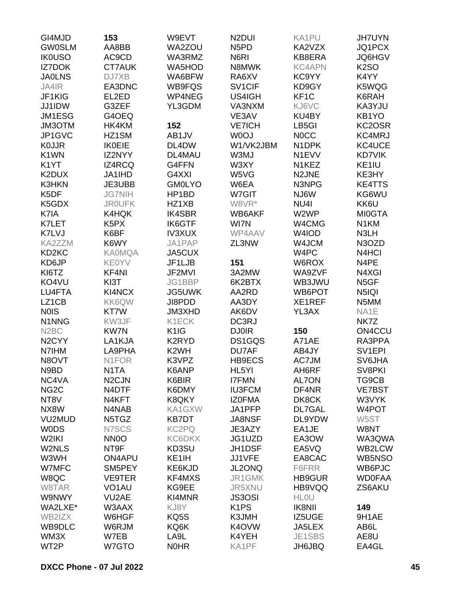| GI4MJD             | 153                           | W9EVT             | N <sub>2</sub> DUI            | KA1PU              | <b>JH7UYN</b>       |
|--------------------|-------------------------------|-------------------|-------------------------------|--------------------|---------------------|
| <b>GW0SLM</b>      | AA8BB                         | WA2ZOU            | N <sub>5</sub> P <sub>D</sub> | KA2VZX             | JQ1PCX              |
| <b>IK0USO</b>      | AC9CD                         | WA3RMZ            | N6RI                          | KB8ERA             | <b>JQ6HGV</b>       |
| <b>IZ7DOK</b>      | <b>CT7AUK</b>                 | <b>WA5HOD</b>     | N8MWK                         | <b>KC4APN</b>      | <b>K2SO</b>         |
| <b>JA0LNS</b>      | DJ7XB                         | WA6BFW            | RA6XV                         | KC9YY              | K4YY                |
| JA4IR              | EA3DNC                        | WB9FQS            | SV <sub>1</sub> CIF           | KD9GY              | K5WQG               |
| JF1KIG             | EL2ED                         | WP4NEG            | US4IGH                        | KF <sub>1</sub> C  | K6RAH               |
| JJ1IDW             | G3ZEF                         | YL3GDM            | VA3NXM                        | KJ6VC              | KA3YJU              |
| JM1ESG             | G4OEQ                         |                   | VE3AV                         | KU4BY              | KB1YO               |
| JM3OTM             | HK4KM                         | 152               | <b>VE7ICH</b>                 | LB5GI              | KC2OSR              |
| JP1GVC             | HZ1SM                         | AB1JV             | W0OJ                          | <b>NOCC</b>        | KC4MRJ              |
| <b>KOJJR</b>       | <b>IK0EIE</b>                 | DL4DW             | W1/VK2JBM                     | N <sub>1</sub> DPK | KC4UCE              |
| K <sub>1</sub> WN  | IZ2NYY                        | DL4MAU            | W3MJ                          | N <sub>1</sub> EVV | <b>KD7VIK</b>       |
|                    |                               |                   |                               |                    |                     |
| K <sub>1</sub> YT  | <b>IZ4RCQ</b>                 | G4FFN             | W3XY                          | N <sub>1</sub> KEZ | KE1IU               |
| K2DUX              | JA1IHD                        | G4XXI             | W5VG                          | N2JNE              | KE3HY               |
| K3HKN              | JE3UBB                        | <b>GM0LYO</b>     | W6EA                          | N3NPG              | <b>KE4TTS</b>       |
| K5DF               | <b>JG7NIH</b>                 | HP1BD             | W7GIT                         | NJ6W               | KG6WU               |
| K5GDX              | <b>JROUFK</b>                 | HZ1XB             | W8VR*                         | NU <sub>4</sub>    | KK6U                |
| K7IA               | K4HQK                         | <b>IK4SBR</b>     | WB6AKF                        | W2WP               | <b>MI0GTA</b>       |
| K7LET              | K <sub>5</sub> P <sub>X</sub> | <b>IK6GTF</b>     | WI7N                          | W4CMG              | N <sub>1</sub> KM   |
| K7LVJ              | K6BF                          | <b>IV3XUX</b>     | WP4AAV                        | W4IOD              | N3LH                |
| KA2ZZM             | K6WY                          | JA1PAP            | ZL3NW                         | W4JCM              | N3OZD               |
| KD <sub>2</sub> KC | <b>KA0MQA</b>                 | JA5CUX            |                               | W4PC               | N4HCI               |
| KD6JP              | <b>KE0YV</b>                  | JF1LJB            | 151                           | W6ROX              | N4PE                |
| KI6TZ              | KF4NI                         | JF2MVI            | 3A2MW                         | WA9ZVF             | N4XGI               |
| KO4VU              | KI3T                          | JG1BBP            | 6K2BTX                        | WB3JWU             | N5GF                |
| LU4FTA             | KI4NCX                        | <b>JG5UWK</b>     | AA2RD                         | WB6POT             | N5IQI               |
| LZ1CB              | KK6QW                         | JI8PDD            | AA3DY                         | XE1REF             | N5MM                |
| <b>NOIS</b>        | KT7W                          | <b>JM3XHD</b>     | AK6DV                         | YL3AX              | NA1E                |
| N1NNG              | KW3JF                         | K1ECK             | DC3RJ                         |                    | NK7Z                |
| N <sub>2</sub> BC  | <b>KW7N</b>                   | K <sub>1</sub> IG | <b>DJ0IR</b>                  | 150                | ON4CCU              |
| N <sub>2</sub> CYY | LA1KJA                        | K2RYD             | DS1GQS                        | A71AE              | RA3PPA              |
| N7IHM              | LA9PHA                        | K <sub>2</sub> WH | DU7AF                         | AB4JY              | SV <sub>1</sub> EPI |
| N8OVT              | N1FOR                         | K3VPZ             | HB9ECS                        | AC7JM              | SV6JHA              |
| N9BD               | N1TA                          | K6ANP             | HL5YI                         | AH6RF              | SV8PKI              |
| NC4VA              | N <sub>2</sub> CJN            | K6BIR             | <b>I7FMN</b>                  | <b>AL7ON</b>       | TG9CB               |
| NG <sub>2</sub> C  | N4DTF                         | K6DMY             | <b>IU3FCM</b>                 | DF4NR              | <b>VE7BST</b>       |
| NT8V               | N4KFT                         | K8QKY             | <b>IZOFMA</b>                 | DK8CK              | W3VYK               |
| NX8W               | N4NAB                         | KA1GXW            | JA1PFP                        | <b>DL7GAL</b>      | W4POT               |
| VU2MUD             | N5TGZ                         | <b>KB7DT</b>      | <b>JA8NSF</b>                 | DL9YDW             | W5ST                |
| <b>WODS</b>        | N7SCS                         | KC2PQ             | JE3AZY                        | EA1JE              | W8NT                |
| W2IKI              | NN <sub>0</sub>               | KC6DKX            | JG1UZD                        | EA3OW              | WA3QWA              |
| W2NLS              | NT9F                          | KD3SU             | JH1DSF                        | EA5VQ              | WB2LCW              |
| W3WH               | ON4APU                        | KE1IH             | JJ1VFE                        | EA8CAC             | WB5NSO              |
| W7MFC              | SM5PEY                        | KE6KJD            | JL2ONQ                        | F6FRR              | WB6PJC              |
| W8QC               | <b>VE9TER</b>                 | KF4MXS            | JR1GMK                        | HB9GUR             | <b>WD0FAA</b>       |
|                    |                               |                   |                               | HB9VQQ             | ZS6AKU              |
| W8TAR<br>W9NWY     | VO <sub>1</sub> AU            | KG9EE<br>KI4MNR   | JR5XNU                        | <b>HLOU</b>        |                     |
|                    | VU <sub>2</sub> AE            |                   | <b>JS3OSI</b>                 |                    |                     |
| WA2LXE*            | W3AAX                         | KJ8Y              | K <sub>1</sub> PS             | <b>IK8NII</b>      | 149                 |
| WB2IZX             | W6HGF                         | KQ5S              | K3JMH                         | IZ5UGE             | 9H1AE               |
| WB9DLC             | W6RJM                         | KQ6K              | K4OVW                         | JA5LEX             | AB6L                |
| WM3X               | W7EB                          | LA9L              | K4YEH                         | JE1SBS             | AE8U                |
| WT2P               | W7GTO                         | <b>NOHR</b>       | KA1PF                         | JH6JBQ             | EA4GL               |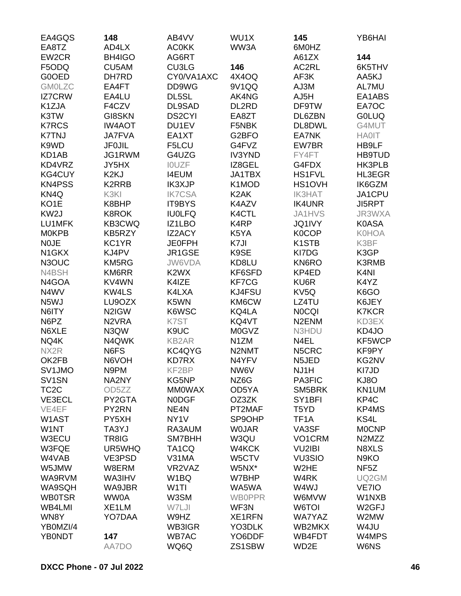| EA4GQS             | 148                | AB4VV                         | WU1X              | 145                 | YB6HAI                          |
|--------------------|--------------------|-------------------------------|-------------------|---------------------|---------------------------------|
| EA8TZ              | AD4LX              | <b>AC0KK</b>                  | WW3A              | 6M0HZ               |                                 |
| EW2CR              | BH4IGO             | AG6RT                         |                   | A61ZX               | 144                             |
| F5ODQ              | CU5AM              | CU3LG                         | 146               | AC2RL               | 6K5THV                          |
| G0OED              | DH7RD              | CY0/VA1AXC                    | 4X4OQ             | AF3K                | AA5KJ                           |
| <b>GM0LZC</b>      | EA4FT              | DD9WG                         | 9V1QQ             | AJ3M                | AL7MU                           |
| <b>IZ7CRW</b>      | EA4LU              | DL5SL                         | AK4NG             | AJ5H                | EA1ABS                          |
| K1ZJA              | F4CZV              | DL9SAD                        | DL2RD             | DF9TW               | EA7OC                           |
| K3TW               | <b>GI8SKN</b>      | <b>DS2CYI</b>                 | EA8ZT             | DL6ZBN              | <b>GOLUQ</b>                    |
| <b>K7RCS</b>       | <b>IW4AOT</b>      | DU1EV                         | F5NBK             | DL8DWL              | G4MUT                           |
| <b>K7TNJ</b>       | <b>JA7FVA</b>      | EA1XT                         | G2BFO             | EA7NK               | <b>HA0IT</b>                    |
| K9WD               | <b>JF0JIL</b>      | F5LCU                         | G4FVZ             | EW7BR               | HB9LF                           |
| KD1AB              | JG1RWM             | G4UZG                         | <b>IV3YND</b>     | FY4FT               | <b>HB9TUD</b>                   |
| KD4VRZ             | JY5HX              | <b>IOUZF</b>                  | IZ8GEL            | G4FDX               | HK3PLB                          |
| KG4CUY             | K <sub>2</sub> KJ  | <b>I4EUM</b>                  | JA1TBX            | <b>HS1FVL</b>       | HL3EGR                          |
| <b>KN4PSS</b>      | K2RRB              | <b>IK3XJP</b>                 | K1MOD             | HS1OVH              | IK6GZM                          |
| KN <sub>4Q</sub>   | K3KI               | <b>IK7CSA</b>                 | K <sub>2</sub> AK | <b>IK3HAT</b>       | JA1CPU                          |
| KO <sub>1</sub> E  | K8BHP              | IT9BYS                        | K4AZV             | <b>IK4UNR</b>       | JI5RPT                          |
| KW <sub>2</sub> J  | <b>K8ROK</b>       | <b>IU0LFQ</b>                 | K4CTL             | <b>JA1HVS</b>       | JR3WXA                          |
| LU1MFK             | KB3CWQ             | IZ1LBO                        | K4RP              | <b>JQ1IVY</b>       | <b>K0ASA</b>                    |
| <b>MOKPB</b>       | KB5RZY             | <b>IZ2ACY</b>                 | K5YA              | <b>K0COP</b>        | <b>K0HOA</b>                    |
| <b>NOJE</b>        | KC1YR              | <b>JE0FPH</b>                 | K7JI              | K <sub>1</sub> STB  | K3BF                            |
| N <sub>1</sub> GKX | KJ4PV              | JR1GSE                        | K9SE              | KI7DG               | K3GP                            |
| N3OUC              | KM5RG              | JW6VDA                        | KD8LU             | KN6RO               | <b>K3RMB</b>                    |
| N4BSH              | KM6RR              | K <sub>2</sub> W <sub>X</sub> | KF6SFD            | KP4ED               | K <sub>4</sub> NI               |
| N4GOA              | KV4WN              | K4IZE                         | KF7CG             | KU6R                | K4YZ                            |
| N4WV               | KW4LS              | K4LXA                         | KJ4FSU            | KV5Q                | K6GO                            |
| N <sub>5</sub> WJ  | LU9OZX             | K5WN                          | KM6CW             | LZ4TU               | K6JEY                           |
| N6ITY              | N2IGW              | K6WSC                         | KQ4LA             | <b>NOCQI</b>        | <b>K7KCR</b>                    |
| N6PZ               | N <sub>2</sub> VRA | K7ST                          | KQ4VT             | N <sub>2</sub> ENM  | KD3EX                           |
| N6XLE              | N3QW               | K9UC                          | <b>M0GVZ</b>      | N3HDU               | KD4JO                           |
| NQ4K               | N4QWK              | <b>KB2AR</b>                  | N1ZM              | N4EL                | KF5WCP                          |
| NX2R               | N6FS               | KC4QYG                        | N2NMT             | N5CRC               | KF9PY                           |
| OK2FB              | N6VOH              | <b>KD7RX</b>                  | N4YFV             | N5JED               | KG2NV                           |
| SV1JMO             | N9PM               | KF2BP                         | NW6V              | NJ1H                | KI7JD                           |
| SV <sub>1</sub> SN | NA2NY              | KG5NP                         | NZ6G              | PA3FIC              | KJ8O                            |
| TC <sub>2</sub> C  | OD5ZZ              | <b>MMOWAX</b>                 | OD5YA             | SM5BRK              | KN1UM                           |
| VE3ECL             | PY2GTA             | <b>NODGF</b>                  | OZ3ZK             | SY <sub>1</sub> BFI | KP4C                            |
| VE4EF              | PY2RN              | NE4N                          | PT2MAF            | T5YD                | KP4MS                           |
| W1AST              | PY5XH              | NY <sub>1</sub> V             | SP9OHP            | TF <sub>1</sub> A   | KS4L                            |
| W1NT               | TA3YJ              | RA3AUM                        | <b>WOJAR</b>      | VA3SF               | <b>MOCNP</b>                    |
| W3ECU              | TR8IG              | SM7BHH                        | W3QU              | VO1CRM              | N <sub>2</sub> M <sub>Z</sub> Z |
| W3FQE              | UR5WHQ             | TA <sub>1</sub> CQ            | W4KCK             | VU2IBI              | N8XLS                           |
| W4VAB              | VE3PSD             | V31MA                         | W5CTV             | <b>VU3SIO</b>       | N <sub>9</sub> KO               |
| W5JMW              | W8ERM              | VR2VAZ                        | W5NX*             | W <sub>2</sub> HE   | NF <sub>5</sub> Z               |
| WA9RVM             | WA3IHV             | W <sub>1</sub> BQ             | W7BHP             | W4RK                | UQ2GM                           |
| WA9SQH             | WA9JBR             | W <sub>1</sub> TI             | WA5WA             | W4WJ                | VE7IO                           |
|                    |                    |                               |                   |                     |                                 |
| <b>WB0TSR</b>      | <b>WW0A</b>        | W3SM                          | <b>WB0PPR</b>     | W6MVW               | W1NXB                           |
| WB4LMI             | XE1LM              | W7LJI                         | WF3N              | W6TOI               | W <sub>2</sub> GFJ              |
| WN8Y               | YO7DAA             | W9HZ                          | <b>XE1RFN</b>     | <b>WA7YAZ</b>       | W2MW                            |
| YB0MZI/4           |                    | WB3IGR                        | YO3DLK            | WB2MKX              | W4JU                            |
| <b>YB0NDT</b>      | 147                | <b>WB7AC</b>                  | YO6DDF            | WB4FDT              | W4MPS                           |
|                    | AA7DO              | WQ6Q                          | ZS1SBW            | WD2E                | <b>W6NS</b>                     |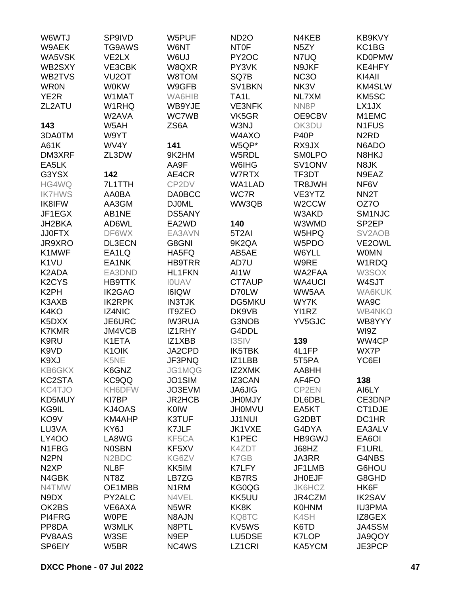| W6WTJ                          | SP9IVD                         | W5PUF             | <b>ND2O</b>         | N4KEB             | KB9KVY                        |
|--------------------------------|--------------------------------|-------------------|---------------------|-------------------|-------------------------------|
| W9AEK                          | TG9AWS                         | W6NT              | <b>NTOF</b>         | N <sub>5</sub> ZY | KC1BG                         |
| WA5VSK                         | VE2LX                          | W6UJ              | PY <sub>2</sub> OC  | N7UQ              | <b>KD0PMW</b>                 |
| WB2SXY                         | VE3CBK                         | W8QXR             | PY3VK               | N9JKF             | KE4HFY                        |
| WB2TVS                         | VU <sub>2</sub> OT             | W8TOM             | SQ7B                | NC <sub>3</sub> O | KI4AII                        |
| <b>WRON</b>                    | <b>W0KW</b>                    | W9GFB             | SV <sub>1</sub> BKN | NK3V              | KM4SLW                        |
|                                |                                |                   |                     |                   |                               |
| YE <sub>2</sub> R              | W1MAT                          | WA6HIB            | TA1L                | NL7XM             | KM5SC                         |
| ZL2ATU                         | W1RHQ                          | WB9YJE            | <b>VE3NFK</b>       | NN8P              | LX1JX                         |
|                                | W2AVA                          | <b>WC7WB</b>      | VK5GR               | OE9CBV            | M1EMC                         |
| 143                            | W5AH                           | ZS6A              | W3NJ                | OK3DU             | N <sub>1</sub> FUS            |
| 3DA0TM                         | W9YT                           |                   | W4AXO               | <b>P40P</b>       | N <sub>2</sub> R <sub>D</sub> |
| A61K                           | WV4Y                           | 141               | W5QP*               | RX9JX             | N6ADO                         |
| DM3XRF                         | ZL3DW                          | 9K2HM             | W5RDL               | <b>SMOLPO</b>     | N8HKJ                         |
| EA5LK                          |                                | AA9F              | W6IHG               | SV1ONV            | N8JK                          |
| G3YSX                          | 142                            | AE4CR             | W7RTX               | TF3DT             | N9EAZ                         |
| HG4WQ                          | 7L1TTH                         | CP2DV             | WA1LAD              | TR8JWH            | NF6V                          |
| <b>IK7HWS</b>                  | AA0BA                          | <b>DA0BCC</b>     | WC7R                | VE3YTZ            | NN <sub>2</sub> T             |
| IK8IFW                         | AA3GM                          | <b>DJ0ML</b>      | WW3QB               | W2CCW             | OZ7O                          |
| JF1EGX                         | AB1NE                          | <b>DS5ANY</b>     |                     | W3AKD             | SM <sub>1NJC</sub>            |
| JH2BKA                         | AD6WL                          | EA2WD             | 140                 | W3WMD             | SP <sub>2EP</sub>             |
| <b>JJ0FTX</b>                  | DF6WX                          | EA3AVN            | 5T <sub>2</sub> AI  | W5HPQ             | SV <sub>2</sub> AOB           |
| JR9XRO                         | <b>DL3ECN</b>                  | G8GNI             | 9K2QA               | W5PDO             | VE2OWL                        |
| K1MWF                          | EA1LQ                          | HA5FQ             | AB5AE               | W6YLL             | <b>WOMN</b>                   |
| K <sub>1</sub> VU              | EA1NK                          | <b>HB9TRR</b>     | AD7U                | W9RE              | W1RDQ                         |
| K2ADA                          | EA3DND                         | <b>HL1FKN</b>     | AI1W                | WA2FAA            | W3SOX                         |
| K <sub>2</sub> CY <sub>S</sub> | <b>HB9TTK</b>                  | <b>IOUAV</b>      | CT7AUP              | <b>WA4UCI</b>     | W4SJT                         |
|                                |                                |                   |                     |                   |                               |
| K <sub>2</sub> PH              | <b>IK2GAO</b>                  | <b>I6IQW</b>      | D70LW               | WW5AA             | WA6KUK                        |
| K3AXB                          | <b>IK2RPK</b>                  | <b>IN3TJK</b>     | <b>DG5MKU</b>       | WY7K              | WA9C                          |
| K4KO                           | IZ4NIC                         | <b>IT9ZEO</b>     | DK9VB               | YI1RZ             | <b>WB4NKO</b>                 |
| K5DXX                          | JE6URC                         | <b>IW3RUA</b>     | G3NOB               | YV5GJC            | WB8YYY                        |
| <b>K7KMR</b>                   | JM4VCB                         | IZ1RHY            | G4DDL               |                   | WI9Z                          |
| K9RU                           | K1ETA                          | IZ1XBB            | <b>I3SIV</b>        | 139               | WW4CP                         |
| K9VD                           | K <sub>1</sub> OIK             | JA2CPD            | IK5TBK              | 4L1FP             | WX7P                          |
| K9XJ                           | K <sub>5</sub> NE              | JF3PNQ            | IZ1LBB              | 5T5PA             | YC6EI                         |
| KB6GKX                         | K6GNZ                          | JG1MQG            | IZ2XMK              | AA8HH             |                               |
| KC2STA                         | KC9QQ                          | JO1SIM            | IZ3CAN              | AF4FO             | 138                           |
| KC4TJO                         | KH6DFW                         | JO3EVM            | <b>JA6JIG</b>       | CP2EN             | AI6LY                         |
| KD5MUY                         | KI7BP                          | JR2HCB            | <b>JH0MJY</b>       | DL6DBL            | CE3DNP                        |
| KG9IL                          | KJ4OAS                         | <b>K0IW</b>       | <b>JHOMVU</b>       | EA5KT             | CT1DJE                        |
| KO <sub>9</sub> V              | KM4AHP                         | K3TUF             | <b>JJ1NUI</b>       | G2DBT             | DC1HR                         |
| LU3VA                          | KY6J                           | K7JLF             | JK1VXE              | G4DYA             | EA3ALV                        |
| <b>LY400</b>                   | LA8WG                          | KF5CA             | K1PEC               | HB9GWJ            | EA6OI                         |
| N <sub>1</sub> FBG             | <b>NOSBN</b>                   | KF5XV             | K4ZDT               | J68HZ             | F1URL                         |
| N <sub>2</sub> PN              | N <sub>2</sub> B <sub>DC</sub> | KG6ZV             | K7GB                | JA3RR             | G4NBS                         |
| N <sub>2</sub> XP              | NL8F                           | KK5IM             | K7LFY               | JF1LMB            | G6HOU                         |
| N4GBK                          | NT8Z                           | LB7ZG             | <b>KB7RS</b>        | <b>JH0EJF</b>     | G8GHD                         |
| N4TMW                          | OE1MBB                         | N <sub>1</sub> RM | KG0QG               | JK6HCZ            | HK6F                          |
| N9DX                           | PY2ALC                         | N4VEL             | KK5UU               | JR4CZM            | <b>IK2SAV</b>                 |
| OK2BS                          | VE6AXA                         | N5WR              | KK8K                | <b>K0HNM</b>      | <b>IU3PMA</b>                 |
| PI4FRG                         | <b>WOPE</b>                    | N8AJN             | KQ8TC               | K4SH              | IZ8GEX                        |
| PP8DA                          |                                | N8PTL             | KV5WS               | K6TD              | JA4SSM                        |
|                                | W3MLK                          |                   |                     |                   |                               |
| PV8AAS                         | W3SE                           | N9EP              | LU5DSE              | <b>K7LOP</b>      | JA9QOY                        |
| SP6EIY                         | W5BR                           | NC4WS             | LZ1CRI              | KA5YCM            | JE3PCP                        |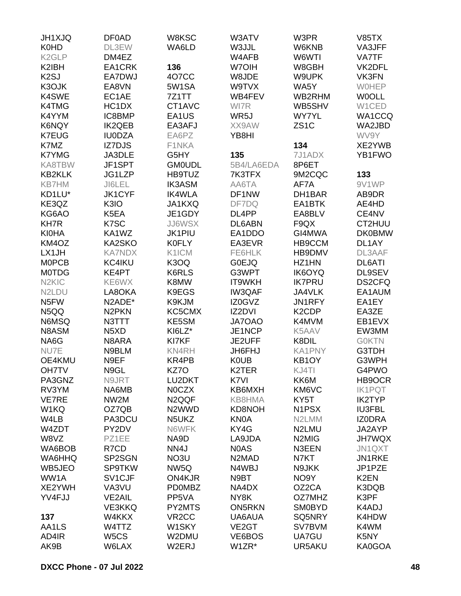| <b>JH1XJQ</b>                  | <b>DF0AD</b>                   | W8KSC              | W3ATV                          | W3PR               | <b>V85TX</b>      |
|--------------------------------|--------------------------------|--------------------|--------------------------------|--------------------|-------------------|
| <b>K0HD</b>                    | DL3EW                          | WA6LD              | W3JJL                          | W6KNB              | VA3JFF            |
| K <sub>2</sub> GLP             | DM4EZ                          |                    | W4AFB                          | W6WTI              | VA7TF             |
| K2IBH                          | EA1CRK                         | 136                | W7OIH                          | W8GBH              | VK2DFL            |
| K <sub>2</sub> SJ              | EA7DWJ                         | 4O7CC              | W8JDE                          | W9UPK              | VK3FN             |
| K3OJK                          | EA8VN                          | 5W1SA              | W9TVX                          | WA5Y               | <b>WOHEP</b>      |
| K4SWE                          | EC1AE                          | 7Z1TT              | WB4FEV                         | WB2RHM             | <b>WOOLL</b>      |
| K4TMG                          | HC <sub>1</sub> D <sub>X</sub> | CT1AVC             | WI7R                           | WB5SHV             | W1CED             |
| K4YYM                          | IC8BMP                         | EA1US              | WR5J                           | <b>WY7YL</b>       | WA1CCQ            |
| <b>K6NQY</b>                   | <b>IK2QEB</b>                  | EA3AFJ             | XX9AW                          | ZS <sub>1</sub> C  | WA2JBD            |
| <b>K7EUG</b>                   | <b>IU0DZA</b>                  | EA6PZ              | YB8HI                          |                    | WV9Y              |
| K7MZ                           | <b>IZ7DJS</b>                  | F1NKA              |                                | 134                | XE2YWB            |
| <b>K7YMG</b>                   | JA3DLE                         | G5HY               | 135                            | 7J1ADX             | YB1FWO            |
| KA8TBW                         | JF1SPT                         | <b>GM0UDL</b>      | 5B4/LA6EDA                     | 8P6ET              |                   |
| <b>KB2KLK</b>                  | JG1LZP                         | HB9TUZ             | 7K3TFX                         | 9M2CQC             | 133               |
| <b>KB7HM</b>                   | JI6LEL                         | <b>IK3ASM</b>      | AA6TA                          | AF7A               | 9V1WP             |
| KD1LU*                         | <b>JK1CYF</b>                  | <b>IK4WLA</b>      | DF1NW                          | DH1BAR             | AB9DR             |
| KE3QZ                          | K3IO                           | JA1KXQ             | DF7DQ                          | EA1BTK             | AE4HD             |
| KG6AO                          | K5EA                           | JE1GDY             | DL4PP                          | EA8BLV             | CE4NV             |
| <b>KH7R</b>                    | K7SC                           | <b>JJ6WSX</b>      | DL6ABN                         | F9QX               | CT2HUU            |
| <b>KI0HA</b>                   | KA1WZ                          | <b>JK1PIU</b>      | EA1DDO                         | GI4MWA             | <b>DK0BMW</b>     |
| KM4OZ                          | KA2SKO                         | <b>K0FLY</b>       | EA3EVR                         |                    | DL1AY             |
|                                | <b>KA7NDX</b>                  | K1ICM              |                                | HB9CCM             |                   |
| LX1JH                          |                                |                    | FE6HLK                         | HB9DMV             | DL3AAF            |
| <b>MOPCB</b>                   | KC4IKU                         | K3OQ               | <b>G0EJQ</b>                   | HZ1HN              | <b>DL6ATI</b>     |
| <b>MOTDG</b>                   | KE4PT                          | K6RLS              | G3WPT                          | <b>IK6OYQ</b>      | DL9SEV            |
| N <sub>2</sub> KIC             | KE6WX                          | K8MW               | IT9WKH                         | <b>IK7PRU</b>      | DS2CFQ            |
| N <sub>2</sub> L <sub>DU</sub> | LA8OKA                         | K9EGS              | <b>IW3QAF</b>                  | JA4VLK             | EA1AUM            |
| N <sub>5</sub> FW              | N2ADE*                         | K9KJM              | IZ0GVZ                         | JN1RFY             | EA1EY             |
| N5QQ                           | N <sub>2</sub> PKN             | KC5CMX             | IZ2DVI                         | K <sub>2</sub> CDP | EA3ZE             |
| N6MSQ                          | N3TTT                          | KE5SM              | JA7OAO                         | K4MVM              | EB1EVX            |
| N8ASM                          | N <sub>5</sub> X <sub>D</sub>  | KI6LZ*             | JE1NCP                         | K5AAV              | EW3MM             |
| NA6G                           | N8ARA                          | KI7KF              | JE2UFF                         | K8DIL              | <b>GOKTN</b>      |
| NU7E                           | N9BLM                          | KN4RH              | JH6FHJ                         | <b>KA1PNY</b>      | G3TDH             |
| OE4KMU                         | N9EF                           | KR4PB              | <b>K0UB</b>                    | KB <sub>1</sub> OY | G3WPH             |
| <b>OH7TV</b>                   | N9GL                           | KZ7O               | K2TER                          | KJ4TI              | G4PWO             |
| PA3GNZ                         | N9JRT                          | LU2DKT             | K7VI                           | KK6M               | HB9OCR            |
| RV3YM                          | NA6MB                          | <b>NOCZX</b>       | KB6MXH                         | KM6VC              | <b>IK1PQT</b>     |
| <b>VE7RE</b>                   | NW2M                           | N <sub>2QQF</sub>  | KB8HMA                         | KY5T               | <b>IK2TYP</b>     |
| W1KQ                           | OZ7QB                          | N <sub>2</sub> WWD | KD8NOH                         | N1PSX              | <b>IU3FBL</b>     |
| W4LB                           | PA3DCU                         | N5UKZ              | <b>KN0A</b>                    | N2LMM              | <b>IZODRA</b>     |
| W4ZDT                          | PY2DV                          | N6WFK              | KY4G                           | N2LMU              | JA2AYP            |
| W8VZ                           | PZ1EE                          | NA9D               | LA9JDA                         | N <sub>2</sub> MIG | <b>JH7WQX</b>     |
| WA6BOB                         | R7CD                           | NN4J               | N0AS                           | N3EEN              | JN1QXT            |
| WA6HHQ                         | SP2SGN                         | NO3U               | N <sub>2</sub> M <sub>AD</sub> | N7KT               | JN1RKE            |
| WB5JEO                         | <b>SP9TKW</b>                  | NW <sub>5Q</sub>   | N4WBJ                          | N9JKK              | JP1PZE            |
| WW1A                           | SV1CJF                         | ON4KJR             | N9BT                           | NO9Y               | K <sub>2</sub> EN |
| XE2YWH                         | VA3VU                          | <b>PD0MBZ</b>      | NA4DX                          | OZ2CA              | K3DQB             |
| YV4FJJ                         | <b>VE2AIL</b>                  | PP5VA              | NY8K                           | OZ7MHZ             | K3PF              |
|                                | <b>VE3KKQ</b>                  | PY2MTS             | <b>ON5RKN</b>                  | <b>SM0BYD</b>      | K4ADJ             |
| 137                            | W4KKX                          | VR <sub>2</sub> CC | UA6AUA                         | SQ5NRY             | K4HDW             |
| AA1LS                          | W4TTZ                          | W <sub>1</sub> SKY | VE <sub>2</sub> GT             | SV7BVM             | K4WM              |
| AD4IR                          | W5CS                           | W2DMU              | VE6BOS                         | UA7GU              | K5NY              |
| AK9B                           | W6LAX                          | W2ERJ              | W1ZR*                          | UR5AKU             | KA0GOA            |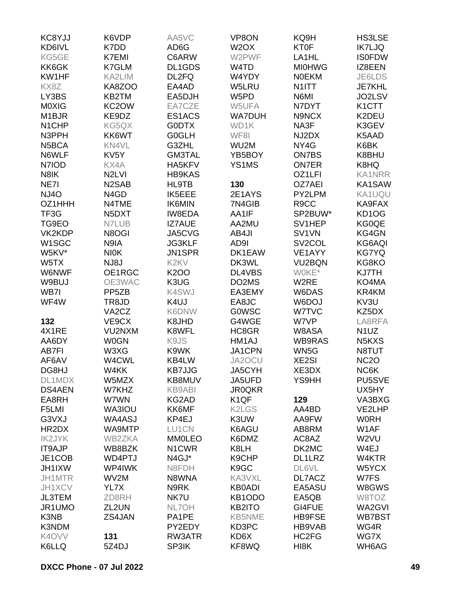| KC8YJJ             | K6VDP                           | AA5VC                         | VP8ON                          | KQ9H                | <b>HS3LSE</b>      |
|--------------------|---------------------------------|-------------------------------|--------------------------------|---------------------|--------------------|
| KD6IVL             | K7DD                            | AD6G                          | W <sub>2</sub> OX              | <b>KT0F</b>         | <b>IK7LJQ</b>      |
| KG5GE              | K7EMI                           | C6ARW                         | W2PWF                          | LA <sub>1</sub> HL  | <b>IS0FDW</b>      |
| KK6GK              | K7GLM                           | DL1GDS                        | W4TD                           | <b>MI0HWG</b>       | IZ8EEN             |
| KW1HF              | KA2LIM                          | DL2FQ                         | W4YDY                          | <b>NOEKM</b>        | JE6LDS             |
| KX8Z               | KA8ZOO                          | EA4AD                         | W5LRU                          | N1ITT               | <b>JE7KHL</b>      |
| LY3BS              | KB2TM                           | EA5DJH                        | W5PD                           | N6MI                | JO2LSV             |
|                    |                                 |                               |                                |                     |                    |
| M0XIG              | KC <sub>2</sub> OW              | EA7CZE                        | W5UFA                          | N7DYT               | K <sub>1</sub> CTT |
| M <sub>1</sub> BJR | KE9DZ                           | ES1ACS                        | <b>WA7DUH</b>                  | N9NCX               | K2DEU              |
| N <sub>1</sub> CHP | KG5QX                           | <b>GODTX</b>                  | WD1K                           | NA3F                | K3GEV              |
| N3PPH              | KK6WT                           | G0GLH                         | WF8I                           | NJ2DX               | K5AAD              |
| N5BCA              | KN4VL                           | G3ZHL                         | WU2M                           | NY4G                | K6BK               |
| N6WLF              | KV <sub>5</sub> Y               | <b>GM3TAL</b>                 | YB5BOY                         | <b>ON7BS</b>        | K8BHU              |
| N7IOD              | KX4A                            | HA5KFV                        | YS1MS                          | <b>ON7ER</b>        | K8HQ               |
| N8IK               | N <sub>2</sub> LVI              | <b>HB9KAS</b>                 |                                | OZ1LFI              | <b>KA1NRR</b>      |
| NE7I               | N <sub>2</sub> SAB              | HL9TB                         | 130                            | OZ7AEI              | KA1SAW             |
| <b>NJ4O</b>        | N4GD                            | IK5EEE                        | 2E1AYS                         | PY2LPM              | KA1UQU             |
| OZ1HHH             | N4TME                           | <b>IK6MIN</b>                 | 7N4GIB                         | R9CC                | KA9FAX             |
| TF3G               | N <sub>5</sub> D <sub>X</sub> T | <b>IW8EDA</b>                 | AA1IF                          | SP2BUW*             | KD1OG              |
| TG9EO              | N7LUB                           | <b>IZ7AUE</b>                 | AA2MU                          | SV1HEP              | KG0QE              |
| VK2KDP             | N8OGI                           | JA5CVG                        | AB4JI                          | SV <sub>1VN</sub>   | KG4GN              |
| W1SGC              | N9IA                            | <b>JG3KLF</b>                 | AD9I                           | SV <sub>2</sub> COL | KG6AQI             |
| W5KV*              | <b>NIOK</b>                     | <b>JN1SPR</b>                 | DK1EAW                         | VE1AYY              | <b>KG7YQ</b>       |
|                    |                                 |                               |                                |                     |                    |
| W5TX               | NJ8J                            | K <sub>2</sub> K <sub>V</sub> | DK3WL                          | VU2BQN              | KG8KO              |
| W6NWF              | OE1RGC                          | <b>K2OO</b>                   | DL4VBS                         | W0KE*               | KJ7TH              |
| W9BUJ              | OE3WAC                          | K3UG                          | DO <sub>2</sub> M <sub>S</sub> | W <sub>2</sub> RE   | KO4MA              |
| WB7I               | PP <sub>5</sub> ZB              | K4SWJ                         | EA3EMY                         | W6DAS               | KR4KM              |
| WF4W               | TR8JD                           | K4UJ                          | EA8JC                          | W6DOJ               | KV3U               |
|                    | VA <sub>2</sub> CZ              | K6DNW                         | <b>GOWSC</b>                   | W7TVC               | KZ5DX              |
| 132                | VE9CX                           | K8JHD                         | G4WGE                          | W7VP                | LA8RFA             |
| 4X1RE              | VU2NXM                          | K8WFL                         | HC8GR                          | W8ASA               | N <sub>1</sub> UZ  |
| AA6DY              | <b>W0GN</b>                     | K9JS                          | HM1AJ                          | <b>WB9RAS</b>       | N5KXS              |
| AB7FI              | W3XG                            | K9WK                          | JA1CPN                         | WN <sub>5</sub> G   | N8TUT              |
| AF6AV              | W4CWL                           | KB4LW                         | JA2OCU                         | <b>XE2SI</b>        | <b>NC2O</b>        |
| DG8HJ              | W4KK                            | <b>KB7JJG</b>                 | JA5CYH                         | XE3DX               | NC6K               |
| DL1MDX             | W5MZX                           | <b>KB8MUV</b>                 | JA5UFD                         | YS9HH               | PU5SVE             |
| <b>DS4AEN</b>      | W7KHZ                           | <b>KB9ABI</b>                 | <b>JR0QKR</b>                  |                     | UX5HY              |
| EA8RH              | W7WN                            | KG2AD                         | K <sub>1</sub> QF              | 129                 | VA3BXG             |
| F5LMI              | WA3IOU                          | KK6MF                         | K2LGS                          | AA4BD               | VE2LHP             |
| G3VXJ              | WA4ASJ                          | KP4EJ                         | K3UW                           | AA9FW               | <b>WORH</b>        |
|                    |                                 |                               |                                |                     | W1AF               |
| HR2DX              | WA9MTP                          | LU1CN                         | K6AGU                          | AB8RM               |                    |
| <b>IK2JYK</b>      | WB2ZKA                          | <b>MMOLEO</b>                 | K6DMZ                          | AC8AZ               | W2VU               |
| <b>IT9AJP</b>      | WB8BZK                          | N <sub>1</sub> CWR            | K8LH                           | DK2MC               | W4EJ               |
| JE1COB             | WD4PTJ                          | N4GJ*                         | K9CHP                          | DL1LRZ              | W4KTR              |
| JH1IXW             | WP4IWK                          | N8FDH                         | K9GC                           | DL6VL               | W5YCX              |
| JH1MTR             | WV2M                            | N8WNA                         | KA3VXL                         | DL7ACZ              | W7FS               |
| JH1XCV             | YL7X                            | N9RK                          | <b>KB0ADI</b>                  | EA5ASU              | W8GWS              |
| <b>JL3TEM</b>      | ZD8RH                           | NK7U                          | KB1ODO                         | EA5QB               | W8TOZ              |
| JR1UMO             | ZL2UN                           | NL7OH                         | <b>KB2ITO</b>                  | GI4FUE              | WA2GVI             |
| K3NB               | ZS4JAN                          | PA1PE                         | <b>KB5NME</b>                  | <b>HB9FSE</b>       | WB7BST             |
| K3NDM              |                                 | PY2EDY                        | KD3PC                          | HB9VAB              | WG4R               |
| K4OVV              | 131                             | RW3ATR                        | KD6X                           | HC2FG               | WG7X               |
| K6LLQ              | 5Z4DJ                           | SP3IK                         | KF8WQ                          | HI8K                | WH6AG              |
|                    |                                 |                               |                                |                     |                    |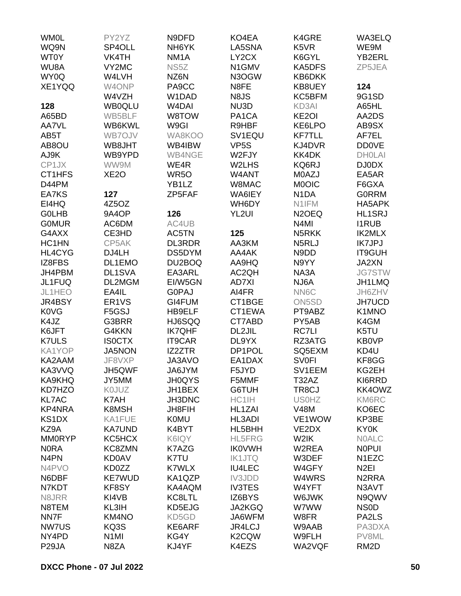| <b>WM0L</b>        | PY2YZ              | N9DFD              | KO4EA               | K4GRE                         | WA3ELQ             |
|--------------------|--------------------|--------------------|---------------------|-------------------------------|--------------------|
| WQ9N               | SP4OLL             | NH <sub>6</sub> YK | LA5SNA              | K <sub>5</sub> V <sub>R</sub> | WE9M               |
| WT0Y               | VK4TH              | NM <sub>1</sub> A  | LY2CX               | K6GYL                         | YB2ERL             |
| WU8A               | VY2MC              | NS5Z               | N1GMV               | KA5DFS                        | ZP5JEA             |
| WY0Q               | W4LVH              | NZ6N               | N3OGW               | KB6DKK                        |                    |
| XE1YQQ             | W4ONP              | PA9CC              | N8FE                | KB8UEY                        | 124                |
|                    |                    |                    |                     |                               | 9G1SD              |
|                    | W4VZH              | W1DAD              | N8JS                | KC5BFM                        |                    |
| 128                | <b>WB0QLU</b>      | W <sub>4</sub> DAI | NU3D                | KD3AI                         | A65HL              |
| A65BD              | WB5BLF             | W8TOW              | PA1CA               | KE <sub>2</sub> OI            | AA2DS              |
| AA7VL              | WB6KWL             | W9GI               | R9HBF               | KE6LPO                        | AB9SX              |
| AB5T               | WB7OJV             | WA8KOO             | SV <sub>1</sub> EQU | <b>KF7TLL</b>                 | AF7EL              |
| AB8OU              | WB8JHT             | WB4IBW             | VP <sub>5</sub> S   | KJ4DVR                        | <b>DD0VE</b>       |
| AJ9K               | WB9YPD             | WB4NGE             | W2FJY               | KK4DK                         | <b>DHOLAI</b>      |
| CP1JX              | WW9M               | WE4R               | W2LHS               | KQ6RJ                         | <b>DJ0DX</b>       |
| CT1HFS             | XE <sub>2</sub> O  | WR <sub>50</sub>   | W4ANT               | M0AZJ                         | EA5AR              |
| D44PM              |                    | YB1LZ              | W8MAC               | <b>MOOIC</b>                  | F6GXA              |
| EA7KS              | 127                | ZP5FAF             | WA6IEY              | N <sub>1</sub> DA             | <b>GORRM</b>       |
| EI4HQ              | 4Z5OZ              |                    | WH6DY               | N1IFM                         | HA5APK             |
| <b>GOLHB</b>       | 9A4OP              | 126                | YL <sub>2UI</sub>   | N <sub>2</sub> OEQ            | <b>HL1SRJ</b>      |
| <b>GOMUR</b>       | AC6DM              | AC4UB              |                     | N <sub>4</sub> MI             | <b>I1RUB</b>       |
| G4AXX              | CE3HD              | AC5TN              | 125                 | N5RKK                         | <b>IK2MLX</b>      |
| HC1HN              | CP5AK              | <b>DL3RDR</b>      | AA3KM               | N5RLJ                         | <b>IK7JPJ</b>      |
| HL4CYG             | DJ4LH              | DS5DYM             | AA4AK               | N9DD                          | IT9GUH             |
| IZ8FBS             | DL1EMO             | DU2BOQ             | AA9HQ               | N9YY                          | JA2XN              |
| JH4PBM             | DL1SVA             | EA3ARL             | AC2QH               | NA3A                          | <b>JG7STW</b>      |
| JL1FUQ             | DL2MGM             | EI/W5GN            | <b>AD7XI</b>        | NJ6A                          | JH1LMQ             |
| JL1HEO             | EA4IL              | <b>GOPAJ</b>       | AI4FR               | NN6C                          | JH6ZHV             |
|                    |                    |                    |                     |                               |                    |
| JR4BSY             | ER <sub>1</sub> VS | GI4FUM             | CT1BGE              | ON5SD                         | <b>JH7UCD</b>      |
| <b>K0VG</b>        | F5GSJ              | HB9ELF             | CT1EWA              | PT9ABZ                        | K1MNO              |
| K4JZ               | G3BRR              | HJ6SQQ             | CT7ABD              | PY5AB                         | K4GM               |
| K6JFT              | G4KKN              | <b>IK7QHF</b>      | DL2JIL              | <b>RC7LI</b>                  | K5TU               |
| <b>K7ULS</b>       | <b>ISOCTX</b>      | <b>IT9CAR</b>      | DL9YX               | RZ3ATG                        | KB0VP              |
| KA1YOP             | <b>JA5NON</b>      | IZ2ZTR             | DP1POL              | SQ5EXM                        | KD4U               |
| KA2AAM             | JF8VXP             | JA3AVO             | EA1DAX              | <b>SV0FI</b>                  | KF8GG              |
| KA3VVQ             | JH5QWF             | JA6JYM             | F5JYD               | SV1EEM                        | KG2EH              |
| KA9KHQ             | JY5MM              | <b>JH0QYS</b>      | F5MMF               | T32AZ                         | KI6RRD             |
| KD7HZO             | K0JUZ              | JH1BEX             | G6TUH               | TR8CJ                         | KK4OWZ             |
| <b>KL7AC</b>       | K7AH               | JH3DNC             | HC1IH               | <b>US0HZ</b>                  | KM6RC              |
| <b>KP4NRA</b>      | K8MSH              | JH8FIH             | HL1ZAI              | <b>V48M</b>                   | KO6EC              |
| KS1DX              | KA1FUE             | <b>K0MU</b>        | HL3ADI              | VE1WOW                        | KP3BE              |
| KZ9A               | <b>KA7UND</b>      | K4BYT              | HL5BHH              | VE2DX                         | <b>KY0K</b>        |
| <b>MM0RYP</b>      | KC5HCX             | K6IQY              | <b>HL5FRG</b>       | W2IK                          | <b>NOALC</b>       |
| <b>NORA</b>        | KC8ZMN             | K7AZG              | <b>IK0VWH</b>       | W2REA                         | <b>NOPUI</b>       |
| N <sub>4</sub> PN  | <b>KD0AV</b>       | K7TU               | <b>IK1JTQ</b>       | W3DEF                         | N <sub>1</sub> EZC |
| N4PVO              | KD0ZZ              | <b>K7WLX</b>       | <b>IU4LEC</b>       | W4GFY                         | N <sub>2EI</sub>   |
| N6DBF              | <b>KE7WUD</b>      | KA1QZP             | <b>IV3JDD</b>       | W4WRS                         | N <sub>2</sub> RRA |
| N7KDT              | KF8SY              | KA4AQM             | <b>IV3TES</b>       | W4YFT                         | N3AVT              |
| N8JRR              | KI4VB              | KC8LTL             | IZ6BYS              | W6JWK                         | N9QWV              |
| N8TEM              | KL3IH              | KD5EJG             | <b>JA2KGQ</b>       | W7WW                          | NS <sub>0</sub> D  |
|                    |                    |                    |                     |                               |                    |
| NN7F               | KM4NO              | KD5GD              | JA6WFM              | W8FR                          | PA2LS              |
| <b>NW7US</b>       | KQ3S               | KE6ARF             | <b>JR4LCJ</b>       | W9AAB                         | PA3DXA             |
| NY4PD              | N <sub>1</sub> MI  | KG4Y               | K <sub>2</sub> CQW  | W9FLH                         | PV8ML              |
| P <sub>29</sub> JA | N8ZA               | KJ4YF              | K4EZS               | WA2VQF                        | RM <sub>2</sub> D  |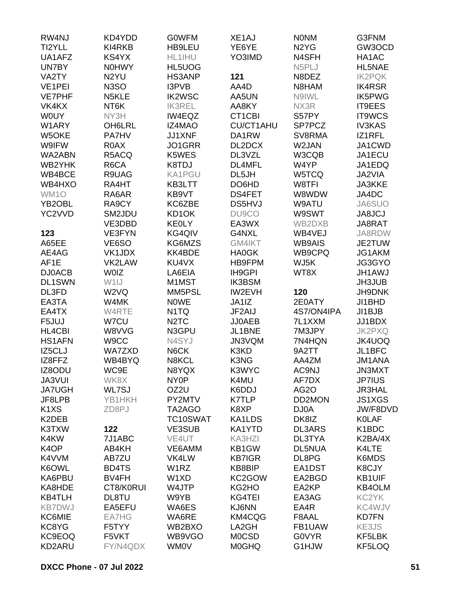| RW4NJ                         | KD4YDD            | <b>GOWFM</b>                  | XE <sub>1</sub> AJ | <b>NONM</b>                   | G3FNM         |
|-------------------------------|-------------------|-------------------------------|--------------------|-------------------------------|---------------|
| TI2YLL                        | KI4RKB            | HB9LEU                        | YE6YE              | N <sub>2</sub> Y <sub>G</sub> | GW3OCD        |
| UA1AFZ                        | KS4YX             | HL1IHU                        | YO3IMD             | N4SFH                         | HA1AC         |
| UN7BY                         | <b>NOHWY</b>      | HL5UOG                        |                    | N5PLJ                         | <b>HL5NAE</b> |
| VA2TY                         | N <sub>2</sub> YU | HS3ANP                        | 121                | N8DEZ                         | <b>IK2PQK</b> |
| VE1PEI                        | N <sub>3</sub> SO | I3PVB                         | AA4D               | N8HAM                         | IK4RSR        |
| <b>VE7PHF</b>                 | N5KLE             | <b>IK2WSC</b>                 | AA5UN              | N9IWL                         | <b>IK5PWG</b> |
| VK4KX                         | NT6K              | <b>IK3REL</b>                 | AA8KY              | NX3R                          | <b>IT9EES</b> |
| <b>WOUY</b>                   | NY3H              | IW4EQZ                        | CT1CBI             | S57PY                         | <b>IT9WCS</b> |
| W1ARY                         | OH6LRL            | IZ4MAO                        | <b>CU/CT1AHU</b>   | SP7PCZ                        | <b>IV3KAS</b> |
| W5OKE                         | PA7HV             | JJ1XNF                        | DA1RW              | SV8RMA                        | IZ1RFL        |
| W9IFW                         | R0AX              | JO1GRR                        | DL2DCX             | W2JAN                         | JA1CWD        |
| WA2ABN                        | R5ACQ             | K5WES                         | DL3VZL             | W3CQB                         | JA1ECU        |
| WB2YHK                        | R6CA              | K8TDJ                         | DL4MFL             | W4YP                          | JA1EDQ        |
| WB4BCE                        | R9UAG             | KA1PGU                        | DL5JH              | W5TCQ                         | JA2VIA        |
| WB4HXO                        | RA4HT             | KB3LTT                        | DO6HD              | W8TFI                         | <b>JA3KKE</b> |
|                               |                   |                               | <b>DS4FET</b>      | W8WDW                         |               |
| WM1O                          | RA6AR             | KB9VT                         |                    |                               | JA4DC         |
| YB <sub>2</sub> OBL           | RA9CY             | KC6ZBE                        | <b>DS5HVJ</b>      | W9ATU                         | JA6SUO        |
| YC2VVD                        | SM2JDU            | KD <sub>1</sub> OK            | DU9CO              | W9SWT                         | <b>JA8JCJ</b> |
|                               | VE3DBD            | <b>KEOLY</b>                  | EA3WX              | WB2DXB                        | JA8RAT        |
| 123                           | VE3FYN            | KG4QIV                        | G4NXL              | WB4VEJ                        | JA8RDW        |
| A65EE                         | VE6SO             | KG6MZS                        | GM4IKT             | <b>WB9AIS</b>                 | JE2TUW        |
| AE4AG                         | VK1JDX            | KK4BDE                        | <b>HA0GK</b>       | WB9CPQ                        | JG1AKM        |
| AF1E                          | VK2LAW            | KU4VX                         | HB9FPM             | WJ5K                          | JG3GYO        |
| <b>DJ0ACB</b>                 | <b>WOIZ</b>       | LA6EIA                        | IH9GPI             | WT8X                          | <b>JH1AWJ</b> |
| <b>DL1SWN</b>                 | W1IJ              | M1MST                         | <b>IK3BSM</b>      |                               | <b>JH3JUB</b> |
| DL3FD                         | W2VQ              | MM5PSL                        | <b>IW2EVH</b>      | 120                           | <b>JH9DNK</b> |
| EA3TA                         | W4MK              | <b>NOWE</b>                   | JA1IZ              | 2E0ATY                        | JI1BHD        |
| EA4TX                         | W4RTE             | N1TQ                          | JF2AIJ             | 4S7/ON4IPA                    | JI1BJB        |
| F5JUJ                         | W7CU              | N <sub>2</sub> T <sub>C</sub> | <b>JJ0AEB</b>      | 7L1XXM                        | JJ1BDX        |
| <b>HL4CBI</b>                 | W8VVG             | N3GPU                         | JL1BNE             | 7M3JPY                        | <b>JK2PXQ</b> |
| <b>HS1AFN</b>                 | W9CC              | N4SYJ                         | JN3VQM             | 7N4HQN                        | JK4UOQ        |
| IZ5CLJ                        | <b>WA7ZXD</b>     | N6CK                          | K3KD               | 9A2TT                         | JL1BFC        |
| IZ8FFZ                        | WB4BYQ            | N8KCL                         | K3NG               | AA4ZM                         | JM1ANA        |
| IZ8ODU                        | WC9E              | N8YQX                         | K3WYC              | AC9NJ                         | JN3MXT        |
| <b>JA3VUI</b>                 | WK8X              | NY <sub>0</sub> P             | K4MU               | AF7DX                         | <b>JP7IUS</b> |
| <b>JA7UGH</b>                 | WL7SJ             | OZ2U                          | K6DDJ              | AG <sub>2</sub> O             | <b>JR3HAL</b> |
| JF8LPB                        | YB1HKH            | PY2MTV                        | <b>K7TLP</b>       | DD2MON                        | <b>JS1XGS</b> |
| K <sub>1</sub> X <sub>S</sub> | ZD8PJ             | TA2AGO                        | K8XP               | DJ0A                          | JW/F8DVD      |
| K2DEB                         |                   | TC10SWAT                      | KA1LDS             | DK8IZ                         | <b>KOLAF</b>  |
| K3TXW                         | 122               | VE3SUB                        | KA1YTD             | <b>DL3ARS</b>                 | K1BDC         |
| K4KW                          | 7J1ABC            | VE4UT                         | KA3HZI             | DL3TYA                        | K2BA/4X       |
| K <sub>4</sub> OP             | AB4KH             | VE6AMM                        | KB1GW              | <b>DL5NUA</b>                 | K4LTE         |
| K4VVM                         | AB7ZU             | VK4LW                         | <b>KB7IGR</b>      | DL8PG                         | K6MDS         |
| K6OWL                         | BD4TS             | W1RZ                          | KB8BIP             | EA1DST                        | K8CJY         |
| KA6PBU                        | BV4FH             | W1XD                          | KC2GOW             | EA2BGD                        | <b>KB1UIF</b> |
| KA8HDE                        | CT8/K0RUI         | W4JTP                         | KG2HO              | EA2KP                         | KB4OLM        |
| KB4TLH                        | DL8TU             | W9YB                          | KG4TEI             | EA3AG                         | KC2YK         |
| <b>KB7DWJ</b>                 | EA5EFU            | WA6ES                         | KJ6NN              | EA4R                          | KC4WJV        |
| KC6MIE                        | EA7HG             | WA6RE                         | KM4CQG             | F8AAL                         | <b>KD7FN</b>  |
| KC8YG                         | F5TYY             | WB2BXO                        | LA2GH              | FB1UAW                        | KE3JS         |
| KC9EOQ                        | F5VKT             | WB9VGO                        | <b>MOCSD</b>       | <b>GOVYR</b>                  | KF5LBK        |
| KD2ARU                        | FY/N4QDX          | <b>WM0V</b>                   | <b>MOGHQ</b>       | G1HJW                         | KF5LOQ        |
|                               |                   |                               |                    |                               |               |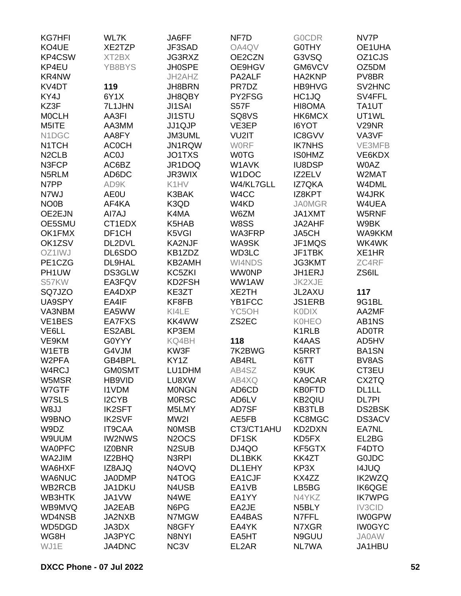| <b>KG7HFI</b>      | WL7K                           | JA6FF              | NF7D              | <b>GOCDR</b>       | NV7P                |
|--------------------|--------------------------------|--------------------|-------------------|--------------------|---------------------|
| KO4UE              | XE2TZP                         | JF3SAD             | OA4QV             | <b>GOTHY</b>       | OE1UHA              |
| KP4CSW             | XT2BX                          | JG3RXZ             | OE2CZN            | G3VSQ              | OZ <sub>1</sub> CJS |
| KP4EU              | YB8BYS                         | <b>JH0SPE</b>      | OE9HGV            | GM6VCV             | OZ5DM               |
| KR4NW              |                                | JH2AHZ             | PA2ALF            | HA2KNP             | PV8BR               |
| KV4DT              | 119                            | JH8BRN             | PR7DZ             | HB9HVG             | SV2HNC              |
| KY4J               | 6Y1X                           | JH8QBY             | PY2FSG            | HC1JQ              | SV4FFL              |
| KZ3F               | 7L1JHN                         | <b>JI1SAI</b>      | <b>S57F</b>       | HI8OMA             | TA1UT               |
| <b>MOCLH</b>       | AA3FI                          | <b>JI1STU</b>      | SQ8VS             | HK6MCX             | UT1WL               |
| M5ITE              | AA3MM                          | JJ1QJP             | VE3EP             | <b>I6YOT</b>       | V <sub>29</sub> NR  |
| N1DGC              | AA8FY                          | JM3UML             | VU2IT             | IC8GVV             | VA3VF               |
| N <sub>1</sub> TCH | <b>ACOCH</b>                   | JN1RQW             | <b>WORF</b>       | <b>IK7NHS</b>      | VE3MFB              |
| N <sub>2</sub> CLB | AC <sub>0</sub> J              | JO1TXS             | <b>WOTG</b>       | <b>ISOHMZ</b>      | VE6KDX              |
| N3FCP              | AC6BZ                          | JR1DOQ             | W1AVK             | <b>IU8DSP</b>      | <b>W0AZ</b>         |
| N5RLM              | AD6DC                          | JR3WIX             | W1DOC             | IZ2ELV             | W2MAT               |
| N7PP               | AD9K                           | K1HV               | W4/KL7GLL         | <b>IZ7QKA</b>      | W4DML               |
| N7WJ               |                                | K3BAK              |                   |                    | W4JRK               |
|                    | AE0U<br>AF4KA                  |                    | W <sub>4</sub> CC | IZ8KPT             |                     |
| NO <sub>0</sub> B  |                                | K3QD               | W4KD              | <b>JA0MGR</b>      | W4UEA               |
| OE2EJN             | AI7AJ                          | K4MA               | W6ZM              | JA1XMT             | W5RNF               |
| OE5SMU             | CT1EDX                         | K5HAB              | W8SS              | JA2AHF             | W9BK                |
| OK1FMX             | DF1CH                          | K5VGI              | WA3FRP            | JA5CH              | WA9KKM              |
| OK1ZSV             | DL2DVL                         | KA2NJF             | WA9SK             | JF1MQS             | WK4WK               |
| OZ1IWJ             | DL6SDO                         | KB1ZDZ             | <b>WD3LC</b>      | JF1TBK             | XE1HR               |
| PE1CZG             | DL9HAL                         | KB2AMH             | WI4NDS            | <b>JG3KMT</b>      | ZC4RF               |
| PH1UW              | DS3GLW                         | KC5ZKI             | <b>WWONP</b>      | JH1ERJ             | ZS6IL               |
| S57KW              | EA3FQV                         | KD2FSH             | WW1AW             | JK2XJE             |                     |
| SQ7JZO             | EA4DXP                         | KE3ZT              | XE2TH             | JL2AXU             | 117                 |
| UA9SPY             | EA4IF                          | KF8FB              | YB1FCC            | <b>JS1ERB</b>      | 9G1BL               |
| VA3NBM             | EA5WW                          | KI4LE              | YC5OH             | <b>KODIX</b>       | AA2MF               |
| VE1BES             | EA7FXS                         | KK4WW              | ZS2EC             | <b>K0HEO</b>       | AB1NS               |
| VE6LL              | ES2ABL                         | KP3EM              |                   | K1RLB              | <b>AD0TR</b>        |
| VE9KM              | G0YYY                          | KQ4BH              | 118               | K4AAS              | AD5HV               |
| W1ETB              | G4VJM                          | KW3F               | 7K2BWG            | K5RRT              | <b>BA1SN</b>        |
| W <sub>2</sub> PFA | GB4BPL                         | KY <sub>1</sub> Z  | AB4RL             | K6TT               | BV8AS               |
| W4RCJ              | <b>GM0SMT</b>                  | LU1DHM             | AB4SZ             | K9UK               | CT3EU               |
| W5MSR              | HB9VID                         | LU8XW              | AB4XQ             | KA9CAR             | CX2TQ               |
| W7GTF              | <b>I1VDM</b>                   | <b>MONGN</b>       | AD6CD             | <b>KB0FTD</b>      | DL1LL               |
| W7SLS              | I <sub>2</sub> CY <sub>B</sub> | <b>MORSC</b>       | AD6LV             | <b>KB2QIU</b>      | <b>DL7PI</b>        |
| W8JJ               | <b>IK2SFT</b>                  | M5LMY              | AD7SF             | <b>KB3TLB</b>      | DS2BSK              |
| W9BNO              | <b>IK2SVF</b>                  | MW2I               | AE5FB             | KC8MGC             | <b>DS3ACV</b>       |
| W9DZ               | <b>IT9CAA</b>                  | <b>NOMSB</b>       | CT3/CT1AHU        | KD2DXN             | EA7NL               |
| W9UUM              | <b>IW2NWS</b>                  | N <sub>2</sub> OCS | DF1SK             | KD5FX              | EL2BG               |
| <b>WAOPFC</b>      | <b>IZ0BNR</b>                  | N <sub>2</sub> SUB | DJ4QO             | KF5GTX             | F4DTO               |
| WA2JIM             | IZ2BHQ                         | N3RPI              | DL1BKK            | KK4ZT              | <b>GOJDC</b>        |
| WA6HXF             | IZ8AJQ                         | N <sub>4</sub> OVQ | DL1EHY            | KP3X               | <b>I4JUQ</b>        |
| <b>WA6NUC</b>      | <b>JA0DMP</b>                  | N4TOG              | EA1CJF            | KX4ZZ              | <b>IK2WZQ</b>       |
| WB2RCB             | JA1DKU                         | N4USB              | EA1VB             | LB5BG              | <b>IK6QGE</b>       |
| WB3HTK             | JA1VW                          | N4WE               | EA1YY             | N4YKZ              | <b>IK7WPG</b>       |
| WB9MVQ             | JA2EAB                         | N6PG               | EA2JE             | N <sub>5</sub> BLY | IV3CID              |
| WD4NSB             | JA2NXB                         | N7MGW              | EA4BAS            | N7FFL              | <b>IW0GPW</b>       |
| WD5DGD             | JA3DX                          | N8GFY              | EA4YK             | N7XGR              | <b>IW0GYC</b>       |
| WG8H               | JA3PYC                         | N8NYI              | EA5HT             | N9GUU              | <b>JA0AW</b>        |
| WJ1E               | JA4DNC                         | NC3V               | EL2AR             | NL7WA              | JA1HBU              |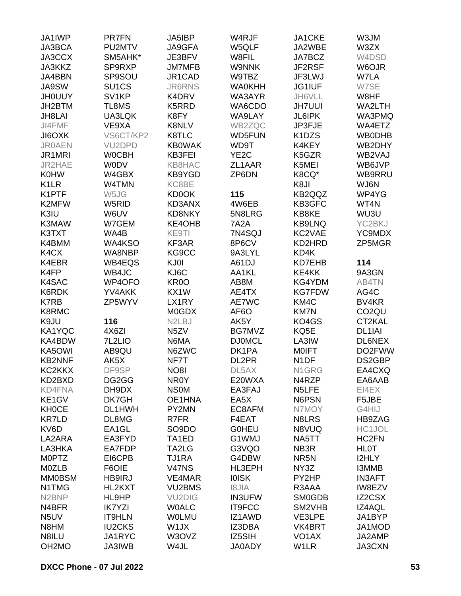| JA1IWP             | <b>PR7FN</b>        | <b>JA5IBP</b>                   | W4RJF             | JA1CKE             | W3JM                |
|--------------------|---------------------|---------------------------------|-------------------|--------------------|---------------------|
| JA3BCA             | PU2MTV              | JA9GFA                          | W5QLF             | JA2WBE             | W3ZX                |
| JA3CCX             | SM5AHK*             | JE3BFV                          | W8FIL             | JA7BCZ             | W4DSD               |
| <b>JA3KKZ</b>      | SP9RXP              | <b>JM7MFB</b>                   | <b>W9NNK</b>      | JF2RSF             | W6OJR               |
| JA4BBN             | SP9SOU              | JR1CAD                          | W9TBZ             | JF3LWJ             | W7LA                |
| JA9SW              | SU <sub>1</sub> CS  | <b>JR6RNS</b>                   | <b>WA0KHH</b>     | JG1IUF             | W7SE                |
| <b>JHOUUY</b>      | SV <sub>1</sub> KP  | K4DRV                           | WA3AYR            | JH6VLL             | W8HF                |
| JH2BTM             | TL8MS               | K5RRD                           | WA6CDO            | <b>JH7UUI</b>      | WA2LTH              |
| JH8LAI             | UA3LQK              | K8FY                            | WA9LAY            | <b>JL6IPK</b>      | WA3PMQ              |
|                    |                     |                                 |                   |                    |                     |
| JI4FMF             | VE9XA               | K8NLV                           | WB2ZQC            | JP3FJE             | WA4ETZ              |
| JI6OXK             | VS6CT/KP2           | K8TLC                           | <b>WD5FUN</b>     | K1DZS              | <b>WB0DHB</b>       |
| <b>JR0AEN</b>      | VU <sub>2</sub> DPD | <b>KB0WAK</b>                   | WD9T              | K4KEY              | WB2DHY              |
| JR1MRI             | <b>WOCBH</b>        | KB3FEI                          | YE <sub>2</sub> C | K5GZR              | WB2VAJ              |
| JR2HAE             | <b>WODV</b>         | <b>KB8HAC</b>                   | ZL1AAR            | K5MEI              | WB6JVP              |
| <b>K0HW</b>        | W4GBX               | KB9YGD                          | ZP6DN             | K8CQ*              | WB9RRU              |
| K <sub>1</sub> LR  | W4TMN               | KC8BE                           |                   | K8JI               | WJ6N                |
| K1PTF              | W5JG                | <b>KD0OK</b>                    | 115               | KB2QQZ             | WP4YG               |
| K2MFW              | W5RID               | KD3ANX                          | 4W6EB             | KB3GFC             | WT4N                |
| K3IU               | W6UV                | <b>KD8NKY</b>                   | 5N8LRG            | KB8KE              | WU3U                |
| K3MAW              | W7GEM               | KE4OHB                          | 7A2A              | <b>KB9LNQ</b>      | YC2BKJ              |
| K3TXT              | WA4B                | KE9TI                           | 7N4SQJ            | KC2VAE             | YC9MDX              |
| K4BMM              | WA4KSO              | KF3AR                           | 8P6CV             | KD2HRD             | ZP5MGR              |
| K4CX               | WA8NBP              | KG9CC                           | 9A3LYL            | KD4K               |                     |
| K4EBR              | <b>WB4EQS</b>       | KJ0I                            | A61DJ             | KD7EHB             | 114                 |
| K4FP               | WB4JC               | KJ6C                            | AA1KL             | KE4KK              | 9A3GN               |
|                    |                     |                                 |                   |                    |                     |
| K4SAC              | WP4OFO              | KR <sub>0</sub> O               | AB8M              | KG4YDM             | AB4TN               |
| K6RDK              | YV4AKK              | KX1W                            | AE4TX             | <b>KG7FDW</b>      | AG4C                |
| K7RB               | ZP5WYV              | LX1RY                           | AE7WC             | KM4C               | BV4KR               |
| K8RMC              |                     | <b>MOGDX</b>                    | AF6O              | <b>KM7N</b>        | CO <sub>2</sub> QU  |
| K9JU               | 116                 | N <sub>2</sub> L <sub>B</sub> J | AK5Y              | KO4GS              | CT2KAL              |
| KA1YQC             | 4X6ZI               | N <sub>5</sub> ZV               | BG7MVZ            | KQ5E               | DL <sub>1</sub> IAI |
| KA4BDW             | 7L2LIO              | N6MA                            | <b>DJ0MCL</b>     | LA3IW              | DL6NEX              |
| KA5OWI             | AB9QU               | N6ZWC                           | DK1PA             | <b>MOIFT</b>       | DO2FWW              |
| <b>KB2NNF</b>      | AK5X                | NF7T                            | DL2PR             | N <sub>1</sub> DF  | DS2GBP              |
| KC2KKX             | DF9SP               | NO8I                            | DL5AX             | N1GRG              | EA4CXQ              |
| KD2BXD             | DG2GG               | NR0Y                            | E20WXA            | N4RZP              | EA6AAB              |
| <b>KD4FNA</b>      | DH9DX               | <b>NSOM</b>                     | EA3FAJ            | N5LFE              | EI4EX               |
| KE1GV              | DK7GH               | OE1HNA                          | EA5X              | N6PSN              | F5JBE               |
| <b>KH0CE</b>       | DL1HWH              | PY2MN                           | EC8AFM            | N7MOY              | G4HIJ               |
| <b>KR7LD</b>       | DL8MG               | R7FR                            | F4EAT             | N8LRS              | HB9ZAG              |
| KV6D               | EA1GL               | SO <sub>9</sub> DO              | <b>GOHEU</b>      | N8VUQ              | HC1JOL              |
| LA2ARA             | EA3FYD              | TA1ED                           | G1WMJ             | NA5TT              | HC2FN               |
| LA3HKA             | EA7FDP              | TA2LG                           | G3VQO             | NB3R               | <b>HLOT</b>         |
| <b>MOPTZ</b>       | EI6CPB              | TJ1RA                           | G4DBW             | NR <sub>5N</sub>   | <b>I2HLY</b>        |
| M0ZLB              | F6OIE               | <b>V47NS</b>                    | HL3EPH            | NY3Z               | <b>I3MMB</b>        |
|                    |                     |                                 |                   |                    |                     |
| <b>MM0BSM</b>      | <b>HB9IRJ</b>       | VE4MAR                          | <b>IOISK</b>      | PY2HP              | <b>IN3AFT</b>       |
| N1TMG              | HL2KXT              | <b>VU2BMS</b>                   | <b>AIL81</b>      | R3AAA              | IW8EZV              |
| N <sub>2</sub> BNP | HL9HP               | <b>VU2DIG</b>                   | <b>IN3UFW</b>     | <b>SM0GDB</b>      | <b>IZ2CSX</b>       |
| N4BFR              | <b>IK7YZI</b>       | <b>WOALC</b>                    | <b>IT9FCC</b>     | SM2VHB             | IZ4AQL              |
| N <sub>5</sub> UV  | <b>IT9HLN</b>       | <b>WOLMU</b>                    | IZ1AWD            | VE3LPE             | JA1BYP              |
| N8HM               | <b>IU2CKS</b>       | W1JX                            | IZ3DBA            | VK4BRT             | JA1MOD              |
| N8ILU              | JA1RYC              | W3OVZ                           | IZ5SIH            | VO <sub>1</sub> AX | JA2AMP              |
| OH <sub>2</sub> MO | <b>JA3IWB</b>       | W4JL                            | <b>JA0ADY</b>     | W1LR               | JA3CXN              |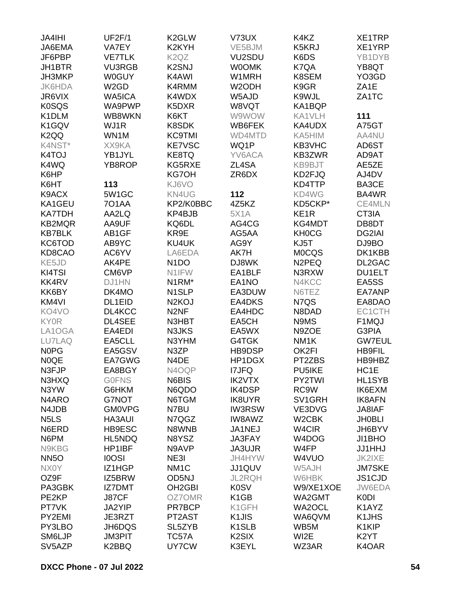| <b>JA4IHI</b>                 | <b>UF2F/1</b>     | K <sub>2</sub> GLW            | V73UX              | K4KZ               | XE1TRP            |
|-------------------------------|-------------------|-------------------------------|--------------------|--------------------|-------------------|
| JA6EMA                        | VA7EY             | K <sub>2</sub> KYH            | VE5BJM             | K5KRJ              | XE1YRP            |
| JF6PBP                        | <b>VE7TLK</b>     | K <sub>2</sub> Q <sub>Z</sub> | VU2SDU             | K6DS               | YB1DYB            |
| JH1BTR                        | <b>VU3RGB</b>     | K <sub>2</sub> SNJ            | <b>WOOMK</b>       | K7QA               | YB8QT             |
| JH3MKP                        | <b>W0GUY</b>      | K4AWI                         | W1MRH              | K8SEM              | YO3GD             |
| <b>JK6HDA</b>                 | W <sub>2</sub> GD | K4RMM                         | W <sub>2</sub> ODH | K9GR               | ZA <sub>1</sub> E |
| JR6VIX                        | <b>WA5ICA</b>     | K4WDX                         | W5AJD              | K9WJL              | ZA1TC             |
| <b>K0SQS</b>                  | WA9PWP            | K5DXR                         | W8VQT              | KA1BQP             |                   |
| K1DLM                         | WB8WKN            | K6KT                          | W9WOW              | KA1VLH             | 111               |
| K1GQV                         | WJ1R              | K8SDK                         | WB6FEK             | KA4UDX             | A75GT             |
| K <sub>2</sub> QQ             | WN1M              | <b>KC9TMI</b>                 | <b>WD4MTD</b>      | KA5HIM             | AA4NU             |
| K4NST*                        | XX9KA             | <b>KE7VSC</b>                 | WQ1P               | KB3VHC             | AD6ST             |
| K4TOJ                         | YB1JYL            | KE8TQ                         | YV6ACA             | KB3ZWR             | AD9AT             |
| K4WQ                          | YB8ROP            | KG5RXE                        | ZL4SA              | KB9BJT             | AE5ZE             |
| K6HP                          |                   | <b>KG7OH</b>                  | ZR6DX              | KD2FJQ             | AJ4DV             |
| K6HT                          | 113               | KJ6VO                         |                    | KD4TTP             | BA3CE             |
| K9ACX                         | 5W1GC             | KN4UG                         | 112                | KD4WG              | BA4WR             |
| KA1GEU                        | <b>701AA</b>      | KP2/K0BBC                     | 4Z5KZ              | KD5CKP*            | CE4MLN            |
| <b>KA7TDH</b>                 | AA2LQ             | KP4BJB                        | <b>5X1A</b>        | KE <sub>1</sub> R  | CT3IA             |
| KB2MQR                        | AA9UF             | KQ6DL                         | AG4CG              | KG4MDT             | DB8DT             |
| <b>KB7BLK</b>                 | AB1GF             | KR9E                          | AG5AA              | <b>KH0CG</b>       | DG2IAI            |
| KC6TOD                        | AB9YC             | KU4UK                         | AG9Y               | KJ5T               | DJ9BO             |
| KD8CAO                        | AC6YV             | LA6EDA                        | AK7H               | <b>MOCQS</b>       | DK1KBB            |
| KE5JD                         | AK4PE             | N <sub>1</sub> DO             | DJ8WK              | N <sub>2</sub> PEQ | DL2GAC            |
| KI4TSI                        | CM6VP             | N1IFW                         | EA1BLF             | N3RXW              | <b>DU1ELT</b>     |
| KK4RV                         | DJ1HN             | N1RM*                         | EA1NO              | N4KCC              |                   |
| KK6BY                         | DK4MO             | N <sub>1</sub> SLP            | EA3DUW             | N6TEZ              | EA5SS<br>EA7ANP   |
|                               |                   |                               |                    |                    |                   |
| KM4VI                         | DL1EID            | N <sub>2</sub> KOJ            | EA4DKS             | N7QS               | EA8DAO            |
| KO4VO                         | DL4KCC            | N <sub>2NF</sub>              | EA4HDC             | N8DAD              | EC1CTH            |
| <b>KY0R</b>                   | <b>DL4SEE</b>     | N3HBT                         | EA5CH              | N9MS               | F1MQJ             |
| LA1OGA                        | EA4EDI            | N3JKS                         | EA5WX              | N9ZOE              | G3PIA             |
| LU7LAQ                        | EA5CLL            | N3YHM                         | G4TGK              | NM <sub>1</sub> K  | <b>GW7EUL</b>     |
| <b>NOPG</b>                   | EA5GSV            | N3ZP                          | HB9DSP             | OK2FI              | <b>HB9FIL</b>     |
| <b>NOQE</b>                   | EA7GWG            | N4DE                          | HP1DGX             | PT2ZBS             | HB9HBZ            |
| N3FJP                         | EA8BGY            | N4OQP                         | I7JFQ              | PU5IKE             | HC1E              |
| N3HXQ                         | <b>GOFNS</b>      | N6BIS                         | <b>IK2VTX</b>      | PY2TWI             | <b>HL1SYB</b>     |
| N3YW                          | G6HKM             | N6QDO                         | <b>IK4DSP</b>      | RC <sub>9</sub> W  | <b>IK6EXM</b>     |
| N <sub>4</sub> ARO            | G7NOT             | N6TGM                         | <b>IK8UYR</b>      | SV1GRH             | <b>IK8AFN</b>     |
| N4JDB                         | <b>GM0VPG</b>     | N7BU                          | <b>IW3RSW</b>      | VE3DVG             | JA8IAF            |
| N <sub>5</sub> L <sub>S</sub> | <b>HA3AUI</b>     | N7QGZ                         | <b>IW8AWZ</b>      | W <sub>2</sub> CBK | <b>JH0BLI</b>     |
| N6ERD                         | HB9ESC            | N8WNB                         | JA1NEJ             | W <sub>4</sub> CIR | JH6BYV            |
| N6PM                          | HL5NDQ            | N8YSZ                         | <b>JA3FAY</b>      | W4DOG              | JI1BHO            |
| N9KBG                         | HP1IBF            | N9AVP                         | JA3UJR             | W4FP               | <b>JJ1HHJ</b>     |
| <b>NN5O</b>                   | <b>IOOSI</b>      | NE3I                          | JH4HYW             | W4VUO              | <b>JK2IXE</b>     |
| NX0Y                          | IZ1HGP            | NM <sub>1</sub> C             | JJ1QUV             | W5AJH              | <b>JM7SKE</b>     |
| OZ9F                          | IZ5BRW            | OD5NJ                         | <b>JL2RQH</b>      | W6HBK              | JS1CJD            |
| PA3GBK                        | <b>IZ7DMT</b>     | OH <sub>2</sub> GBI           | <b>K0SV</b>        | W9/XE1XOE          | <b>JW6EDA</b>     |
| PE2KP                         | J87CF             | OZ7OMR                        | K <sub>1</sub> GB  | WA2GMT             | <b>K0DI</b>       |
| PT7VK                         | JA2YIP            | PR7BCP                        | K1GFH              | WA2OCL             | K1AYZ             |
| PY2EMI                        | JE3RZT            | PT2AST                        | K <sub>1</sub> JIS | WA6QVM             | K1JHS             |
| PY3LBO                        | JH6DQS            | SL5ZYB                        | K <sub>1</sub> SLB | WB5M               | K1KIP             |
| SM6LJP                        | <b>JM3PIT</b>     | TC57A                         | K <sub>2</sub> SIX | WI2E               | K2YT              |
| SV5AZP                        | K2BBQ             | <b>UY7CW</b>                  | K3EYL              | WZ3AR              | K4OAR             |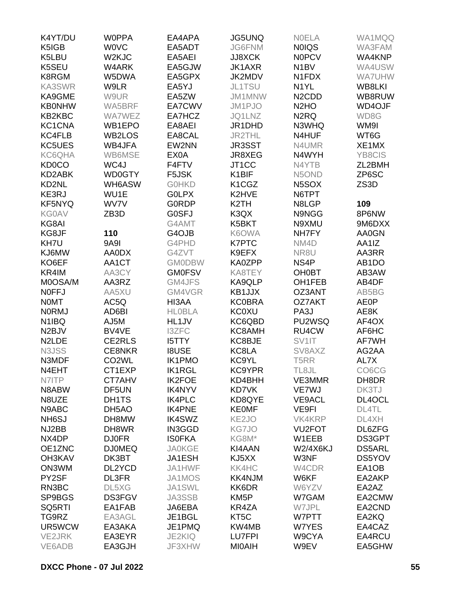| K4YT/DU            | <b>WOPPA</b>       | EA4APA                         | <b>JG5UNQ</b>                  | <b>NOELA</b>                   | WA1MQQ                         |
|--------------------|--------------------|--------------------------------|--------------------------------|--------------------------------|--------------------------------|
| K5IGB              | <b>WOVC</b>        | EA5ADT                         | JG6FNM                         | <b>NOIQS</b>                   | WA3FAM                         |
| K5LBU              | W <sub>2</sub> KJC | EA5AEI                         | <b>JJ8XCK</b>                  | <b>NOPCV</b>                   | WA4KNP                         |
| K5SEU              | W4ARK              | EA5GJW                         | <b>JK1AXR</b>                  | N <sub>1</sub> BV              | WA4USW                         |
| K8RGM              | W5DWA              | EA5GPX                         | JK2MDV                         | N1FDX                          | <b>WA7UHW</b>                  |
| <b>KA3SWR</b>      | W9LR               | EA5YJ                          | JL1TSU                         | N <sub>1</sub> YL              | WB8LKI                         |
| KA9GME             | W9UR               | EA5ZW                          | JM1MNW                         | N <sub>2</sub> CD <sub>D</sub> | WB8RUW                         |
| <b>KB0NHW</b>      | WA5BRF             | EA7CWV                         | JM1PJO                         | N <sub>2</sub> H <sub>O</sub>  | WD4OJF                         |
| KB2KBC             | <b>WA7WEZ</b>      | EA7HCZ                         | JQ1LNZ                         | N <sub>2</sub> RQ              | WD8G                           |
| KC1CNA             | WB1EPO             | EA8AEI                         | JR1DHD                         | N3WHQ                          | WM9I                           |
| <b>KC4FLB</b>      | WB2LOS             | EA8CAL                         | <b>JR2THL</b>                  | N4HUF                          | WT6G                           |
| <b>KC5UES</b>      | WB4JFA             | EW2NN                          | <b>JR3SST</b>                  | N4UMR                          | XE1MX                          |
| <b>KC6QHA</b>      | WB6MSE             | EX0A                           | JR8XEG                         | N4WYH                          | <b>YB8CIS</b>                  |
| <b>KD0CO</b>       | WC4J               | F4FTV                          | JT1CC                          | N4YTB                          | ZL2BMH                         |
| KD2ABK             | WD0GTY             | F5JSK                          | K1BIF                          | N5OND                          | ZP6SC                          |
| KD2NL              | WH6ASW             | <b>GOHKD</b>                   | K <sub>1</sub> C <sub>GZ</sub> | N5SOX                          | ZS3D                           |
| KE3RJ              | WU1E               | <b>GOLPX</b>                   | K2HVE                          | N6TPT                          |                                |
| KF5NYQ             | WV7V               | <b>GORDP</b>                   | K <sub>2</sub> TH              | N8LGP                          | 109                            |
| <b>KG0AV</b>       | ZB <sub>3</sub> D  | G0SFJ                          | K3QX                           | N9NGG                          | 8P6NW                          |
| KG8AI              |                    | G4AMT                          | K5BKT                          | N9XMU                          | 9M6DXX                         |
| KG8JF              | 110                | G4OJB                          | K6OWA                          | NH7FY                          | AA0GN                          |
| KH7U               | <b>9A9I</b>        | G4PHD                          | <b>K7PTC</b>                   | NM4D                           | AA1IZ                          |
| KJ6MW              | AA0DX              | G4ZVT                          | K9EFX                          | NR8U                           | AA3RR                          |
| KO6EF              | AA1CT              | <b>GMODBW</b>                  | KA0ZPP                         | NS4P                           | AB <sub>1</sub> DO             |
| KR4IM              | AA3CY              | <b>GM0FSV</b>                  | KA8TEY                         | <b>OH0BT</b>                   | AB3AW                          |
| M0OSA/M            | AA3RZ              | GM4JFS                         | KA9QLP                         | OH1FEB                         | AB4DF                          |
| <b>NOFFJ</b>       | AA5XU              | GM4VGR                         | KB1JJX                         | OZ3ANT                         | AB5BG                          |
| <b>NOMT</b>        | AC5Q               | HI3AA                          | <b>KC0BRA</b>                  | OZ7AKT                         | <b>AE0P</b>                    |
| <b>NORMJ</b>       | AD6BI              | <b>HLOBLA</b>                  | <b>KC0XU</b>                   | PA <sub>3</sub> J              | AE8K                           |
| N <sub>1</sub> IBQ | AJ5M               | HL1JV                          | KC6QBD                         | PU2WSQ                         | AF4OX                          |
| N <sub>2</sub> BJV | BV4VE              | <b>I3ZFC</b>                   | KC8AMH                         | RU4CW                          | AF6HC                          |
| N <sub>2</sub> LDE | CE2RLS             | <b>I5TTY</b>                   | KC8BJE                         | SV1IT                          | AF7WH                          |
| N3JSS              | <b>CE8NKR</b>      | <b>I8USE</b>                   | KC8LA                          | SV8AXZ                         | AG2AA                          |
| N3MDF              | CO <sub>2</sub> WL | <b>IK1PMO</b>                  | KC9YL                          | T <sub>5</sub> RR              | AL7X                           |
| N4EHT              | CT1EXP             | <b>IK1RGL</b>                  | <b>KC9YPR</b>                  | TL8JL                          | CO <sub>6</sub> C <sub>G</sub> |
| N7ITP              | CT7AHV             | <b>IK2FOE</b>                  | KD4BHH                         | VE3MMR                         | DH8DR                          |
| N8ABW              | DF5UN              | <b>IK4NYV</b>                  | KD7VK                          | VE7WJ                          | DK3TJ                          |
| N8UZE              |                    | <b>IK4PLC</b>                  | KD8QYE                         | <b>VE9ACL</b>                  | DL4OCL                         |
| N9ABC              | DH1TS<br>DH5AO     | <b>IK4PNE</b>                  | <b>KEOMF</b>                   | VE9FI                          | DL4TL                          |
|                    | DH8MW              |                                |                                |                                | DL4XH                          |
| NH <sub>6</sub> SJ |                    | <b>IK4SWZ</b>                  | KE <sub>2JO</sub>              | <b>VK4KRP</b>                  |                                |
| NJ2BB<br>NX4DP     | DH8WR              | <b>IN3GGD</b><br><b>ISOFKA</b> | KG7JO                          | VU <sub>2</sub> FOT<br>W1EEB   | DL6ZFG                         |
|                    | <b>DJ0FR</b>       |                                | KG8M*                          |                                | DS3GPT                         |
| OE1ZNC             | <b>DJ0MEQ</b>      | <b>JA0KGE</b>                  | KI4AAN                         | <b>W2/4X6KJ</b>                | <b>DS5ARL</b>                  |
| <b>OH3KAV</b>      | DK3BT              | JA1ESH                         | KJ5XX                          | W3NF                           | DS5YOV                         |
| ON3WM              | DL2YCD             | JA1HWF                         | KK4HC                          | W4CDR                          | EA1OB                          |
| PY2SF              | DL3FR              | JA1MOS                         | <b>KK4NJM</b>                  | W6KF                           | EA2AKP                         |
| RN3BC              | DL5XG              | JA1SWL                         | KK6DR                          | W6YZV                          | EA2AZ                          |
| SP9BGS             | DS3FGV             | JA3SSB                         | KM <sub>5</sub> P              | W7GAM                          | EA2CMW                         |
| SQ5RTI             | EA1FAB             | JA6EBA                         | KR4ZA                          | W7JPL                          | EA2CND                         |
| TG9RZ              | EA3AGL             | JE1BGL                         | KT <sub>5</sub> C              | W7PTT                          | EA2KQ                          |
| UR5WCW             | EA3AKA             | JE1PMQ                         | KW4MB                          | W7YES                          | EA4CAZ                         |
| VE2JRK             | EA3EYR             | <b>JE2KIQ</b>                  | <b>LU7FPI</b>                  | W9CYA                          | EA4RCU                         |
| VE6ADB             | EA3GJH             | JF3XHW                         | <b>MIOAIH</b>                  | W9EV                           | EA5GHW                         |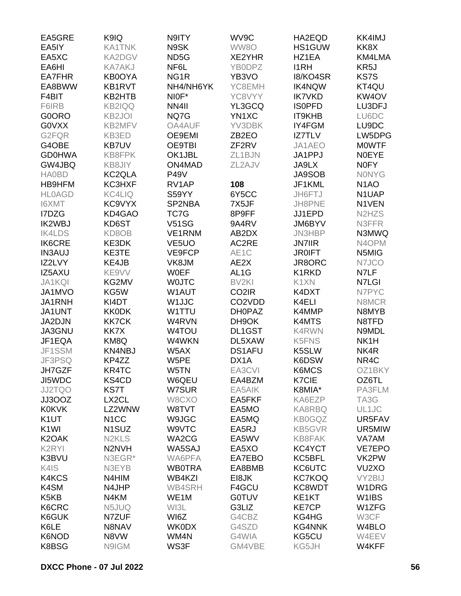| EA5GRE                        | K9IQ                           | N9ITY              | WV9C                             | HA2EQD        | <b>KK4IMJ</b>                  |
|-------------------------------|--------------------------------|--------------------|----------------------------------|---------------|--------------------------------|
| EA5IY                         | <b>KA1TNK</b>                  | N9SK               | WW8O                             | HS1GUW        | KK8X                           |
| EA5XC                         | <b>KA2DGV</b>                  | ND <sub>5</sub> G  | XE2YHR                           | HZ1EA         | KM4LMA                         |
| EA6HI                         | <b>KA7AKJ</b>                  | NF6L               | YB0DPZ                           | <b>I1RH</b>   | KR5J                           |
| <b>EA7FHR</b>                 | KB0OYA                         | NG <sub>1</sub> R  | YB3VO                            | 18/KO4SR      | <b>KS7S</b>                    |
| EA8BWW                        | <b>KB1RVT</b>                  | NH4/NH6YK          | YC8EMH                           | <b>IK4NQW</b> | KT4QU                          |
| F4BIT                         | KB2HTB                         | NIOF*              | YC8VYY                           | <b>IK7VKD</b> | KW <sub>4</sub> OV             |
| F6IRB                         | <b>KB2IQQ</b>                  | NN4II              | YL3GCQ                           | <b>ISOPFD</b> | LU3DFJ                         |
| G0ORO                         | <b>KB2JOI</b>                  | NQ7G               | YN1XC                            | IT9KHB        | LU6DC                          |
| <b>GOVXX</b>                  | KB2MFV                         | OA4AUF             | YV3DBK                           | IY4FGM        | LU9DC                          |
| G2FQR                         | KB3ED                          | OE9EMI             | ZB <sub>2</sub> EO               | <b>IZ7TLV</b> | LW5DPG                         |
| G4OBE                         | <b>KB7UV</b>                   | <b>OE9TBI</b>      | ZF <sub>2RV</sub>                | JA1AEO        | <b>MOWTF</b>                   |
| <b>GD0HWA</b>                 | KB8FPK                         | OK1JBL             | ZL1BJN                           | JA1PPJ        | <b>NOEYE</b>                   |
| GW4JBQ                        | <b>KB8JIY</b>                  | ON4MAD             | ZL2AJV                           | JA9LX         | <b>NOFY</b>                    |
| <b>HA0BD</b>                  | KC2QLA                         | <b>P49V</b>        |                                  | <b>JA9SOB</b> | <b>NONYG</b>                   |
| HB9HFM                        | KC3HXF                         | RV1AP              | 108                              | JF1KML        | N <sub>1</sub> AO              |
| <b>HLOAGD</b>                 | <b>KC4LIQ</b>                  | S59YY              | 6Y5CC                            | JH6FTJ        | N1UAP                          |
| <b>I6XMT</b>                  | KC9VYX                         | SP2NBA             | 7X5JF                            | JH8PNE        | N1VEN                          |
| I7DZG                         | KD4GAO                         | TC7G               | 8P9FF                            | JJ1EPD        | N <sub>2</sub> H <sub>ZS</sub> |
| <b>IK2WBJ</b>                 | KD6ST                          | <b>V51SG</b>       | 9A4RV                            | JM6BYV        | N3FFR                          |
| <b>IK4LDS</b>                 | KD8OB                          | VE1RNM             | AB2DX                            | JN3HBP        | N3MWQ                          |
| <b>IK6CRE</b>                 | KE3DK                          | VE <sub>5</sub> UO | AC2RE                            | <b>JN7IIR</b> | N4OPM                          |
| <b>IN3AUJ</b>                 | KE3TE                          | VE9FCP             | AE1C                             | <b>JR0IFT</b> | N5MIG                          |
| IZ2LVY                        | KE4JB                          | VK8JM              | AE2X                             | JR8ORC        | N7JCO                          |
| IZ5AXU                        | KE9VV                          | <b>WOEF</b>        | AL <sub>1</sub> G                | K1RKD         | N7LF                           |
|                               |                                |                    | BV <sub>2KI</sub>                |               |                                |
| <b>JA1KQI</b>                 | KG2MV                          | <b>WOJTC</b>       |                                  | K1XN          | N7LGI                          |
| JA1MVO                        | KG5W                           | W1AUT              | CO <sub>2</sub> IR               | K4DXT         | N7PYC                          |
| JA1RNH                        | KI4DT                          | W1JJC              | CO <sub>2</sub> V <sub>D</sub> D | K4ELI         | N8MCR                          |
| JA1UNT                        | <b>KK0DK</b>                   | W1TTU              | <b>DH0PAZ</b>                    | K4MMP         | N8MYB                          |
| JA2DJN                        | <b>KK7CK</b>                   | W4RVN              | DH9OK                            | K4MTS         | N8TFD                          |
| JA3GNU                        | <b>KK7X</b>                    | W4TOU              | DL1GST                           | <b>K4RWN</b>  | N9MDL                          |
| JF1EQA                        | KM8Q                           | W4WKN              | DL5XAW                           | K5FNS         | NK <sub>1</sub> H              |
| JF1SSM                        | <b>KN4NBJ</b>                  | W5AX               | <b>DS1AFU</b>                    | K5SLW         | NK4R                           |
| JF3PSQ                        | KP4ZZ                          | W5PE               | DX1A                             | K6DSW         | NR <sub>4</sub> C              |
| JH7GZF                        | KR4TC                          | W5TN               | EA3CVI                           | K6MCS         | OZ1BKY                         |
| JI5WDC                        | KS4CD                          | W6QEU              | EA4BZM                           | <b>K7CIE</b>  | OZ6TL                          |
| <b>JJ2TQO</b>                 | KS7T                           | W7SUR              | EA5AIK                           | K8MIA*        | PA3FLM                         |
| JJ3OOZ                        | LX <sub>2</sub> CL             | W8CXO              | EA5FKF                           | KA6EZP        | TA3G                           |
| <b>K0KVK</b>                  | LZ2WNW                         | W8TVT              | EA5MO                            | <b>KA8RBQ</b> | UL1JC                          |
| K <sub>1</sub> UT             | N <sub>1</sub> CC              | W9JGC              | EA5MQ                            | <b>KB0GQZ</b> | UR5FAV                         |
| K <sub>1</sub> WI             | N <sub>1</sub> SUZ             | W9VTC              | EA5RJ                            | <b>KB5GVR</b> | UR5MIW                         |
| K <sub>2</sub> OAK            | N <sub>2</sub> KL <sub>S</sub> | WA2CG              | EA5WV                            | KB8FAK        | VA7AM                          |
| K <sub>2</sub> RYI            | N <sub>2</sub> N <sub>VH</sub> | WA5SAJ             | EA5XO                            | KC4YCT        | <b>VE7EPO</b>                  |
| K3BVU                         | N3EGR*                         | WA6PFA             | EA7EBO                           | KC5BFL        | VK2PW                          |
| K4IS                          | N3EYB                          | <b>WB0TRA</b>      | EA8BMB                           | KC6UTC        | VU <sub>2</sub> XO             |
| <b>K4KCS</b>                  | N4HIM                          | WB4KZI             | EI8JK                            | <b>KC7KOQ</b> | VY2BIJ                         |
| K4SM                          | N4JHP                          | <b>WB4SRH</b>      | F4GCU                            | KC8WDT        | W1DRG                          |
| K <sub>5</sub> K <sub>B</sub> | N4KM                           | WE1M               | <b>G0TUV</b>                     | KE1KT         | W1IBS                          |
| K6CRC                         | N5JUQ                          | WI3L               | G3LIZ                            | <b>KE7CP</b>  | W1ZFG                          |
| K6GUK                         | N7ZUF                          | WI6Z               | G4CBZ                            | KG4HG         | W3CF                           |
| K6LE                          | N8NAV                          | <b>WK0DX</b>       | G4SZD                            | <b>KG4NNK</b> | W4BLO                          |
| <b>K6NOD</b>                  | N8VW                           | WM4N               | G4WIA                            | KG5CU         | W4EEV                          |
| K8BSG                         | N9IGM                          | WS3F               | GM4VBE                           | KG5JH         | W4KFF                          |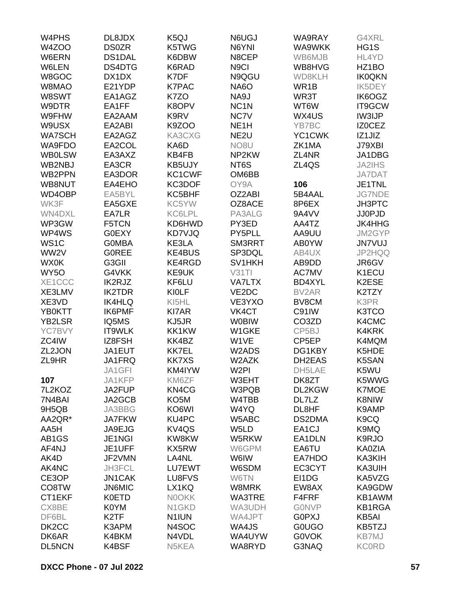| W <sub>4</sub> PHS | DL8JDX            | K <sub>5</sub> QJ  | N6UGJ             | WA9RAY             | G4XRL             |
|--------------------|-------------------|--------------------|-------------------|--------------------|-------------------|
| W4ZOO              | <b>DS0ZR</b>      | K5TWG              | N6YNI             | WA9WKK             | HG1S              |
| W6ERN              | DS1DAL            | K6DBW              | N8CEP             | WB6MJB             | HL4YD             |
| W6LEN              | DS4DTG            | K6RAD              | N <sub>9</sub> Cl | WB8HVG             | HZ1BO             |
| W8GOC              | DX1DX             | K7DF               | N9QGU             | WD8KLH             | <b>IK0QKN</b>     |
| W8MAO              | E21YDP            | <b>K7PAC</b>       | <b>NA6O</b>       | WR1B               | <b>IK5DEY</b>     |
| W8SWT              | EA1AGZ            | K7ZO               | NA9J              | WR3T               | IK6OGZ            |
|                    |                   |                    |                   |                    |                   |
| W9DTR              | EA1FF             | K8OPV              | NC <sub>1</sub> N | WT6W               | IT9GCW            |
| W9FHW              | EA2AAM            | K9RV               | NC7V              | WX4US              | <b>IW3IJP</b>     |
| W9USX              | EA2ABI            | K9ZOO              | NE <sub>1</sub> H | YB7BC              | <b>IZOCEZ</b>     |
| <b>WA7SCH</b>      | EA2AGZ            | KA3CXG             | NE <sub>2U</sub>  | YC1CWK             | IZ1JIZ            |
| WA9FDO             | EA2COL            | KA6D               | NO <sub>8</sub> U | ZK1MA              | J79XBI            |
| <b>WB0LSW</b>      | EA3AXZ            | KB4FB              | NP <sub>2KW</sub> | ZL4NR              | JA1DBG            |
| WB2NBJ             | EA3CR             | KB5UJY             | NT6S              | ZL4QS              | <b>JA2IHS</b>     |
| WB2PPN             | EA3DOR            | KC1CWF             | OM6BB             |                    | <b>JA7DAT</b>     |
| WB8NUT             | EA4EHO            | KC3DOF             | OY9A              | 106                | JE1TNL            |
| WD4OBP             | EA5BYL            | KC5BHF             | OZ2ABI            | 5B4AAL             | <b>JG7NDE</b>     |
| WK3F               | EA5GXE            | KC5YW              | OZ8ACE            | 8P6EX              | JH3PTC            |
| WN4DXL             | EA7LR             | KC6LPL             | PA3ALG            | 9A4VV              | <b>JJ0PJD</b>     |
| WP3GW              | F5TCN             | KD6HWD             | PY3ED             | AA4TZ              | <b>JK4HHG</b>     |
| WP4WS              | G0EXY             | KD7VJQ             | PY5PLL            | AA9UU              | JM2GYP            |
| WS <sub>1</sub> C  | <b>GOMBA</b>      | KE3LA              | SM3RRT            | AB0YW              | <b>JN7VUJ</b>     |
| WW2V               | <b>GOREE</b>      | <b>KE4BUS</b>      | SP3DQL            | AB4UX              | JP2HQQ            |
| <b>WX0K</b>        | G3GII             | KE4RGD             | SV1HKH            | AB9DD              | JR6GV             |
| WY5O               | G4VKK             | KE9UK              | V31T1             | <b>AC7MV</b>       | K1ECU             |
| XE1CCC             | IK2RJZ            | KF6LU              | <b>VA7LTX</b>     | BD4XYL             | K2ESE             |
| XE3LMV             | <b>IK2TDR</b>     | <b>KIOLF</b>       | VE2DC             | BV2AR              | K2TZY             |
| XE3VD              |                   |                    | VE3YXO            | BV8CM              | K3PR              |
|                    | <b>IK4HLQ</b>     | KI5HL              |                   |                    |                   |
| YB0KTT             | <b>IK6PMF</b>     | KI7AR              | VK4CT             | C91IW              | K3TCO             |
| <b>YB2LSR</b>      | IQ5MS             | KJ5JR              | <b>W0BIW</b>      | CO <sub>3</sub> ZD | K4CMC             |
| YC7BVY             | IT9WLK            | KK1KW              | W1GKE             | CP5BJ              | K4KRK             |
| ZC4IW              | IZ8FSH            | KK4BZ              | W1VE              | CP5EP              | K4MQM             |
| ZL2JON             | JA1EUT            | <b>KK7EL</b>       | W2ADS             | DG1KBY             | K5HDE             |
| ZL9HR              | JA1FRQ            | <b>KK7XS</b>       | W2AZK             | DH2EAS             | K5SAN             |
|                    | JA1GFI            | KM4IYW             | W <sub>2PI</sub>  | DH5LAE             | K5WU              |
| 107                | JA1KFP            | KM6ZF              | W3EHT             | DK8ZT              | K5WWG             |
| 7L2KOZ             | JA2FUP            | KN4CG              | W3PQB             | DL2KGW             | <b>K7MOE</b>      |
| 7N4BAI             | JA2GCB            | KO <sub>5</sub> M  | W4TBB             | DL7LZ              | K8NIW             |
| 9H5QB              | JA3BBG            | KO6WI              | W4YQ              | DL8HF              | K9AMP             |
| AA2QR*             | <b>JA7FKW</b>     | KU4PC              | W5ABC             | DS2DMA             | K <sub>9</sub> CQ |
| AA5H               | JA9EJG            | KV4QS              | W <sub>5</sub> LD | EA <sub>1</sub> CJ | K9MQ              |
| AB1GS              | JE1NGI            | KW8KW              | W5RKW             | EA1DLN             | K9RJO             |
| AF4NJ              | JE1UFF            | KX5RW              | W6GPM             | EA6TU              | <b>KA0ZIA</b>     |
| AK4D               | JF2VMN            | LA4NL              | W6IW              | EA7HDO             | KA3KIH            |
| AK4NC              | JH3FCL            | LU7EWT             | W6SDM             | EC3CYT             | KA3UIH            |
| CE3OP              | <b>JN1CAK</b>     | LU8FVS             | W6TN              | EI1DG              | KA5VZG            |
| CO8TW              | <b>JN6MIC</b>     | LX1KQ              | W8MRK             | EW8AX              | KA9GDW            |
| CT1EKF             | <b>K0ETD</b>      | <b>NOOKK</b>       | WA3TRE            | F4FRF              | KB1AWM            |
| CX8BE              | K0YM              | N <sub>1</sub> GKD | WA3UDH            | <b>GONVP</b>       | <b>KB1RGA</b>     |
| DF6BL              | K <sub>2</sub> TF | N1IUN              | WA4JPT            | <b>GOPXJ</b>       | KB5AI             |
|                    |                   |                    |                   |                    |                   |
| DK <sub>2</sub> CC | K3APM             | N4SOC              | WA4JS             | <b>GOUGO</b>       | KB5TZJ            |
| DK6AR              | K4BKM             | N4VDL              | WA4UYW            | <b>GOVOK</b>       | <b>KB7MJ</b>      |
| <b>DL5NCN</b>      | K4BSF             | N5KEA              | WA8RYD            | G3NAQ              | <b>KC0RD</b>      |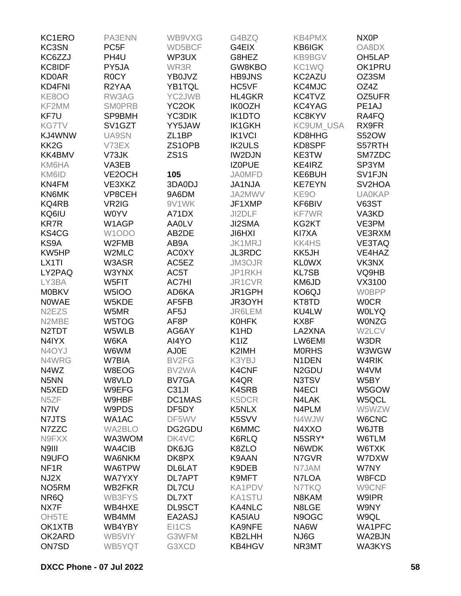| KC1ERO                         | PA3ENN                           | WB9VXG             | G4BZQ                         | <b>KB4PMX</b>      | NX <sub>0</sub> P   |
|--------------------------------|----------------------------------|--------------------|-------------------------------|--------------------|---------------------|
| KC3SN                          | PC <sub>5F</sub>                 | WD5BCF             | G4EIX                         | <b>KB6IGK</b>      | OA8DX               |
| KC6ZZJ                         | PH <sub>4U</sub>                 | WP3UX              | G8HEZ                         | <b>KB9BGV</b>      | OH <sub>5</sub> LAP |
| KC8IDF                         | PY5JA                            | WR3R               | GW8KBO                        | KC1WQ              | OK1PRU              |
| <b>KD0AR</b>                   | <b>ROCY</b>                      | YB0JVZ             | <b>HB9JNS</b>                 | KC2AZU             | OZ3SM               |
| KD4FNI                         | R2YAA                            | YB1TQL             | HC5VF                         | KC4MJC             | OZ4Z                |
| <b>KE8OO</b>                   | RW3AG                            | YC2JWB             | <b>HL4GKR</b>                 | KC4TVZ             | OZ5UFR              |
| KF2MM                          | <b>SMOPRB</b>                    | YC <sub>2</sub> OK | <b>IK0OZH</b>                 | KC4YAG             | PE <sub>1</sub> AJ  |
| KF7U                           | SP9BMH                           | YC3DIK             | <b>IK1DTO</b>                 | KC8KYV             | RA4FQ               |
| <b>KG7TV</b>                   | SV <sub>1</sub> G <sub>Z</sub> T | YY5JAW             | <b>IK1GKH</b>                 | KC9UM_USA          | RX9FR               |
| KJ4WNW                         | UA9SN                            | ZL <sub>1</sub> BP | <b>IK1VCI</b>                 | KD8HHG             | <b>S52OW</b>        |
| KK <sub>2</sub> G              | V73EX                            | ZS1OPB             | <b>IK2ULS</b>                 | KD8SPF             | S57RTH              |
| KK4BMV                         | V73JK                            | ZS <sub>1</sub> S  | <b>IW2DJN</b>                 | KE3TW              | SM7ZDC              |
| KM6HA                          | VA3EB                            |                    | <b>IZOPUE</b>                 | KE4IRZ             | SP3YM               |
| KM6ID                          | VE2OCH                           | 105                | <b>JA0MFD</b>                 | KE6BUH             | SV1FJN              |
| KN4FM                          | VE3XKZ                           | 3DA0DJ             | <b>JA1NJA</b>                 | <b>KE7EYN</b>      | SV <sub>2</sub> HOA |
| KN6MK                          | VP8CEH                           | 9A6DM              | JA2MWV                        | KE9O               | <b>UA0KAP</b>       |
| KQ4RB                          | VR2IG                            | 9V1WK              | JF1XMP                        | KF6BIV             | <b>V63ST</b>        |
| KQ6IU                          | <b>WOYV</b>                      | A71DX              | JI2DLF                        | <b>KF7WR</b>       | VA3KD               |
| <b>KR7R</b>                    | W1AGP                            | <b>AA0LV</b>       | JI2SMA                        | KG2KT              | VE3PM               |
| KS4CG                          | W1ODO                            | AB2DE              | <b>JI6HXI</b>                 | KI7XA              | VE3RXM              |
| KS9A                           | W2FMB                            | AB9A               | JK1MRJ                        | <b>KK4HS</b>       | <b>VE3TAQ</b>       |
| KW5HP                          | W2MLC                            | <b>AC0XY</b>       | JL3RDC                        | KK5JH              | VE4HAZ              |
| LX1TI                          | W3ASR                            | AC5EZ              | JM3OJR                        | <b>KLOWX</b>       | VK3NX               |
| LY2PAQ                         | W3YNX                            | AC5T               | JP1RKH                        | <b>KL7SB</b>       | VQ9HB               |
| LY3BA                          | W5FIT                            | <b>AC7HI</b>       | JR1CVR                        | KM6JD              | VX3100              |
| <b>M0BKV</b>                   | <b>W5IOO</b>                     | AD6KA              | JR1GPH                        | KO6QJ              | <b>W0BPP</b>        |
| <b>NOWAE</b>                   | W5KDE                            | AF5FB              | JR3OYH                        | KT8TD              | <b>WOCR</b>         |
| N <sub>2</sub> EZ <sub>S</sub> | W5MR                             | AF <sub>5</sub> J  | JR6LEM                        | KU4LW              | <b>WOLYQ</b>        |
| N2MBE                          | W5TOG                            | AF8P               | <b>K0HFK</b>                  | KX8F               | W0NZG               |
| N <sub>2</sub> TDT             |                                  |                    | K <sub>1</sub> H <sub>D</sub> | LA2XNA             | W2LCV               |
| N4IYX                          | W5WLB<br>W6KA                    | AG6AY              |                               | LW6EMI             |                     |
| N4OYJ                          |                                  | AI4YO              | K <sub>1</sub> IZ<br>K2IMH    |                    | W3DR                |
|                                | W6WM                             | AJ0E               |                               | <b>MORHS</b>       | W3WGW<br>W4RIK      |
| N4WRG                          | W7BIA                            | BV2FG              | K3YBJ                         | N <sub>1</sub> DEN |                     |
| N4WZ                           | W8EOG                            | BV2WA              | K4CNF                         | N <sub>2</sub> GDU | W4VM                |
| N <sub>5</sub> NN              | W8VLD                            | BV7GA              | K <sub>4</sub> Q <sub>R</sub> | N3TSV              | W5BY                |
| N5XED                          | W9EFG                            | C <sub>31</sub> JI | <b>K4SRB</b>                  | N4ECI              | W5GOW               |
| N <sub>5</sub> ZF              | W9HBF                            | DC1MAS             | K5DCR                         | N4LAK              | W5QCL               |
| N7IV                           | W9PDS                            | DF5DY              | K5NLX                         | N4PLM              | W5WZW               |
| N7JTS                          | WA1AC                            | DF5WV              | K5SVV                         | N4WJW              | W6CNC               |
| N7ZZC                          | <b>WA2BLO</b>                    | DG2GDU             | K6MMC                         | N4XXO              | W6JTB               |
| N9FXX                          | WA3WOM                           | DK4VC              | K6RLQ                         | N5SRY*             | W6TLM               |
| N9III                          | <b>WA4CIB</b>                    | DK6JG              | K8ZLO                         | N6WDK              | W6TXK               |
| N9UFO                          | WA6NKM                           | DK8PX              | K9AAN                         | N7GVR              | W7DXW               |
| NF <sub>1R</sub>               | WA6TPW                           | DL6LAT             | K9DEB                         | N7JAM              | W7NY                |
| NJ2X                           | <b>WA7YXY</b>                    | <b>DL7APT</b>      | K9MFT                         | N7LOA              | W8FCD               |
| NO <sub>5</sub> RM             | <b>WB2FKR</b>                    | <b>DL7CU</b>       | <b>KA1PDV</b>                 | N7TKQ              | W9CNF               |
| NR6Q                           | <b>WB3FYS</b>                    | DL7XT              | <b>KA1STU</b>                 | N8KAM              | W9IPR               |
| NX7F                           | WB4HXE                           | <b>DL9SCT</b>      | KA4NLC                        | N8LGE              | W9NY                |
| OH <sub>5</sub> TE             | WB4MM                            | EA2ASJ             | KA5IAU                        | N9OGC              | W9QL                |
| OK1XTB                         | WB4YBY                           | EI1CS              | KA9NFE                        | NA6W               | WA1PFC              |
| OK2ARD                         | WB5VIY                           | G3WFM              | KB2LHH                        | NJ6G               | WA2BJN              |
| ON7SD                          | WB5YQT                           | G3XCD              | KB4HGV                        | NR3MT              | WA3KYS              |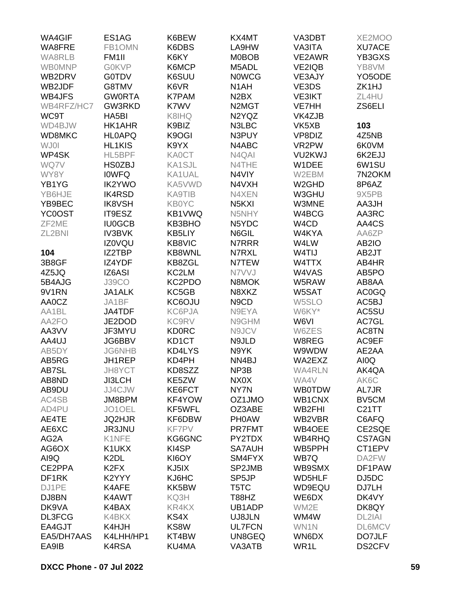| <b>WA4GIF</b> | ES1AG                         | K6BEW         | KX4MT                           | VA3DBT             | XE2MOO              |
|---------------|-------------------------------|---------------|---------------------------------|--------------------|---------------------|
| WA8FRE        | FB1OMN                        | K6DBS         | LA9HW                           | VA3ITA             | <b>XU7ACE</b>       |
| <b>WA8RLB</b> | FM <sub>1</sub> II            | K6KY          | <b>M0BOB</b>                    | VE2AWR             | YB3GXS              |
| <b>WBOMNP</b> | <b>GOKVP</b>                  | K6MCP         | M5ADL                           | <b>VE2IQB</b>      | YB8VM               |
| WB2DRV        | <b>G0TDV</b>                  | K6SUU         | <b>NOWCG</b>                    | VE3AJY             | YO <sub>5</sub> ODE |
| WB2JDF        | G8TMV                         | K6VR          | N <sub>1</sub> AH               | VE3DS              | ZK1HJ               |
| <b>WB4JFS</b> | <b>GWORTA</b>                 | <b>K7PAM</b>  | N <sub>2</sub> BX               | <b>VE3IKT</b>      | ZL4HU               |
| WB4RFZ/HC7    | GW3RKD                        | K7WV          | N <sub>2</sub> M <sub>G</sub> T | VE7HH              | ZS6ELI              |
| WC9T          | HA5BI                         | K8IHQ         | N2YQZ                           | VK4ZJB             |                     |
|               | HK1AHR                        |               | N3LBC                           |                    |                     |
| WD4BJW        |                               | K9BIZ         |                                 | VK5XB              | 103                 |
| WD8MKC        | <b>HLOAPQ</b>                 | K9OGI         | N3PUY                           | VP8DIZ             | 4Z5NB               |
| WJ01          | HL1KIS                        | K9YX          | N4ABC                           | VR2PW              | 6K0VM               |
| WP4SK         | HL5BPF                        | <b>KA0CT</b>  | N4QAI                           | VU2KWJ             | 6K2EJJ              |
| WQ7V          | <b>HS0ZBJ</b>                 | <b>KA1SJL</b> | N4THE                           | W1DEE              | 6W1SU               |
| WY8Y          | <b>IOWFQ</b>                  | KA1UAL        | N4VIY                           | W2EBM              | 7N2OKM              |
| YB1YG         | <b>IK2YWO</b>                 | KA5VWD        | N4VXH                           | W <sub>2</sub> GHD | 8P6AZ               |
| YB6HJE        | <b>IK4RSD</b>                 | <b>KA9TIB</b> | N4XEN                           | W3GHU              | 9X5PB               |
| YB9BEC        | <b>IK8VSH</b>                 | <b>KB0YC</b>  | N <sub>5</sub> K <sub>XI</sub>  | W3MNE              | AA3JH               |
| YC0OST        | IT9ESZ                        | KB1VWQ        | N5NHY                           | W4BCG              | AA3RC               |
| ZF2ME         | <b>IU0GCB</b>                 | KB3BHO        | N5YDC                           | W <sub>4</sub> CD  | AA4CS               |
| ZL2BNI        | <b>IV3BVK</b>                 | KB5LIY        | N6GIL                           | W4KYA              | AA6ZP               |
|               | IZ0VQU                        | KB8VIC        | N7RRR                           | W4LW               | AB2IO               |
| 104           | IZ2TBP                        | KB8WNL        | N7RXL                           | W4TIJ              | AB2JT               |
| 3B8GF         | IZ4YDF                        | KB8ZGL        | N7TEW                           | W4TTX              | AB4HR               |
| 4Z5JQ         | IZ6ASI                        | KC2LM         | N7VVJ                           | W4VAS              | AB5PO               |
| 5B4AJG        | <b>J39CO</b>                  | KC2PDO        | N8MOK                           | W5RAW              | AB8AA               |
| 9V1RN         | JA1ALK                        | KC5GB         | N8XKZ                           | W5SAT              | AC0GQ               |
| AA0CZ         | JA1BF                         | KC6OJU        | N9CD                            | W5SLO              | AC5BJ               |
| AA1BL         | JA4TDF                        | KC6PJA        | N9EYA                           | W6KY*              | AC5SU               |
| AA2FO         | JE2DOD                        | KC9RV         | N9GHM                           | W6VI               | AC7GL               |
| AA3VV         | JF3MYU                        | <b>KD0RC</b>  | N9JCV                           | W6ZES              | AC8TN               |
| AA4UJ         | JG6BBV                        | KD1CT         | N9JLD                           | W8REG              | AC9EF               |
| AB5DY         | <b>JG6NHB</b>                 | KD4LYS        | N9YK                            | W9WDW              | AE2AA               |
|               |                               | KD4PH         | NN4BJ                           | WA2EXZ             | AI0Q                |
| AB5RG         | <b>JH1REP</b>                 |               |                                 | <b>WA4RLN</b>      |                     |
| AB7SL         | JH8YCT                        | KD8SZZ        | NP3B                            |                    | AK4QA               |
| AB8ND         | <b>JI3LCH</b>                 | KE5ZW         | NX0X                            | WA4V               | AK6C                |
| AB9DU         | JJ4CJW                        | KE6FCT        | NY7N                            | <b>WB0TDW</b>      | AL7JR               |
| AC4SB         | JM8BPM                        | KF4YOW        | OZ1JMO                          | WB1CNX             | BV5CM               |
| AD4PU         | JO1OEL                        | KF5WFL        | OZ3ABE                          | WB2FHI             | C <sub>21</sub> TT  |
| AE4TE         | <b>JQ2HJR</b>                 | KF6DBW        | <b>PHOAW</b>                    | WB2VBR             | C6AFQ               |
| AE6XC         | <b>JR3JNU</b>                 | <b>KF7PV</b>  | PR7FMT                          | WB4OEE             | CE2SQE              |
| AG2A          | K1NFE                         | KG6GNC        | PY2TDX                          | WB4RHQ             | <b>CS7AGN</b>       |
| AG6OX         | K1UKX                         | KI4SP         | <b>SA7AUH</b>                   | WB5PPH             | CT1EPV              |
| AI9Q          | K <sub>2</sub> DL             | KI6OY         | SM4FYX                          | WB7Q               | DA2FW               |
| CE2PPA        | K <sub>2</sub> F <sub>X</sub> | KJ5IX         | SP2JMB                          | WB9SMX             | DF1PAW              |
| DF1RK         | K2YYY                         | KJ6HC         | SP5JP                           | <b>WD5HLF</b>      | DJ5DC               |
| DJ1PE         | K4AFE                         | KK5BW         | T5TC                            | WD9EQU             | DJ7LH               |
| DJ8BN         | K4AWT                         | KQ3H          | T88HZ                           | WE6DX              | DK4VY               |
| DK9VA         | K4BAX                         | KR4KX         | UB1ADP                          | WM2E               | DK8QY               |
| <b>DL3FCG</b> | K4BKX                         | KS4X          | UJ8JLN                          | WM4W               | DL2IAI              |
| EA4GJT        | K4HJH                         | KS8W          | <b>UL7FCN</b>                   | WN1N               | <b>DL6MCV</b>       |
| EA5/DH7AAS    | K4LHH/HP1                     | KT4BW         | UN8GEQ                          | WN6DX              | DO7JLF              |
| EA9IB         | K4RSA                         | KU4MA         | VA3ATB                          | WR1L               | DS2CFV              |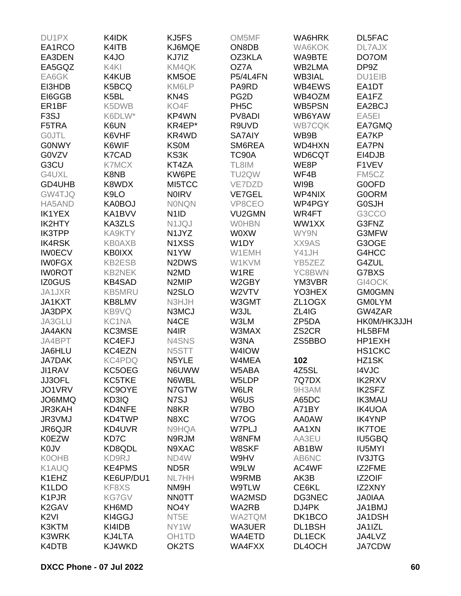| DU1PX              | K4IDK         | KJ5FS                           | OM5MF             | WA6HRK             | DL5FAC        |
|--------------------|---------------|---------------------------------|-------------------|--------------------|---------------|
| EA1RCO             | K4ITB         | KJ6MQE                          | ON8DB             | <b>WA6KOK</b>      | DL7AJX        |
| EA3DEN             | K4JO          | KJ7IZ                           | OZ3KLA            | WA9BTE             | DO70M         |
| EA5GQZ             | K4KI          | KM4QK                           | OZ7A              | WB2LMA             | DP9Z          |
| EA6GK              | K4KUB         | KM5OE                           | P5/4L4FN          | <b>WB3IAL</b>      | <b>DU1EIB</b> |
| EI3HDB             | K5BCQ         | KM6LP                           | PA9RD             | WB4EWS             | EA1DT         |
| EI6GGB             | K5BL          | KN <sub>4</sub> S               | PG <sub>2</sub> D | WB4OZM             | EA1FZ         |
| ER <sub>1</sub> BF | K5DWB         | KO4F                            | PH <sub>5</sub> C | <b>WB5PSN</b>      | EA2BCJ        |
| F <sub>3</sub> SJ  | K6DLW*        | KP4WN                           | PV8ADI            | WB6YAW             | EA5EI         |
| F5TRA              | K6UN          | KR4EP*                          | R9UVD             | <b>WB7CQK</b>      | EA7GMQ        |
| <b>GOJTL</b>       | K6VHF         | KR4WD                           | <b>SA7AIY</b>     | WB9B               | EA7KP         |
| <b>GONWY</b>       | K6WIF         | <b>KS0M</b>                     | SM6REA            | <b>WD4HXN</b>      | <b>EA7PN</b>  |
| G0VZV              | K7CAD         | KS3K                            | <b>TC90A</b>      | WD6CQT             | EI4DJB        |
|                    |               |                                 |                   |                    |               |
| G3CU               | <b>K7MCX</b>  | KT4ZA                           | TL8IM             | WE8P               | F1VEV         |
| G4UXL              | K8NB          | KW6PE                           | TU2QW             | WF4B               | FM5CZ         |
| GD4UHB             | K8WDX         | MI5TCC                          | VE7DZD            | WI9B               | G0OFD         |
| GW4TJQ             | K9LO          | <b>NOIRV</b>                    | <b>VE7GEL</b>     | WP4NIX             | <b>G0ORM</b>  |
| HA5AND             | <b>KA0BOJ</b> | <b>NONQN</b>                    | VP8CEO            | WP4PGY             | <b>G0SJH</b>  |
| <b>IK1YEX</b>      | KA1BVV        | N <sub>1</sub> I <sub>D</sub>   | VU2GMN            | WR4FT              | G3CCO         |
| IK2HTY             | KA3ZLS        | N1JQJ                           | <b>WOHBN</b>      | WW1XX              | G3FNZ         |
| <b>IK3TPP</b>      | KA9KTY        | N <sub>1</sub> JYZ              | <b>WOXW</b>       | WY9N               | G3MFW         |
| <b>IK4RSK</b>      | <b>KB0AXB</b> | N1XSS                           | W1DY              | XX9AS              | G3OGE         |
| <b>IW0ECV</b>      | <b>KB0IXX</b> | N1YW                            | W1EMH             | Y41JH              | G4HCC         |
| <b>IWOFGX</b>      | <b>KB2ESB</b> | N <sub>2</sub> D <sub>W</sub> S | W1KVM             | YB5ZEZ             | G4ZUL         |
| <b>IWOROT</b>      | <b>KB2NEK</b> | N <sub>2</sub> M <sub>D</sub>   | W1RE              | YC8BWN             | G7BXS         |
| <b>IZ0GUS</b>      | <b>KB4SAD</b> | N <sub>2</sub> MIP              | W2GBY             | YM3VBR             | GI4OCK        |
| JA1JXR             | <b>KB5MRU</b> | N <sub>2</sub> SLO              | W2VTV             | YO3HEX             | <b>GM0GMN</b> |
| JA1KXT             | KB8LMV        | N3HJH                           | W3GMT             | ZL1OGX             | <b>GM0LYM</b> |
| JA3DPX             | KB9VQ         | N3MCJ                           | W3JL              | ZL4IG              | GW4ZAR        |
| JA3GLU             | KC1NA         | N4CE                            | W3LM              | ZP5DA              | HK0M/HK3JJH   |
| <b>JA4AKN</b>      | KC3MSE        | N <sub>4</sub> IR               | W3MAX             | ZS <sub>2</sub> CR | HL5BFM        |
| JA4BPT             | KC4EFJ        | N4SNS                           | W3NA              | ZS5BBO             | HP1EXH        |
| JA6HLU             | KC4EZN        | N5STT                           | W4IOW             |                    | <b>HS1CKC</b> |
| <b>JA7DAK</b>      | <b>KC4PDQ</b> | N5YLE                           | W4MEA             | 102                | HZ1SK         |
| <b>JI1RAV</b>      | KC5OEG        | N6UWW                           | W5ABA             | 4Z5SL              | <b>I4VJC</b>  |
| JJ3OFL             | KC5TKE        | N6WBL                           | W5LDP             | 7Q7DX              | <b>IK2RXV</b> |
| JO1VRV             | KC9OYE        | N7GTW                           | W6LR              | 9H3AM              | <b>IK2SFZ</b> |
| JO6MMQ             | KD3IQ         | N7SJ                            | W6US              | A65DC              | <b>IK3MAU</b> |
| <b>JR3KAH</b>      | KD4NFE        | N8KR                            | W7BO              | A71BY              | <b>IK4UOA</b> |
| JR3VMJ             | KD4TWP        | N8XC                            | W7OG              | AA0AW              | <b>IK4YNP</b> |
| JR6QJR             | KD4UVR        | N9HQA                           | W7PLJ             | AA1XN              | <b>IK7TOE</b> |
| <b>K0EZW</b>       | KD7C          | N9RJM                           | W8NFM             | AA3EU              | IU5GBQ        |
| <b>K0JV</b>        | KD8QDL        | N9XAC                           | W8SKF             | AB1BW              | IU5MYI        |
| <b>K0OHB</b>       |               |                                 |                   |                    |               |
|                    | KD9RJ         | ND4W                            | W9HV              | AB6NC              | <b>IV3JTG</b> |
| K1AUQ              | <b>KE4PMS</b> | ND <sub>5</sub> R               | W9LW              | AC4WF              | IZ2FME        |
| K1EHZ              | KE6UP/DU1     | <b>NL7HH</b>                    | W9RMB             | AK3B               | IZ2OIF        |
| K <sub>1</sub> LDO | KF8XS         | NM9H                            | W9TLW             | CE6KL              | IZ2XNY        |
| K <sub>1</sub> PJR | <b>KG7GV</b>  | <b>NNOTT</b>                    | WA2MSD            | DG3NEC             | <b>JAOIAA</b> |
| K <sub>2</sub> GAV | KH6MD         | NO4Y                            | WA2RB             | DJ4PK              | JA1BMJ        |
| K <sub>2VI</sub>   | KI4GGJ        | NT <sub>5</sub> E               | WA2TQM            | DK1BCO             | JA1DSH        |
| K3KTM              | KI4IDB        | NY1W                            | WA3UER            | DL1BSH             | JA1IZL        |
| K3WRK              | KJ4LTA        | OH <sub>1</sub> TD              | WA4ETD            | <b>DL1ECK</b>      | JA4LVZ        |
| K4DTB              | KJ4WKD        | OK2TS                           | WA4FXX            | DL4OCH             | <b>JA7CDW</b> |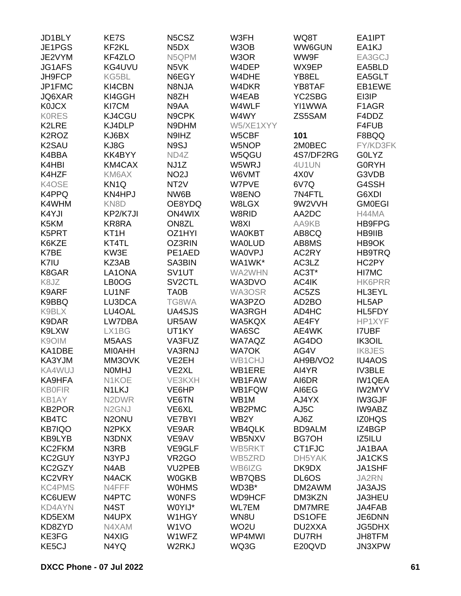| JD1BLY              | KE7S                           | N <sub>5</sub> C <sub>SZ</sub> | W3FH              | WQ8T               | EA1IPT        |
|---------------------|--------------------------------|--------------------------------|-------------------|--------------------|---------------|
| JE1PGS              | KF2KL                          | N <sub>5</sub> D <sub>X</sub>  | W3OB              | WW6GUN             | EA1KJ         |
| JE2VYM              | KF4ZLO                         | N5QPM                          | W3OR              | WW9F               | EA3GCJ        |
| JG1AFS              | KG4UVU                         | N <sub>5</sub> VK              | W4DEP             | WX9EP              | EA5BLD        |
| JH9FCP              | KG5BL                          | N6EGY                          | W4DHE             | YB8EL              | EA5GLT        |
| JP1FMC              | KI4CBN                         | N8NJA                          | W4DKR             | YB8TAF             | EB1EWE        |
| JQ6XAR              | KI4GGH                         | N8ZH                           | W4EAB             | YC2SBG             | EI3IP         |
| <b>K0JCX</b>        | KI7CM                          | N9AA                           | W4WLF             | YI1WWA             | F1AGR         |
|                     |                                |                                |                   |                    |               |
| <b>KORES</b>        | KJ4CGU                         | N9CPK                          | W4WY              | ZS5SAM             | F4DDZ         |
| K2LRE               | KJ4DLP                         | N9DHM                          | W5/XE1XYY         |                    | F4FUB         |
| K <sub>2</sub> ROZ  | KJ6BX                          | N9IHZ                          | W5CBF             | 101                | F8BQQ         |
| K <sub>2</sub> SAU  | KJ8G                           | N9SJ                           | W5NOP             | 2M0BEC             | FY/KD3FK      |
| K4BBA               | KK4BYY                         | ND4Z                           | W5QGU             | 4S7/DF2RG          | <b>GOLYZ</b>  |
| K4HBI               | KM4CAX                         | NJ1Z                           | W5WRJ             | 4U1UN              | <b>GORYH</b>  |
| K4HZF               | KM6AX                          | NO <sub>2</sub> J              | W6VMT             | 4X <sub>0</sub> V  | G3VDB         |
| K4OSE               | KN <sub>1Q</sub>               | NT <sub>2</sub> V              | W7PVE             | 6V7Q               | G4SSH         |
| K4PPQ               | KN4HPJ                         | NW6B                           | W8ENO             | 7N4FTL             | G6XDI         |
| K4WHM               | KN <sub>8</sub> D              | OE8YDQ                         | W8LGX             | 9W2VVH             | <b>GM0EGI</b> |
| K4YJI               | KP2/K7JI                       | <b>ON4WIX</b>                  | W8RID             | AA2DC              | H44MA         |
| K5KM                | KR8RA                          | ON8ZL                          | W8XI              | AA9KB              | <b>HB9FPG</b> |
| K5PRT               | KT <sub>1</sub> H              | OZ1HYI                         | <b>WA0KBT</b>     | AB8CQ              | HB9IIB        |
| K6KZE               | KT4TL                          | OZ3RIN                         | <b>WA0LUD</b>     | AB8MS              | HB9OK         |
| K7BE                | KW3E                           | PE1AED                         | <b>WA0VPJ</b>     | AC2RY              | HB9TRQ        |
| K7IU                | KZ3AB                          | SA3BIN                         | WA1WK*            | AC3LZ              | HC2PY         |
| K8GAR               | LA1ONA                         | SV1UT                          | WA2WHN            | AC3T*              | HI7MC         |
| K8JZ                | LB0OG                          | SV <sub>2</sub> CTL            | WA3DVO            | AC4IK              | <b>HK6PRR</b> |
| K9ARF               | LU1NF                          | TA0B                           | WA3OSR            | AC5ZS              | HL3EYL        |
| K9BBQ               | LU3DCA                         | TG8WA                          | WA3PZO            | AD <sub>2</sub> BO | HL5AP         |
|                     |                                |                                |                   |                    |               |
| K9BLX               | LU4OAL                         | UA4SJS                         | <b>WA3RGH</b>     | AD4HC              | HL5FDY        |
| K9DAR               | LW7DBA                         | UR5AW                          | WA5KQX            | AE4FY              | HP1XYF        |
| K9LXW               | LX1BG                          | UT1KY                          | WA6SC             | AE4WK              | <b>I7UBF</b>  |
| K9OIM               | M5AAS                          | VA3FUZ                         | <b>WA7AQZ</b>     | AG4DO              | IK3OIL        |
| KA1DBE              | <b>MIOAHH</b>                  | VA3RNJ                         | <b>WA7OK</b>      | AG4V               | <b>IK8JES</b> |
| KA3YJM              | MM3OVK                         | VE2EH                          | WB1CHJ            | AH9B/VO2           | <b>IU4AOS</b> |
| KA4WUJ              | <b>NOMHJ</b>                   | VE2XL                          | WB1ERE            | AI4YR              | <b>IV3BLE</b> |
| KA9HFA              | N1KOE                          | VE3KXH                         | WB1FAW            | AI6DR              | <b>IW1QEA</b> |
| <b>KB0FIR</b>       | N1LKJ                          | VE6HP                          | WB1FQW            | AI6EG              | <b>IW2MYV</b> |
| KB1AY               | N <sub>2</sub> DWR             | VE6TN                          | WB1M              | AJ4YX              | IW3GJF        |
| <b>KB2POR</b>       | N <sub>2</sub> GNJ             | VE6XL                          | WB2PMC            | AJ5C               | IW9ABZ        |
| KB4TC               | N <sub>2</sub> ONU             | <b>VE7BYI</b>                  | WB <sub>2</sub> Y | AJ6Z               | <b>IZ0HQS</b> |
| <b>KB7IQO</b>       | N <sub>2</sub> PK <sub>X</sub> | VE9AR                          | <b>WB4QLK</b>     | <b>BD9ALM</b>      | IZ4BGP        |
| KB9LYB              | N3DNX                          | VE9AV                          | WB5NXV            | <b>BG7OH</b>       | IZ5ILU        |
| KC2FKM              | N <sub>3</sub> R <sub>B</sub>  | VE9GLF                         | WB5RKT            | CT1FJC             | JA1BAA        |
| KC <sub>2</sub> GUY | N3YPJ                          | VR <sub>2</sub> GO             | WB5ZRD            | DH5YAK             | JA1CKS        |
| KC2GZY              | N4AB                           | VU2PEB                         | WB6IZG            | DK9DX              | JA1SHF        |
| KC2VRY              | N4ACK                          | <b>W0GKB</b>                   | <b>WB7QBS</b>     | DL6OS              | JA2RN         |
| <b>KC4PMS</b>       | N4FFF                          | <b>WOHMS</b>                   | WD3B*             | DM2AWM             | <b>JA3AJS</b> |
| KC6UEW              | N4PTC                          | <b>WONFS</b>                   | <b>WD9HCF</b>     | DM3KZN             | JA3HEU        |
| <b>KD4AYN</b>       | N <sub>4</sub> ST              | W0YIJ*                         | <b>WL7EM</b>      | DM7MRE             | JA4FAB        |
| KD5EXM              | N4UPX                          | W1HGY                          | WN8U              |                    | JE6DNN        |
|                     |                                |                                |                   | DS1OFE             |               |
| KD8ZYD              | N4XAM                          | W <sub>1</sub> VO              | WO <sub>2</sub> U | DU2XXA             | <b>JG5DHX</b> |
| KE3FG               | N4XIG                          | W1WFZ                          | WP4MWI            | <b>DU7RH</b>       | JH8TFM        |
| KE5CJ               | N4YQ                           | W2RKJ                          | WQ3G              | E20QVD             | JN3XPW        |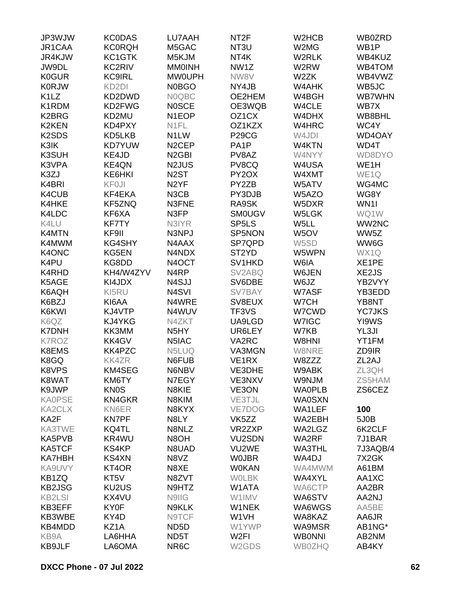| JP3WJW                         | <b>KC0DAS</b>      | LU7AAH             | NT <sub>2</sub> F  | W <sub>2</sub> HC <sub>B</sub> | WB0ZRD             |
|--------------------------------|--------------------|--------------------|--------------------|--------------------------------|--------------------|
| JR1CAA                         | <b>KC0RQH</b>      | M5GAC              | NT <sub>3U</sub>   | W2MG                           | WB <sub>1</sub> P  |
| JR4KJW                         | KC1GTK             | M5KJM              | NT4K               | W2RLK                          | WB4KUZ             |
| JW9DL                          | KC2RIV             | <b>MMOINH</b>      | NW1Z               | W2RW                           | WB4TOM             |
| <b>K0GUR</b>                   | <b>KC9IRL</b>      | <b>MW0UPH</b>      | NW8V               | W <sub>2</sub> ZK              | WB4VWZ             |
| <b>K0RJW</b>                   | KD <sub>2</sub> DI | <b>N0BGO</b>       | NY4JB              | W4AHK                          | WB5JC              |
| K <sub>1</sub> LZ              | KD2DWD             | N0QBC              | OE2HEM             | W4BGH                          | <b>WB7WHN</b>      |
| K1RDM                          | KD2FWG             | <b>NOSCE</b>       | OE3WQB             | W4CLE                          | WB7X               |
| K2BRG                          | KD2MU              | N <sub>1</sub> EOP | OZ <sub>1</sub> CX | W4DHX                          | WB8BHL             |
|                                |                    |                    |                    |                                |                    |
| <b>K2KEN</b>                   | KD4PXY             | N1FL               | OZ1KZX             | W4HRC                          | WC4Y               |
| K <sub>2</sub> SD <sub>S</sub> | KD5LKB             | N <sub>1</sub> LW  | P <sub>29</sub> CG | W4JDI                          | WD4OAY             |
| K3IK                           | <b>KD7YUW</b>      | N <sub>2</sub> CEP | PA <sub>1</sub> P  | W4KTN                          | WD4T               |
| K3SUH                          | KE4JD              | N <sub>2</sub> GBI | PV8AZ              | W4NYY                          | WD8DYO             |
| K3VPA                          | <b>KE4QN</b>       | N2JUS              | PV8CQ              | W4USA                          | WE <sub>1</sub> H  |
| K3ZJ                           | KE6HKI             | N <sub>2</sub> ST  | PY2OX              | W4XMT                          | WE1Q               |
| K4BRI                          | <b>KF0JI</b>       | N <sub>2</sub> YF  | PY2ZB              | W5ATV                          | WG4MC              |
| K4CUB                          | KF4EKA             | N3CB               | PY3DJB             | W5AZO                          | WG8Y               |
| K4HKE                          | KF5ZNQ             | N3FNE              | RA9SK              | W5DXR                          | WN1I               |
| K4LDC                          | KF6XA              | N3FP               | <b>SM0UGV</b>      | W5LGK                          | WQ1W               |
| K4LU                           | <b>KF7TY</b>       | N3IYR              | SP <sub>5</sub> LS | W5LL                           | WW2NC              |
| <b>K4MTN</b>                   | KF9II              | N3NPJ              | SP5NON             | W <sub>5</sub> OV              | WW5Z               |
| K4MWM                          | KG4SHY             | N4AAX              | SP7QPD             | W5SD                           | WW6G               |
| K4ONC                          | KG5EN              | N4NDX              | ST <sub>2</sub> YD | W5WPN                          | WX1Q               |
| K4PU                           | KG8DD              | N4OCT              | SV1HKD             | W6IA                           | XE1PE              |
| K4RHD                          | KH4/W4ZYV          | N4RP               | SV2ABQ             | W6JEN                          | XE2JS              |
| K5AGE                          | KI4JDX             | N4SJJ              | SV6DBE             | W6JZ                           | YB2VYY             |
| K6AQH                          | KI5RU              | N4SVI              | SV7BAY             | W7ASF                          | YB3EDD             |
| K6BZJ                          | KI6AA              | N4WRE              | SV8EUX             | W7CH                           | YB8NT              |
| K6KWI                          | KJ4VTP             | N4WUV              | TF3VS              | W7CWD                          | <b>YC7JKS</b>      |
| K6QZ                           | KJ4YKG             | N4ZKT              | UA9LGD             | W7IGC                          | YI9WS              |
| <b>K7DNH</b>                   | KK3MM              | N <sub>5</sub> HY  | UR6LEY             | W7KB                           | YL3JI              |
| <b>K7ROZ</b>                   |                    |                    |                    | W8HNI                          |                    |
|                                | KK4GV              | N5IAC              | VA2RC              |                                | YT1FM              |
| K8EMS                          | KK4PZC             | N5LUQ              | VA3MGN             | W8NRE                          | ZD9IR              |
| K8GQ                           | <b>KK4ZR</b>       | N6FUB              | VE <sub>1RX</sub>  | W8ZZZ                          | ZL <sub>2</sub> AJ |
| K8VPS                          | KM4SEG             | N6NBV              | VE3DHE             | W9ABK                          | ZL3QH              |
| K8WAT                          | KM6TY              | N7EGY              | VE3NXV             | W9NJM                          | ZS5HAM             |
| K9JWP                          | <b>KN0S</b>        | N8KIE              | VE3ON              | <b>WAOPLB</b>                  | ZS6CEZ             |
| <b>KA0PSE</b>                  | <b>KN4GKR</b>      | N8KIM              | VE3TJL             | <b>WA0SXN</b>                  |                    |
| <b>KA2CLX</b>                  | KN6ER              | N8KYX              | VE7DOG             | WA1LEF                         | 100                |
| KA2F                           | <b>KN7PF</b>       | N8LY               | VK <sub>5</sub> ZZ | WA2EBH                         | 5J0B               |
| KA3TWE                         | KQ4TL              | N8NLZ              | VR2ZXP             | WA2LGZ                         | 6K2CLF             |
| KA5PVB                         | KR4WU              | N8OH               | VU2SDN             | WA2RF                          | 7J1BAR             |
| KA5TCF                         | KS4KP              | N8UAD              | VU2WE              | <b>WA3THL</b>                  | 7J3AQB/4           |
| <b>KA7HBH</b>                  | <b>KS4XN</b>       | N8VZ               | <b>WOJBR</b>       | WA4DJ                          | 7X2GK              |
| KA9UVY                         | KT4OR              | N8XE               | <b>W0KAN</b>       | WA4MWM                         | A61BM              |
| KB1ZQ                          | KT5V               | N8ZVT              | <b>WOLBK</b>       | WA4XYL                         | AA1XC              |
| <b>KB2JSG</b>                  | KU2US              | N9HTZ              | W1ATA              | WA6CTP                         | AA2BR              |
| <b>KB2LSI</b>                  | KX4VU              | N9IIG              | W1IMV              | WA6STV                         | AA2NJ              |
| KB3EFF                         | KY0F               | N9KLK              | W1NEK              | WA6WGS                         | AA5BE              |
| KB3WBE                         | KY4D               | N9TCF              | W1VH               | WA8KAZ                         | AA6JR              |
| KB4MDD                         | KZ1A               | ND5D               | W1YWP              | WA9MSR                         | AB1NG*             |
| KB9A                           | LA6HHA             | ND5T               | W <sub>2FI</sub>   | <b>WBONNI</b>                  | AB2NM              |
| <b>KB9JLF</b>                  | LA6OMA             | NR6C               | W <sub>2</sub> GDS | <b>WB0ZHQ</b>                  | AB4KY              |
|                                |                    |                    |                    |                                |                    |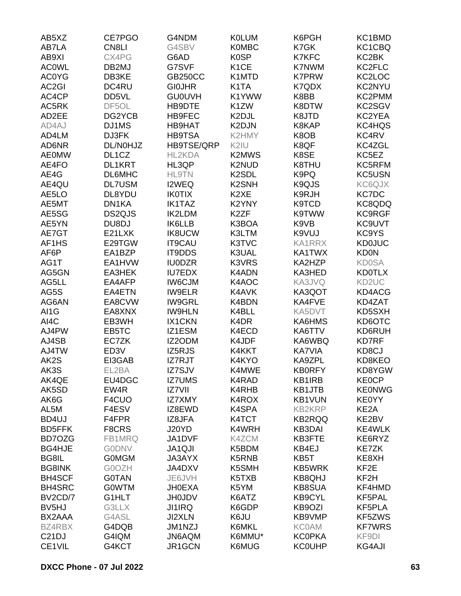| AB5XZ              | CE7PGO             | G4NDM          | <b>K0LUM</b>       | K6PGH         | KC1BMD            |
|--------------------|--------------------|----------------|--------------------|---------------|-------------------|
| AB7LA              | CN8LI              | G4SBV          | <b>K0MBC</b>       | K7GK          | KC1CBQ            |
| AB9XI              | CX4PG              | G6AD           | <b>K0SP</b>        | <b>K7KFC</b>  | KC2BK             |
| <b>ACOWL</b>       | DB2MJ              | G7SVF          | K <sub>1</sub> CE  | <b>K7NWM</b>  | KC2FLC            |
| <b>AC0YG</b>       | DB3KE              | <b>GB250CC</b> | K1MTD              | <b>K7PRW</b>  | KC2LOC            |
| AC2GI              | DC4RU              | <b>GIOJHR</b>  | K <sub>1</sub> TA  | K7QDX         | KC2NYU            |
| AC4CP              | DD5VL              | <b>GU0UVH</b>  | K1YWW              | K8BB          | KC2PMM            |
| AC5RK              | DF5OL              | HB9DTE         | K1ZW               | K8DTW         | KC2SGV            |
| AD2EE              | DG2YCB             | <b>HB9FEC</b>  | K2DJL              | K8JTD         | KC2YEA            |
| AD4AJ              | DJ1MS              | <b>HB9HAT</b>  | K2DJN              | K8KAP         | KC4HQS            |
| AD4LM              | DJ3FK              | <b>HB9TSA</b>  | K2HMY              | K8OB          | KC4RV             |
| AD6NR              | DL/N0HJZ           | HB9TSE/QRP     | K2IU               | K8QF          | KC4ZGL            |
| <b>AE0MW</b>       | DL <sub>1</sub> CZ | HL2KDA         | K2MWS              | K8SE          | KC5EZ             |
| AE4FO              | <b>DL1KRT</b>      | HL3QP          | K2NUD              | K8THU         | KC5RFM            |
| AE4G               | DL6MHC             | <b>HL9TN</b>   | K <sub>2</sub> SDL | K9PQ          | KC5USN            |
| AE4QU              | <b>DL7USM</b>      | I2WEQ          | K <sub>2</sub> SNH | K9QJS         | KC6QJX            |
| AE5LO              | DL8YDU             | <b>IK0TIX</b>  | K <sub>2</sub> XE  | K9RJH         | <b>KC7DC</b>      |
| AE5MT              | DN1KA              | <b>IK1TAZ</b>  | K2YNY              | K9TCD         | KC8QDQ            |
| AE5SG              | DS2QJS             | <b>IK2LDM</b>  | K <sub>2</sub> ZF  | K9TWW         | KC9RGF            |
| AE5YN              | DU8DJ              | <b>IK6LLB</b>  | K3BOA              | K9VB          | KC9UVT            |
| AE7GT              | E21LXK             | <b>IK8UCW</b>  | K3LTM              | K9VUJ         | KC9YS             |
| AF1HS              | E29TGW             | IT9CAU         | K3TVC              | <b>KA1RRX</b> | <b>KD0JUC</b>     |
| AF6P               | EA1BZP             |                | K3UAL              | KA1TWX        |                   |
| AG1T               | EA1HVW             | IT9DDS         | K3VRS              |               | <b>KD0N</b>       |
|                    |                    | <b>IU0DZR</b>  |                    | KA2HZP        | <b>KD0SA</b>      |
| AG5GN              | EA3HEK             | <b>IU7EDX</b>  | K4ADN              | KA3HED        | <b>KD0TLX</b>     |
| AG5LL              | EA4AFP<br>EA4ETN   | <b>IW6CJM</b>  | K4AOC<br>K4AVK     | KA3JVQ        | KD2UC             |
| AG5S               |                    | <b>IW9ELR</b>  |                    | KA3QOT        | KD4ACG            |
| AG6AN              | EA8CVW             | <b>IW9GRL</b>  | K4BDN              | KA4FVE        | KD4ZAT            |
| AI1G               | EA8XNX             | <b>IW9HLN</b>  | K4BLL              | KA5DVT        | KD5SXH            |
| AI4C               | EB3WH              | <b>IX1CKN</b>  | K4DR               | KA6HMS        | KD6OTC            |
| AJ4PW              | EB5TC              | IZ1ESM         | K4ECD              | KA6TTV        | KD6RUH            |
| AJ4SB              | EC7ZK              | IZ2ODM         | K4JDF              | KA6WBQ        | <b>KD7RF</b>      |
| AJ4TW              | ED <sub>3</sub> V  | IZ5RJS         | K4KKT              | <b>KA7VIA</b> | KD8CJ             |
| AK2S               | EI3GAB             | IZ7RJT         | K4KYO              | KA9ZPL        | KD8KEO            |
| AK3S               | EL2BA              | IZ7SJV         | K4MWE              | <b>KB0RFY</b> | KD8YGW            |
| AK4QE              | EU4DGC             | <b>IZ7UMS</b>  | K4RAD              | KB1IRB        | <b>KE0CP</b>      |
| AK5SD              | EW4R               | <b>IZ7VII</b>  | K4RHB              | KB1JTB        | <b>KE0NWG</b>     |
| AK6G               | F4CUO              | <b>IZ7XMY</b>  | K4ROX              | <b>KB1VUN</b> | <b>KE0YY</b>      |
| AL5M               | F4ESV              | IZ8EWD         | K4SPA              | <b>KB2KRP</b> | KE <sub>2</sub> A |
| BD4UJ              | F4FPR              | IZ8JFA         | K4TCT              | <b>KB2RQQ</b> | KE2BV             |
| <b>BD5FFK</b>      | F8CRS              | J20YD          | K4WRH              | <b>KB3DAI</b> | <b>KE4WLK</b>     |
| BD7OZG             | FB1MRQ             | JA1DVF         | K4ZCM              | <b>KB3FTE</b> | KE6RYZ            |
| <b>BG4HJE</b>      | <b>GODNV</b>       | JA1QJI         | K5BDM              | KB4EJ         | <b>KE7ZK</b>      |
| BG8IL              | <b>GOMGM</b>       | <b>JA3AYX</b>  | K5RNB              | KB5T          | KE8XH             |
| <b>BG8INK</b>      | G0OZH              | JA4DXV         | K5SMH              | <b>KB5WRK</b> | KF <sub>2</sub> E |
| <b>BH4SCF</b>      | <b>G0TAN</b>       | JE6JVH         | K5TXB              | <b>KB8QHJ</b> | KF <sub>2</sub> H |
| <b>BH4SRC</b>      | <b>GOWTM</b>       | <b>JH0EXA</b>  | K5YM               | <b>KB8SUA</b> | KF4HMD            |
| BV2CD/7            | G1HLT              | <b>JH0JDV</b>  | K6ATZ              | <b>KB9CYL</b> | KF5PAL            |
| BV <sub>5</sub> HJ | G3LLX              | <b>JI1IRQ</b>  | K6GDP              | KB9OZI        | KF5PLA            |
| BX2AAA             | G4ASL              | <b>JI2XLN</b>  | K6JU               | KB9VMP        | KF5ZWS            |
| BZ4RBX             | G4DQB              | JM1NZJ         | K6MKL              | <b>KC0AM</b>  | <b>KF7WRS</b>     |
| C <sub>21</sub> DJ | G4IQM              | JN6AQM         | K6MMU*             | <b>KC0PKA</b> | KF9DI             |
| CE1VIL             | G4KCT              | JR1GCN         | K6MUG              | <b>KC0UHP</b> | <b>KG4AJI</b>     |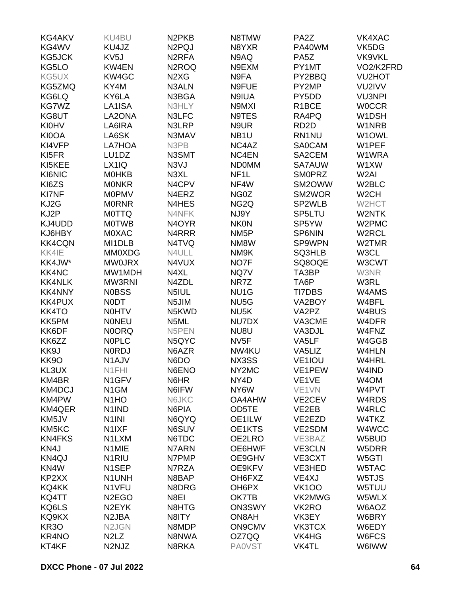| KG4AKV             | KU4BU                          | N <sub>2</sub> PK <sub>B</sub> | N8TMW             | PA <sub>2</sub> Z  | VK4XAC            |
|--------------------|--------------------------------|--------------------------------|-------------------|--------------------|-------------------|
| KG4WV              | KU4JZ                          | N <sub>2</sub> PQJ             | N8YXR             | PA40WM             | VK5DG             |
| KG5JCK             | KV <sub>5</sub> J              | N <sub>2</sub> RFA             | N9AQ              | PA <sub>5</sub> Z  | VK9VKL            |
| KG5LO              | KW4EN                          | N <sub>2</sub> ROQ             | N9EXM             | PY1MT              | VO2/K2FRD         |
| KG5UX              | KW4GC                          | N <sub>2</sub> X <sub>G</sub>  | N9FA              | PY2BBQ             | <b>VU2HOT</b>     |
| KG5ZMQ             | KY4M                           | N3ALN                          | N9FUE             | PY2MP              | VU2IVV            |
| KG6LQ              | KY6LA                          | N3BGA                          | N9IUA             | PY5DD              | <b>VU3NPI</b>     |
| KG7WZ              | LA1ISA                         | N3HLY                          | N9MXI             | R <sub>1</sub> BCE | <b>WOCCR</b>      |
| KG8UT              | LA2ONA                         | N3LFC                          | N9TES             | RA4PQ              | W1DSH             |
| <b>KI0HV</b>       | LA6IRA                         | N3LRP                          | N9UR              | RD <sub>2</sub> D  | W1NRB             |
| KI0OA              | LA6SK                          | N3MAV                          | NB <sub>1U</sub>  | RN1NU              | W1OWL             |
| KI4VFP             | LA7HOA                         | N3PB                           | NC4AZ             | <b>SA0CAM</b>      | W1PEF             |
| KI5FR              | LU1DZ                          | N3SMT                          | NC4EN             | SA2CEM             | W1WRA             |
| KI5KEE             | LX1IQ                          | N3VJ                           | <b>NDOMM</b>      | SA7AUW             | W1XW              |
| KI6NIC             | <b>MOHKB</b>                   | N3XL                           | NF <sub>1</sub> L | <b>SMOPRZ</b>      | W <sub>2</sub> AI |
| KI6ZS              | <b>MONKR</b>                   | N4CPV                          | NF4W              | SM2OWW             | W2BLC             |
| KI7NF              | <b>MOPMV</b>                   | N4ERZ                          | NG0Z              | SM2WOR             | W <sub>2</sub> CH |
| KJ2G               | <b>MORNR</b>                   | N4HES                          | NG <sub>2Q</sub>  | SP2WLB             | W2HCT             |
| KJ2P               | <b>MOTTQ</b>                   | N4NFK                          | NJ9Y              | SP5LTU             | W2NTK             |
| KJ4UDD             | <b>MOTWB</b>                   | N <sub>4</sub> OYR             | <b>NK0N</b>       | SP5YW              | W2PMC             |
| KJ6HBY             | <b>MOXAC</b>                   | N <sub>4</sub> R <sub>RR</sub> | NM <sub>5</sub> P | <b>SP6NIN</b>      | W2RCL             |
| <b>KK4CQN</b>      | MI1DLB                         | N4TVQ                          | NM8W              | SP9WPN             | W2TMR             |
| KK4IE              | <b>MM0XDG</b>                  | N4ULL                          | NM9K              | <b>SQ3HLB</b>      | W3CL              |
| KK4JW*             | <b>MW0JRX</b>                  | N4VUX                          | NO7F              | SQ8OQE             | W3CWT             |
| <b>KK4NC</b>       | MW1MDH                         | N4XL                           | NQ7V              | TA3BP              | W3NR              |
| <b>KK4NLK</b>      | MW3RNI                         | N4ZDL                          | NR7Z              | TA6P               | W3RL              |
| <b>KK4NNY</b>      | <b>NOBSS</b>                   | N5IUL                          | NU <sub>1</sub> G | <b>TI7DBS</b>      | W4AMS             |
| <b>KK4PUX</b>      | <b>NODT</b>                    | N5JIM                          |                   | VA2BOY             | W4BFL             |
|                    |                                |                                | NU <sub>5</sub> G |                    |                   |
| <b>KK4TO</b>       | <b>NOHTV</b>                   | N5KWD                          | NU <sub>5</sub> K | VA2PZ              | W4BUS             |
| KK5PM              | <b>NONEU</b>                   | N5ML                           | NU7DX             | VA3CME             | W4DFR             |
| KK6DF              | <b>NOORQ</b>                   | N5PEN                          | NU8U              | VA3DJL             | W4FNZ             |
| KK6ZZ              | <b>NOPLC</b>                   | N5QYC                          | NV <sub>5F</sub>  | VA5LF              | W4GGB             |
| KK9J               | <b>NORDJ</b>                   | N6AZR                          | NW4KU             | VA5LIZ             | W4HLN             |
| KK9O               | N <sub>1</sub> AJV             | N6DO                           | NX3SS             | VE1IOU             | W4HRL             |
| KL3UX              | N1FHI                          | N6ENO                          | NY2MC             | VE1PEW             | W4IND             |
| KM4BR              | N <sub>1</sub> GFV             | N6HR                           | NY4D              | VE <sub>1</sub> VE | W4OM              |
| KM4DCJ             | N <sub>1</sub> GM              | N6IFW                          | NY6W              | VE1VN              | W4PVT             |
| KM4PW              | N <sub>1</sub> HO              | N6JKC                          | <b>OA4AHW</b>     | VE2CEV             | W4RDS             |
| KM4QER             | N <sub>1</sub> IND             | N6PIA                          | OD5TE             | VE2EB              | W4RLC             |
| KM5JV              | N <sub>1</sub> IN <sub>I</sub> | N6QYQ                          | OE1ILW            | VE2EZD             | W4TKZ             |
| KM5KC              | N <sub>1</sub> IXF             | N6SUV                          | OE1KTS            | VE2SDM             | W4WCC             |
| <b>KN4FKS</b>      | N1LXM                          | N6TDC                          | OE2LRO            | VE3BAZ             | W5BUD             |
| KN4J               | N1MIE                          | N7ARN                          | OE6HWF            | VE3CLN             | W5DRR             |
| KN <sub>4Q</sub> J | N <sub>1</sub> RIU             | N7PMP                          | OE9GHV            | VE3CXT             | W5GTI             |
| KN4W               | N <sub>1</sub> SEP             | N7RZA                          | OE9KFV            | VE3HED             | W5TAC             |
| KP2XX              | N1UNH                          | N8BAP                          | OH6FXZ            | VE4XJ              | W5TJS             |
| KQ4KK              | N1VFU                          | N8DRG                          | OH6PX             | <b>VK100</b>       | W5TUU             |
| KQ4TT              | N <sub>2</sub> EGO             | N8EI                           | OK7TB             | VK2MWG             | W5WLX             |
| KQ6LS              | N <sub>2</sub> EYK             | N8HTG                          | <b>ON3SWY</b>     | VK <sub>2</sub> RO | W6AOZ             |
| KQ9KX              | N <sub>2</sub> JBA             | N8ITY                          | ON8AH             | VK3EY              | W6BRY             |
| <b>KR30</b>        | N2JGN                          | N8MDP                          | <b>ON9CMV</b>     | VK3TCX             | W6EDY             |
| KR4NO              | N <sub>2</sub> L <sub>Z</sub>  | N8NWA                          | OZ7QQ             | VK4HG              | W6FCS             |
| KT4KF              | N2NJZ                          | N8RKA                          | <b>PA0VST</b>     | <b>VK4TL</b>       | W6IWW             |